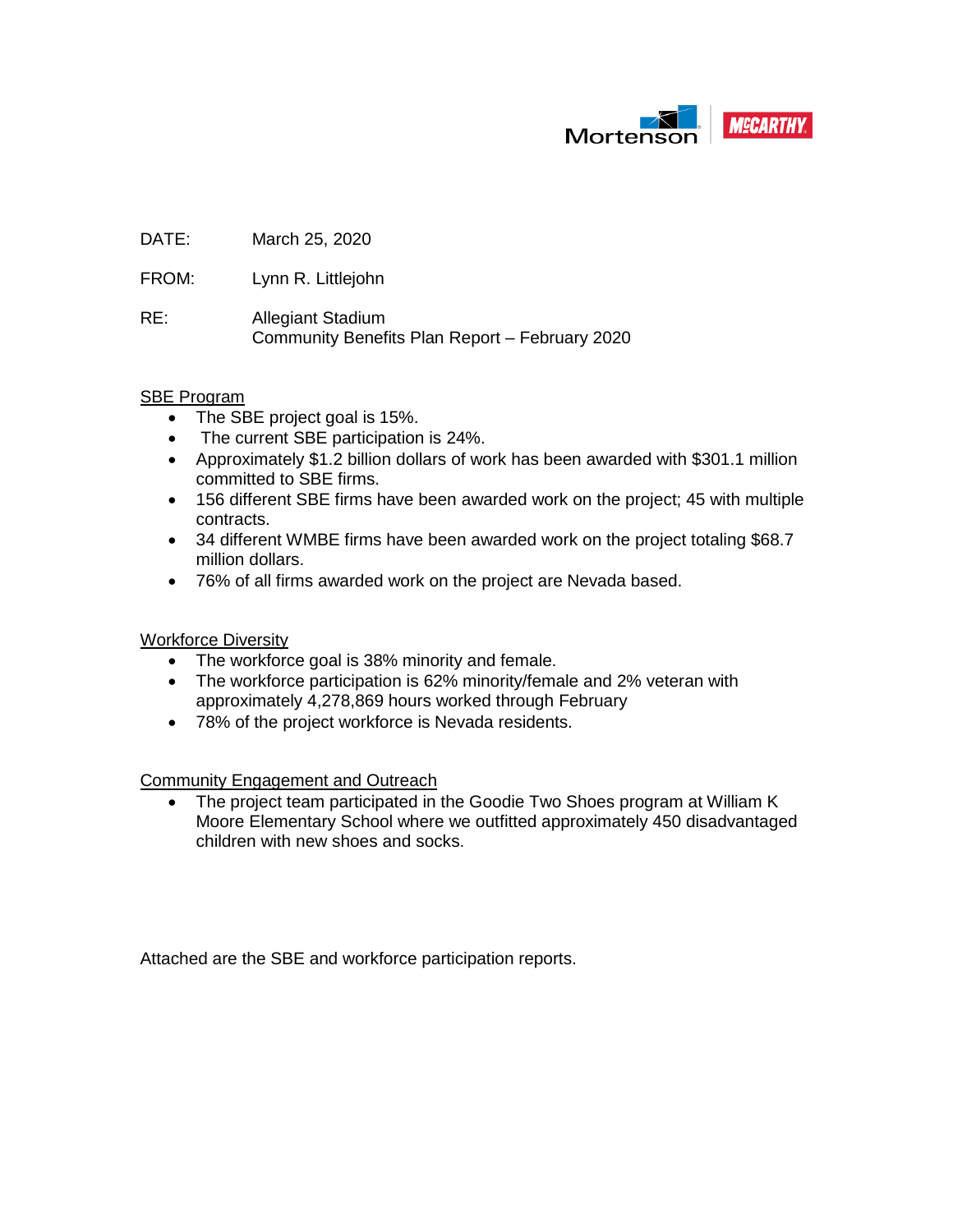

DATE: March 25, 2020

FROM: Lynn R. Littlejohn

RE: Allegiant Stadium Community Benefits Plan Report – February 2020

#### SBE Program

- The SBE project goal is 15%.
- The current SBE participation is 24%.
- Approximately \$1.2 billion dollars of work has been awarded with \$301.1 million committed to SBE firms.
- 156 different SBE firms have been awarded work on the project; 45 with multiple contracts.
- 34 different WMBE firms have been awarded work on the project totaling \$68.7 million dollars.
- 76% of all firms awarded work on the project are Nevada based.

Workforce Diversity

- The workforce goal is 38% minority and female.
- The workforce participation is 62% minority/female and 2% veteran with approximately 4,278,869 hours worked through February
- 78% of the project workforce is Nevada residents.

Community Engagement and Outreach

The project team participated in the Goodie Two Shoes program at William K Moore Elementary School where we outfitted approximately 450 disadvantaged children with new shoes and socks.

Attached are the SBE and workforce participation reports.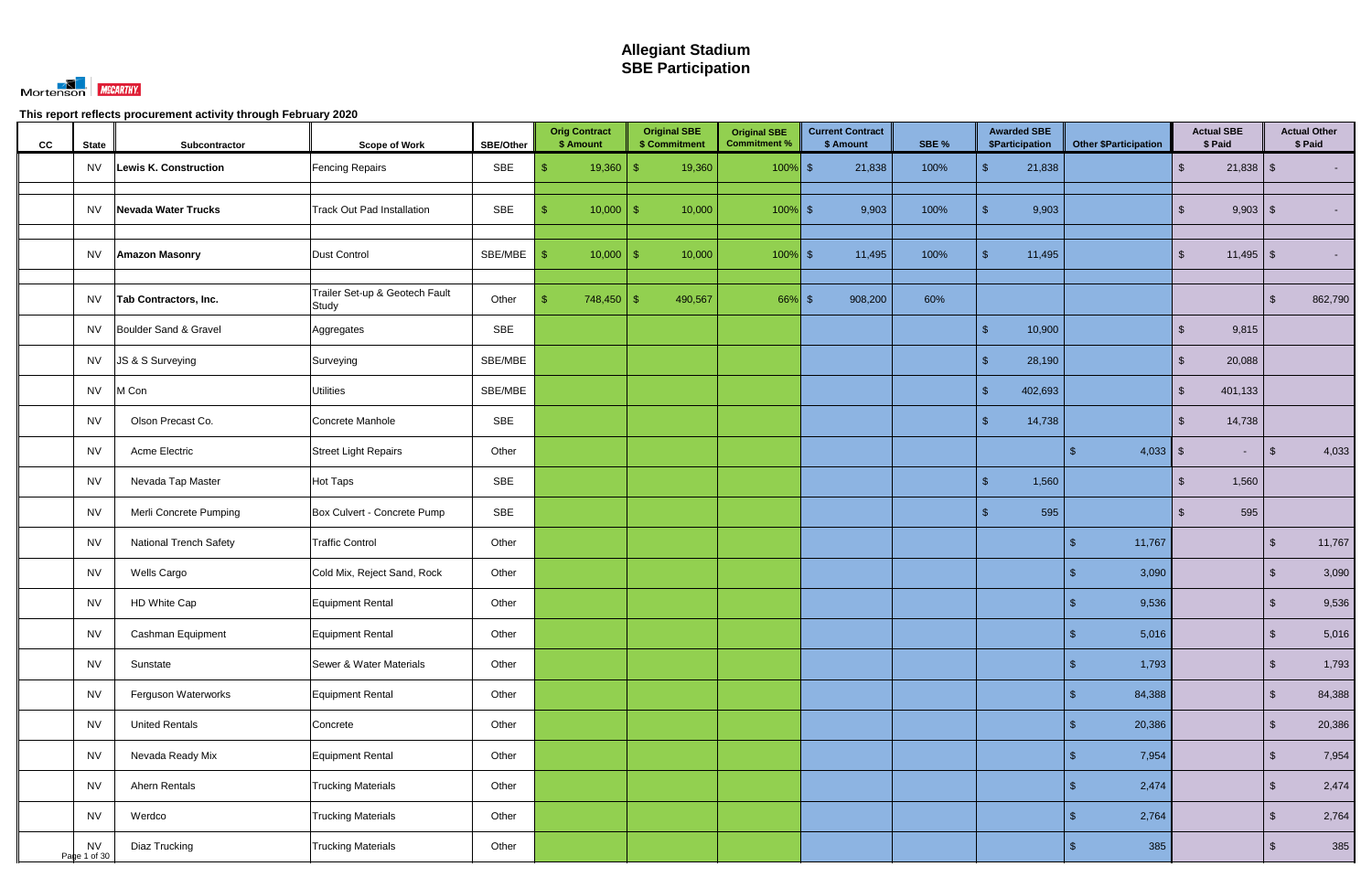

| cc | <b>State</b>              | Subcontractor                 | <b>Scope of Work</b>                    | <b>SBE/Other</b> | <b>Orig Contract</b><br>\$ Amount | <b>Original SBE</b><br>\$ Commitment | <b>Original SBE</b><br><b>Commitment %</b> | <b>Current Contract</b><br>\$ Amount | SBE % | <b>Awarded SBE</b><br>\$Participation | <b>Other \$Participation</b> | <b>Actual SBE</b><br>\$ Paid | <b>Actual Other</b><br>\$ Paid   |
|----|---------------------------|-------------------------------|-----------------------------------------|------------------|-----------------------------------|--------------------------------------|--------------------------------------------|--------------------------------------|-------|---------------------------------------|------------------------------|------------------------------|----------------------------------|
|    | <b>NV</b>                 | Lewis K. Construction         | <b>Fencing Repairs</b>                  | SBE              | $19,360$ \$                       | 19,360                               | $100\%$ \$                                 | 21,838                               | 100%  | $\mathbf{\$}$<br>21,838               |                              | $21,838$ \$<br>$\mathcal{S}$ |                                  |
|    | <b>NV</b>                 | Nevada Water Trucks           | <b>Track Out Pad Installation</b>       | SBE              | 10,000<br>S                       | 10,000<br>-\$                        | $100\%$ \$                                 | 9,903                                | 100%  | 9,903<br>$\mathbf{\$}$                |                              | $9,903$ \$<br>$\mathfrak{L}$ | $\sim$                           |
|    | <b>NV</b>                 | <b>Amazon Masonry</b>         | Dust Control                            | SBE/MBE          | $10,000$ \$<br>$\mathbf{S}$       | 10,000                               | $100\%$ \$                                 | 11,495                               | 100%  | $\mathbf{\$}$<br>11,495               |                              | $11,495$ \$<br>$\mathcal{S}$ | $\sim$                           |
|    | NV                        | Tab Contractors, Inc.         | Trailer Set-up & Geotech Fault<br>Study | Other            | $748,450$ \ \$<br>-\$             | 490,567                              | $66\%$ \$                                  | 908,200                              | 60%   |                                       |                              |                              | 862,790<br>$\mathfrak{L}$        |
|    | <b>NV</b>                 | Boulder Sand & Gravel         | Aggregates                              | <b>SBE</b>       |                                   |                                      |                                            |                                      |       | $\mathbb{S}$<br>10,900                |                              | 9,815<br>$\mathfrak{L}$      |                                  |
|    | NV                        | JS & S Surveying              | Surveying                               | SBE/MBE          |                                   |                                      |                                            |                                      |       | 28,190<br>$\mathbf{\$}$               |                              | 20,088<br>$\mathfrak{L}$     |                                  |
|    | <b>NV</b>                 | M Con                         | <b>Utilities</b>                        | SBE/MBE          |                                   |                                      |                                            |                                      |       | $\mathbb{S}$<br>402,693               |                              | $\mathcal{S}$<br>401,133     |                                  |
|    | <b>NV</b>                 | Olson Precast Co.             | Concrete Manhole                        | SBE              |                                   |                                      |                                            |                                      |       | $\sqrt{2}$<br>14,738                  |                              | 14,738<br>$\mathfrak{L}$     |                                  |
|    | <b>NV</b>                 | Acme Electric                 | <b>Street Light Repairs</b>             | Other            |                                   |                                      |                                            |                                      |       |                                       | $4,033$ \$                   |                              | 4,033<br>$\mathbb{S}$            |
|    | <b>NV</b>                 | Nevada Tap Master             | <b>Hot Taps</b>                         | SBE              |                                   |                                      |                                            |                                      |       | $\sqrt{2}$<br>1,560                   |                              | 1,560<br>$\mathbb{S}$        |                                  |
|    | <b>NV</b>                 | Merli Concrete Pumping        | Box Culvert - Concrete Pump             | SBE              |                                   |                                      |                                            |                                      |       | $\mathbf{\$}$<br>595                  |                              | 595<br>$\mathbb{S}$          |                                  |
|    | <b>NV</b>                 | <b>National Trench Safety</b> | <b>Traffic Control</b>                  | Other            |                                   |                                      |                                            |                                      |       |                                       | 11,767<br>\$                 |                              | $\sqrt{2}$<br>11,767             |
|    | <b>NV</b>                 | Wells Cargo                   | Cold Mix, Reject Sand, Rock             | Other            |                                   |                                      |                                            |                                      |       |                                       | 3,090                        |                              | 3,090<br>$\sqrt[6]{\frac{1}{2}}$ |
|    | <b>NV</b>                 | HD White Cap                  | <b>Equipment Rental</b>                 | Other            |                                   |                                      |                                            |                                      |       |                                       | 9,536                        |                              | 9,536<br>්                       |
|    | <b>NV</b>                 | Cashman Equipment             | Equipment Rental                        | Other            |                                   |                                      |                                            |                                      |       |                                       | 5,016<br>$\sqrt{2}$          |                              | $\sqrt[6]{3}$<br>5,016           |
|    | <b>NV</b>                 | Sunstate                      | Sewer & Water Materials                 | Other            |                                   |                                      |                                            |                                      |       |                                       | 1,793<br>$\mathfrak{S}$      |                              | $\sqrt[6]{2}$<br>1,793           |
|    | <b>NV</b>                 | Ferguson Waterworks           | Equipment Rental                        | Other            |                                   |                                      |                                            |                                      |       |                                       | 84,388<br>\$                 |                              | $\sqrt{2}$<br>84,388             |
|    | <b>NV</b>                 | <b>United Rentals</b>         | Concrete                                | Other            |                                   |                                      |                                            |                                      |       |                                       | 20,386<br>\$                 |                              | $\sqrt[6]{2}$<br>20,386          |
|    | <b>NV</b>                 | Nevada Ready Mix              | Equipment Rental                        | Other            |                                   |                                      |                                            |                                      |       |                                       | 7,954<br>\$                  |                              | $\sqrt{2}$<br>7,954              |
|    | <b>NV</b>                 | Ahern Rentals                 | <b>Trucking Materials</b>               | Other            |                                   |                                      |                                            |                                      |       |                                       | 2,474<br>\$                  |                              | $\sqrt[6]{2}$<br>2,474           |
|    | <b>NV</b>                 | Werdco                        | <b>Trucking Materials</b>               | Other            |                                   |                                      |                                            |                                      |       |                                       | 2,764<br>\$                  |                              | $\sqrt{2}$<br>2,764              |
|    | <b>NV</b><br>Page 1 of 30 | Diaz Trucking                 | <b>Trucking Materials</b>               | Other            |                                   |                                      |                                            |                                      |       |                                       | 385<br>\$                    |                              | $\sqrt[6]{2}$<br>385             |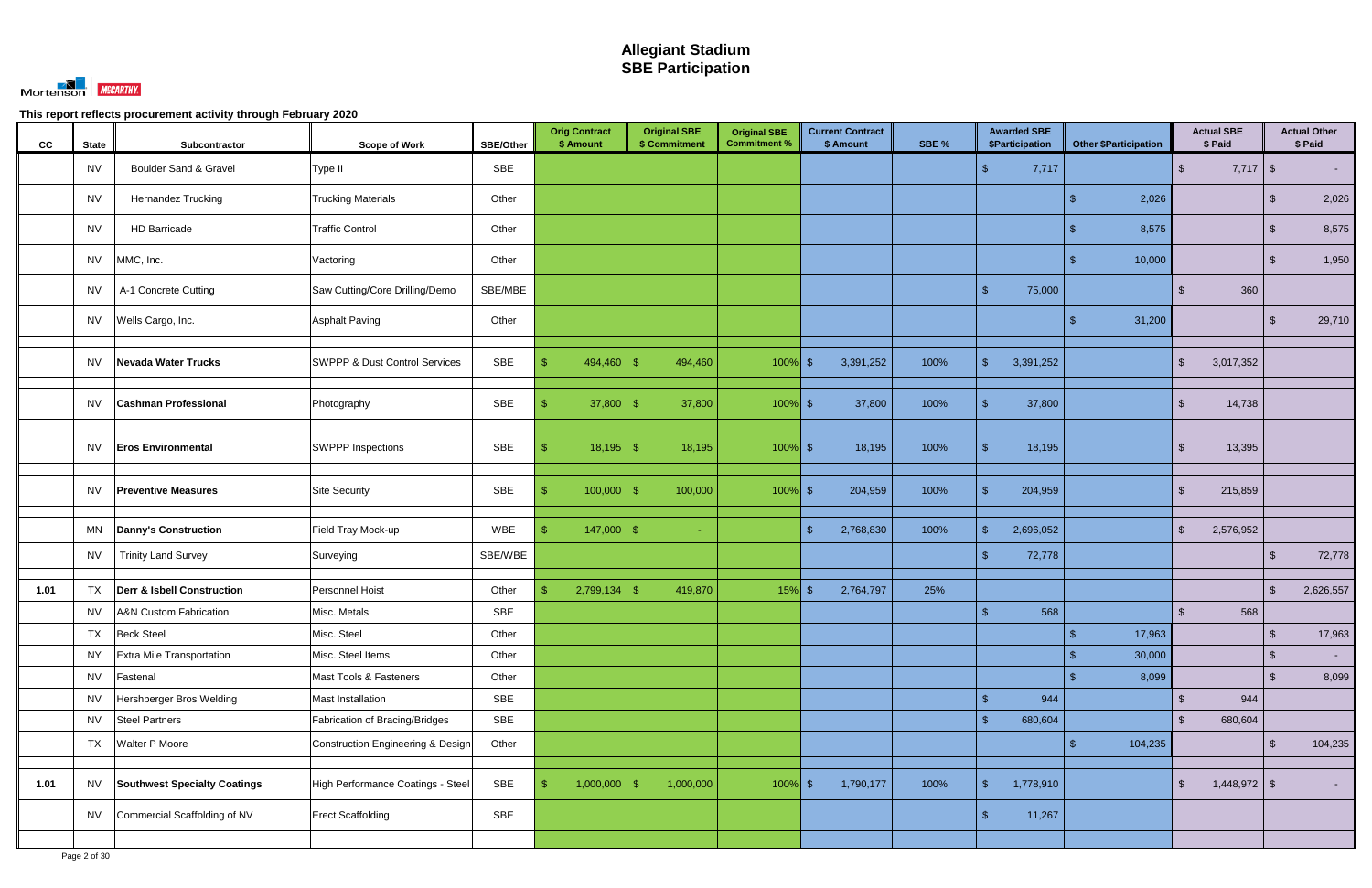

| cc   | <b>State</b> | Subcontractor                         | <b>Scope of Work</b>                     | SBE/Other  | <b>Orig Contract</b><br>\$ Amount | <b>Original SBE</b><br>\$ Commitment | <b>Original SBE</b><br><b>Commitment %</b> | <b>Current Contract</b><br>\$ Amount | SBE % | <b>Awarded SBE</b><br><b>\$Participation</b> | <b>Other \$Participation</b> | <b>Actual SBE</b><br>\$ Paid    |                         | <b>Actual Other</b><br>\$ Paid |
|------|--------------|---------------------------------------|------------------------------------------|------------|-----------------------------------|--------------------------------------|--------------------------------------------|--------------------------------------|-------|----------------------------------------------|------------------------------|---------------------------------|-------------------------|--------------------------------|
|      | <b>NV</b>    | Boulder Sand & Gravel                 | Type II                                  | <b>SBE</b> |                                   |                                      |                                            |                                      |       | $\mathcal{S}$<br>7,717                       |                              | $\mathbb{S}$                    |                         | $\sim 100$                     |
|      | <b>NV</b>    | Hernandez Trucking                    | <b>Trucking Materials</b>                | Other      |                                   |                                      |                                            |                                      |       |                                              | 2,026                        |                                 | -\$                     | 2,026                          |
|      | <b>NV</b>    | <b>HD Barricade</b>                   | <b>Traffic Control</b>                   | Other      |                                   |                                      |                                            |                                      |       |                                              | 8,575                        |                                 | -\$                     | 8,575                          |
|      | <b>NV</b>    | MMC, Inc.                             | Vactoring                                | Other      |                                   |                                      |                                            |                                      |       |                                              | 10,000                       |                                 | \$                      | 1,950                          |
|      | <b>NV</b>    | A-1 Concrete Cutting                  | Saw Cutting/Core Drilling/Demo           | SBE/MBE    |                                   |                                      |                                            |                                      |       | $\mathbf{\hat{s}}$<br>75,000                 |                              | 360<br>$\mathcal{S}$            |                         |                                |
|      | NV           | Wells Cargo, Inc.                     | <b>Asphalt Paving</b>                    | Other      |                                   |                                      |                                            |                                      |       |                                              | 31,200                       |                                 |                         | 29,710                         |
|      | <b>NV</b>    | Nevada Water Trucks                   | <b>SWPPP &amp; Dust Control Services</b> | SBE        | 494,460<br>\$                     | 494,460<br>-\$                       | $100\%$ \$                                 | 3,391,252                            | 100%  | $\mathbb{S}$<br>3,391,252                    |                              | 3,017,352<br>\$                 |                         |                                |
|      | NV.          | <b>Cashman Professional</b>           | Photography                              | SBE        | 37,800                            | 37,800<br>-\$                        | $100\%$ \$                                 | 37,800                               | 100%  | 37,800<br><b>\$</b>                          |                              | 14,738<br>\$                    |                         |                                |
|      | <b>NV</b>    | <b>Eros Environmental</b>             | <b>SWPPP Inspections</b>                 | <b>SBE</b> | $18,195$ \$<br>\$                 | 18,195                               | $100\%$ \$                                 | 18,195                               | 100%  | $\mathbf{\hat{R}}$<br>18,195                 |                              | 13,395<br>$\mathbb{S}$          |                         |                                |
|      | <b>NV</b>    | <b>Preventive Measures</b>            | <b>Site Security</b>                     | <b>SBE</b> | 100,000<br>\$                     | 100,000<br>-\$                       | $100\%$ \$                                 | 204,959                              | 100%  | -\$<br>204,959                               |                              | $\mathbb{S}$<br>215,859         |                         |                                |
|      | MN           | <b>Danny's Construction</b>           | Field Tray Mock-up                       | WBE        | 147,000<br>\$                     | -\$<br>÷.                            |                                            | 2,768,830<br>$\sqrt{3}$              | 100%  | $\sqrt{2}$<br>2,696,052                      |                              | $\mathcal{S}$<br>2,576,952      |                         |                                |
|      | <b>NV</b>    | <b>Trinity Land Survey</b>            | Surveying                                | SBE/WBE    |                                   |                                      |                                            |                                      |       | $\mathbf{\hat{R}}$<br>72,778                 |                              |                                 | -\$                     | 72,778                         |
| 1.01 | TX           | <b>Derr &amp; Isbell Construction</b> | Personnel Hoist                          | Other      | 2,799,134<br>\$                   | 419,870<br>-96                       | $15%$ \$                                   | 2,764,797                            | 25%   |                                              |                              |                                 | -\$                     | 2,626,557                      |
|      | <b>NV</b>    | <b>A&amp;N Custom Fabrication</b>     | Misc. Metals                             | SBE        |                                   |                                      |                                            |                                      |       | 568                                          |                              | 568<br>$\mathfrak{L}$           |                         |                                |
|      | <b>TX</b>    | <b>Beck Steel</b>                     | Misc. Steel                              | Other      |                                   |                                      |                                            |                                      |       |                                              | 17,963<br>$\sqrt{2}$         |                                 | $\sqrt[6]{3}$           | 17,963                         |
|      | <b>NY</b>    | Extra Mile Transportation             | Misc. Steel Items                        | Other      |                                   |                                      |                                            |                                      |       |                                              | 30,000<br>$\mathfrak{L}$     |                                 | $\sqrt[6]{\frac{1}{2}}$ | $\sim 100$                     |
|      | <b>NV</b>    | Fastenal                              | Mast Tools & Fasteners                   | Other      |                                   |                                      |                                            |                                      |       |                                              | 8,099                        |                                 | $\mathcal{L}$           | 8,099                          |
|      | <b>NV</b>    | Hershberger Bros Welding              | Mast Installation                        | <b>SBE</b> |                                   |                                      |                                            |                                      |       | $\mathfrak{S}$<br>944                        |                              | 944<br>$\mathbb{S}$             |                         |                                |
|      | <b>NV</b>    | <b>Steel Partners</b>                 | Fabrication of Bracing/Bridges           | <b>SBE</b> |                                   |                                      |                                            |                                      |       | $\mathbf{\hat{s}}$<br>680,604                |                              | $\mathfrak{S}$<br>680,604       |                         |                                |
|      | <b>TX</b>    | Walter P Moore                        | Construction Engineering & Design        | Other      |                                   |                                      |                                            |                                      |       |                                              | 104,235                      |                                 | -\$                     | 104,235                        |
| 1.01 | <b>NV</b>    | <b>Southwest Specialty Coatings</b>   | High Performance Coatings - Steel        | SBE        | $1,000,000$ \$<br>-\$             | 1,000,000                            | $100\%$ \$                                 | 1,790,177                            | 100%  | $\mathcal{S}$<br>1,778,910                   |                              | $1,448,972$ \$<br>$\mathcal{S}$ |                         | $\sim 100$                     |
|      | <b>NV</b>    | Commercial Scaffolding of NV          | <b>Erect Scaffolding</b>                 | <b>SBE</b> |                                   |                                      |                                            |                                      |       | 11,267<br>$\mathbf{\hat{s}}$                 |                              |                                 |                         |                                |
|      |              |                                       |                                          |            |                                   |                                      |                                            |                                      |       |                                              |                              |                                 |                         |                                |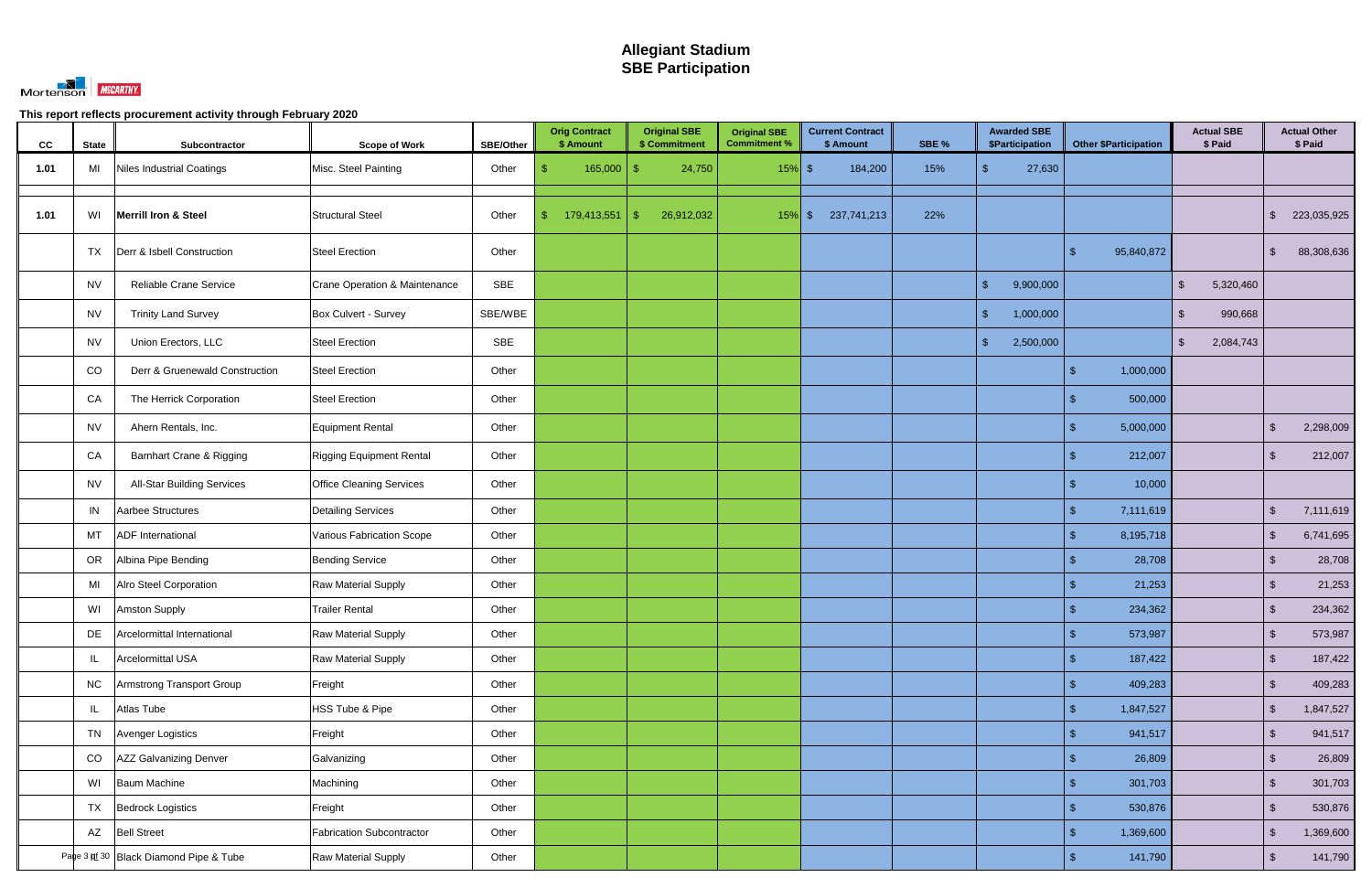

| cc   | <b>State</b> | Subcontractor                          | <b>Scope of Work</b>             | <b>SBE/Other</b> | <b>Orig Contract</b><br>\$ Amount |             |     | <b>Original SBE</b><br>\$ Commitment | <b>Original SBE</b><br><b>Commitment %</b> | <b>Current Contract</b><br>\$ Amount | SBE % |              | <b>Awarded SBE</b><br>\$Participation |                | <b>Other \$Participation</b> |               | <b>Actual SBE</b><br>\$ Paid |                         | <b>Actual Other</b><br>\$ Paid |
|------|--------------|----------------------------------------|----------------------------------|------------------|-----------------------------------|-------------|-----|--------------------------------------|--------------------------------------------|--------------------------------------|-------|--------------|---------------------------------------|----------------|------------------------------|---------------|------------------------------|-------------------------|--------------------------------|
| 1.01 | MI           | Niles Industrial Coatings              | Misc. Steel Painting             | Other            |                                   | 165,000     | -\$ | 24,750                               | $15%$ \$                                   | 184,200                              | 15%   | \$           | 27,630                                |                |                              |               |                              |                         |                                |
|      |              |                                        |                                  |                  |                                   |             |     |                                      |                                            |                                      |       |              |                                       |                |                              |               |                              |                         |                                |
| 1.01 | WI           | <b>Merrill Iron &amp; Steel</b>        | <b>Structural Steel</b>          | Other            | $\mathbb{S}$                      | 179,413,551 | -\$ | 26,912,032                           | $15\%$ \$                                  | 237,741,213                          | 22%   |              |                                       |                |                              |               |                              | $\mathfrak{L}$          | 223,035,925                    |
|      | TX           | Derr & Isbell Construction             | <b>Steel Erection</b>            | Other            |                                   |             |     |                                      |                                            |                                      |       |              |                                       | \$             | 95,840,872                   |               |                              | $\mathfrak{F}$          | 88,308,636                     |
|      | <b>NV</b>    | Reliable Crane Service                 | Crane Operation & Maintenance    | SBE              |                                   |             |     |                                      |                                            |                                      |       | $\sqrt{2}$   | 9,900,000                             |                |                              | $\mathcal{S}$ | 5,320,460                    |                         |                                |
|      | <b>NV</b>    | <b>Trinity Land Survey</b>             | Box Culvert - Survey             | SBE/WBE          |                                   |             |     |                                      |                                            |                                      |       | $\mathbb{S}$ | 1,000,000                             |                |                              | $\mathbb{S}$  | 990,668                      |                         |                                |
|      | <b>NV</b>    | Union Erectors, LLC                    | <b>Steel Erection</b>            | SBE              |                                   |             |     |                                      |                                            |                                      |       | $\mathbb{S}$ | 2,500,000                             |                |                              | $\mathbb{S}$  | 2,084,743                    |                         |                                |
|      | CO           | Derr & Gruenewald Construction         | <b>Steel Erection</b>            | Other            |                                   |             |     |                                      |                                            |                                      |       |              |                                       |                | 1,000,000                    |               |                              |                         |                                |
|      | CA           | The Herrick Corporation                | <b>Steel Erection</b>            | Other            |                                   |             |     |                                      |                                            |                                      |       |              |                                       |                | 500,000                      |               |                              |                         |                                |
|      | <b>NV</b>    | Ahern Rentals, Inc.                    | <b>Equipment Rental</b>          | Other            |                                   |             |     |                                      |                                            |                                      |       |              |                                       |                | 5,000,000                    |               |                              | $\mathfrak{F}$          | 2,298,009                      |
|      | CA           | Barnhart Crane & Rigging               | <b>Rigging Equipment Rental</b>  | Other            |                                   |             |     |                                      |                                            |                                      |       |              |                                       |                | 212,007                      |               |                              | -\$                     | 212,007                        |
|      | <b>NV</b>    | <b>All-Star Building Services</b>      | <b>Office Cleaning Services</b>  | Other            |                                   |             |     |                                      |                                            |                                      |       |              |                                       |                | 10,000                       |               |                              |                         |                                |
|      | IN           | Aarbee Structures                      | <b>Detailing Services</b>        | Other            |                                   |             |     |                                      |                                            |                                      |       |              |                                       | $\mathfrak{L}$ | 7,111,619                    |               |                              | $\mathfrak{L}$          | 7,111,619                      |
|      | MT           | <b>ADF</b> International               | Various Fabrication Scope        | Other            |                                   |             |     |                                      |                                            |                                      |       |              |                                       | \$             | 8,195,718                    |               |                              | $\sqrt[6]{\frac{1}{2}}$ | 6,741,695                      |
|      | OR           | Albina Pipe Bending                    | <b>Bending Service</b>           | Other            |                                   |             |     |                                      |                                            |                                      |       |              |                                       |                | 28,708                       |               |                              | $\mathfrak{L}$          | 28,708                         |
|      | MI           | Alro Steel Corporation                 | Raw Material Supply              | Other            |                                   |             |     |                                      |                                            |                                      |       |              |                                       |                | 21,253                       |               |                              | $\mathbf{\$}$           | 21,253                         |
|      | WI           | <b>Amston Supply</b>                   | <b>Trailer Rental</b>            | Other            |                                   |             |     |                                      |                                            |                                      |       |              |                                       |                | 234,362                      |               |                              | $\mathfrak{L}$          | 234,362                        |
|      | DE           | Arcelormittal International            | Raw Material Supply              | Other            |                                   |             |     |                                      |                                            |                                      |       |              |                                       | \$             | 573,987                      |               |                              | $\sqrt[6]{\frac{1}{2}}$ | 573,987                        |
|      | IL.          | Arcelormittal USA                      | Raw Material Supply              | Other            |                                   |             |     |                                      |                                            |                                      |       |              |                                       |                | 187,422                      |               |                              | $\sqrt[6]{\frac{1}{2}}$ | 187,422                        |
|      | NC           | Armstrong Transport Group              | Freight                          | Other            |                                   |             |     |                                      |                                            |                                      |       |              |                                       | \$             | 409,283                      |               |                              | $\sqrt[6]{\frac{1}{2}}$ | 409,283                        |
|      | IL.          | Atlas Tube                             | HSS Tube & Pipe                  | Other            |                                   |             |     |                                      |                                            |                                      |       |              |                                       | $\frac{1}{2}$  | 1,847,527                    |               |                              | $\sqrt[6]{\frac{1}{2}}$ | 1,847,527                      |
|      | <b>TN</b>    | Avenger Logistics                      | Freight                          | Other            |                                   |             |     |                                      |                                            |                                      |       |              |                                       | \$             | 941,517                      |               |                              | $\sqrt[6]{\frac{1}{2}}$ | 941,517                        |
|      | CO           | AZZ Galvanizing Denver                 | Galvanizing                      | Other            |                                   |             |     |                                      |                                            |                                      |       |              |                                       |                | 26,809                       |               |                              | $\sqrt[6]{\frac{1}{2}}$ | 26,809                         |
|      | WI           | <b>Baum Machine</b>                    | Machining                        | Other            |                                   |             |     |                                      |                                            |                                      |       |              |                                       |                | 301,703                      |               |                              | $\sqrt[6]{\frac{1}{2}}$ | 301,703                        |
|      | TX           | <b>Bedrock Logistics</b>               | Freight                          | Other            |                                   |             |     |                                      |                                            |                                      |       |              |                                       |                | 530,876                      |               |                              | $\sqrt{2}$              | 530,876                        |
|      | AZ           | <b>Bell Street</b>                     | <b>Fabrication Subcontractor</b> | Other            |                                   |             |     |                                      |                                            |                                      |       |              |                                       | \$             | 1,369,600                    |               |                              | $\sqrt[6]{\frac{1}{2}}$ | 1,369,600                      |
|      |              | Page 3 pt 30 Black Diamond Pipe & Tube | Raw Material Supply              | Other            |                                   |             |     |                                      |                                            |                                      |       |              |                                       | $\mathfrak{L}$ | 141,790                      |               |                              | $\sqrt[6]{\frac{1}{2}}$ | 141,790                        |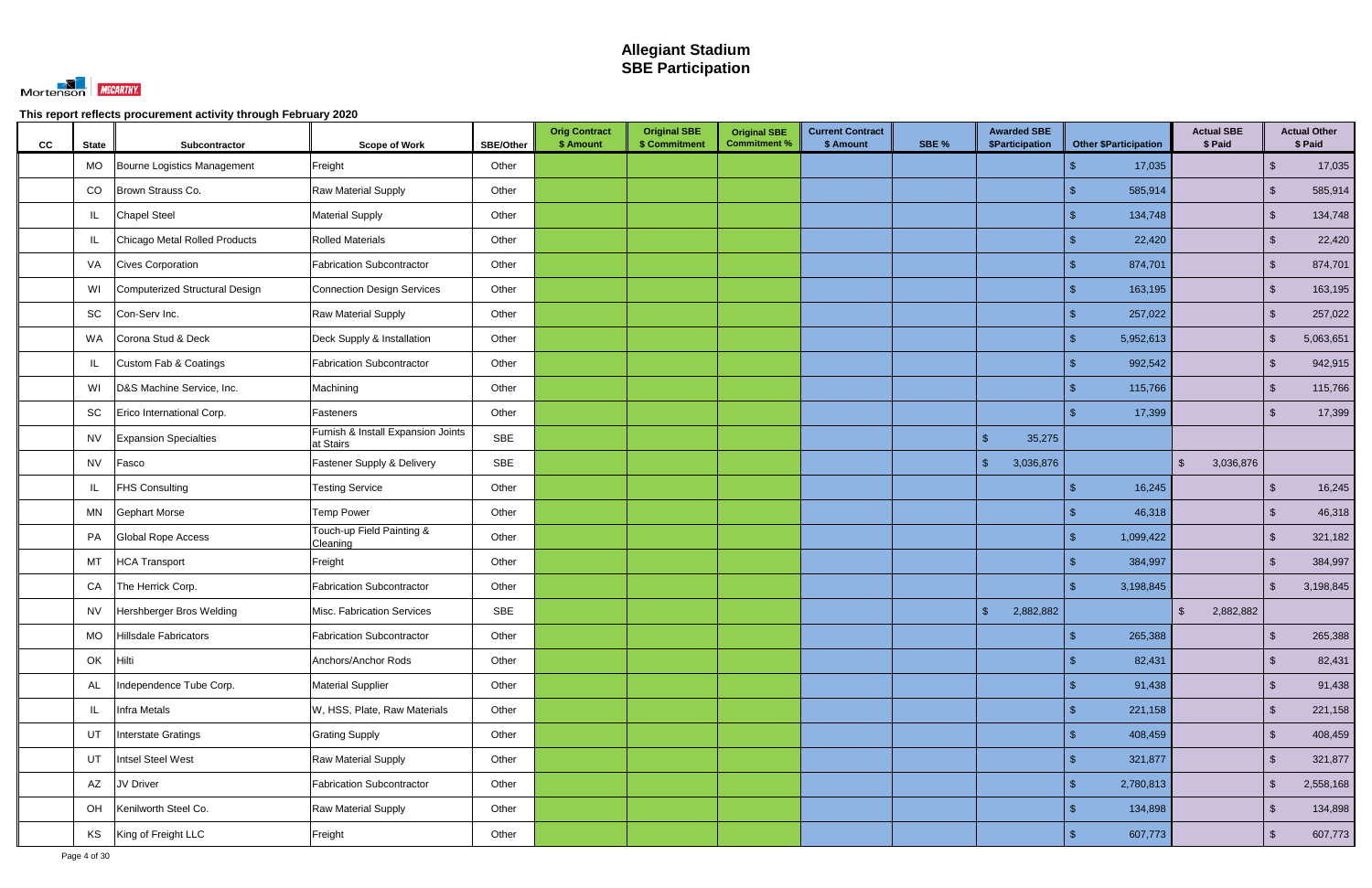

| cc | <b>State</b> | Subcontractor                  | <b>Scope of Work</b>                            | <b>SBE/Other</b> | <b>Orig Contract</b><br>\$ Amount | <b>Original SBE</b><br>\$ Commitment | <b>Original SBE</b><br><b>Commitment %</b> | <b>Current Contract</b><br>\$ Amount | SBE % | <b>Awarded SBE</b><br><b>\$Participation</b> | <b>Other \$Participation</b> | <b>Actual SBE</b><br>\$ Paid |                         | <b>Actual Other</b><br>\$ Paid |
|----|--------------|--------------------------------|-------------------------------------------------|------------------|-----------------------------------|--------------------------------------|--------------------------------------------|--------------------------------------|-------|----------------------------------------------|------------------------------|------------------------------|-------------------------|--------------------------------|
|    | <b>MO</b>    | Bourne Logistics Management    | Freight                                         | Other            |                                   |                                      |                                            |                                      |       |                                              | 17,035                       |                              | $\mathcal{S}$           | 17,035                         |
|    | CO           | Brown Strauss Co.              | Raw Material Supply                             | Other            |                                   |                                      |                                            |                                      |       |                                              | 585,914                      |                              | $\sqrt[6]{\frac{1}{2}}$ | 585,914                        |
|    | IL           | <b>Chapel Steel</b>            | <b>Material Supply</b>                          | Other            |                                   |                                      |                                            |                                      |       |                                              | 134,748                      |                              | $\sqrt{2}$              | 134,748                        |
|    | IL           | Chicago Metal Rolled Products  | <b>Rolled Materials</b>                         | Other            |                                   |                                      |                                            |                                      |       |                                              | 22,420                       |                              | $\sqrt{2}$              | 22,420                         |
|    | VA           | <b>Cives Corporation</b>       | <b>Fabrication Subcontractor</b>                | Other            |                                   |                                      |                                            |                                      |       |                                              | 874,701                      |                              | $\sqrt{2}$              | 874,701                        |
|    | WI           | Computerized Structural Design | Connection Design Services                      | Other            |                                   |                                      |                                            |                                      |       |                                              | 163,195                      |                              | $\sqrt{2}$              | 163,195                        |
|    | SC           | Con-Serv Inc.                  | <b>Raw Material Supply</b>                      | Other            |                                   |                                      |                                            |                                      |       |                                              | 257,022                      |                              | $\sqrt{2}$              | 257,022                        |
|    | <b>WA</b>    | Corona Stud & Deck             | Deck Supply & Installation                      | Other            |                                   |                                      |                                            |                                      |       |                                              | 5,952,613                    |                              | $\sqrt[6]{\frac{1}{2}}$ | 5,063,651                      |
|    | IL           | Custom Fab & Coatings          | <b>Fabrication Subcontractor</b>                | Other            |                                   |                                      |                                            |                                      |       |                                              | 992,542                      |                              | $\sqrt{2}$              | 942,915                        |
|    | WI           | D&S Machine Service, Inc.      | Machining                                       | Other            |                                   |                                      |                                            |                                      |       |                                              | 115,766                      |                              | $\sqrt[6]{\frac{1}{2}}$ | 115,766                        |
|    | SC           | Erico International Corp.      | Fasteners                                       | Other            |                                   |                                      |                                            |                                      |       |                                              | 17,399                       |                              | $\mathfrak{L}$          | 17,399                         |
|    | <b>NV</b>    | <b>Expansion Specialties</b>   | Furnish & Install Expansion Joints<br>at Stairs | <b>SBE</b>       |                                   |                                      |                                            |                                      |       | $\mathcal{S}$<br>35,275                      |                              |                              |                         |                                |
|    | <b>NV</b>    | Fasco                          | Fastener Supply & Delivery                      | <b>SBE</b>       |                                   |                                      |                                            |                                      |       | $\sqrt{2}$<br>3,036,876                      |                              | 3,036,876<br>$\mathbb{S}$    |                         |                                |
|    | IL           | <b>FHS Consulting</b>          | <b>Testing Service</b>                          | Other            |                                   |                                      |                                            |                                      |       |                                              | 16,245                       |                              | $\sqrt{2}$              | 16,245                         |
|    | ΜN           | <b>Gephart Morse</b>           | <b>Temp Power</b>                               | Other            |                                   |                                      |                                            |                                      |       |                                              | 46,318                       |                              | $\sqrt[6]{2}$           | 46,318                         |
|    | PA           | Global Rope Access             | Touch-up Field Painting &<br>Cleaning           | Other            |                                   |                                      |                                            |                                      |       |                                              | 1,099,422                    |                              | $\sqrt{2}$              | 321,182                        |
|    | MT           | <b>HCA Transport</b>           | Freight                                         | Other            |                                   |                                      |                                            |                                      |       |                                              | 384,997                      |                              | $\mathcal{L}$           | 384,997                        |
|    | CA           | The Herrick Corp.              | <b>Fabrication Subcontractor</b>                | Other            |                                   |                                      |                                            |                                      |       |                                              | 3,198,845                    |                              | -\$                     | 3,198,845                      |
|    | <b>NV</b>    | Hershberger Bros Welding       | Misc. Fabrication Services                      | <b>SBE</b>       |                                   |                                      |                                            |                                      |       | 2,882,882<br>$\mathcal{S}$                   |                              | 2,882,882<br>\$              |                         |                                |
|    | <b>MO</b>    | Hillsdale Fabricators          | Fabrication Subcontractor                       | Other            |                                   |                                      |                                            |                                      |       |                                              | 265,388<br>$\mathbf{\$}$     |                              | $\sqrt{2}$              | 265,388                        |
|    | OK           | Hilti                          | Anchors/Anchor Rods                             | Other            |                                   |                                      |                                            |                                      |       |                                              | 82,431<br>\$.                |                              | $\sqrt{2}$              | 82,431                         |
|    | <b>AL</b>    | Independence Tube Corp.        | <b>Material Supplier</b>                        | Other            |                                   |                                      |                                            |                                      |       |                                              | 91,438<br>\$                 |                              | $\sqrt[6]{2}$           | 91,438                         |
|    | L            | <b>Infra Metals</b>            | W, HSS, Plate, Raw Materials                    | Other            |                                   |                                      |                                            |                                      |       |                                              | 221,158<br>\$                |                              | $\sqrt{2}$              | 221,158                        |
|    | UT           | Interstate Gratings            | <b>Grating Supply</b>                           | Other            |                                   |                                      |                                            |                                      |       |                                              | 408,459                      |                              | $\sqrt{2}$              | 408,459                        |
|    | UT           | Intsel Steel West              | Raw Material Supply                             | Other            |                                   |                                      |                                            |                                      |       |                                              | 321,877                      |                              | $\sqrt{2}$              | 321,877                        |
|    | AZ           | JV Driver                      | Fabrication Subcontractor                       | Other            |                                   |                                      |                                            |                                      |       |                                              | 2,780,813                    |                              | $\sqrt{2}$              | 2,558,168                      |
|    | OH           | Kenilworth Steel Co.           | Raw Material Supply                             | Other            |                                   |                                      |                                            |                                      |       |                                              | 134,898                      |                              | $\sqrt{2}$              | 134,898                        |
|    | KS           | King of Freight LLC            | Freight                                         | Other            |                                   |                                      |                                            |                                      |       |                                              | 607,773                      |                              | $\sqrt{2}$              | 607,773                        |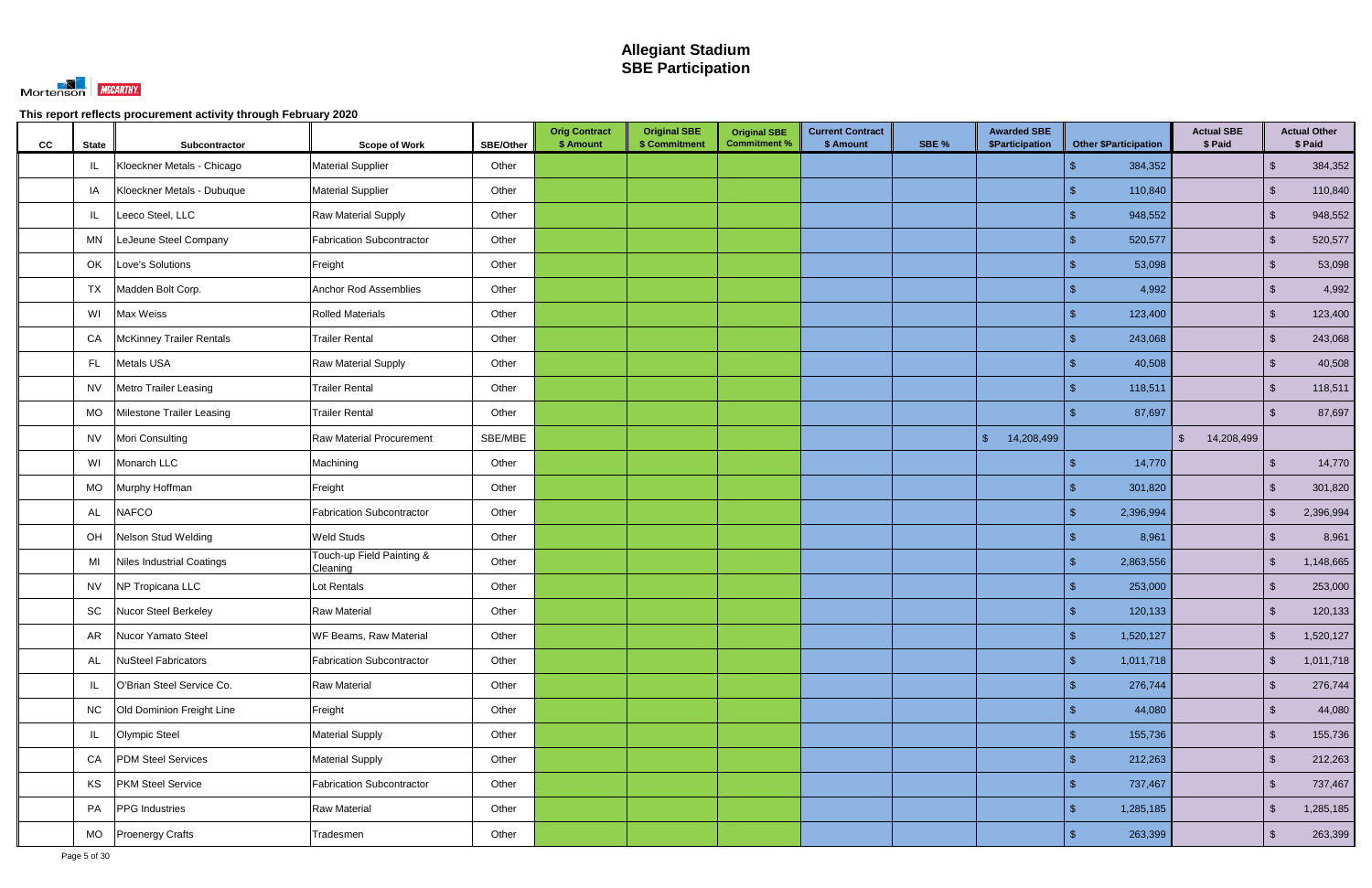

| CC | <b>State</b> | Subcontractor                    | <b>Scope of Work</b>                  | <b>SBE/Other</b> | <b>Orig Contract</b><br>\$ Amount | <b>Original SBE</b><br>\$ Commitment | <b>Original SBE</b><br><b>Commitment %</b> | <b>Current Contract</b><br>\$ Amount | SBE % | <b>Awarded SBE</b><br>\$Participation | <b>Other \$Participation</b> | <b>Actual SBE</b><br>\$ Paid |                         | <b>Actual Other</b><br>\$ Paid |
|----|--------------|----------------------------------|---------------------------------------|------------------|-----------------------------------|--------------------------------------|--------------------------------------------|--------------------------------------|-------|---------------------------------------|------------------------------|------------------------------|-------------------------|--------------------------------|
|    | IL           | Kloeckner Metals - Chicago       | <b>Material Supplier</b>              | Other            |                                   |                                      |                                            |                                      |       |                                       | 384,352                      |                              | $\sqrt{2}$              | 384,352                        |
|    | IA           | Kloeckner Metals - Dubuque       | <b>Material Supplier</b>              | Other            |                                   |                                      |                                            |                                      |       |                                       | 110,840                      |                              | $\sqrt{2}$              | 110,840                        |
|    | IL           | Leeco Steel, LLC                 | <b>Raw Material Supply</b>            | Other            |                                   |                                      |                                            |                                      |       |                                       | 948,552                      |                              | $\sqrt{2}$              | 948,552                        |
|    | MN           | LeJeune Steel Company            | <b>Fabrication Subcontractor</b>      | Other            |                                   |                                      |                                            |                                      |       |                                       | 520,577                      |                              | $\sqrt{2}$              | 520,577                        |
|    | OK           | Love's Solutions                 | Freight                               | Other            |                                   |                                      |                                            |                                      |       |                                       | 53,098                       |                              | $\mathbb{S}$            | 53,098                         |
|    | <b>TX</b>    | Madden Bolt Corp.                | Anchor Rod Assemblies                 | Other            |                                   |                                      |                                            |                                      |       |                                       | 4,992                        |                              | $\sqrt{2}$              | 4,992                          |
|    | WI           | Max Weiss                        | <b>Rolled Materials</b>               | Other            |                                   |                                      |                                            |                                      |       |                                       | 123,400<br>ß.                |                              | $\sqrt{2}$              | 123,400                        |
|    | CA           | <b>McKinney Trailer Rentals</b>  | <b>Trailer Rental</b>                 | Other            |                                   |                                      |                                            |                                      |       |                                       | 243,068                      |                              | $\sqrt{2}$              | 243,068                        |
|    | FL.          | Metals USA                       | <b>Raw Material Supply</b>            | Other            |                                   |                                      |                                            |                                      |       |                                       | 40,508                       |                              | $\sqrt{2}$              | 40,508                         |
|    | <b>NV</b>    | <b>Metro Trailer Leasing</b>     | <b>Trailer Rental</b>                 | Other            |                                   |                                      |                                            |                                      |       |                                       | 118,511                      |                              | $\sqrt{2}$              | 118,511                        |
|    | MO           | Milestone Trailer Leasing        | <b>Trailer Rental</b>                 | Other            |                                   |                                      |                                            |                                      |       |                                       | 87,697                       |                              | $\mathbf{s}$            | 87,697                         |
|    | <b>NV</b>    | Mori Consulting                  | <b>Raw Material Procurement</b>       | SBE/MBE          |                                   |                                      |                                            |                                      |       | $\sqrt[6]{\frac{1}{2}}$<br>14,208,499 |                              | $\mathfrak{S}$<br>14,208,499 |                         |                                |
|    | WI           | Monarch LLC                      | Machining                             | Other            |                                   |                                      |                                            |                                      |       |                                       | 14,770                       |                              | $\sqrt{2}$              | 14,770                         |
|    | MO           | Murphy Hoffman                   | Freight                               | Other            |                                   |                                      |                                            |                                      |       |                                       | 301,820                      |                              | $\mathbb{S}$            | 301,820                        |
|    | AL           | <b>NAFCO</b>                     | Fabrication Subcontractor             | Other            |                                   |                                      |                                            |                                      |       |                                       | 2,396,994<br>\$              |                              | $\sqrt[6]{\frac{1}{2}}$ | 2,396,994                      |
|    | OH           | Nelson Stud Welding              | <b>Weld Studs</b>                     | Other            |                                   |                                      |                                            |                                      |       |                                       | 8,961                        |                              | $\sqrt{2}$              | 8,961                          |
|    | MI           | <b>Niles Industrial Coatings</b> | Touch-up Field Painting &<br>Cleaning | Other            |                                   |                                      |                                            |                                      |       |                                       | 2,863,556                    |                              | $\mathcal{S}$           | 1,148,665                      |
|    | <b>NV</b>    | NP Tropicana LLC                 | Lot Rentals                           | Other            |                                   |                                      |                                            |                                      |       |                                       | 253,000                      |                              | $\mathbb{S}$            | 253,000                        |
|    | SC           | Nucor Steel Berkeley             | <b>Raw Material</b>                   | Other            |                                   |                                      |                                            |                                      |       |                                       | 120,133                      |                              | $\sqrt{2}$              | 120,133                        |
|    | AR           | Nucor Yamato Steel               | WF Beams, Raw Material                | Other            |                                   |                                      |                                            |                                      |       |                                       | \$<br>1,520,127              |                              | $\sqrt{2}$              | 1,520,127                      |
|    | AL           | <b>NuSteel Fabricators</b>       | Fabrication Subcontractor             | Other            |                                   |                                      |                                            |                                      |       |                                       | 1,011,718<br>\$.             |                              | $\sqrt{2}$              | 1,011,718                      |
|    | IL.          | O'Brian Steel Service Co.        | Raw Material                          | Other            |                                   |                                      |                                            |                                      |       |                                       | 276,744                      |                              | $\sqrt[6]{2}$           | 276,744                        |
|    | <b>NC</b>    | Old Dominion Freight Line        | Freight                               | Other            |                                   |                                      |                                            |                                      |       |                                       | 44,080                       |                              | $\sqrt{2}$              | 44,080                         |
|    | IL           | <b>Olympic Steel</b>             | <b>Material Supply</b>                | Other            |                                   |                                      |                                            |                                      |       |                                       | 155,736                      |                              | $\sqrt{2}$              | 155,736                        |
|    | CA           | <b>PDM Steel Services</b>        | <b>Material Supply</b>                | Other            |                                   |                                      |                                            |                                      |       |                                       | 212,263<br>$\mathfrak{L}$    |                              | $\sqrt{2}$              | 212,263                        |
|    | KS           | <b>PKM Steel Service</b>         | Fabrication Subcontractor             | Other            |                                   |                                      |                                            |                                      |       |                                       | 737,467                      |                              | $\sqrt{2}$              | 737,467                        |
|    | PA           | PPG Industries                   | <b>Raw Material</b>                   | Other            |                                   |                                      |                                            |                                      |       |                                       | 1,285,185                    |                              | $\sqrt{2}$              | 1,285,185                      |
|    | MO           | <b>Proenergy Crafts</b>          | Tradesmen                             | Other            |                                   |                                      |                                            |                                      |       |                                       | 263,399<br>\$                |                              | $\sqrt{2}$              | 263,399                        |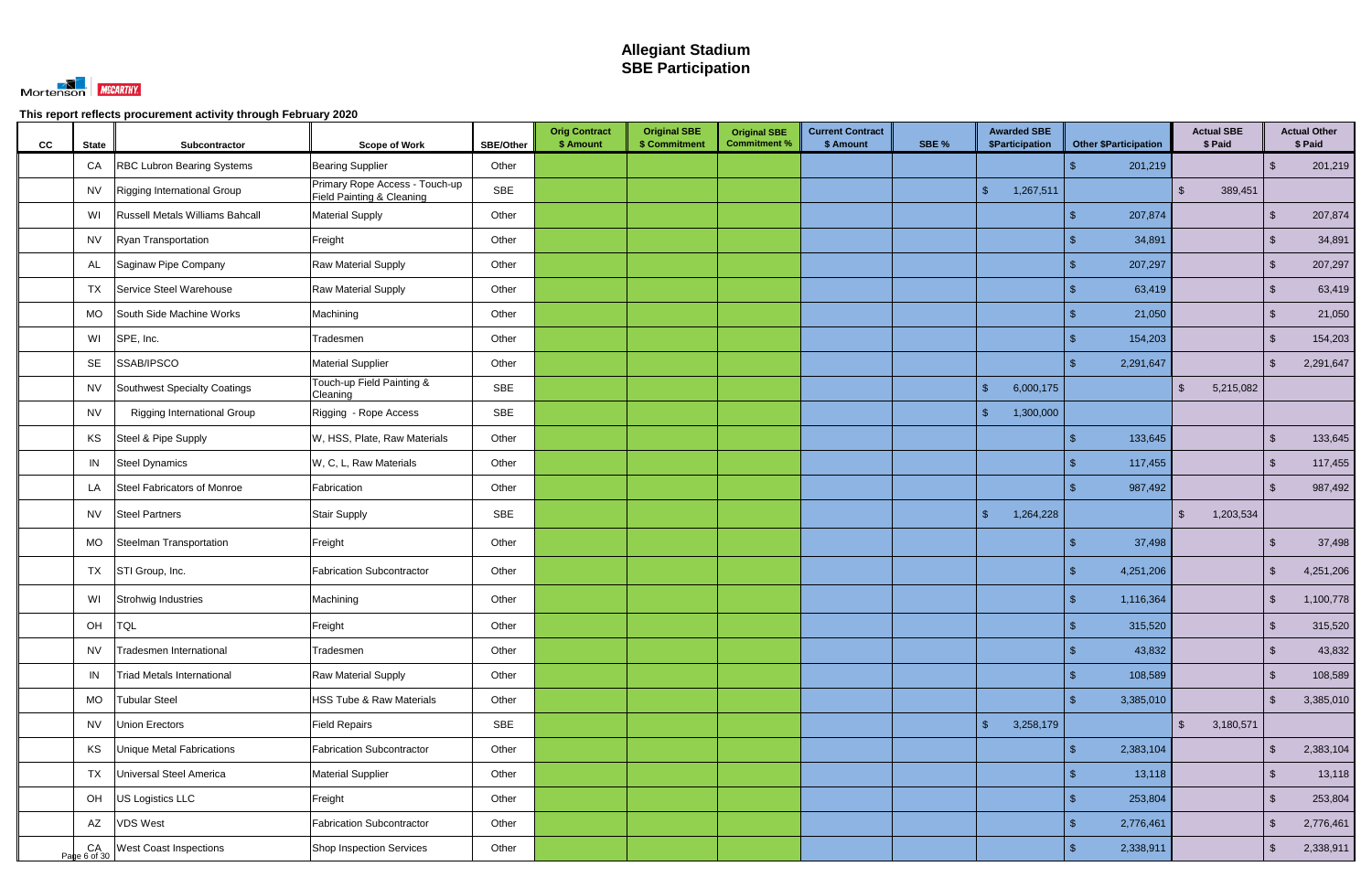

| cc | <b>State</b>       | Subcontractor                      | <b>Scope of Work</b>                                        | SBE/Other  | <b>Orig Contract</b><br>\$ Amount | <b>Original SBE</b><br>\$ Commitment | <b>Original SBE</b><br><b>Commitment %</b> | <b>Current Contract</b><br>\$ Amount | SBE % | <b>Awarded SBE</b><br><b>\$Participation</b> | <b>Other \$Participation</b> | <b>Actual SBE</b><br>\$ Paid         |                         | <b>Actual Other</b><br>\$ Paid |
|----|--------------------|------------------------------------|-------------------------------------------------------------|------------|-----------------------------------|--------------------------------------|--------------------------------------------|--------------------------------------|-------|----------------------------------------------|------------------------------|--------------------------------------|-------------------------|--------------------------------|
|    | CA                 | RBC Lubron Bearing Systems         | <b>Bearing Supplier</b>                                     | Other      |                                   |                                      |                                            |                                      |       |                                              | 201,219                      |                                      | $\mathfrak{L}$          | 201,219                        |
|    | <b>NV</b>          | Rigging International Group        | Primary Rope Access - Touch-up<br>Field Painting & Cleaning | SBE        |                                   |                                      |                                            |                                      |       | 1,267,511<br>-\$                             |                              | 389,451<br>$\mathbb{S}$              |                         |                                |
|    | WI                 | Russell Metals Williams Bahcall    | <b>Material Supply</b>                                      | Other      |                                   |                                      |                                            |                                      |       |                                              | 207,874                      |                                      | $\mathcal{S}$           | 207,874                        |
|    | <b>NV</b>          | Ryan Transportation                | Freight                                                     | Other      |                                   |                                      |                                            |                                      |       |                                              | 34,891                       |                                      | -\$                     | 34,891                         |
|    | AL                 | Saginaw Pipe Company               | Raw Material Supply                                         | Other      |                                   |                                      |                                            |                                      |       |                                              | 207,297                      |                                      | $\mathbb{S}$            | 207,297                        |
|    | TX                 | Service Steel Warehouse            | <b>Raw Material Supply</b>                                  | Other      |                                   |                                      |                                            |                                      |       |                                              | 63,419                       |                                      | $\sqrt{2}$              | 63,419                         |
|    | <b>MO</b>          | South Side Machine Works           | Machining                                                   | Other      |                                   |                                      |                                            |                                      |       |                                              | 21,050                       |                                      | $\sqrt{2}$              | 21,050                         |
|    | WI                 | SPE, Inc.                          | Tradesmen                                                   | Other      |                                   |                                      |                                            |                                      |       |                                              | 154,203                      |                                      | $\sqrt[6]{\frac{1}{2}}$ | 154,203                        |
|    | SE                 | SSAB/IPSCO                         | <b>Material Supplier</b>                                    | Other      |                                   |                                      |                                            |                                      |       |                                              | 2,291,647                    |                                      | $\mathbb{S}$            | 2,291,647                      |
|    | <b>NV</b>          | Southwest Specialty Coatings       | Touch-up Field Painting &<br>Cleaning                       | <b>SBE</b> |                                   |                                      |                                            |                                      |       | $\mathcal{S}$<br>6,000,175                   |                              | $\mathbb{S}$<br>5,215,082            |                         |                                |
|    | <b>NV</b>          | <b>Rigging International Group</b> | Rigging - Rope Access                                       | <b>SBE</b> |                                   |                                      |                                            |                                      |       | 1,300,000<br>\$                              |                              |                                      |                         |                                |
|    | KS                 | Steel & Pipe Supply                | W, HSS, Plate, Raw Materials                                | Other      |                                   |                                      |                                            |                                      |       |                                              | 133,645                      |                                      | $\mathfrak{s}$          | 133,645                        |
|    | IN                 | Steel Dynamics                     | W, C, L, Raw Materials                                      | Other      |                                   |                                      |                                            |                                      |       |                                              | 117,455                      |                                      | $\sqrt{2}$              | 117,455                        |
|    | LA                 | Steel Fabricators of Monroe        | Fabrication                                                 | Other      |                                   |                                      |                                            |                                      |       |                                              | 987,492                      |                                      | $\mathbf{s}$            | 987,492                        |
|    | <b>NV</b>          | <b>Steel Partners</b>              | Stair Supply                                                | <b>SBE</b> |                                   |                                      |                                            |                                      |       | 1,264,228<br>-\$                             |                              | 1,203,534<br>$\mathbb{S}$            |                         |                                |
|    | <b>MO</b>          | Steelman Transportation            | Freight                                                     | Other      |                                   |                                      |                                            |                                      |       |                                              | 37,498                       |                                      | -\$                     | 37,498                         |
|    | TX                 | STI Group, Inc.                    | <b>Fabrication Subcontractor</b>                            | Other      |                                   |                                      |                                            |                                      |       |                                              | 4,251,206                    |                                      | $\sqrt[6]{\frac{1}{2}}$ | 4,251,206                      |
|    | WI                 | Strohwig Industries                | Machining                                                   | Other      |                                   |                                      |                                            |                                      |       |                                              | 1,116,364                    |                                      | $\mathfrak{L}$          | 1,100,778                      |
|    | OH TQL             |                                    | Freight                                                     | Other      |                                   |                                      |                                            |                                      |       |                                              | $\sqrt{2}$<br>315,520        |                                      | $\sqrt{2}$              | 315,520                        |
|    | <b>NV</b>          | Tradesmen International            | Tradesmen                                                   | Other      |                                   |                                      |                                            |                                      |       |                                              | 43,832<br>\$                 |                                      | $\sqrt{2}$              | 43,832                         |
|    | IN                 | <b>Triad Metals International</b>  | Raw Material Supply                                         | Other      |                                   |                                      |                                            |                                      |       |                                              | 108,589                      |                                      | $\sqrt{2}$              | 108,589                        |
|    | MO                 | <b>Tubular Steel</b>               | HSS Tube & Raw Materials                                    | Other      |                                   |                                      |                                            |                                      |       |                                              | 3,385,010<br>\$              |                                      | $\sqrt{2}$              | 3,385,010                      |
|    | <b>NV</b>          | Union Erectors                     | <b>Field Repairs</b>                                        | <b>SBE</b> |                                   |                                      |                                            |                                      |       | $\sqrt{2}$<br>3,258,179                      |                              | $\sqrt[6]{\frac{1}{2}}$<br>3,180,571 |                         |                                |
|    | KS                 | <b>Unique Metal Fabrications</b>   | <b>Fabrication Subcontractor</b>                            | Other      |                                   |                                      |                                            |                                      |       |                                              | 2,383,104<br>\$              |                                      | $\mathbb{S}$            | 2,383,104                      |
|    | <b>TX</b>          | Universal Steel America            | Material Supplier                                           | Other      |                                   |                                      |                                            |                                      |       |                                              | 13,118                       |                                      | $\sqrt[6]{3}$           | 13,118                         |
|    | OH                 | US Logistics LLC                   | Freight                                                     | Other      |                                   |                                      |                                            |                                      |       |                                              | 253,804                      |                                      | $\sqrt{2}$              | 253,804                        |
|    | AZ                 | <b>VDS West</b>                    | <b>Fabrication Subcontractor</b>                            | Other      |                                   |                                      |                                            |                                      |       |                                              | 2,776,461                    |                                      | $\mathbb{S}$            | 2,776,461                      |
|    | CA<br>Page 6 of 30 | <b>West Coast Inspections</b>      | Shop Inspection Services                                    | Other      |                                   |                                      |                                            |                                      |       |                                              | 2,338,911                    |                                      | $\sqrt[6]{\frac{1}{2}}$ | 2,338,911                      |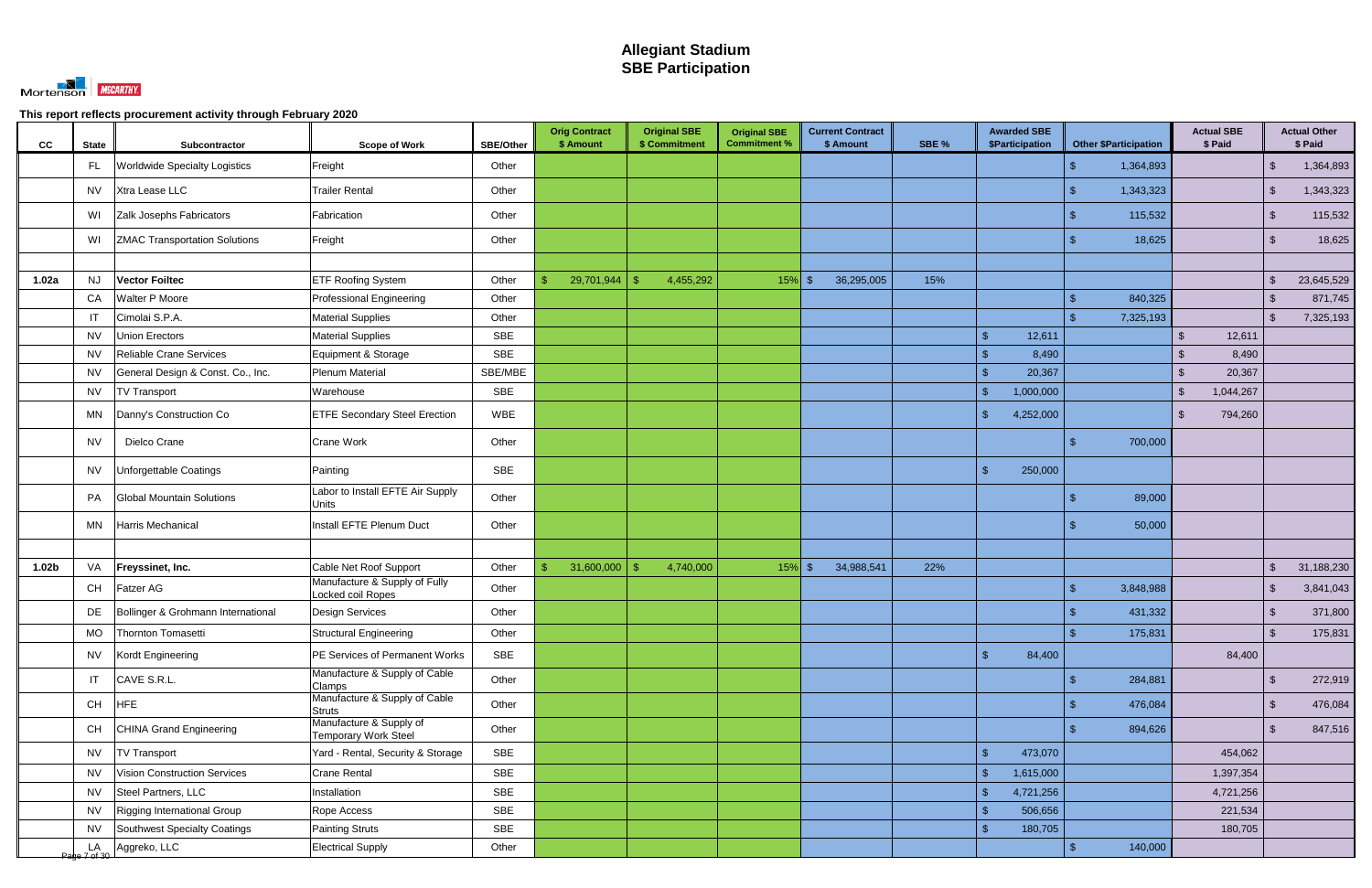

| CC                | <b>State</b> | Subcontractor                        | <b>Scope of Work</b>                               | <b>SBE/Other</b> | <b>Orig Contract</b><br>\$ Amount | <b>Original SBE</b><br>\$ Commitment | <b>Original SBE</b><br><b>Commitment %</b> | <b>Current Contract</b><br>\$ Amount | SBE % | <b>Awarded SBE</b><br>\$Participation | <b>Other \$Participation</b> | <b>Actual SBE</b><br>\$ Paid |                         | <b>Actual Other</b><br>\$ Paid |
|-------------------|--------------|--------------------------------------|----------------------------------------------------|------------------|-----------------------------------|--------------------------------------|--------------------------------------------|--------------------------------------|-------|---------------------------------------|------------------------------|------------------------------|-------------------------|--------------------------------|
|                   | FL.          | <b>Worldwide Specialty Logistics</b> | Freight                                            | Other            |                                   |                                      |                                            |                                      |       |                                       | 1,364,893                    |                              | $\mathcal{L}$           | 1,364,893                      |
|                   | <b>NV</b>    | Xtra Lease LLC                       | <b>Trailer Rental</b>                              | Other            |                                   |                                      |                                            |                                      |       |                                       | 1,343,323                    |                              | $\mathcal{L}$           | 1,343,323                      |
|                   | WI           | Zalk Josephs Fabricators             | Fabrication                                        | Other            |                                   |                                      |                                            |                                      |       |                                       | 115,532                      |                              | $\mathcal{L}$           | 115,532                        |
|                   | WI           | <b>ZMAC Transportation Solutions</b> | Freight                                            | Other            |                                   |                                      |                                            |                                      |       |                                       | 18,625                       |                              | $\mathcal{S}$           | 18,625                         |
|                   |              |                                      |                                                    |                  |                                   |                                      |                                            |                                      |       |                                       |                              |                              |                         |                                |
| 1.02a             | <b>NJ</b>    | <b>Vector Foiltec</b>                | <b>ETF Roofing System</b>                          | Other            | 29,701,944<br>ß.                  | 4,455,292                            | $15%$ \$                                   | 36,295,005                           | 15%   |                                       |                              |                              | $\mathcal{L}$           | 23,645,529                     |
|                   | CA           | <b>Walter P Moore</b>                | <b>Professional Engineering</b>                    | Other            |                                   |                                      |                                            |                                      |       |                                       | 840,325                      |                              | $\mathcal{S}$           | 871,745                        |
|                   | IT           | Cimolai S.P.A.                       | <b>Material Supplies</b>                           | Other            |                                   |                                      |                                            |                                      |       |                                       | 7,325,193                    |                              | $\mathcal{S}$           | 7,325,193                      |
|                   | <b>NV</b>    | <b>Union Erectors</b>                | <b>Material Supplies</b>                           | <b>SBE</b>       |                                   |                                      |                                            |                                      |       | 12,611<br>$\mathfrak{L}$              |                              | 12,611<br>$\mathbb{S}$       |                         |                                |
|                   | <b>NV</b>    | Reliable Crane Services              | Equipment & Storage                                | <b>SBE</b>       |                                   |                                      |                                            |                                      |       | 8,490<br>$\mathfrak{L}$               |                              | 8,490<br>$\mathfrak{L}$      |                         |                                |
|                   | <b>NV</b>    | General Design & Const. Co., Inc.    | Plenum Material                                    | SBE/MBE          |                                   |                                      |                                            |                                      |       | 20,367<br>$\mathbf{\hat{R}}$          |                              | 20,367<br>$\mathcal{L}$      |                         |                                |
|                   | <b>NV</b>    | <b>TV Transport</b>                  | Warehouse                                          | <b>SBE</b>       |                                   |                                      |                                            |                                      |       | $\mathfrak{L}$<br>1,000,000           |                              | $\mathbb{S}$<br>1,044,267    |                         |                                |
|                   | MN           | Danny's Construction Co              | <b>ETFE Secondary Steel Erection</b>               | <b>WBE</b>       |                                   |                                      |                                            |                                      |       | 4,252,000<br>$\mathcal{S}$            |                              | 794,260<br>\$                |                         |                                |
|                   | <b>NV</b>    | Dielco Crane                         | <b>Crane Work</b>                                  | Other            |                                   |                                      |                                            |                                      |       |                                       | 700,000                      |                              |                         |                                |
|                   | <b>NV</b>    | Unforgettable Coatings               | Painting                                           | <b>SBE</b>       |                                   |                                      |                                            |                                      |       | $\mathfrak{L}$<br>250,000             |                              |                              |                         |                                |
|                   | PA           | <b>Global Mountain Solutions</b>     | Labor to Install EFTE Air Supply<br><b>Units</b>   | Other            |                                   |                                      |                                            |                                      |       |                                       | 89,000                       |                              |                         |                                |
|                   | MN           | Harris Mechanical                    | Install EFTE Plenum Duct                           | Other            |                                   |                                      |                                            |                                      |       |                                       | 50,000                       |                              |                         |                                |
|                   |              |                                      |                                                    |                  |                                   |                                      |                                            |                                      |       |                                       |                              |                              |                         |                                |
| 1.02 <sub>b</sub> | VA           | Freyssinet, Inc.                     | Cable Net Roof Support                             | Other            | 31,600,000<br>\$                  | 4,740,000                            | $15\%$ \$                                  | 34,988,541                           | 22%   |                                       |                              |                              | $\mathcal{S}$           | 31,188,230                     |
|                   | CH           | Fatzer AG                            | Manufacture & Supply of Fully<br>Locked coil Ropes | Other            |                                   |                                      |                                            |                                      |       |                                       | 3,848,988                    |                              | \$                      | 3,841,043                      |
|                   | DE           | Bollinger & Grohmann International   | <b>Design Services</b>                             | Other            |                                   |                                      |                                            |                                      |       |                                       | 431,332                      |                              |                         | 371,800                        |
|                   | MO           | Thornton Tomasetti                   | Structural Engineering                             | Other            |                                   |                                      |                                            |                                      |       |                                       | 175,831<br>\$                |                              | ්                       | 175,831                        |
|                   | <b>NV</b>    | Kordt Engineering                    | PE Services of Permanent Works                     | SBE              |                                   |                                      |                                            |                                      |       | $\sqrt{2}$<br>84,400                  |                              | 84,400                       |                         |                                |
|                   | IT           | CAVE S.R.L.                          | Manufacture & Supply of Cable<br>Clamps            | Other            |                                   |                                      |                                            |                                      |       |                                       | 284,881                      |                              | $\mathcal{S}$           | 272,919                        |
|                   | <b>CH</b>    | <b>HFE</b>                           | Manufacture & Supply of Cable<br><b>Struts</b>     | Other            |                                   |                                      |                                            |                                      |       |                                       | 476,084                      |                              | $\sqrt[6]{\frac{1}{2}}$ | 476,084                        |
|                   | CH           | <b>CHINA Grand Engineering</b>       | Manufacture & Supply of<br>Temporary Work Steel    | Other            |                                   |                                      |                                            |                                      |       |                                       | 894,626                      |                              | $\mathfrak{L}$          | 847,516                        |
|                   | <b>NV</b>    | <b>TV Transport</b>                  | Yard - Rental, Security & Storage                  | SBE              |                                   |                                      |                                            |                                      |       | $\sqrt{2}$<br>473,070                 |                              | 454,062                      |                         |                                |
|                   | <b>NV</b>    | <b>Vision Construction Services</b>  | <b>Crane Rental</b>                                | <b>SBE</b>       |                                   |                                      |                                            |                                      |       | 1,615,000<br>$\mathfrak{L}$           |                              | 1,397,354                    |                         |                                |
|                   | <b>NV</b>    | Steel Partners, LLC                  | Installation                                       | <b>SBE</b>       |                                   |                                      |                                            |                                      |       | 4,721,256<br>$\mathfrak{s}$           |                              | 4,721,256                    |                         |                                |
|                   | <b>NV</b>    | Rigging International Group          | Rope Access                                        | SBE              |                                   |                                      |                                            |                                      |       | 506,656<br>$\mathfrak{L}$             |                              | 221,534                      |                         |                                |
|                   | <b>NV</b>    | Southwest Specialty Coatings         | Painting Struts                                    | SBE              |                                   |                                      |                                            |                                      |       | 180,705<br>$\mathcal{S}$              |                              | 180,705                      |                         |                                |
|                   |              | LA Aggreko, LLC                      | <b>Electrical Supply</b>                           | Other            |                                   |                                      |                                            |                                      |       |                                       | $\mathbf{\$}$<br>140,000     |                              |                         |                                |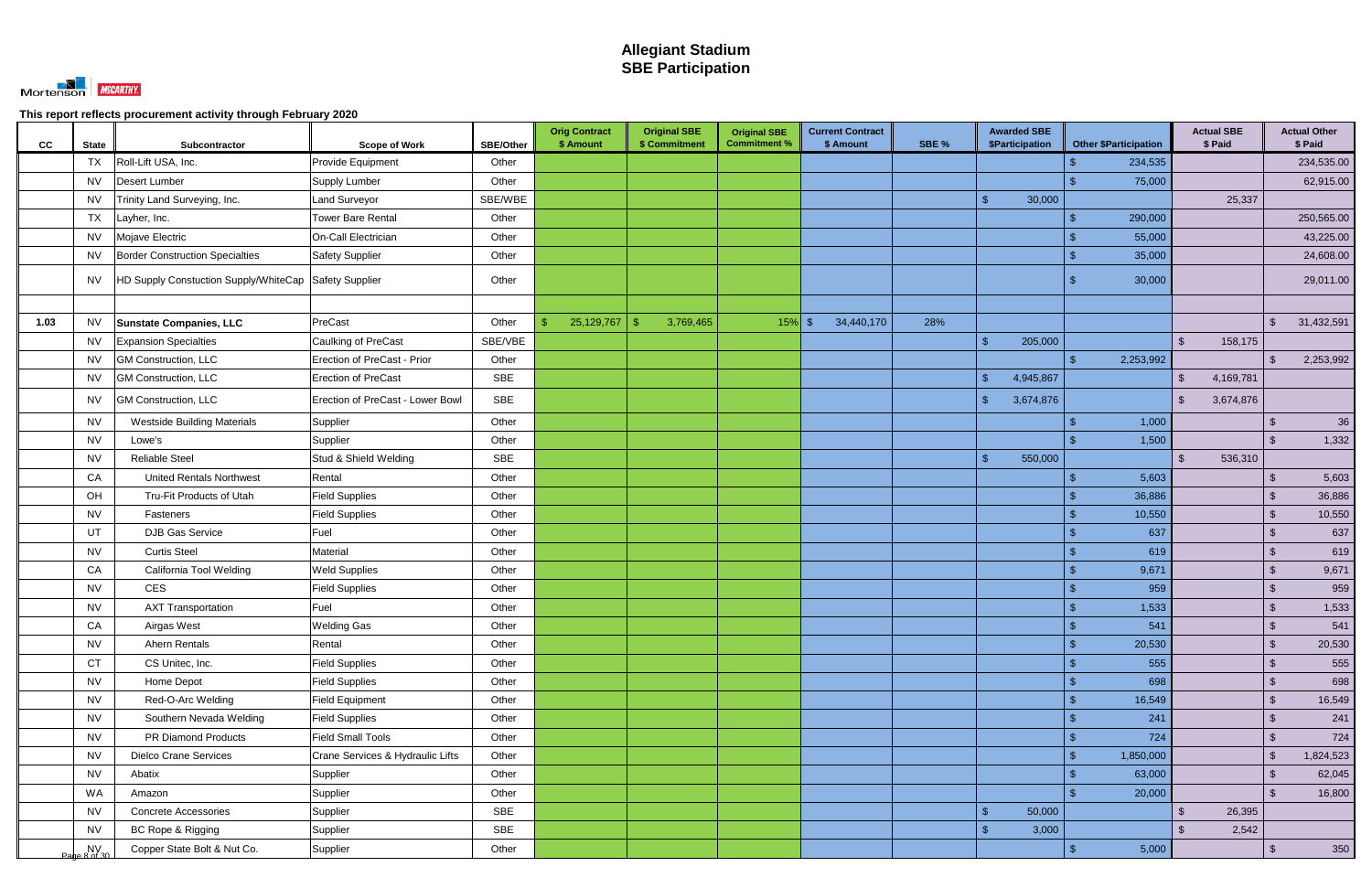

| CC   | <b>State</b>                                                           | Subcontractor                                         | <b>Scope of Work</b>             | <b>SBE/Other</b> | <b>Orig Contract</b><br>\$ Amount | <b>Original SBE</b><br>\$ Commitment | <b>Original SBE</b><br><b>Commitment %</b> | <b>Current Contract</b><br>\$ Amount | SBE % | <b>Awarded SBE</b><br>\$Participation | <b>Other \$Participation</b> | <b>Actual SBE</b><br>\$ Paid | <b>Actual Other</b><br>\$ Paid        |
|------|------------------------------------------------------------------------|-------------------------------------------------------|----------------------------------|------------------|-----------------------------------|--------------------------------------|--------------------------------------------|--------------------------------------|-------|---------------------------------------|------------------------------|------------------------------|---------------------------------------|
|      | TX                                                                     | Roll-Lift USA, Inc.                                   | Provide Equipment                | Other            |                                   |                                      |                                            |                                      |       |                                       | 234,535                      |                              | 234,535.00                            |
|      | <b>NV</b>                                                              | <b>Desert Lumber</b>                                  | Supply Lumber                    | Other            |                                   |                                      |                                            |                                      |       |                                       | 75,000                       |                              | 62,915.00                             |
|      | <b>NV</b>                                                              | Trinity Land Surveying, Inc.                          | Land Surveyor                    | SBE/WBE          |                                   |                                      |                                            |                                      |       | $\mathcal{S}$<br>30,000               |                              | 25,337                       |                                       |
|      | TX                                                                     | Layher, Inc.                                          | <b>Tower Bare Rental</b>         | Other            |                                   |                                      |                                            |                                      |       |                                       | 290,000                      |                              | 250,565.00                            |
|      | <b>NV</b>                                                              | Mojave Electric                                       | On-Call Electrician              | Other            |                                   |                                      |                                            |                                      |       |                                       | 55,000                       |                              | 43,225.00                             |
|      | NV.                                                                    | <b>Border Construction Specialties</b>                | <b>Safety Supplier</b>           | Other            |                                   |                                      |                                            |                                      |       |                                       | 35,000                       |                              | 24,608.00                             |
|      | NV.                                                                    | HD Supply Constuction Supply/WhiteCap Safety Supplier |                                  | Other            |                                   |                                      |                                            |                                      |       |                                       | 30,000                       |                              | 29,011.00                             |
|      |                                                                        |                                                       |                                  |                  |                                   |                                      |                                            |                                      |       |                                       |                              |                              |                                       |
| 1.03 | <b>NV</b>                                                              | <b>Sunstate Companies, LLC</b>                        | PreCast                          | Other            | 25,129,767<br>$\mathcal{S}$       | 3,769,465                            | $15\%$ \$                                  | 34,440,170                           | 28%   |                                       |                              |                              | $\sqrt[6]{\frac{1}{2}}$<br>31,432,591 |
|      | <b>NV</b>                                                              | <b>Expansion Specialties</b>                          | Caulking of PreCast              | SBE/VBE          |                                   |                                      |                                            |                                      |       | $\mathbf{\hat{s}}$<br>205,000         |                              | 158,175<br>$\mathfrak{L}$    |                                       |
|      | <b>NV</b>                                                              | <b>GM Construction, LLC</b>                           | Erection of PreCast - Prior      | Other            |                                   |                                      |                                            |                                      |       |                                       | 2,253,992                    |                              | 2,253,992<br>-\$                      |
|      | <b>NV</b>                                                              | <b>GM Construction, LLC</b>                           | <b>Erection of PreCast</b>       | <b>SBE</b>       |                                   |                                      |                                            |                                      |       | $\mathcal{S}$<br>4,945,867            |                              | 4,169,781<br><sup>\$</sup>   |                                       |
|      | <b>NV</b>                                                              | <b>GM Construction, LLC</b>                           | Erection of PreCast - Lower Bowl | SBE              |                                   |                                      |                                            |                                      |       | $\mathbf{\hat{f}}$<br>3,674,876       |                              | 3,674,876<br>$\mathfrak{L}$  |                                       |
|      | <b>NV</b>                                                              | <b>Westside Building Materials</b>                    | Supplier                         | Other            |                                   |                                      |                                            |                                      |       |                                       | 1,000                        |                              | 36<br>$\sqrt[6]{3}$                   |
|      | <b>NV</b>                                                              | Lowe's                                                | Supplier                         | Other            |                                   |                                      |                                            |                                      |       |                                       | 1,500                        |                              | 1,332<br>-\$                          |
|      | <b>NV</b>                                                              | <b>Reliable Steel</b>                                 | Stud & Shield Welding            | <b>SBE</b>       |                                   |                                      |                                            |                                      |       | $\mathbb{S}$<br>550,000               |                              | 536,310<br>$\mathfrak{L}$    |                                       |
|      | CA                                                                     | <b>United Rentals Northwest</b>                       | Rental                           | Other            |                                   |                                      |                                            |                                      |       |                                       | 5,603                        |                              | 5,603                                 |
|      | OH                                                                     | Tru-Fit Products of Utah                              | <b>Field Supplies</b>            | Other            |                                   |                                      |                                            |                                      |       |                                       | 36,886                       |                              | 36,886<br>-\$                         |
|      | <b>NV</b>                                                              | Fasteners                                             | <b>Field Supplies</b>            | Other            |                                   |                                      |                                            |                                      |       |                                       | 10,550                       |                              | $\mathcal{L}$<br>10,550               |
|      | UT                                                                     | DJB Gas Service                                       | Fuel                             | Other            |                                   |                                      |                                            |                                      |       |                                       | 637                          |                              | 637<br>$\sqrt[6]{3}$                  |
|      | <b>NV</b>                                                              | <b>Curtis Steel</b>                                   | Material                         | Other            |                                   |                                      |                                            |                                      |       |                                       | 619                          |                              | 619<br>\$                             |
|      | CA                                                                     | California Tool Welding                               | <b>Weld Supplies</b>             | Other            |                                   |                                      |                                            |                                      |       |                                       | 9,671                        |                              | 9,671<br>$\sqrt[6]{3}$                |
|      | NV                                                                     | <b>CES</b>                                            | <b>Field Supplies</b>            | Other            |                                   |                                      |                                            |                                      |       |                                       | 959                          |                              | 959<br>$\mathcal{L}$                  |
|      | <b>NV</b>                                                              | <b>AXT Transportation</b>                             | Fuel                             | Other            |                                   |                                      |                                            |                                      |       |                                       | 1,533                        |                              | 1,533<br>$\sqrt{2}$                   |
|      | ${\sf CA}$                                                             | Airgas West                                           | <b>Welding Gas</b>               | Other            |                                   |                                      |                                            |                                      |       |                                       | 541<br>্⊅                    |                              | 541<br>$\sqrt[6]{\frac{1}{2}}$        |
|      | <b>NV</b>                                                              | <b>Ahern Rentals</b>                                  | Rental                           | Other            |                                   |                                      |                                            |                                      |       |                                       | 20,530<br>$\mathcal{S}$      |                              | $\sqrt[3]{2}$<br>20,530               |
|      | <b>CT</b>                                                              | CS Unitec, Inc.                                       | <b>Field Supplies</b>            | Other            |                                   |                                      |                                            |                                      |       |                                       | 555                          |                              | $\sqrt[3]{2}$<br>555                  |
|      | <b>NV</b>                                                              | Home Depot                                            | <b>Field Supplies</b>            | Other            |                                   |                                      |                                            |                                      |       |                                       | 698<br>\$.                   |                              | 698<br>$\sqrt[3]{2}$                  |
|      | <b>NV</b>                                                              | Red-O-Arc Welding                                     | <b>Field Equipment</b>           | Other            |                                   |                                      |                                            |                                      |       |                                       | 16,549<br>$\mathcal{S}$      |                              | $\sqrt[3]{2}$<br>16,549               |
|      | <b>NV</b>                                                              | Southern Nevada Welding                               | <b>Field Supplies</b>            | Other            |                                   |                                      |                                            |                                      |       |                                       | 241                          |                              | $\sqrt[3]{2}$<br>241                  |
|      | <b>NV</b>                                                              | PR Diamond Products                                   | <b>Field Small Tools</b>         | Other            |                                   |                                      |                                            |                                      |       |                                       | 724<br>$\mathcal{S}$         |                              | $\sqrt[6]{\frac{1}{2}}$<br>724        |
|      | <b>NV</b>                                                              | <b>Dielco Crane Services</b>                          | Crane Services & Hydraulic Lifts | Other            |                                   |                                      |                                            |                                      |       |                                       | 1,850,000<br>$\mathcal{S}$   |                              | 1,824,523<br>$\sqrt[3]{2}$            |
|      | <b>NV</b>                                                              | Abatix                                                | Supplier                         | Other            |                                   |                                      |                                            |                                      |       |                                       | 63,000                       |                              | $\sqrt[3]{2}$<br>62,045               |
|      | WA                                                                     | Amazon                                                | Supplier                         | Other            |                                   |                                      |                                            |                                      |       |                                       | 20,000                       |                              | $\mathcal{L}$<br>16,800               |
|      | <b>NV</b>                                                              | <b>Concrete Accessories</b>                           | Supplier                         | <b>SBE</b>       |                                   |                                      |                                            |                                      |       | $\sqrt{2}$<br>50,000                  |                              | $\mathfrak{S}$<br>26,395     |                                       |
|      | <b>NV</b>                                                              | BC Rope & Rigging                                     | Supplier                         | SBE              |                                   |                                      |                                            |                                      |       | $\mathbb{S}$<br>3,000                 |                              | $\mathcal{S}$<br>2,542       |                                       |
|      | $\begin{array}{c} N_V \\ \text{N} \\ \text{N} \\ \text{N} \end{array}$ | Copper State Bolt & Nut Co.                           | Supplier                         | Other            |                                   |                                      |                                            |                                      |       |                                       | 5,000                        |                              | 350<br>$\sqrt[6]{\frac{1}{2}}$        |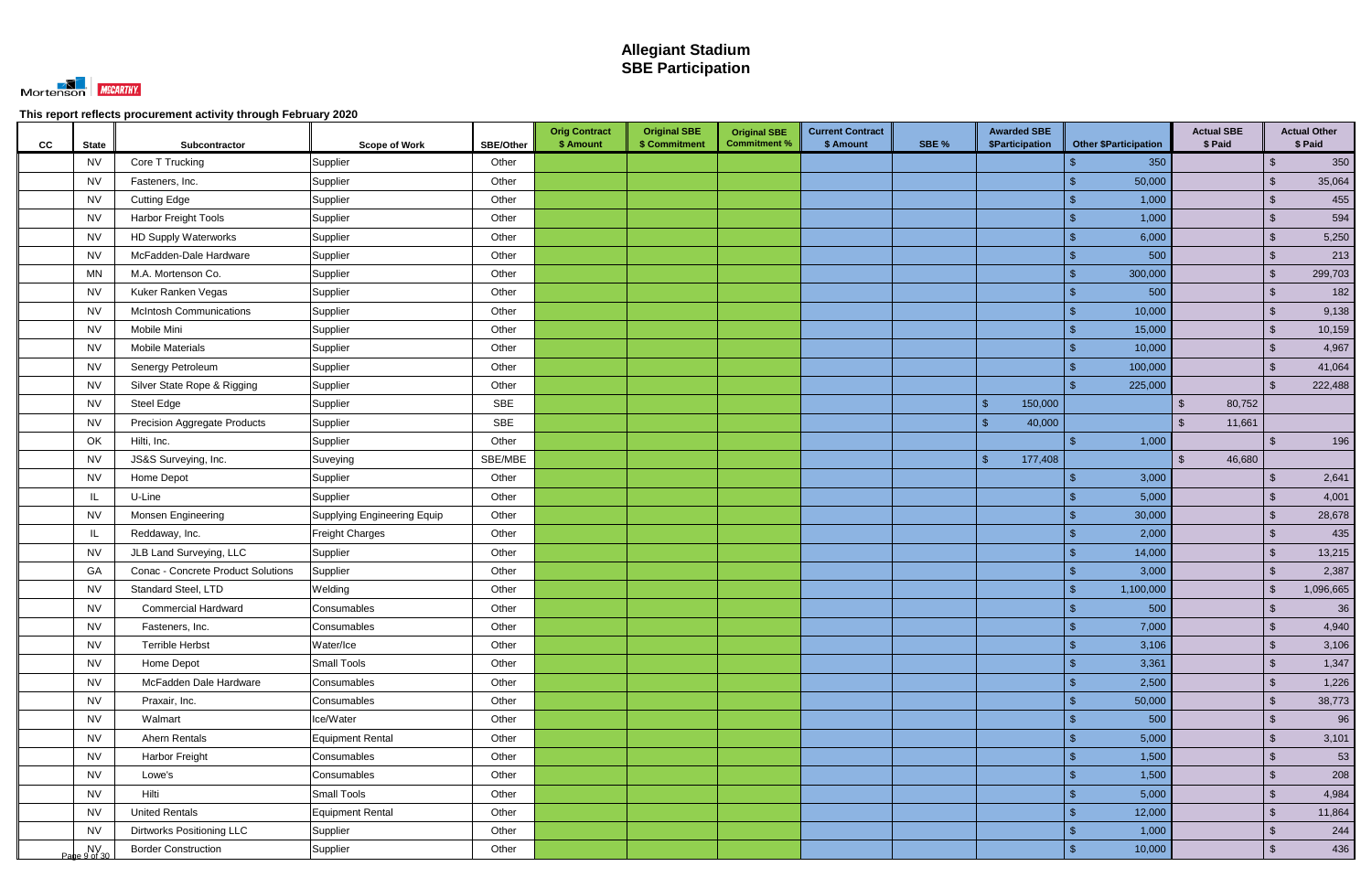

| cc | <b>State</b>    | Subcontractor                       | <b>Scope of Work</b>        | SBE/Other  | <b>Orig Contract</b><br>\$ Amount | <b>Original SBE</b><br>\$ Commitment | <b>Original SBE</b><br><b>Commitment %</b> | <b>Current Contract</b><br>\$ Amount | SBE % | <b>Awarded SBE</b><br>\$Participation | <b>Other \$Participation</b> | <b>Actual SBE</b><br>\$ Paid |                           | <b>Actual Other</b><br>\$ Paid |
|----|-----------------|-------------------------------------|-----------------------------|------------|-----------------------------------|--------------------------------------|--------------------------------------------|--------------------------------------|-------|---------------------------------------|------------------------------|------------------------------|---------------------------|--------------------------------|
|    | <b>NV</b>       | Core T Trucking                     | Supplier                    | Other      |                                   |                                      |                                            |                                      |       |                                       | 350                          |                              | $\sqrt[6]{\frac{1}{2}}$   | 350                            |
|    | <b>NV</b>       | Fasteners, Inc.                     | Supplier                    | Other      |                                   |                                      |                                            |                                      |       |                                       | 50,000                       |                              | $\mathfrak{L}$            | 35,064                         |
|    | <b>NV</b>       | <b>Cutting Edge</b>                 | Supplier                    | Other      |                                   |                                      |                                            |                                      |       |                                       | 1,000                        |                              | $\sqrt[6]{3}$             | 455                            |
|    | <b>NV</b>       | Harbor Freight Tools                | Supplier                    | Other      |                                   |                                      |                                            |                                      |       |                                       | 1,000                        |                              | $\sqrt[6]{3}$             | 594                            |
|    | <b>NV</b>       | <b>HD Supply Waterworks</b>         | Supplier                    | Other      |                                   |                                      |                                            |                                      |       |                                       | 6,000                        |                              | $\sqrt[6]{3}$             | 5,250                          |
|    | <b>NV</b>       | McFadden-Dale Hardware              | Supplier                    | Other      |                                   |                                      |                                            |                                      |       |                                       | 500                          |                              | $\mathcal{S}$             | 213                            |
|    | <b>MN</b>       | M.A. Mortenson Co.                  | Supplier                    | Other      |                                   |                                      |                                            |                                      |       |                                       | 300,000                      |                              | $\sqrt[6]{\frac{1}{2}}$   | 299,703                        |
|    | <b>NV</b>       | Kuker Ranken Vegas                  | Supplier                    | Other      |                                   |                                      |                                            |                                      |       |                                       | 500                          |                              | $\mathfrak{L}$            | 182                            |
|    | <b>NV</b>       | <b>McIntosh Communications</b>      | Supplier                    | Other      |                                   |                                      |                                            |                                      |       |                                       | 10,000                       |                              | $\sqrt[6]{3}$             | 9,138                          |
|    | <b>NV</b>       | Mobile Mini                         | Supplier                    | Other      |                                   |                                      |                                            |                                      |       |                                       | 15,000                       |                              | $\sqrt{2}$                | 10,159                         |
|    | <b>NV</b>       | <b>Mobile Materials</b>             | Supplier                    | Other      |                                   |                                      |                                            |                                      |       |                                       | 10,000                       |                              | $\mathcal{S}$             | 4,967                          |
|    | <b>NV</b>       | Senergy Petroleum                   | Supplier                    | Other      |                                   |                                      |                                            |                                      |       |                                       | 100,000                      |                              | ්                         | 41,064                         |
|    | <b>NV</b>       | Silver State Rope & Rigging         | Supplier                    | Other      |                                   |                                      |                                            |                                      |       |                                       | 225,000                      |                              | -\$                       | 222,488                        |
|    | <b>NV</b>       | Steel Edge                          | Supplier                    | <b>SBE</b> |                                   |                                      |                                            |                                      |       | 150,000<br>$\mathcal{S}$              |                              | 80,752<br>$\mathcal{S}$      |                           |                                |
|    | <b>NV</b>       | <b>Precision Aggregate Products</b> | Supplier                    | SBE        |                                   |                                      |                                            |                                      |       | \$<br>40,000                          |                              | $\mathfrak{L}$<br>11,661     |                           |                                |
|    | OK              | Hilti, Inc.                         | Supplier                    | Other      |                                   |                                      |                                            |                                      |       |                                       | 1,000                        |                              | \$                        | 196                            |
|    | <b>NV</b>       | JS&S Surveying, Inc.                | Suveying                    | SBE/MBE    |                                   |                                      |                                            |                                      |       | $\sqrt{2}$<br>177,408                 |                              | 46,680<br>$\mathfrak{L}$     |                           |                                |
|    | <b>NV</b>       | Home Depot                          | Supplier                    | Other      |                                   |                                      |                                            |                                      |       |                                       | 3,000                        |                              | $\boldsymbol{\mathsf{S}}$ | 2,641                          |
|    | IL              | U-Line                              | Supplier                    | Other      |                                   |                                      |                                            |                                      |       |                                       | 5,000                        |                              | $\sqrt[6]{\frac{1}{2}}$   | 4,001                          |
|    | <b>NV</b>       | <b>Monsen Engineering</b>           | Supplying Engineering Equip | Other      |                                   |                                      |                                            |                                      |       |                                       | 30,000                       |                              | $\sqrt[6]{3}$             | 28,678                         |
|    | IL              | Reddaway, Inc.                      | <b>Freight Charges</b>      | Other      |                                   |                                      |                                            |                                      |       |                                       | 2,000                        |                              | \$                        | 435                            |
|    | <b>NV</b>       | JLB Land Surveying, LLC             | Supplier                    | Other      |                                   |                                      |                                            |                                      |       |                                       | 14,000                       |                              | $\sqrt[6]{3}$             | 13,215                         |
|    | GA              | Conac - Concrete Product Solutions  | Supplier                    | Other      |                                   |                                      |                                            |                                      |       |                                       | 3,000                        |                              | \$                        | 2,387                          |
|    | <b>NV</b>       | Standard Steel, LTD                 | Welding                     | Other      |                                   |                                      |                                            |                                      |       |                                       | 1,100,000                    |                              | $\mathfrak{L}$            | 1,096,665                      |
|    | <b>NV</b>       | <b>Commercial Hardward</b>          | Consumables                 | Other      |                                   |                                      |                                            |                                      |       |                                       | 500                          |                              | -\$                       | 36                             |
|    | <b>NV</b>       | Fasteners, Inc.                     | Consumables                 | Other      |                                   |                                      |                                            |                                      |       |                                       | 7,000<br>9                   |                              | $\phi$                    | 4,940                          |
|    | <b>NV</b>       | <b>Terrible Herbst</b>              | Water/Ice                   | Other      |                                   |                                      |                                            |                                      |       |                                       | 3,106<br>$\mathbf{\$}$       |                              | $\sqrt{2}$                | 3,106                          |
|    | <b>NV</b>       | Home Depot                          | <b>Small Tools</b>          | Other      |                                   |                                      |                                            |                                      |       |                                       | 3,361<br>$\mathbf{\$}$       |                              | $\sqrt[6]{\frac{1}{2}}$   | 1,347                          |
|    | <b>NV</b>       | McFadden Dale Hardware              | Consumables                 | Other      |                                   |                                      |                                            |                                      |       |                                       | 2,500<br>$\mathbf{\$}$       |                              | $\sqrt{2}$                | 1,226                          |
|    | <b>NV</b>       | Praxair, Inc.                       | Consumables                 | Other      |                                   |                                      |                                            |                                      |       |                                       | $\mathbf{\$}$<br>50,000      |                              | $\sqrt[6]{\frac{1}{2}}$   | 38,773                         |
|    | <b>NV</b>       | Walmart                             | Ice/Water                   | Other      |                                   |                                      |                                            |                                      |       |                                       | 500                          |                              | $\sqrt{2}$                | 96                             |
|    | <b>NV</b>       | Ahern Rentals                       | Equipment Rental            | Other      |                                   |                                      |                                            |                                      |       |                                       | 5,000<br>$\mathbf{\$}$       |                              | $\sqrt[6]{\frac{1}{2}}$   | 3,101                          |
|    | <b>NV</b>       | Harbor Freight                      | Consumables                 | Other      |                                   |                                      |                                            |                                      |       |                                       | 1,500<br>$\mathbf{\$}$       |                              | $\sqrt[6]{3}$             | 53                             |
|    | <b>NV</b>       | Lowe's                              | Consumables                 | Other      |                                   |                                      |                                            |                                      |       |                                       | 1,500<br>$\mathbb{S}$        |                              | $\sqrt{2}$                | 208                            |
|    | <b>NV</b>       | Hilti                               | <b>Small Tools</b>          | Other      |                                   |                                      |                                            |                                      |       |                                       | 5,000                        |                              | $\sqrt[6]{3}$             | 4,984                          |
|    | <b>NV</b>       | <b>United Rentals</b>               | Equipment Rental            | Other      |                                   |                                      |                                            |                                      |       |                                       | 12,000                       |                              | $\sqrt[6]{\frac{1}{2}}$   | 11,864                         |
|    | <b>NV</b>       | <b>Dirtworks Positioning LLC</b>    | Supplier                    | Other      |                                   |                                      |                                            |                                      |       |                                       | 1,000<br>$\mathbf{\$}$       |                              | $\sqrt[6]{\frac{1}{2}}$   | 244                            |
|    | $P$ ane 9 of 30 | <b>Border Construction</b>          | Supplier                    | Other      |                                   |                                      |                                            |                                      |       |                                       | $\mathbf{\$}$<br>10,000      |                              | $\sqrt[6]{3}$             | 436                            |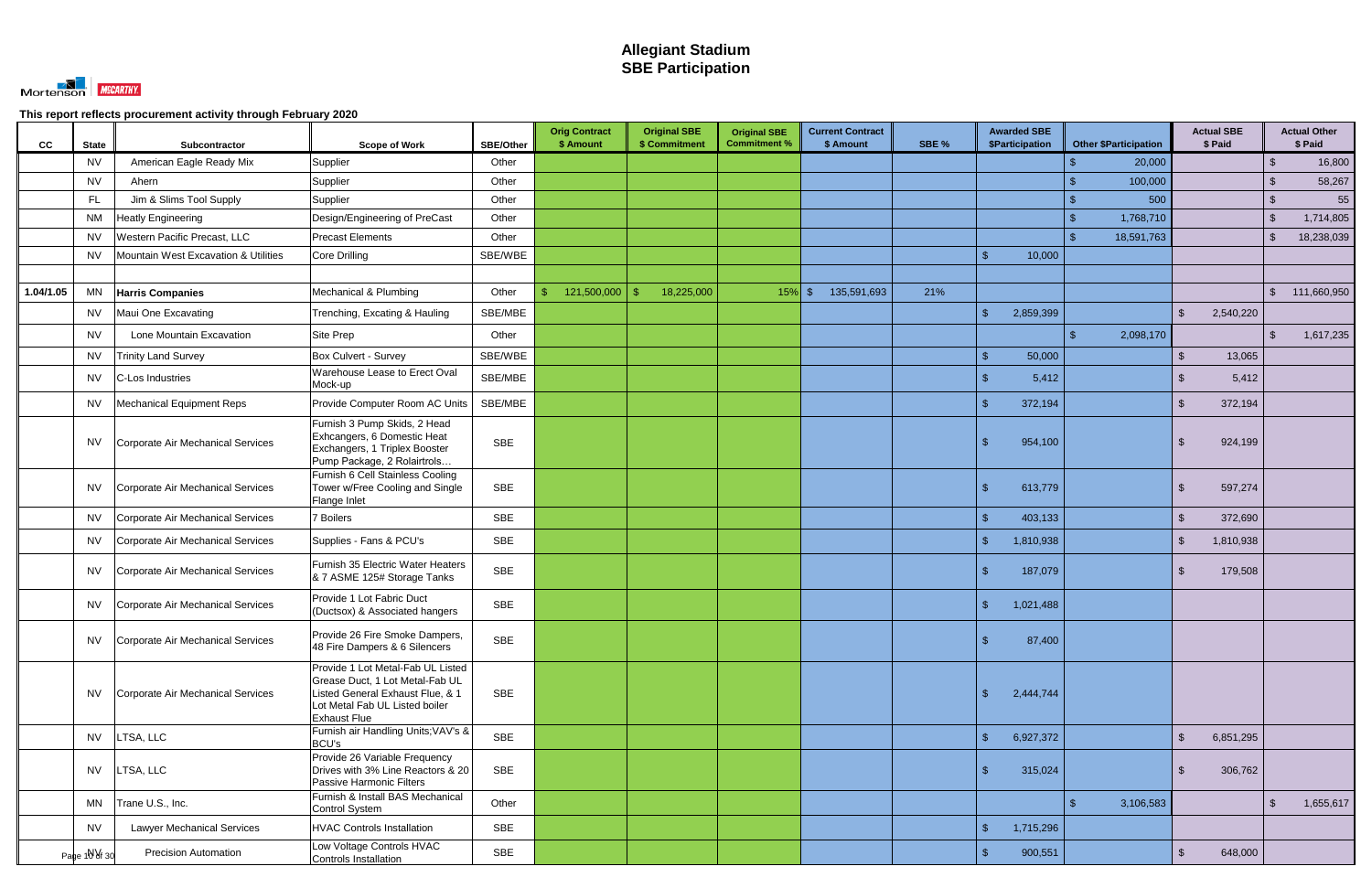

| <b>CC</b> | <b>State</b>  | <b>Subcontractor</b>                 | <b>Scope of Work</b>                                                                                                                                              | SBE/Other  | <b>Orig Contract</b><br>\$ Amount | <b>Original SBE</b><br>\$ Commitment | <b>Original SBE</b><br><b>Commitment %</b> | <b>Current Contract</b><br>\$ Amount | SBE % | <b>Awarded SBE</b><br>\$Participation | <b>Other \$Participation</b> | <b>Actual SBE</b><br>\$ Paid       |                | <b>Actual Other</b><br>\$ Paid |
|-----------|---------------|--------------------------------------|-------------------------------------------------------------------------------------------------------------------------------------------------------------------|------------|-----------------------------------|--------------------------------------|--------------------------------------------|--------------------------------------|-------|---------------------------------------|------------------------------|------------------------------------|----------------|--------------------------------|
|           | <b>NV</b>     | American Eagle Ready Mix             | Supplier                                                                                                                                                          | Other      |                                   |                                      |                                            |                                      |       |                                       | 20,000                       |                                    | $\sqrt[3]{2}$  | 16,800                         |
|           | <b>NV</b>     | Ahern                                | Supplier                                                                                                                                                          | Other      |                                   |                                      |                                            |                                      |       |                                       | 100,000                      |                                    | \$             | 58,267                         |
|           | FL            | Jim & Slims Tool Supply              | Supplier                                                                                                                                                          | Other      |                                   |                                      |                                            |                                      |       |                                       | 500                          |                                    | $\mathfrak{F}$ | 55                             |
|           | <b>NM</b>     | <b>Heatly Engineering</b>            | Design/Engineering of PreCast                                                                                                                                     | Other      |                                   |                                      |                                            |                                      |       |                                       | 1,768,710<br>¢               |                                    | -\$            | 1,714,805                      |
|           | <b>NV</b>     | Western Pacific Precast, LLC         | <b>Precast Elements</b>                                                                                                                                           | Other      |                                   |                                      |                                            |                                      |       |                                       | 18,591,763                   |                                    | -\$            | 18,238,039                     |
|           | <b>NV</b>     | Mountain West Excavation & Utilities | Core Drilling                                                                                                                                                     | SBE/WBE    |                                   |                                      |                                            |                                      |       | 10,000                                |                              |                                    |                |                                |
|           |               |                                      |                                                                                                                                                                   |            |                                   |                                      |                                            |                                      |       |                                       |                              |                                    |                |                                |
| 1.04/1.05 | <b>MN</b>     | <b>Harris Companies</b>              | Mechanical & Plumbing                                                                                                                                             | Other      | 121,500,000<br>\$.                | 18,225,000<br>-\$                    | $15\%$ \$                                  | 135,591,693                          | 21%   |                                       |                              |                                    | $\mathfrak{S}$ | 111,660,950                    |
|           | <b>NV</b>     | Maui One Excavating                  | Trenching, Excating & Hauling                                                                                                                                     | SBE/MBE    |                                   |                                      |                                            |                                      |       | \$<br>2,859,399                       |                              | 2,540,220<br>\$                    |                |                                |
|           | <b>NV</b>     | Lone Mountain Excavation             | <b>Site Prep</b>                                                                                                                                                  | Other      |                                   |                                      |                                            |                                      |       |                                       | 2,098,170                    |                                    | $\mathfrak{F}$ | 1,617,235                      |
|           | <b>NV</b>     | <b>Trinity Land Survey</b>           | Box Culvert - Survey                                                                                                                                              | SBE/WBE    |                                   |                                      |                                            |                                      |       | 50,000<br>$\mathbf{\hat{s}}$          |                              | 13,065<br>$\mathfrak{L}$           |                |                                |
|           | <b>NV</b>     | C-Los Industries                     | Warehouse Lease to Erect Oval<br>Mock-up                                                                                                                          | SBE/MBE    |                                   |                                      |                                            |                                      |       | 5,412<br>ß.                           |                              | 5,412<br>-SS                       |                |                                |
|           | <b>NV</b>     | Mechanical Equipment Reps            | Provide Computer Room AC Units                                                                                                                                    | SBE/MBE    |                                   |                                      |                                            |                                      |       | \$<br>372,194                         |                              | 372,194<br>\$                      |                |                                |
|           | <b>NV</b>     | Corporate Air Mechanical Services    | Furnish 3 Pump Skids, 2 Head<br>Exhcangers, 6 Domestic Heat<br>Exchangers, 1 Triplex Booster<br>Pump Package, 2 Rolairtrols                                       | <b>SBE</b> |                                   |                                      |                                            |                                      |       | \$<br>954,100                         |                              | 924,199<br>-S                      |                |                                |
|           | <b>NV</b>     | Corporate Air Mechanical Services    | Furnish 6 Cell Stainless Cooling<br>Tower w/Free Cooling and Single<br>Flange Inlet                                                                               | <b>SBE</b> |                                   |                                      |                                            |                                      |       | \$<br>613,779                         |                              | 597,274<br><sup>\$</sup>           |                |                                |
|           | <b>NV</b>     | Corporate Air Mechanical Services    | 7 Boilers                                                                                                                                                         | <b>SBE</b> |                                   |                                      |                                            |                                      |       | $\mathcal{S}$<br>403,133              |                              | $\mathfrak{L}$<br>372,690          |                |                                |
|           | <b>NV</b>     | Corporate Air Mechanical Services    | Supplies - Fans & PCU's                                                                                                                                           | <b>SBE</b> |                                   |                                      |                                            |                                      |       | $\mathbf{\hat{s}}$<br>1,810,938       |                              | 1,810,938<br><sup>\$</sup>         |                |                                |
|           | <b>NV</b>     | Corporate Air Mechanical Services    | Furnish 35 Electric Water Heaters<br>& 7 ASME 125# Storage Tanks                                                                                                  | <b>SBE</b> |                                   |                                      |                                            |                                      |       | 187,079<br>-\$                        |                              | <sup>\$</sup><br>179,508           |                |                                |
|           | <b>NV</b>     | Corporate Air Mechanical Services    | Provide 1 Lot Fabric Duct<br>(Ductsox) & Associated hangers                                                                                                       | <b>SBE</b> |                                   |                                      |                                            |                                      |       | \$<br>1,021,488                       |                              |                                    |                |                                |
|           | <b>NV</b>     | Corporate Air Mechanical Services    | Provide 26 Fire Smoke Dampers,<br>48 Fire Dampers & 6 Silencers                                                                                                   | <b>SBE</b> |                                   |                                      |                                            |                                      |       | $\mathbf{\$}$<br>87,400               |                              |                                    |                |                                |
|           | <b>NV</b>     | Corporate Air Mechanical Services    | Provide 1 Lot Metal-Fab UL Listed<br>Grease Duct, 1 Lot Metal-Fab UL<br>Listed General Exhaust Flue, & 1<br>Lot Metal Fab UL Listed boiler<br><b>Exhaust Flue</b> | SBE        |                                   |                                      |                                            |                                      |       | $\sqrt{2}$<br>2,444,744               |                              |                                    |                |                                |
|           | <b>NV</b>     | LTSA, LLC                            | Furnish air Handling Units; VAV's &<br><b>BCU's</b>                                                                                                               | <b>SBE</b> |                                   |                                      |                                            |                                      |       | $\sqrt{2}$<br>6,927,372               |                              | $\mathfrak{L}$<br>6,851,295        |                |                                |
|           | <b>NV</b>     | LTSA, LLC                            | Provide 26 Variable Frequency<br>Drives with 3% Line Reactors & 20<br>Passive Harmonic Filters                                                                    | SBE        |                                   |                                      |                                            |                                      |       | $\mathbf{\$}$<br>315,024              |                              | 306,762<br>$\mathfrak{L}$          |                |                                |
|           | MN            | Trane U.S., Inc.                     | Furnish & Install BAS Mechanical<br>Control System                                                                                                                | Other      |                                   |                                      |                                            |                                      |       |                                       | 3,106,583<br>\$              |                                    | -\$            | 1,655,617                      |
|           | <b>NV</b>     | Lawyer Mechanical Services           | <b>HVAC Controls Installation</b>                                                                                                                                 | <b>SBE</b> |                                   |                                      |                                            |                                      |       | $\mathfrak{S}$<br>1,715,296           |                              |                                    |                |                                |
|           | Page 10 of 30 | <b>Precision Automation</b>          | Low Voltage Controls HVAC<br>Controls Installation                                                                                                                | SBE        |                                   |                                      |                                            |                                      |       | 900,551<br>\$                         |                              | 648,000<br>$\sqrt[6]{\frac{1}{2}}$ |                |                                |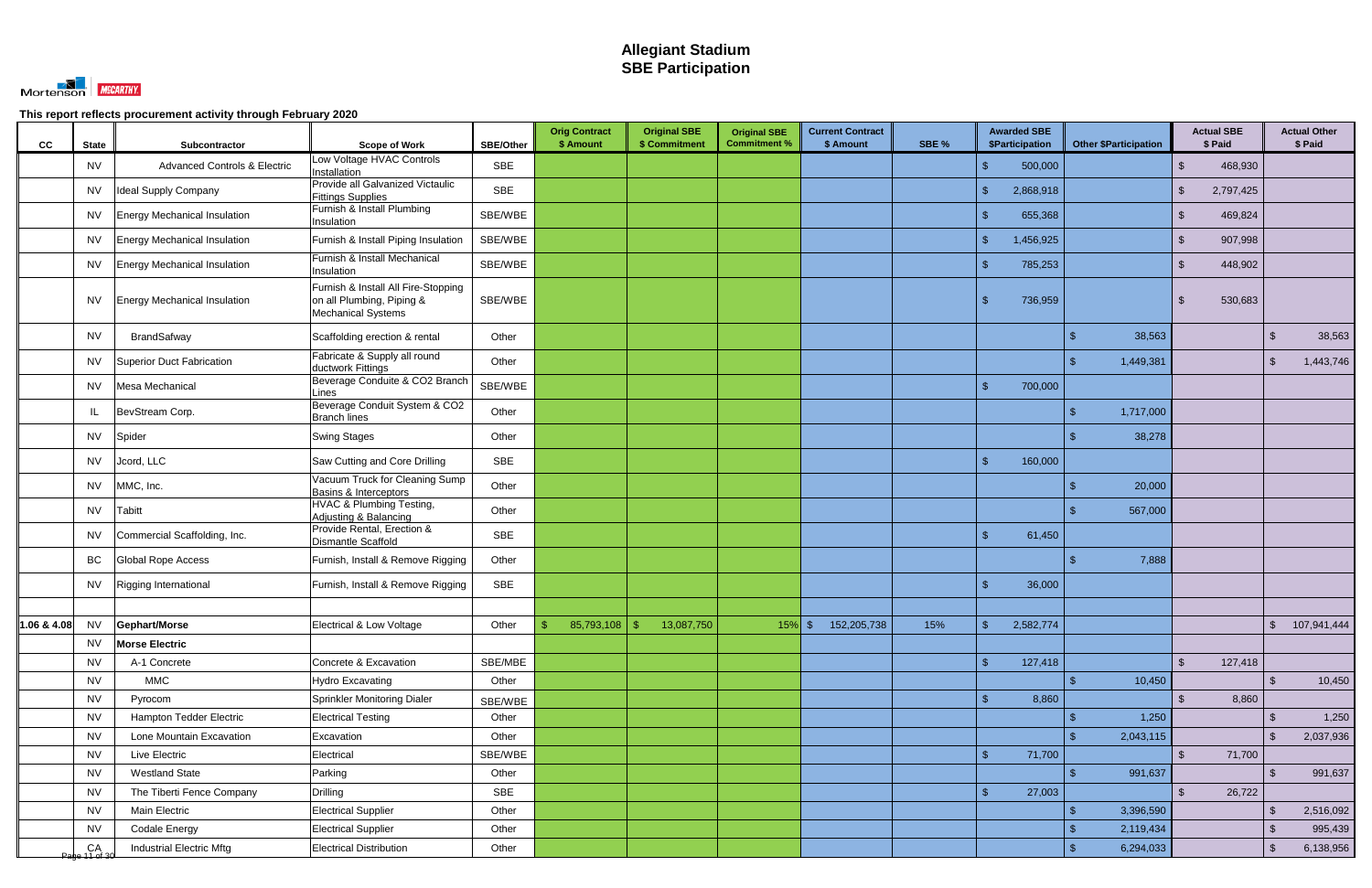

| cc | <b>State</b>        | Subcontractor                           | <b>Scope of Work</b>                                                                          | SBE/Other  | <b>Orig Contract</b><br>\$ Amount | <b>Original SBE</b><br>\$ Commitment     | <b>Original SBE</b><br><b>Commitment %</b> | <b>Current Contract</b><br>\$ Amount | SBE % | <b>Awarded SBE</b><br>\$Participation | <b>Other \$Participation</b> | <b>Actual SBE</b><br>\$ Paid |                | <b>Actual Other</b><br>\$ Paid |
|----|---------------------|-----------------------------------------|-----------------------------------------------------------------------------------------------|------------|-----------------------------------|------------------------------------------|--------------------------------------------|--------------------------------------|-------|---------------------------------------|------------------------------|------------------------------|----------------|--------------------------------|
|    | <b>NV</b>           | <b>Advanced Controls &amp; Electric</b> | Low Voltage HVAC Controls<br>Installation                                                     | <b>SBE</b> |                                   |                                          |                                            |                                      |       | 500,000<br>-\$                        |                              | 468,930<br>$\mathbb{S}$      |                |                                |
|    | <b>NV</b>           | Ideal Supply Company                    | Provide all Galvanized Victaulic<br><b>Fittings Supplies</b>                                  | <b>SBE</b> |                                   |                                          |                                            |                                      |       | -\$<br>2,868,918                      |                              | 2,797,425<br><sup>\$</sup>   |                |                                |
|    | <b>NV</b>           | Energy Mechanical Insulation            | Furnish & Install Plumbing<br>Insulation                                                      | SBE/WBE    |                                   |                                          |                                            |                                      |       | 655,368<br>\$                         |                              | 469,824<br>$\mathbb{S}$      |                |                                |
|    | <b>NV</b>           | Energy Mechanical Insulation            | Furnish & Install Piping Insulation                                                           | SBE/WBE    |                                   |                                          |                                            |                                      |       | 1,456,925<br>$\mathfrak{L}$           |                              | 907,998                      |                |                                |
|    | <b>NV</b>           | <b>Energy Mechanical Insulation</b>     | Furnish & Install Mechanical<br>Insulation                                                    | SBE/WBE    |                                   |                                          |                                            |                                      |       | 785,253<br>-\$                        |                              | 448,902<br>$\mathbb{S}$      |                |                                |
|    | <b>NV</b>           | <b>Energy Mechanical Insulation</b>     | Furnish & Install All Fire-Stopping<br>on all Plumbing, Piping &<br><b>Mechanical Systems</b> | SBE/WBE    |                                   |                                          |                                            |                                      |       | 736,959<br>-\$                        |                              | 530,683<br>$\mathbb{S}$      |                |                                |
|    | <b>NV</b>           | BrandSafway                             | Scaffolding erection & rental                                                                 | Other      |                                   |                                          |                                            |                                      |       |                                       | 38,563                       |                              | -\$            | 38,563                         |
|    | <b>NV</b>           | Superior Duct Fabrication               | Fabricate & Supply all round<br>ductwork Fittings                                             | Other      |                                   |                                          |                                            |                                      |       |                                       | 1,449,381                    |                              | \$             | 1,443,746                      |
|    | <b>NV</b>           | Mesa Mechanical                         | Beverage Conduite & CO2 Branch<br>Lines                                                       | SBE/WBE    |                                   |                                          |                                            |                                      |       | 700,000<br>$\mathbf{R}$               |                              |                              |                |                                |
|    | IL.                 | BevStream Corp.                         | Beverage Conduit System & CO2<br><b>Branch lines</b>                                          | Other      |                                   |                                          |                                            |                                      |       |                                       | 1,717,000                    |                              |                |                                |
|    | <b>NV</b>           | Spider                                  | <b>Swing Stages</b>                                                                           | Other      |                                   |                                          |                                            |                                      |       |                                       | 38,278                       |                              |                |                                |
|    | <b>NV</b>           | Jcord, LLC                              | Saw Cutting and Core Drilling                                                                 | <b>SBE</b> |                                   |                                          |                                            |                                      |       | $\mathbf{\hat{f}}$<br>160,000         |                              |                              |                |                                |
|    | <b>NV</b>           | MMC, Inc.                               | Vacuum Truck for Cleaning Sump<br>Basins & Interceptors                                       | Other      |                                   |                                          |                                            |                                      |       |                                       | 20,000                       |                              |                |                                |
|    | <b>NV</b>           | <b>Tabitt</b>                           | HVAC & Plumbing Testing,<br>Adjusting & Balancing                                             | Other      |                                   |                                          |                                            |                                      |       |                                       | 567,000                      |                              |                |                                |
|    | NV                  | Commercial Scaffolding, Inc.            | Provide Rental, Erection &<br><b>Dismantle Scaffold</b>                                       | <b>SBE</b> |                                   |                                          |                                            |                                      |       | $\hat{\tau}$<br>61,450                |                              |                              |                |                                |
|    | BC                  | Global Rope Access                      | Furnish, Install & Remove Rigging                                                             | Other      |                                   |                                          |                                            |                                      |       |                                       | 7,888                        |                              |                |                                |
|    | <b>NV</b>           | Rigging International                   | Furnish, Install & Remove Rigging                                                             | <b>SBE</b> |                                   |                                          |                                            |                                      |       | $\mathcal{S}$<br>36,000               |                              |                              |                |                                |
|    |                     |                                         |                                                                                               |            |                                   |                                          |                                            |                                      |       |                                       |                              |                              |                |                                |
|    |                     | 1.06 & 4.08 $NV$ Gephart/Morse          | Electrical & Low Voltage                                                                      | Other      |                                   | $\frac{1}{3}$ 85,793,108 \ \$ 13,087,750 |                                            | 15% \$ 152,205,738                   | 15%   | 2,582,774<br>$\mathbf{C}$             |                              |                              |                | \$ 107,941,444                 |
|    | <b>NV</b>           | <b>Morse Electric</b>                   |                                                                                               |            |                                   |                                          |                                            |                                      |       |                                       |                              |                              |                |                                |
|    | <b>NV</b>           | A-1 Concrete                            | Concrete & Excavation                                                                         | SBE/MBE    |                                   |                                          |                                            |                                      |       | $\mathcal{S}$<br>127,418              |                              | $\mathfrak{L}$<br>127,418    |                |                                |
|    | <b>NV</b>           | <b>MMC</b>                              | <b>Hydro Excavating</b>                                                                       | Other      |                                   |                                          |                                            |                                      |       |                                       | 10,450                       |                              | $\mathcal{S}$  | 10,450                         |
|    | <b>NV</b>           | Pyrocom                                 | Sprinkler Monitoring Dialer                                                                   | SBE/WBE    |                                   |                                          |                                            |                                      |       | 8,860<br>$\mathbf{\hat{s}}$           |                              | 8,860<br>$\mathbb{S}$        |                |                                |
|    | <b>NV</b>           | Hampton Tedder Electric                 | <b>Electrical Testing</b>                                                                     | Other      |                                   |                                          |                                            |                                      |       |                                       | 1,250                        |                              | -\$            | 1,250                          |
|    | <b>NV</b>           | Lone Mountain Excavation                | Excavation                                                                                    | Other      |                                   |                                          |                                            |                                      |       |                                       | 2,043,115                    |                              | $\mathfrak{L}$ | 2,037,936                      |
|    | <b>NV</b>           | Live Electric                           | Electrical                                                                                    | SBE/WBE    |                                   |                                          |                                            |                                      |       | $\sqrt{2}$<br>71,700                  |                              | $\mathbb{S}$<br>71,700       |                |                                |
|    | <b>NV</b>           | <b>Westland State</b>                   | Parking                                                                                       | Other      |                                   |                                          |                                            |                                      |       |                                       | 991,637                      |                              |                | 991,637                        |
|    | <b>NV</b>           | The Tiberti Fence Company               | Drilling                                                                                      | SBE        |                                   |                                          |                                            |                                      |       | $\sqrt{2}$<br>27,003                  |                              | $\mathbb{S}$<br>26,722       |                |                                |
|    | <b>NV</b>           | Main Electric                           | <b>Electrical Supplier</b>                                                                    | Other      |                                   |                                          |                                            |                                      |       |                                       | 3,396,590                    |                              | -\$            | 2,516,092                      |
|    | <b>NV</b>           | <b>Codale Energy</b>                    | <b>Electrical Supplier</b>                                                                    | Other      |                                   |                                          |                                            |                                      |       |                                       | 2,119,434                    |                              | -\$            | 995,439                        |
|    | CA<br>Page 11 of 30 | <b>Industrial Electric Mftg</b>         | <b>Electrical Distribution</b>                                                                | Other      |                                   |                                          |                                            |                                      |       |                                       | 6,294,033<br>\$              |                              | \$             | 6,138,956                      |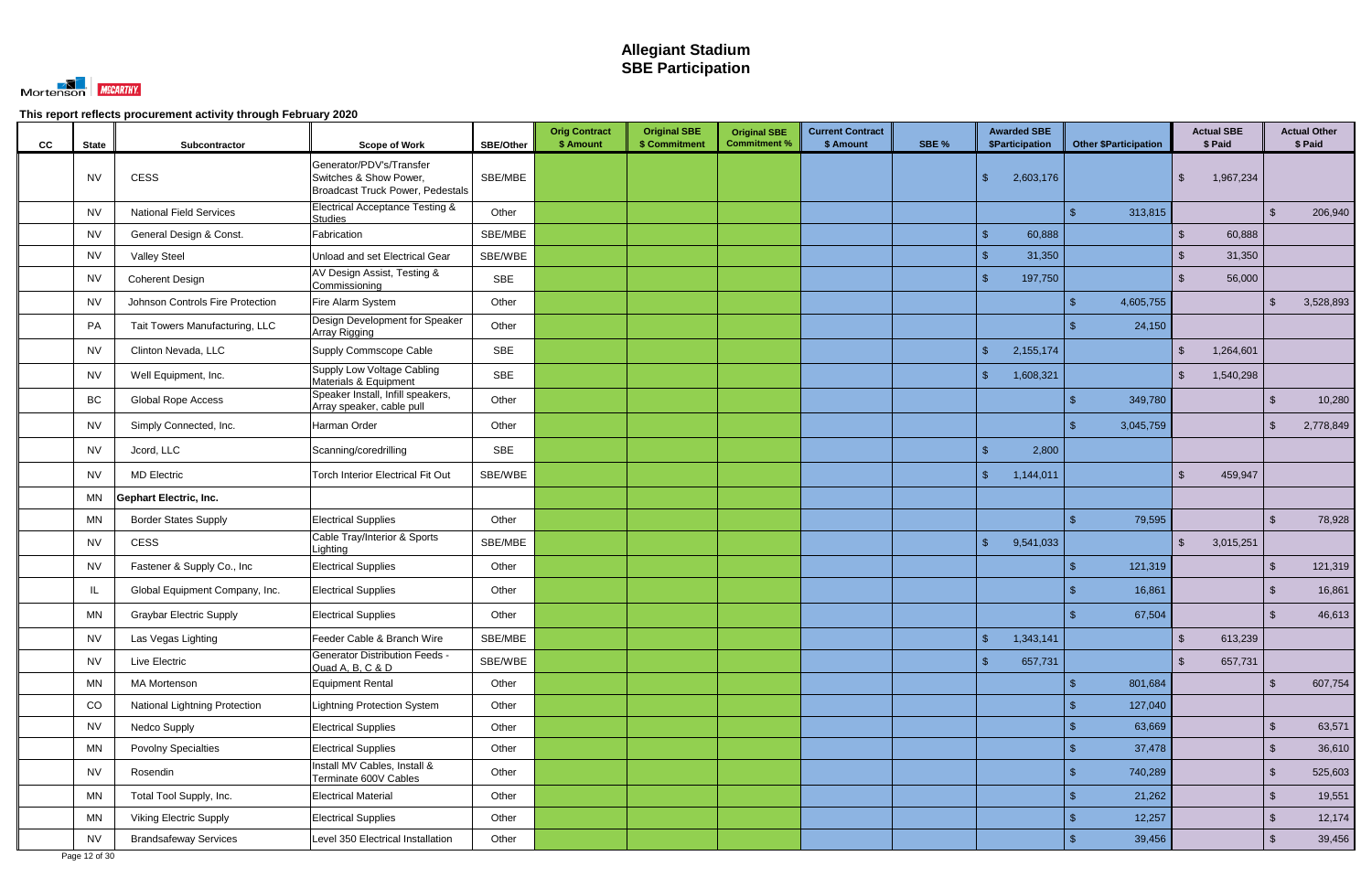

| cc | <b>State</b> | Subcontractor                        | <b>Scope of Work</b>                                                                          | <b>SBE/Other</b> | <b>Orig Contract</b><br>\$ Amount | <b>Original SBE</b><br>\$ Commitment | <b>Original SBE</b><br><b>Commitment %</b> | <b>Current Contract</b><br>\$ Amount | SBE % | <b>Awarded SBE</b><br>\$Participation | <b>Other \$Participation</b> | <b>Actual SBE</b><br>\$ Paid |           |                         | <b>Actual Other</b><br>\$ Paid |
|----|--------------|--------------------------------------|-----------------------------------------------------------------------------------------------|------------------|-----------------------------------|--------------------------------------|--------------------------------------------|--------------------------------------|-------|---------------------------------------|------------------------------|------------------------------|-----------|-------------------------|--------------------------------|
|    | <b>NV</b>    | <b>CESS</b>                          | Generator/PDV's/Transfer<br>Switches & Show Power,<br><b>Broadcast Truck Power, Pedestals</b> | SBE/MBE          |                                   |                                      |                                            |                                      |       | $\sqrt{2}$<br>2,603,176               |                              | -S                           | 1,967,234 |                         |                                |
|    | <b>NV</b>    | <b>National Field Services</b>       | <b>Electrical Acceptance Testing &amp;</b><br><b>Studies</b>                                  | Other            |                                   |                                      |                                            |                                      |       |                                       | 313,815                      |                              |           | $\mathcal{S}$           | 206,940                        |
|    | <b>NV</b>    | General Design & Const.              | Fabrication                                                                                   | SBE/MBE          |                                   |                                      |                                            |                                      |       | $\sqrt{2}$<br>60,888                  |                              | $\mathcal{S}$                | 60,888    |                         |                                |
|    | <b>NV</b>    | <b>Valley Steel</b>                  | Unload and set Electrical Gear                                                                | SBE/WBE          |                                   |                                      |                                            |                                      |       | 31,350<br>-\$                         |                              | <sup>\$</sup>                | 31,350    |                         |                                |
|    | <b>NV</b>    | Coherent Design                      | AV Design Assist, Testing &<br>Commissioning                                                  | <b>SBE</b>       |                                   |                                      |                                            |                                      |       | $\mathcal{S}$<br>197,750              |                              | $\mathfrak{L}$               | 56,000    |                         |                                |
|    | <b>NV</b>    | Johnson Controls Fire Protection     | Fire Alarm System                                                                             | Other            |                                   |                                      |                                            |                                      |       |                                       | 4,605,755                    |                              |           | ්                       | 3,528,893                      |
|    | <b>PA</b>    | Tait Towers Manufacturing, LLC       | Design Development for Speaker<br>Array Rigging                                               | Other            |                                   |                                      |                                            |                                      |       |                                       | 24,150                       |                              |           |                         |                                |
|    | <b>NV</b>    | Clinton Nevada, LLC                  | Supply Commscope Cable                                                                        | <b>SBE</b>       |                                   |                                      |                                            |                                      |       | $\sqrt{2}$<br>2,155,174               |                              | \$                           | 1,264,601 |                         |                                |
|    | <b>NV</b>    | Well Equipment, Inc.                 | Supply Low Voltage Cabling<br>Materials & Equipment                                           | <b>SBE</b>       |                                   |                                      |                                            |                                      |       | $\sqrt{2}$<br>1,608,321               |                              | $\mathfrak{S}$               | 1,540,298 |                         |                                |
|    | BC           | <b>Global Rope Access</b>            | Speaker Install, Infill speakers,<br>Array speaker, cable pull                                | Other            |                                   |                                      |                                            |                                      |       |                                       | 349,780                      |                              |           | -\$                     | 10,280                         |
|    | <b>NV</b>    | Simply Connected, Inc.               | Harman Order                                                                                  | Other            |                                   |                                      |                                            |                                      |       |                                       | 3,045,759                    |                              |           | -\$                     | 2,778,849                      |
|    | <b>NV</b>    | Jcord, LLC                           | Scanning/coredrilling                                                                         | <b>SBE</b>       |                                   |                                      |                                            |                                      |       | $\sqrt{2}$<br>2,800                   |                              |                              |           |                         |                                |
|    | <b>NV</b>    | <b>MD Electric</b>                   | <b>Torch Interior Electrical Fit Out</b>                                                      | SBE/WBE          |                                   |                                      |                                            |                                      |       | $\mathbb{S}$<br>1,144,011             |                              | $\mathcal{S}$                | 459,947   |                         |                                |
|    | MN           | <b>Gephart Electric, Inc.</b>        |                                                                                               |                  |                                   |                                      |                                            |                                      |       |                                       |                              |                              |           |                         |                                |
|    | <b>MN</b>    | <b>Border States Supply</b>          | <b>Electrical Supplies</b>                                                                    | Other            |                                   |                                      |                                            |                                      |       |                                       | 79,595                       |                              |           | $\sqrt{3}$              | 78,928                         |
|    | <b>NV</b>    | <b>CESS</b>                          | Cable Tray/Interior & Sports<br>Lighting                                                      | SBE/MBE          |                                   |                                      |                                            |                                      |       | $\sqrt{2}$<br>9,541,033               |                              | $\mathcal{L}$                | 3,015,251 |                         |                                |
|    | <b>NV</b>    | Fastener & Supply Co., Inc           | <b>Electrical Supplies</b>                                                                    | Other            |                                   |                                      |                                            |                                      |       |                                       | 121,319                      |                              |           | <b>\$</b>               | 121,319                        |
|    | IL           | Global Equipment Company, Inc.       | <b>Electrical Supplies</b>                                                                    | Other            |                                   |                                      |                                            |                                      |       |                                       | 16,861                       |                              |           | <b>\$</b>               | 16,861                         |
|    | MN           | <b>Graybar Electric Supply</b>       | <b>Electrical Supplies</b>                                                                    | Other            |                                   |                                      |                                            |                                      |       |                                       | 67,504                       |                              |           | $\mathfrak{L}$          | 46,613                         |
|    | <b>NV</b>    | Las Vegas Lighting                   | Feeder Cable & Branch Wire                                                                    | SBE/MBE          |                                   |                                      |                                            |                                      |       | $\sqrt{2}$<br>1,343,141               |                              | $\mathfrak{S}$               | 613,239   |                         |                                |
|    | <b>NV</b>    | Live Electric                        | <b>Generator Distribution Feeds -</b><br>Quad A, B, C & D                                     | SBE/WBE          |                                   |                                      |                                            |                                      |       | $\sqrt{2}$<br>657,731                 |                              | $\mathcal{S}$                | 657,731   |                         |                                |
|    | <b>MN</b>    | <b>MA Mortenson</b>                  | Equipment Rental                                                                              | Other            |                                   |                                      |                                            |                                      |       |                                       | 801,684                      |                              |           | $\sqrt[6]{\frac{1}{2}}$ | 607,754                        |
|    | CO           | <b>National Lightning Protection</b> | <b>Lightning Protection System</b>                                                            | Other            |                                   |                                      |                                            |                                      |       |                                       | 127,040                      |                              |           |                         |                                |
|    | <b>NV</b>    | Nedco Supply                         | <b>Electrical Supplies</b>                                                                    | Other            |                                   |                                      |                                            |                                      |       |                                       | 63,669                       |                              |           | $\sqrt[6]{3}$           | 63,571                         |
|    | <b>MN</b>    | <b>Povolny Specialties</b>           | <b>Electrical Supplies</b>                                                                    | Other            |                                   |                                      |                                            |                                      |       |                                       | 37,478                       |                              |           | $\sqrt[3]{2}$           | 36,610                         |
|    | <b>NV</b>    | Rosendin                             | Install MV Cables, Install &<br>Terminate 600V Cables                                         | Other            |                                   |                                      |                                            |                                      |       |                                       | 740,289                      |                              |           | $\sqrt[3]{2}$           | 525,603                        |
|    | <b>MN</b>    | Total Tool Supply, Inc.              | <b>Electrical Material</b>                                                                    | Other            |                                   |                                      |                                            |                                      |       |                                       | 21,262                       |                              |           | $\sqrt[3]{2}$           | 19,551                         |
|    | MN           | <b>Viking Electric Supply</b>        | <b>Electrical Supplies</b>                                                                    | Other            |                                   |                                      |                                            |                                      |       |                                       | 12,257                       |                              |           | $\sqrt[3]{2}$           | 12,174                         |
|    | <b>NV</b>    | <b>Brandsafeway Services</b>         | Level 350 Electrical Installation                                                             | Other            |                                   |                                      |                                            |                                      |       |                                       | 39,456                       |                              |           | $\sqrt{2}$              | 39,456                         |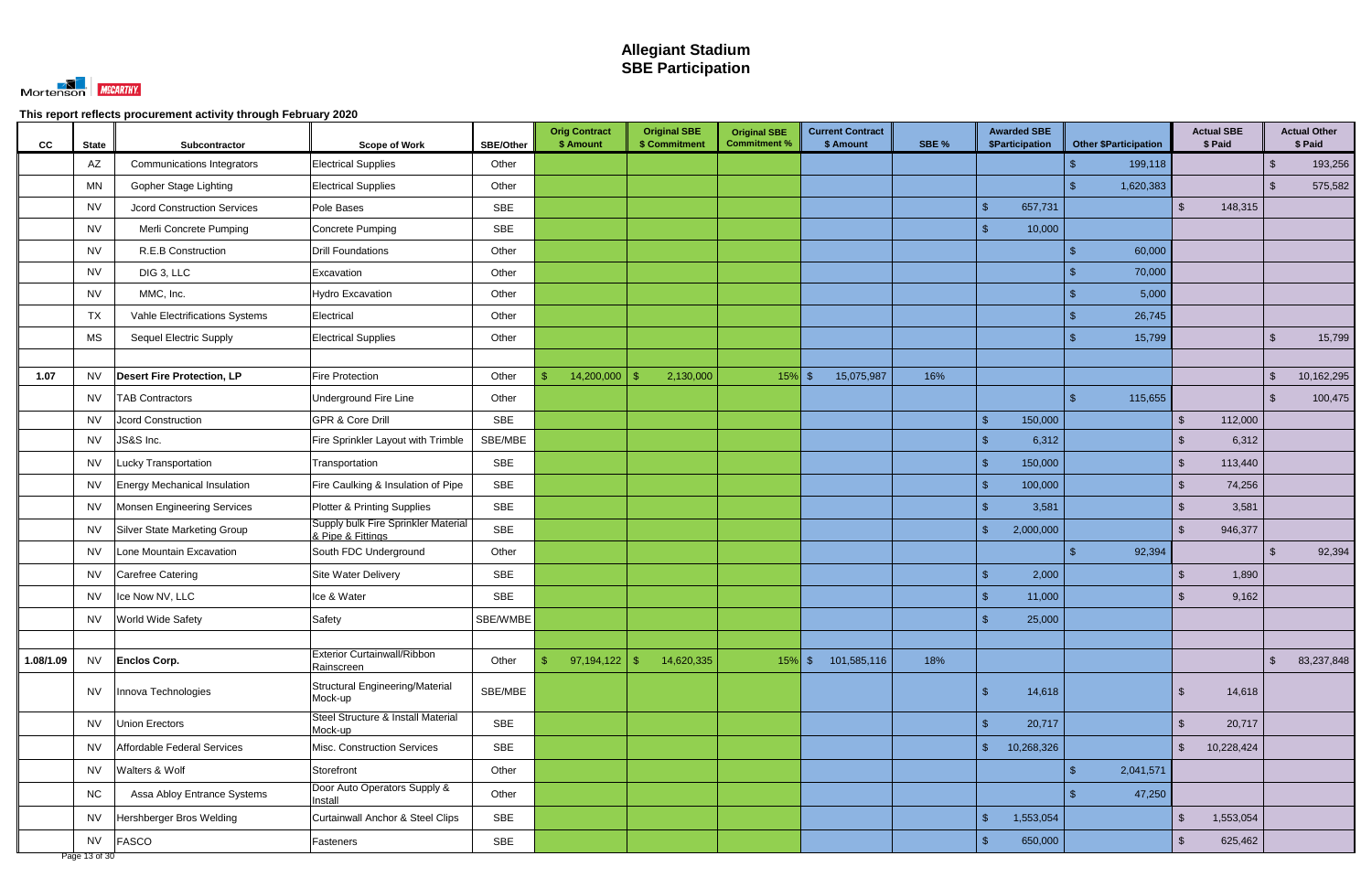

| cc        | <b>State</b> | Subcontractor                      | <b>Scope of Work</b>                                     | <b>SBE/Other</b> | <b>Orig Contract</b><br>\$ Amount | <b>Original SBE</b><br>\$ Commitment | <b>Original SBE</b><br><b>Commitment %</b> | <b>Current Contract</b><br>\$ Amount | SBE % | <b>Awarded SBE</b><br><b>\$Participation</b> | <b>Other \$Participation</b> | <b>Actual SBE</b><br>\$ Paid       |                         | <b>Actual Other</b><br>\$ Paid |
|-----------|--------------|------------------------------------|----------------------------------------------------------|------------------|-----------------------------------|--------------------------------------|--------------------------------------------|--------------------------------------|-------|----------------------------------------------|------------------------------|------------------------------------|-------------------------|--------------------------------|
|           | AZ           | <b>Communications Integrators</b>  | <b>Electrical Supplies</b>                               | Other            |                                   |                                      |                                            |                                      |       |                                              | 199,118                      |                                    | \$                      | 193,256                        |
|           | <b>MN</b>    | Gopher Stage Lighting              | <b>Electrical Supplies</b>                               | Other            |                                   |                                      |                                            |                                      |       |                                              | 1,620,383                    |                                    | $\mathcal{S}$           | 575,582                        |
|           | <b>NV</b>    | <b>Jcord Construction Services</b> | Pole Bases                                               | <b>SBE</b>       |                                   |                                      |                                            |                                      |       | $\sqrt{2}$<br>657,731                        |                              | $\mathcal{S}$<br>148,315           |                         |                                |
|           | <b>NV</b>    | Merli Concrete Pumping             | Concrete Pumping                                         | <b>SBE</b>       |                                   |                                      |                                            |                                      |       | $\mathbf{\$}$<br>10,000                      |                              |                                    |                         |                                |
|           | <b>NV</b>    | R.E.B Construction                 | <b>Drill Foundations</b>                                 | Other            |                                   |                                      |                                            |                                      |       |                                              | 60,000                       |                                    |                         |                                |
|           | <b>NV</b>    | DIG 3, LLC                         | Excavation                                               | Other            |                                   |                                      |                                            |                                      |       |                                              | 70,000                       |                                    |                         |                                |
|           | <b>NV</b>    | MMC, Inc.                          | Hydro Excavation                                         | Other            |                                   |                                      |                                            |                                      |       |                                              | 5,000                        |                                    |                         |                                |
|           | TX           | Vahle Electrifications Systems     | Electrical                                               | Other            |                                   |                                      |                                            |                                      |       |                                              | 26,745                       |                                    |                         |                                |
|           | MS           | <b>Sequel Electric Supply</b>      | <b>Electrical Supplies</b>                               | Other            |                                   |                                      |                                            |                                      |       |                                              | 15,799                       |                                    | $\sqrt[3]{2}$           | 15,799                         |
|           |              |                                    |                                                          |                  |                                   |                                      |                                            |                                      |       |                                              |                              |                                    |                         |                                |
| 1.07      | <b>NV</b>    | <b>Desert Fire Protection, LP</b>  | Fire Protection                                          | Other            | 14,200,000<br>$\mathfrak{L}$      | 2,130,000                            | $15\%$ \$                                  | 15,075,987                           | 16%   |                                              |                              |                                    | \$                      | 10,162,295                     |
|           | <b>NV</b>    | <b>TAB Contractors</b>             | Underground Fire Line                                    | Other            |                                   |                                      |                                            |                                      |       |                                              | 115,655                      |                                    | $\sqrt[6]{3}$           | 100,475                        |
|           | <b>NV</b>    | <b>Jcord Construction</b>          | <b>GPR &amp; Core Drill</b>                              | SBE              |                                   |                                      |                                            |                                      |       | 150,000<br>$\sqrt[6]{3}$                     |                              | 112,000<br><sup>\$</sup>           |                         |                                |
|           | <b>NV</b>    | JS&S Inc.                          | Fire Sprinkler Layout with Trimble                       | SBE/MBE          |                                   |                                      |                                            |                                      |       | $\mathcal{L}$<br>6,312                       |                              | 6,312<br>$\mathcal{L}$             |                         |                                |
|           | <b>NV</b>    | Lucky Transportation               | Transportation                                           | <b>SBE</b>       |                                   |                                      |                                            |                                      |       | $\sqrt{2}$<br>150,000                        |                              | 113,440<br>$\mathbb{S}$            |                         |                                |
|           | <b>NV</b>    | Energy Mechanical Insulation       | Fire Caulking & Insulation of Pipe                       | <b>SBE</b>       |                                   |                                      |                                            |                                      |       | $\sqrt{2}$<br>100,000                        |                              | $\mathfrak{S}$<br>74,256           |                         |                                |
|           | <b>NV</b>    | <b>Monsen Engineering Services</b> | <b>Plotter &amp; Printing Supplies</b>                   | <b>SBE</b>       |                                   |                                      |                                            |                                      |       | $\mathcal{R}$<br>3,581                       |                              | 3,581<br>$\mathcal{L}$             |                         |                                |
|           | <b>NV</b>    | Silver State Marketing Group       | Supply bulk Fire Sprinkler Material<br>& Pipe & Fittings | <b>SBE</b>       |                                   |                                      |                                            |                                      |       | $\sqrt{2}$<br>2,000,000                      |                              | $\mathfrak{L}$<br>946,377          |                         |                                |
|           | <b>NV</b>    | Lone Mountain Excavation           | South FDC Underground                                    | Other            |                                   |                                      |                                            |                                      |       |                                              | 92,394                       |                                    | ්                       | 92,394                         |
|           | <b>NV</b>    | Carefree Catering                  | Site Water Delivery                                      | <b>SBE</b>       |                                   |                                      |                                            |                                      |       | $\mathcal{S}$<br>2,000                       |                              | 1,890<br>$\mathfrak{L}$            |                         |                                |
|           | <b>NV</b>    | Ice Now NV, LLC                    | Ice & Water                                              | <b>SBE</b>       |                                   |                                      |                                            |                                      |       | $\sqrt{2}$<br>11,000                         |                              | 9,162<br>$\mathcal{S}$             |                         |                                |
|           | <b>NV</b>    | <b>World Wide Safety</b>           | Safety                                                   | SBE/WMBE         |                                   |                                      |                                            |                                      |       | $\mathbf{\$}$<br>25,000                      |                              |                                    |                         |                                |
|           |              |                                    |                                                          |                  |                                   |                                      |                                            |                                      |       |                                              |                              |                                    |                         |                                |
| 1.08/1.09 | <b>NV</b>    | <b>Enclos Corp.</b>                | <b>Exterior Curtainwall/Ribbon</b><br>Rainscreen         | Other            | 97,194,122<br>$\mathfrak{S}$      | $\sqrt[6]{3}$<br>14,620,335          |                                            | 15% \$ 101,585,116                   | 18%   |                                              |                              |                                    | $\sqrt[6]{\frac{1}{2}}$ | 83,237,848                     |
|           | <b>NV</b>    | Innova Technologies                | Structural Engineering/Material<br>Mock-up               | SBE/MBE          |                                   |                                      |                                            |                                      |       | $\sqrt{2}$<br>14,618                         |                              | 14,618<br>\$                       |                         |                                |
|           | <b>NV</b>    | Union Erectors                     | Steel Structure & Install Material<br>Mock-up            | SBE              |                                   |                                      |                                            |                                      |       | $\sqrt{2}$<br>20,717                         |                              | $\mathfrak{S}$<br>20,717           |                         |                                |
|           | <b>NV</b>    | Affordable Federal Services        | Misc. Construction Services                              | <b>SBE</b>       |                                   |                                      |                                            |                                      |       | $\frac{1}{2}$<br>10,268,326                  |                              | $\sqrt{2}$<br>10,228,424           |                         |                                |
|           | <b>NV</b>    | Walters & Wolf                     | Storefront                                               | Other            |                                   |                                      |                                            |                                      |       |                                              | 2,041,571<br>$\mathcal{L}$   |                                    |                         |                                |
|           | <b>NC</b>    | Assa Abloy Entrance Systems        | Door Auto Operators Supply &<br>Install                  | Other            |                                   |                                      |                                            |                                      |       |                                              | 47,250                       |                                    |                         |                                |
|           | <b>NV</b>    | Hershberger Bros Welding           | Curtainwall Anchor & Steel Clips                         | SBE              |                                   |                                      |                                            |                                      |       | $\sqrt{3}$<br>1,553,054                      |                              | $\mathfrak{S}$<br>1,553,054        |                         |                                |
|           | <b>NV</b>    | FASCO                              | Fasteners                                                | SBE              |                                   |                                      |                                            |                                      |       | 650,000<br>\$                                |                              | $\sqrt[6]{\frac{1}{2}}$<br>625,462 |                         |                                |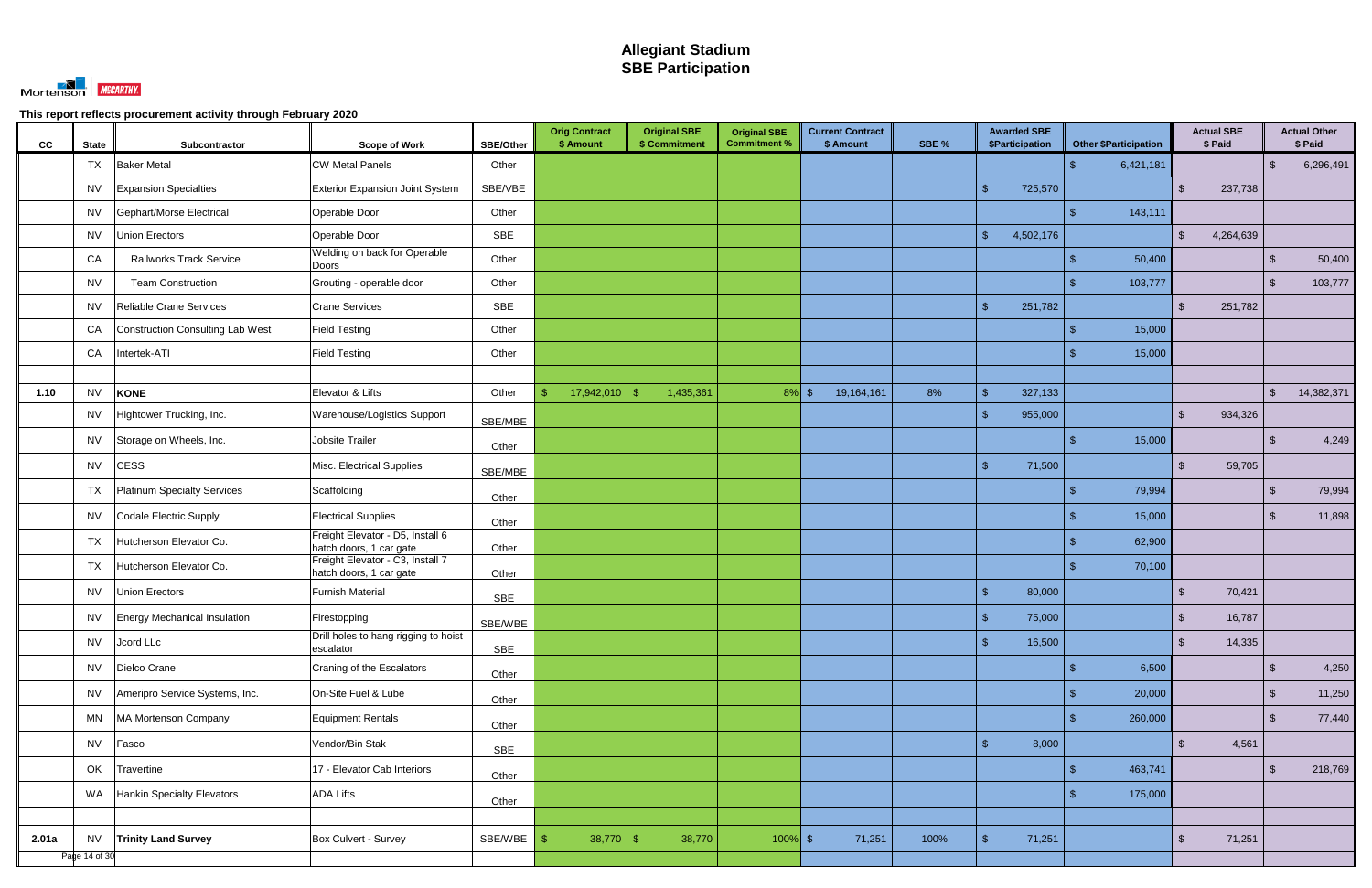

| cc    | <b>State</b>  | Subcontractor                    | <b>Scope of Work</b>                                        | SBE/Other  | <b>Orig Contract</b><br>\$ Amount | <b>Original SBE</b><br>\$ Commitment | <b>Original SBE</b><br><b>Commitment %</b> | <b>Current Contract</b><br>\$ Amount | SBE % | <b>Awarded SBE</b><br>\$Participation | <b>Other \$Participation</b> | <b>Actual SBE</b><br>\$ Paid |                         | <b>Actual Other</b><br>\$ Paid |
|-------|---------------|----------------------------------|-------------------------------------------------------------|------------|-----------------------------------|--------------------------------------|--------------------------------------------|--------------------------------------|-------|---------------------------------------|------------------------------|------------------------------|-------------------------|--------------------------------|
|       | TX            | <b>Baker Metal</b>               | <b>CW Metal Panels</b>                                      | Other      |                                   |                                      |                                            |                                      |       |                                       | 6,421,181                    |                              | -\$                     | 6,296,491                      |
|       | <b>NV</b>     | <b>Expansion Specialties</b>     | <b>Exterior Expansion Joint System</b>                      | SBE/VBE    |                                   |                                      |                                            |                                      |       | $\mathfrak{L}$<br>725,570             |                              | 237,738<br>$\mathbb{S}$      |                         |                                |
|       | <b>NV</b>     | Gephart/Morse Electrical         | Operable Door                                               | Other      |                                   |                                      |                                            |                                      |       |                                       | 143,111                      |                              |                         |                                |
|       | <b>NV</b>     | Union Erectors                   | Operable Door                                               | SBE        |                                   |                                      |                                            |                                      |       | $\mathbb{S}$<br>4,502,176             |                              | $\mathbb{S}$<br>4,264,639    |                         |                                |
|       | CA            | <b>Railworks Track Service</b>   | Welding on back for Operable<br>Doors                       | Other      |                                   |                                      |                                            |                                      |       |                                       | 50,400                       |                              | - \$                    | 50,400                         |
|       | <b>NV</b>     | <b>Team Construction</b>         | Grouting - operable door                                    | Other      |                                   |                                      |                                            |                                      |       |                                       | 103,777                      |                              | \$                      | 103,777                        |
|       | <b>NV</b>     | Reliable Crane Services          | <b>Crane Services</b>                                       | SBE        |                                   |                                      |                                            |                                      |       | $\mathbf{\hat{S}}$<br>251,782         |                              | $\mathbb{S}$<br>251,782      |                         |                                |
|       | CA            | Construction Consulting Lab West | <b>Field Testing</b>                                        | Other      |                                   |                                      |                                            |                                      |       |                                       | 15,000                       |                              |                         |                                |
|       | CA            | Intertek-ATI                     | <b>Field Testing</b>                                        | Other      |                                   |                                      |                                            |                                      |       |                                       | 15,000                       |                              |                         |                                |
|       |               |                                  |                                                             |            |                                   |                                      |                                            |                                      |       |                                       |                              |                              |                         |                                |
| 1.10  | <b>NV</b>     | <b>KONE</b>                      | Elevator & Lifts                                            | Other      | 17,942,010<br>\$                  | 1,435,361                            | $8\%$ \$                                   | 19,164,161                           | 8%    | 327,133<br>-\$                        |                              |                              | $\mathcal{S}$           | 14,382,371                     |
|       | <b>NV</b>     | Hightower Trucking, Inc.         | Warehouse/Logistics Support                                 | SBE/MBE    |                                   |                                      |                                            |                                      |       | $\mathbf{\hat{s}}$<br>955,000         |                              | 934,326<br>$\mathbb{S}$      |                         |                                |
|       | <b>NV</b>     | Storage on Wheels, Inc.          | Jobsite Trailer                                             | Other      |                                   |                                      |                                            |                                      |       |                                       | 15,000                       |                              | $\mathfrak{L}$          | 4,249                          |
|       | <b>NV</b>     | <b>CESS</b>                      | Misc. Electrical Supplies                                   | SBE/MBE    |                                   |                                      |                                            |                                      |       | 71,500<br>$\mathcal{L}$               |                              | 59,705<br>$\mathbb{S}$       |                         |                                |
|       | TX            | Platinum Specialty Services      | Scaffolding                                                 | Other      |                                   |                                      |                                            |                                      |       |                                       | 79,994                       |                              | \$                      | 79,994                         |
|       | <b>NV</b>     | Codale Electric Supply           | <b>Electrical Supplies</b>                                  | Other      |                                   |                                      |                                            |                                      |       |                                       | 15,000                       |                              | $\mathcal{S}$           | 11,898                         |
|       | TX            | Hutcherson Elevator Co.          | Freight Elevator - D5, Install 6<br>hatch doors, 1 car gate | Other      |                                   |                                      |                                            |                                      |       |                                       | 62,900                       |                              |                         |                                |
|       | TX            | Hutcherson Elevator Co.          | Freight Elevator - C3, Install 7                            |            |                                   |                                      |                                            |                                      |       |                                       | 70,100                       |                              |                         |                                |
|       | <b>NV</b>     | Union Erectors                   | hatch doors, 1 car gate<br><b>Furnish Material</b>          | Other      |                                   |                                      |                                            |                                      |       | $\mathbf{\$}$<br>80,000               |                              | $\mathbb{S}$<br>70,421       |                         |                                |
|       | NV            | Energy Mechanical Insulation     | Firestopping                                                | <b>SBE</b> |                                   |                                      |                                            |                                      |       | $\mathbf{\hat{s}}$<br>75,000          |                              | 16,787<br>\$                 |                         |                                |
|       | <b>NV</b>     |                                  | Drill holes to hang rigging to hoist                        | SBE/WBE    |                                   |                                      |                                            |                                      |       | $\sqrt{2}$                            |                              | $\mathfrak{S}$               |                         |                                |
|       |               | Jcord LLc                        | escalator                                                   | SBE        |                                   |                                      |                                            |                                      |       | 16,500                                |                              | 14,335                       |                         |                                |
|       | <b>NV</b>     | Dielco Crane                     | Craning of the Escalators                                   | Other      |                                   |                                      |                                            |                                      |       |                                       | 6,500                        |                              | $\sqrt[6]{3}$           | 4,250                          |
|       | <b>NV</b>     | Ameripro Service Systems, Inc.   | On-Site Fuel & Lube                                         | Other      |                                   |                                      |                                            |                                      |       |                                       | 20,000                       |                              | $\sqrt[6]{\frac{1}{2}}$ | 11,250                         |
|       | <b>MN</b>     | MA Mortenson Company             | Equipment Rentals                                           | Other      |                                   |                                      |                                            |                                      |       |                                       | 260,000                      |                              | $\sqrt[3]{2}$           | 77,440                         |
|       | <b>NV</b>     | Fasco                            | Vendor/Bin Stak                                             | <b>SBE</b> |                                   |                                      |                                            |                                      |       | $\mathfrak{S}$<br>8,000               |                              | 4,561<br>$\mathfrak{S}$      |                         |                                |
|       | OK            | Travertine                       | 17 - Elevator Cab Interiors                                 | Other      |                                   |                                      |                                            |                                      |       |                                       | 463,741                      |                              | $\mathfrak{L}$          | 218,769                        |
|       | WA            | Hankin Specialty Elevators       | <b>ADA Lifts</b>                                            | Other      |                                   |                                      |                                            |                                      |       |                                       | 175,000                      |                              |                         |                                |
|       |               |                                  |                                                             |            |                                   |                                      |                                            |                                      |       |                                       |                              |                              |                         |                                |
| 2.01a | <b>NV</b>     | <b>Trinity Land Survey</b>       | Box Culvert - Survey                                        | SBE/WBE    | $38,770$ \$                       | 38,770                               | $100\%$ \$                                 | 71,251                               | 100%  | 71,251<br>-\$                         |                              | 71,251<br>$\mathfrak{S}$     |                         |                                |
|       | Page 14 of 30 |                                  |                                                             |            |                                   |                                      |                                            |                                      |       |                                       |                              |                              |                         |                                |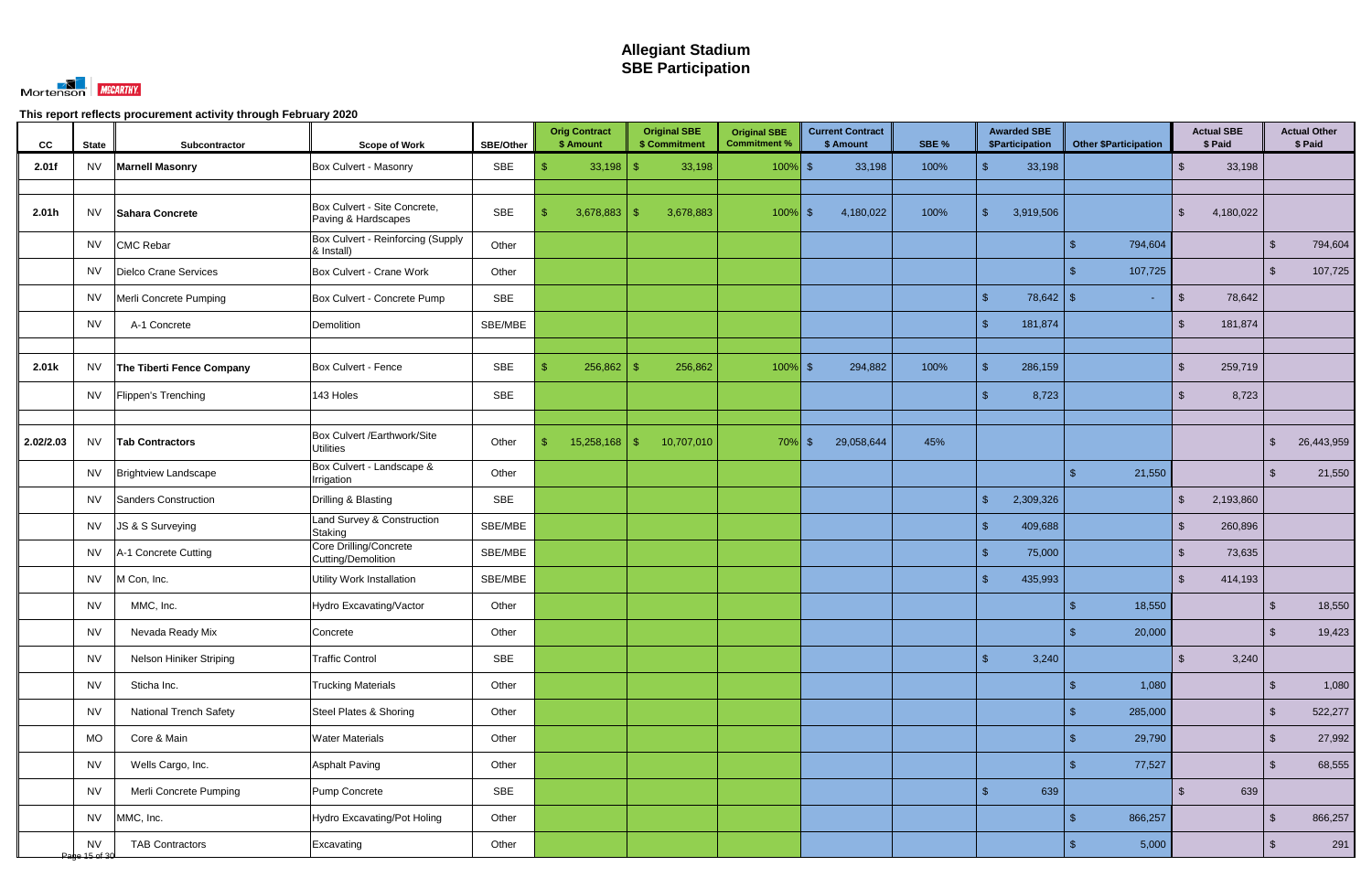

| CC        | <b>State</b>               | Subcontractor                 | <b>Scope of Work</b>                                | SBE/Other  | <b>Orig Contract</b><br>\$ Amount | <b>Original SBE</b><br>\$ Commitment | <b>Original SBE</b><br><b>Commitment %</b> | <b>Current Contract</b><br>\$ Amount | SBE % | <b>Awarded SBE</b><br>\$Participation | <b>Other \$Participation</b> | <b>Actual SBE</b><br>\$ Paid |                         | <b>Actual Other</b><br>\$ Paid |
|-----------|----------------------------|-------------------------------|-----------------------------------------------------|------------|-----------------------------------|--------------------------------------|--------------------------------------------|--------------------------------------|-------|---------------------------------------|------------------------------|------------------------------|-------------------------|--------------------------------|
| 2.01f     | <b>NV</b>                  | <b>Marnell Masonry</b>        | Box Culvert - Masonry                               | SBE        | $33,198$ \$                       | 33,198                               | $100\%$ \$                                 | 33,198                               | 100%  | $\mathbf{\hat{s}}$<br>33,198          |                              | 33,198<br>$\mathbb{S}$       |                         |                                |
| 2.01h     | <b>NV</b>                  | Sahara Concrete               | Box Culvert - Site Concrete,<br>Paving & Hardscapes | SBE        | 3,678,883                         | 3,678,883<br>- \$                    | $100\%$ \$                                 | 4,180,022                            | 100%  | 3,919,506<br>$\mathcal{S}$            |                              | 4,180,022<br>\$              |                         |                                |
|           | <b>NV</b>                  | <b>CMC Rebar</b>              | Box Culvert - Reinforcing (Supply<br>& Install)     | Other      |                                   |                                      |                                            |                                      |       |                                       | 794,604                      |                              | -\$                     | 794,604                        |
|           | <b>NV</b>                  | Dielco Crane Services         | Box Culvert - Crane Work                            | Other      |                                   |                                      |                                            |                                      |       |                                       | 107,725                      |                              | $\mathbf{\$}$           | 107,725                        |
|           | <b>NV</b>                  | Merli Concrete Pumping        | Box Culvert - Concrete Pump                         | SBE        |                                   |                                      |                                            |                                      |       | $\mathbb{S}$                          | $\blacksquare$               | $\mathfrak{F}$<br>78,642     |                         |                                |
|           | <b>NV</b>                  | A-1 Concrete                  | Demolition                                          | SBE/MBE    |                                   |                                      |                                            |                                      |       | $\mathbf{\$}$<br>181,874              |                              | 181,874<br>\$                |                         |                                |
|           |                            |                               |                                                     |            |                                   |                                      |                                            |                                      |       |                                       |                              |                              |                         |                                |
| 2.01k     | <b>NV</b>                  | The Tiberti Fence Company     | Box Culvert - Fence                                 | SBE        | 256,862                           | 256,862                              | $100\%$ \$                                 | 294,882                              | 100%  | $\mathbf{\$}$<br>286,159              |                              | 259,719<br>\$                |                         |                                |
|           | NV                         | Flippen's Trenching           | 143 Holes                                           | SBE        |                                   |                                      |                                            |                                      |       | 8,723<br>$\mathbf{\$}$                |                              | 8,723<br>$\mathbb{S}$        |                         |                                |
| 2.02/2.03 | <b>NV</b>                  | <b>Tab Contractors</b>        | Box Culvert /Earthwork/Site<br><b>Utilities</b>     | Other      | 15,258,168<br>$^{\circ}$          | 10,707,010<br>-\$                    | $70\%$ \$                                  | 29,058,644                           | 45%   |                                       |                              |                              | $\mathfrak{L}$          | 26,443,959                     |
|           | <b>NV</b>                  | <b>Brightview Landscape</b>   | Box Culvert - Landscape &<br>Irrigation             | Other      |                                   |                                      |                                            |                                      |       |                                       | 21,550                       |                              | -\$                     | 21,550                         |
|           | <b>NV</b>                  | Sanders Construction          | Drilling & Blasting                                 | SBE        |                                   |                                      |                                            |                                      |       | $\mathbb{S}$<br>2,309,326             |                              | 2,193,860<br>\$              |                         |                                |
|           | <b>NV</b>                  | JS & S Surveying              | Land Survey & Construction<br>Staking               | SBE/MBE    |                                   |                                      |                                            |                                      |       | 409,688<br>$\mathbf{\$}$              |                              | 260,896<br>\$                |                         |                                |
|           | <b>NV</b>                  | A-1 Concrete Cutting          | Core Drilling/Concrete<br>Cutting/Demolition        | SBE/MBE    |                                   |                                      |                                            |                                      |       | $\mathcal{S}$<br>75,000               |                              | 73,635<br>\$                 |                         |                                |
|           | <b>NV</b>                  | M Con, Inc.                   | <b>Utility Work Installation</b>                    | SBE/MBE    |                                   |                                      |                                            |                                      |       | $\mathbf{\$}$<br>435,993              |                              | $\mathbb{S}$<br>414,193      |                         |                                |
|           | <b>NV</b>                  | MMC, Inc.                     | Hydro Excavating/Vactor                             | Other      |                                   |                                      |                                            |                                      |       |                                       | 18,550                       |                              | $\mathfrak{L}$          | 18,550                         |
|           | <b>NV</b>                  | Nevada Ready Mix              | Concrete                                            | Other      |                                   |                                      |                                            |                                      |       |                                       | $\mathsf{\$}$<br>20,000      |                              | $\sqrt[6]{3}$           | 19,423                         |
|           | <b>NV</b>                  | Nelson Hiniker Striping       | <b>Traffic Control</b>                              | <b>SBE</b> |                                   |                                      |                                            |                                      |       | $\mathfrak{S}$<br>3,240               |                              | 3,240<br>$\mathbb{S}$        |                         |                                |
|           | <b>NV</b>                  | Sticha Inc.                   | <b>Trucking Materials</b>                           | Other      |                                   |                                      |                                            |                                      |       |                                       | 1,080                        |                              | $\sqrt[6]{\frac{1}{2}}$ | 1,080                          |
|           | <b>NV</b>                  | <b>National Trench Safety</b> | Steel Plates & Shoring                              | Other      |                                   |                                      |                                            |                                      |       |                                       | 285,000<br>\$                |                              | $\sqrt[6]{\frac{1}{2}}$ | 522,277                        |
|           | MO                         | Core & Main                   | <b>Water Materials</b>                              | Other      |                                   |                                      |                                            |                                      |       |                                       | 29,790<br>\$.                |                              | $\sqrt[6]{\frac{1}{2}}$ | 27,992                         |
|           | <b>NV</b>                  | Wells Cargo, Inc.             | <b>Asphalt Paving</b>                               | Other      |                                   |                                      |                                            |                                      |       |                                       | 77,527<br>\$                 |                              | $\sqrt[6]{\frac{1}{2}}$ | 68,555                         |
|           | <b>NV</b>                  | Merli Concrete Pumping        | Pump Concrete                                       | SBE        |                                   |                                      |                                            |                                      |       | $\sqrt{2}$<br>639                     |                              | 639<br>$\mathbb{S}$          |                         |                                |
|           | <b>NV</b>                  | MMC, Inc.                     | Hydro Excavating/Pot Holing                         | Other      |                                   |                                      |                                            |                                      |       |                                       | 866,257<br>\$                |                              | $\sqrt[6]{3}$           | 866,257                        |
|           | <b>NV</b><br>Page 15 of 30 | <b>TAB Contractors</b>        | Excavating                                          | Other      |                                   |                                      |                                            |                                      |       |                                       | 5,000                        |                              | $\sqrt{3}$              | 291                            |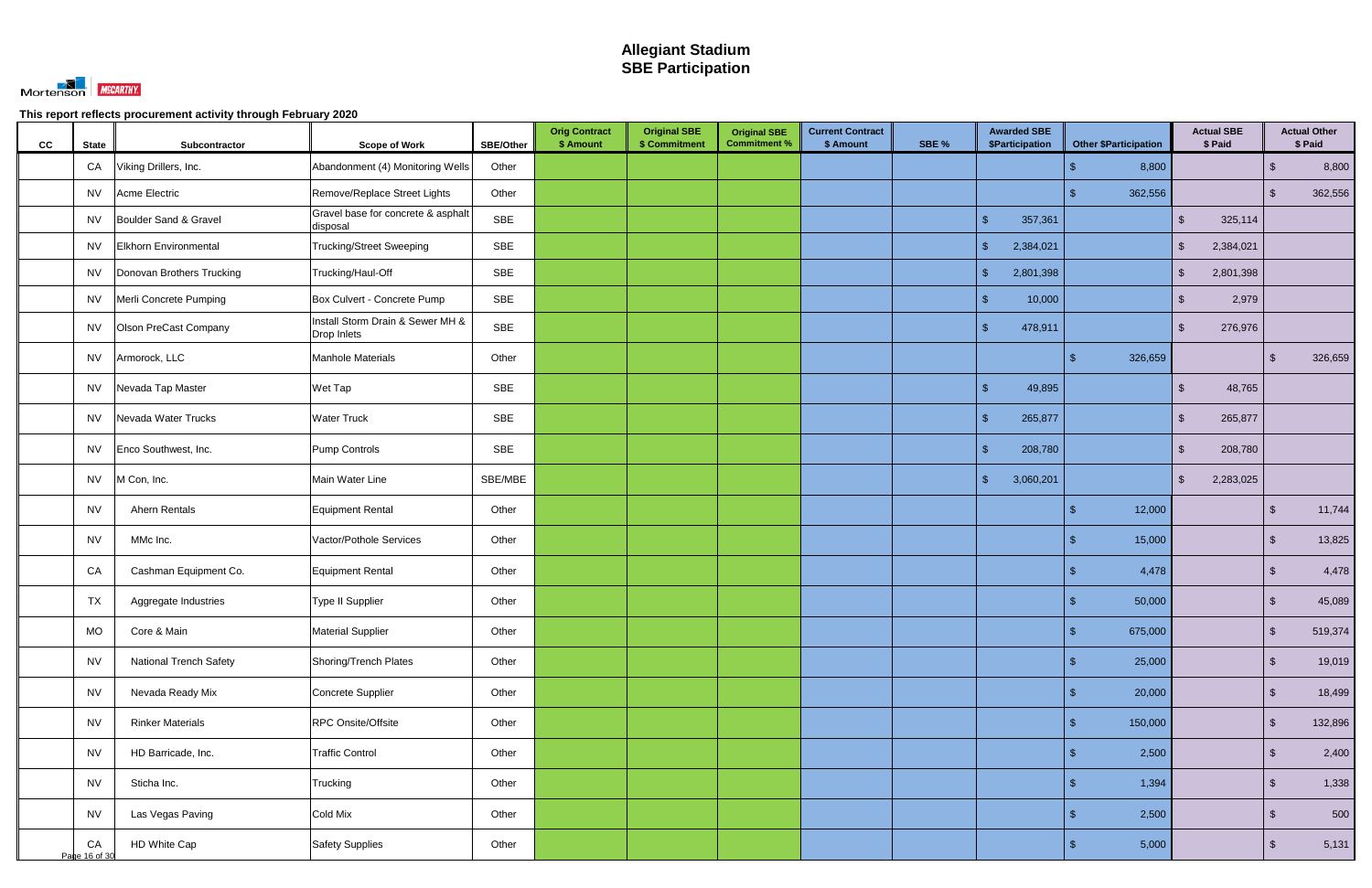

| cc | <b>State</b>        | Subcontractor                 | <b>Scope of Work</b>                            | SBE/Other  | <b>Orig Contract</b><br>\$ Amount | <b>Original SBE</b><br>\$ Commitment | <b>Original SBE</b><br><b>Commitment %</b> | <b>Current Contract</b><br>\$ Amount | SBE % | <b>Awarded SBE</b><br>\$Participation | <b>Other \$Participation</b>       |                | <b>Actual SBE</b><br>\$ Paid |                         | <b>Actual Other</b><br>\$ Paid |
|----|---------------------|-------------------------------|-------------------------------------------------|------------|-----------------------------------|--------------------------------------|--------------------------------------------|--------------------------------------|-------|---------------------------------------|------------------------------------|----------------|------------------------------|-------------------------|--------------------------------|
|    | CA                  | Viking Drillers, Inc.         | Abandonment (4) Monitoring Wells                | Other      |                                   |                                      |                                            |                                      |       |                                       | 8,800<br>\$.                       |                |                              | $\sqrt[6]{3}$           | 8,800                          |
|    | NV                  | Acme Electric                 | Remove/Replace Street Lights                    | Other      |                                   |                                      |                                            |                                      |       |                                       | 362,556<br>\$                      |                |                              | $\mathcal{S}$           | 362,556                        |
|    | NV                  | Boulder Sand & Gravel         | Gravel base for concrete & asphalt<br>disposal  | SBE        |                                   |                                      |                                            |                                      |       | $\mathbf{\hat{s}}$<br>357,361         |                                    | $\mathbb{S}$   | 325,114                      |                         |                                |
|    | <b>NV</b>           | Elkhorn Environmental         | <b>Trucking/Street Sweeping</b>                 | SBE        |                                   |                                      |                                            |                                      |       | $\mathbb{S}$<br>2,384,021             |                                    | $\mathcal{S}$  | 2,384,021                    |                         |                                |
|    | NV                  | Donovan Brothers Trucking     | Trucking/Haul-Off                               | SBE        |                                   |                                      |                                            |                                      |       | $\mathcal{S}$<br>2,801,398            |                                    | $\mathcal{S}$  | 2,801,398                    |                         |                                |
|    | NV                  | Merli Concrete Pumping        | Box Culvert - Concrete Pump                     | SBE        |                                   |                                      |                                            |                                      |       | 10,000<br>\$.                         |                                    | <sup>\$</sup>  | 2,979                        |                         |                                |
|    | NV                  | <b>Olson PreCast Company</b>  | Install Storm Drain & Sewer MH &<br>Drop Inlets | <b>SBE</b> |                                   |                                      |                                            |                                      |       | 478,911<br>$\sqrt{2}$                 |                                    | $\mathfrak{S}$ | 276,976                      |                         |                                |
|    | <b>NV</b>           | Armorock, LLC                 | <b>Manhole Materials</b>                        | Other      |                                   |                                      |                                            |                                      |       |                                       | 326,659                            |                |                              | \$                      | 326,659                        |
|    | NV                  | Nevada Tap Master             | Wet Tap                                         | SBE        |                                   |                                      |                                            |                                      |       | $\sqrt{2}$<br>49,895                  |                                    | \$             | 48,765                       |                         |                                |
|    | <b>NV</b>           | Nevada Water Trucks           | <b>Water Truck</b>                              | SBE        |                                   |                                      |                                            |                                      |       | $\mathbf{\hat{s}}$<br>265,877         |                                    | \$             | 265,877                      |                         |                                |
|    | <b>NV</b>           | Enco Southwest, Inc.          | Pump Controls                                   | <b>SBE</b> |                                   |                                      |                                            |                                      |       | 208,780<br>-\$                        |                                    | \$             | 208,780                      |                         |                                |
|    | <b>NV</b>           | M Con, Inc.                   | Main Water Line                                 | SBE/MBE    |                                   |                                      |                                            |                                      |       | $\mathcal{S}$<br>3,060,201            |                                    | $\mathbb{S}$   | 2,283,025                    |                         |                                |
|    | <b>NV</b>           | Ahern Rentals                 | Equipment Rental                                | Other      |                                   |                                      |                                            |                                      |       |                                       | 12,000                             |                |                              | \$                      | 11,744                         |
|    | <b>NV</b>           | MMc Inc.                      | Vactor/Pothole Services                         | Other      |                                   |                                      |                                            |                                      |       |                                       | 15,000                             |                |                              | $\sqrt[6]{3}$           | 13,825                         |
|    | CA                  | Cashman Equipment Co.         | Equipment Rental                                | Other      |                                   |                                      |                                            |                                      |       |                                       | 4,478                              |                |                              | $\sqrt[6]{3}$           | 4,478                          |
|    | <b>TX</b>           | Aggregate Industries          | Type II Supplier                                | Other      |                                   |                                      |                                            |                                      |       |                                       | 50,000                             |                |                              | -\$                     | 45,089                         |
|    | <b>MO</b>           | Core & Main                   | Material Supplier                               | Other      |                                   |                                      |                                            |                                      |       |                                       | 675,000<br>$\sqrt[6]{\frac{1}{2}}$ |                |                              | $\sqrt[6]{3}$           | 519,374                        |
|    | <b>NV</b>           | <b>National Trench Safety</b> | Shoring/Trench Plates                           | Other      |                                   |                                      |                                            |                                      |       |                                       | 25,000<br>\$.                      |                |                              | $\sqrt[3]{2}$           | 19,019                         |
|    | <b>NV</b>           | Nevada Ready Mix              | Concrete Supplier                               | Other      |                                   |                                      |                                            |                                      |       |                                       | 20,000<br>\$                       |                |                              | $\sqrt[6]{3}$           | 18,499                         |
|    | <b>NV</b>           | <b>Rinker Materials</b>       | <b>RPC Onsite/Offsite</b>                       | Other      |                                   |                                      |                                            |                                      |       |                                       | 150,000<br>\$                      |                |                              | $\sqrt[6]{\frac{1}{2}}$ | 132,896                        |
|    | <b>NV</b>           | HD Barricade, Inc.            | <b>Traffic Control</b>                          | Other      |                                   |                                      |                                            |                                      |       |                                       | 2,500<br>\$.                       |                |                              | $\sqrt[6]{3}$           | 2,400                          |
|    | <b>NV</b>           | Sticha Inc.                   | Trucking                                        | Other      |                                   |                                      |                                            |                                      |       |                                       | 1,394                              |                |                              | $\sqrt[6]{3}$           | 1,338                          |
|    | <b>NV</b>           | Las Vegas Paving              | Cold Mix                                        | Other      |                                   |                                      |                                            |                                      |       |                                       | 2,500                              |                |                              | $\sqrt[6]{\frac{1}{2}}$ | 500                            |
|    | CA<br>Page 16 of 30 | HD White Cap                  | <b>Safety Supplies</b>                          | Other      |                                   |                                      |                                            |                                      |       |                                       | 5,000                              |                |                              | \$                      | 5,131                          |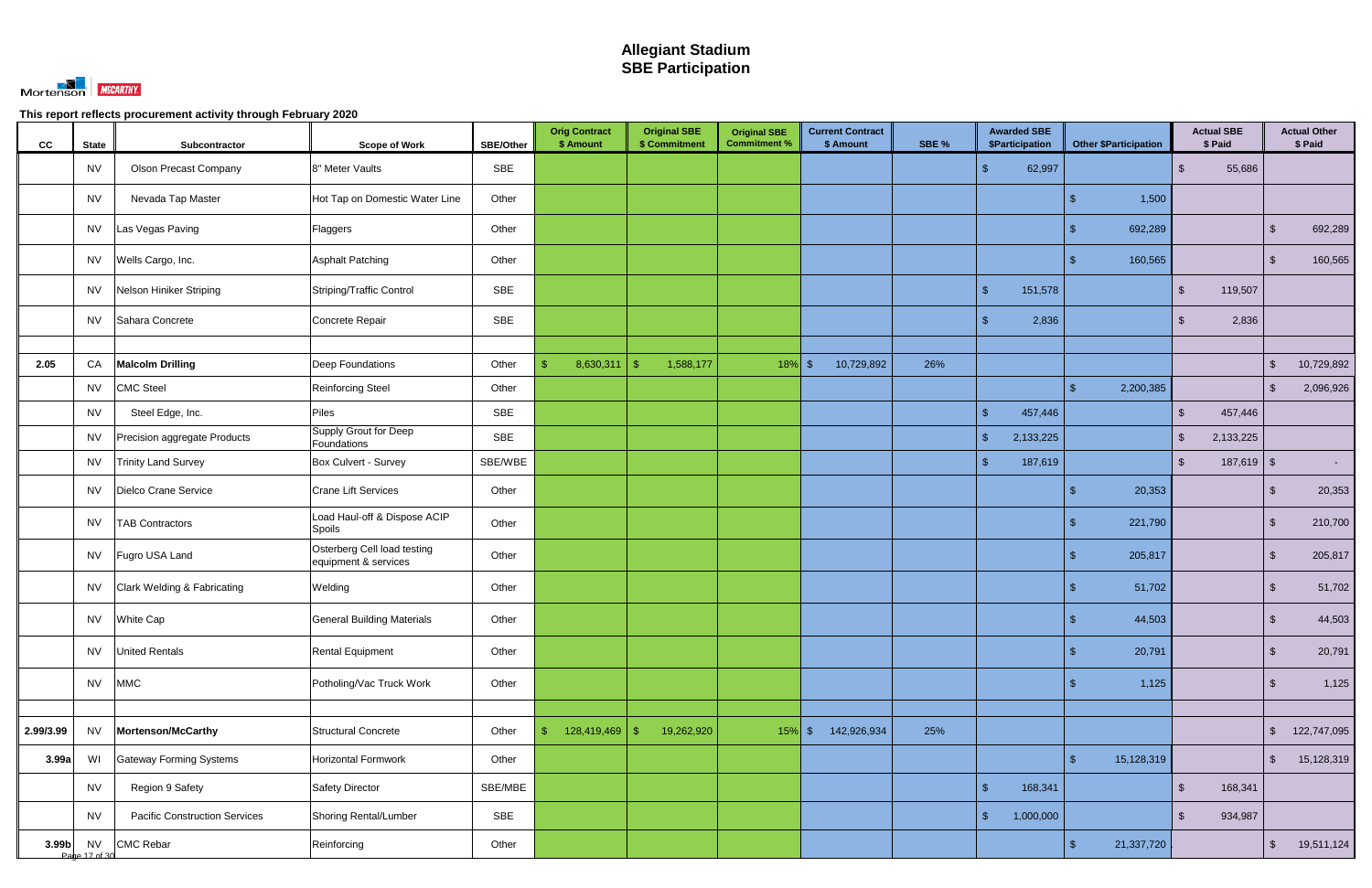

| cc        | <b>State</b>               | Subcontractor                        | <b>Scope of Work</b>                                | <b>SBE/Other</b> | <b>Orig Contract</b><br>\$ Amount | <b>Original SBE</b><br>\$ Commitment | <b>Original SBE</b><br><b>Commitment %</b> | <b>Current Contract</b><br>\$ Amount | SBE % | <b>Awarded SBE</b><br>\$Participation | <b>Other \$Participation</b> | <b>Actual SBE</b><br>\$ Paid |              |                         | <b>Actual Other</b><br>\$ Paid |
|-----------|----------------------------|--------------------------------------|-----------------------------------------------------|------------------|-----------------------------------|--------------------------------------|--------------------------------------------|--------------------------------------|-------|---------------------------------------|------------------------------|------------------------------|--------------|-------------------------|--------------------------------|
|           | <b>NV</b>                  | <b>Olson Precast Company</b>         | 8" Meter Vaults                                     | <b>SBE</b>       |                                   |                                      |                                            |                                      |       | 62,997<br>£.                          |                              | $\mathfrak{S}$               | 55,686       |                         |                                |
|           | <b>NV</b>                  | Nevada Tap Master                    | Hot Tap on Domestic Water Line                      | Other            |                                   |                                      |                                            |                                      |       |                                       | 1,500                        |                              |              |                         |                                |
|           | <b>NV</b>                  | Las Vegas Paving                     | Flaggers                                            | Other            |                                   |                                      |                                            |                                      |       |                                       | 692,289                      |                              |              | $\mathcal{L}$           | 692,289                        |
|           | <b>NV</b>                  | Wells Cargo, Inc.                    | <b>Asphalt Patching</b>                             | Other            |                                   |                                      |                                            |                                      |       |                                       | 160,565                      |                              |              | $\sqrt[6]{3}$           | 160,565                        |
|           | <b>NV</b>                  | Nelson Hiniker Striping              | Striping/Traffic Control                            | SBE              |                                   |                                      |                                            |                                      |       | $\mathcal{S}$<br>151,578              |                              | \$                           | 119,507      |                         |                                |
|           | <b>NV</b>                  | Sahara Concrete                      | Concrete Repair                                     | <b>SBE</b>       |                                   |                                      |                                            |                                      |       | 2,836<br>-\$                          |                              | -SS                          | 2,836        |                         |                                |
|           |                            |                                      |                                                     |                  |                                   |                                      |                                            |                                      |       |                                       |                              |                              |              |                         |                                |
| 2.05      | CA                         | <b>Malcolm Drilling</b>              | Deep Foundations                                    | Other            | 8,630,311<br>\$                   | 1,588,177<br>$\sqrt{3}$              | $18\%$ \$                                  | 10,729,892                           | 26%   |                                       |                              |                              |              | $\mathcal{L}$           | 10,729,892                     |
|           | <b>NV</b>                  | <b>CMC Steel</b>                     | Reinforcing Steel                                   | Other            |                                   |                                      |                                            |                                      |       |                                       | 2,200,385<br>\$.             |                              |              | $\sqrt[6]{3}$           | 2,096,926                      |
|           | <b>NV</b>                  | Steel Edge, Inc.                     | Piles                                               | <b>SBE</b>       |                                   |                                      |                                            |                                      |       | $\mathcal{L}$<br>457,446              |                              | $\mathcal{S}$                | 457,446      |                         |                                |
|           | <b>NV</b>                  | Precision aggregate Products         | Supply Grout for Deep<br>Foundations                | <b>SBE</b>       |                                   |                                      |                                            |                                      |       | $\mathbf{\$}$<br>2,133,225            |                              | $\sqrt[6]{\frac{1}{2}}$      | 2,133,225    |                         |                                |
|           | <b>NV</b>                  | <b>Trinity Land Survey</b>           | Box Culvert - Survey                                | SBE/WBE          |                                   |                                      |                                            |                                      |       | $\sqrt{2}$<br>187,619                 |                              | $\sqrt[6]{\frac{1}{2}}$      | $187,619$ \$ |                         | $\sim$                         |
|           | <b>NV</b>                  | Dielco Crane Service                 | <b>Crane Lift Services</b>                          | Other            |                                   |                                      |                                            |                                      |       |                                       | 20,353                       |                              |              | \$                      | 20,353                         |
|           | <b>NV</b>                  | <b>TAB Contractors</b>               | Load Haul-off & Dispose ACIP<br>Spoils              | Other            |                                   |                                      |                                            |                                      |       |                                       | 221,790                      |                              |              | \$                      | 210,700                        |
|           | <b>NV</b>                  | Fugro USA Land                       | Osterberg Cell load testing<br>equipment & services | Other            |                                   |                                      |                                            |                                      |       |                                       | 205,817<br>\$.               |                              |              | $\mathcal{L}$           | 205,817                        |
|           | <b>NV</b>                  | Clark Welding & Fabricating          | Welding                                             | Other            |                                   |                                      |                                            |                                      |       |                                       | 51,702                       |                              |              | \$                      | 51,702                         |
|           | <b>NV</b>                  | <b>White Cap</b>                     | <b>General Building Materials</b>                   | Other            |                                   |                                      |                                            |                                      |       |                                       | 44,503                       |                              |              | ්                       | 44,503                         |
|           | <b>NV</b>                  | <b>United Rentals</b>                | <b>Rental Equipment</b>                             | Other            |                                   |                                      |                                            |                                      |       |                                       | 20,791<br>\$                 |                              |              | $\sqrt[6]{\frac{1}{2}}$ | 20,791                         |
|           | <b>NV</b>                  | <b>MMC</b>                           | Potholing/Vac Truck Work                            | Other            |                                   |                                      |                                            |                                      |       |                                       | 1,125<br>\$.                 |                              |              | $\sqrt[6]{3}$           | 1,125                          |
|           |                            |                                      |                                                     |                  |                                   |                                      |                                            |                                      |       |                                       |                              |                              |              |                         |                                |
| 2.99/3.99 | <b>NV</b>                  | Mortenson/McCarthy                   | <b>Structural Concrete</b>                          | Other            | 128,419,469<br>\$                 | 19,262,920<br>$\sqrt[6]{3}$          | $15\%$ \$                                  | 142,926,934                          | 25%   |                                       |                              |                              |              | $\sqrt[6]{\frac{1}{2}}$ | 122,747,095                    |
| 3.99a     | WI                         | <b>Gateway Forming Systems</b>       | Horizontal Formwork                                 | Other            |                                   |                                      |                                            |                                      |       |                                       | 15,128,319<br>$\mathfrak{L}$ |                              |              | $\sqrt[6]{\frac{1}{2}}$ | 15,128,319                     |
|           | <b>NV</b>                  | Region 9 Safety                      | Safety Director                                     | SBE/MBE          |                                   |                                      |                                            |                                      |       | $\sqrt{2}$<br>168,341                 |                              | $\sqrt[6]{\frac{1}{2}}$      | 168,341      |                         |                                |
|           | <b>NV</b>                  | <b>Pacific Construction Services</b> | Shoring Rental/Lumber                               | SBE              |                                   |                                      |                                            |                                      |       | $\sqrt{2}$<br>1,000,000               |                              | $\mathfrak{S}$               | 934,987      |                         |                                |
| 3.99b     | <b>NV</b><br>Pane 17 of 30 | <b>CMC Rebar</b>                     | Reinforcing                                         | Other            |                                   |                                      |                                            |                                      |       |                                       | $\frac{1}{2}$<br>21,337,720  |                              |              | $\sqrt{5}$              | 19,511,124                     |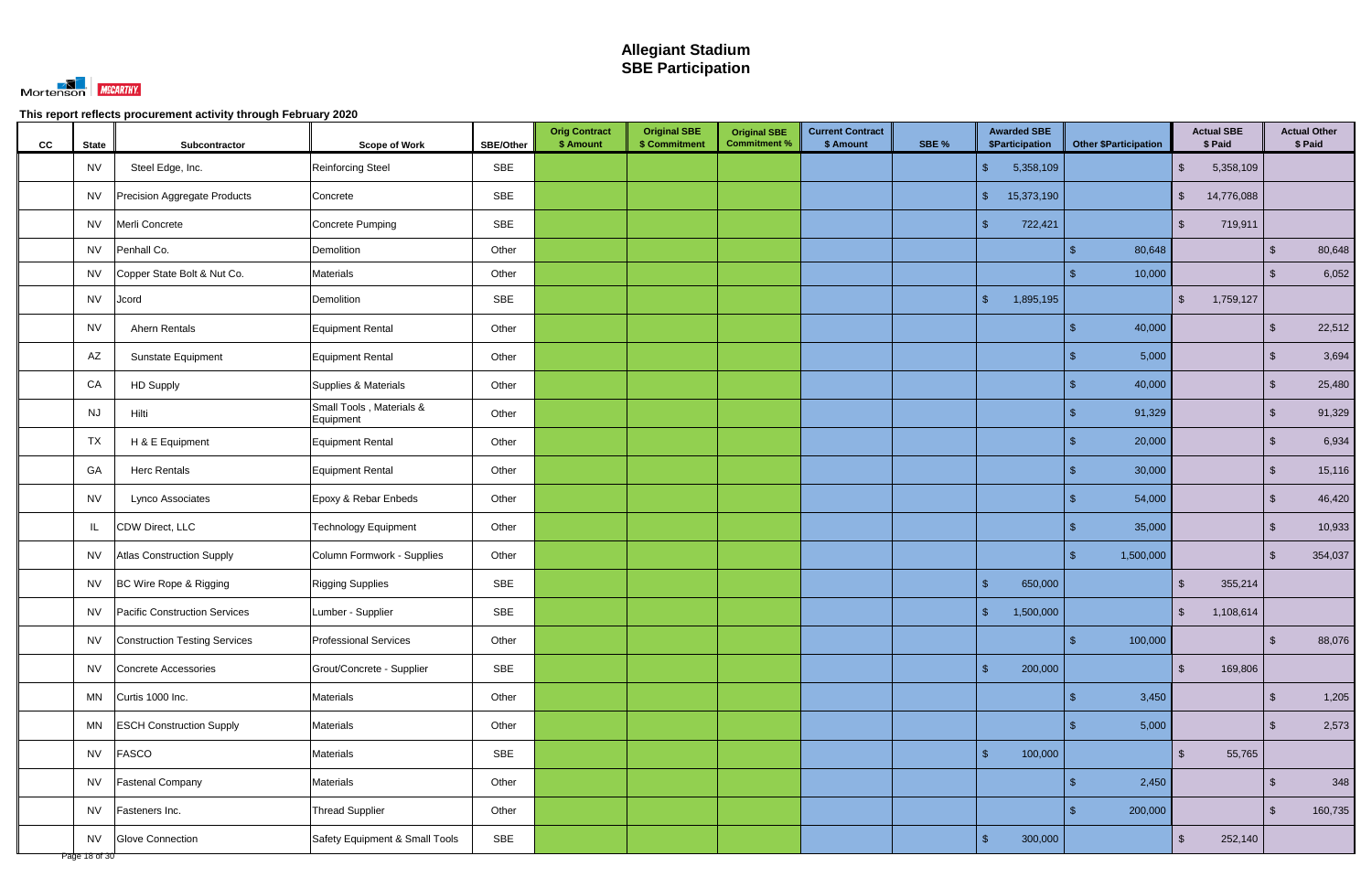

| cc | <b>State</b>  | Subcontractor                        | <b>Scope of Work</b>                  | <b>SBE/Other</b> | <b>Orig Contract</b><br>\$ Amount | <b>Original SBE</b><br>\$ Commitment | <b>Original SBE</b><br><b>Commitment %</b> | <b>Current Contract</b><br>\$ Amount | SBE % | <b>Awarded SBE</b><br>\$Participation | <b>Other \$Participation</b> |           | \$ Paid                 | <b>Actual SBE</b> |                         | <b>Actual Other</b><br>\$ Paid |
|----|---------------|--------------------------------------|---------------------------------------|------------------|-----------------------------------|--------------------------------------|--------------------------------------------|--------------------------------------|-------|---------------------------------------|------------------------------|-----------|-------------------------|-------------------|-------------------------|--------------------------------|
|    | <b>NV</b>     | Steel Edge, Inc.                     | <b>Reinforcing Steel</b>              | <b>SBE</b>       |                                   |                                      |                                            |                                      |       | 5,358,109<br>$\frac{1}{2}$            |                              |           | $\mathfrak{S}$          | 5,358,109         |                         |                                |
|    | <b>NV</b>     | Precision Aggregate Products         | Concrete                              | SBE              |                                   |                                      |                                            |                                      |       | $\sqrt[6]{\frac{1}{2}}$<br>15,373,190 |                              |           | $\frac{1}{2}$           | 14,776,088        |                         |                                |
|    | <b>NV</b>     | Merli Concrete                       | <b>Concrete Pumping</b>               | SBE              |                                   |                                      |                                            |                                      |       | $\mathbb{S}$<br>722,421               |                              |           | $\mathfrak{L}$          | 719,911           |                         |                                |
|    | NV            | Penhall Co.                          | Demolition                            | Other            |                                   |                                      |                                            |                                      |       |                                       |                              | 80,648    |                         |                   | $\sqrt[6]{\frac{1}{2}}$ | 80,648                         |
|    | <b>NV</b>     | Copper State Bolt & Nut Co.          | <b>Materials</b>                      | Other            |                                   |                                      |                                            |                                      |       |                                       |                              | 10,000    |                         |                   | $\sqrt[6]{\frac{1}{2}}$ | 6,052                          |
|    | <b>NV</b>     | Jcord                                | Demolition                            | SBE              |                                   |                                      |                                            |                                      |       | $\sqrt{2}$<br>1,895,195               |                              |           | $\sqrt[6]{\frac{1}{2}}$ | 1,759,127         |                         |                                |
|    | <b>NV</b>     | Ahern Rentals                        | <b>Equipment Rental</b>               | Other            |                                   |                                      |                                            |                                      |       |                                       | \$                           | 40,000    |                         |                   | $\sqrt{2}$              | 22,512                         |
|    | AZ            | Sunstate Equipment                   | <b>Equipment Rental</b>               | Other            |                                   |                                      |                                            |                                      |       |                                       |                              | 5,000     |                         |                   | $\sqrt{2}$              | 3,694                          |
|    | CA            | <b>HD Supply</b>                     | Supplies & Materials                  | Other            |                                   |                                      |                                            |                                      |       |                                       |                              | 40,000    |                         |                   | $\sqrt{2}$              | 25,480                         |
|    | <b>NJ</b>     | Hilti                                | Small Tools, Materials &<br>Equipment | Other            |                                   |                                      |                                            |                                      |       |                                       |                              | 91,329    |                         |                   | $\mathbb{S}$            | 91,329                         |
|    | TX            | H & E Equipment                      | Equipment Rental                      | Other            |                                   |                                      |                                            |                                      |       |                                       |                              | 20,000    |                         |                   | $\sqrt[6]{\frac{1}{2}}$ | 6,934                          |
|    | GA            | <b>Herc Rentals</b>                  | <b>Equipment Rental</b>               | Other            |                                   |                                      |                                            |                                      |       |                                       |                              | 30,000    |                         |                   | $\sqrt{2}$              | 15,116                         |
|    | <b>NV</b>     | Lynco Associates                     | Epoxy & Rebar Enbeds                  | Other            |                                   |                                      |                                            |                                      |       |                                       |                              | 54,000    |                         |                   | $\sqrt{2}$              | 46,420                         |
|    | IL            | CDW Direct, LLC                      | <b>Technology Equipment</b>           | Other            |                                   |                                      |                                            |                                      |       |                                       |                              | 35,000    |                         |                   | $\mathbb{S}$            | 10,933                         |
|    | <b>NV</b>     | <b>Atlas Construction Supply</b>     | Column Formwork - Supplies            | Other            |                                   |                                      |                                            |                                      |       |                                       | \$.                          | 1,500,000 |                         |                   | $\mathbb{S}$            | 354,037                        |
|    | NV            | BC Wire Rope & Rigging               | <b>Rigging Supplies</b>               | SBE              |                                   |                                      |                                            |                                      |       | $\sqrt{2}$<br>650,000                 |                              |           | $\mathcal{S}$           | 355,214           |                         |                                |
|    | <b>NV</b>     | <b>Pacific Construction Services</b> | Lumber - Supplier                     | SBE              |                                   |                                      |                                            |                                      |       | $\sqrt{2}$<br>1,500,000               |                              |           | $\mathfrak{S}$          | 1,108,614         |                         |                                |
|    | NV            | Construction Testing Services        | <b>Professional Services</b>          | Other            |                                   |                                      |                                            |                                      |       |                                       | \$                           | 100,000   |                         |                   | $\sqrt{2}$              | 88,076                         |
|    | <b>NV</b>     | Concrete Accessories                 | Grout/Concrete - Supplier             | SBE              |                                   |                                      |                                            |                                      |       | $\mathbb{S}$<br>200,000               |                              |           | $\sqrt[6]{\frac{1}{2}}$ | 169,806           |                         |                                |
|    | MN            | Curtis 1000 Inc.                     | Materials                             | Other            |                                   |                                      |                                            |                                      |       |                                       | $\sqrt{3}$                   | 3,450     |                         |                   | $\sqrt{2}$              | 1,205                          |
|    | MN            | <b>ESCH Construction Supply</b>      | Materials                             | Other            |                                   |                                      |                                            |                                      |       |                                       |                              | 5,000     |                         |                   | $\sqrt{2}$              | 2,573                          |
|    | <b>NV</b>     | <b>FASCO</b>                         | <b>Materials</b>                      | SBE              |                                   |                                      |                                            |                                      |       | $\mathcal{S}$<br>100,000              |                              |           | $\mathfrak{S}$          | 55,765            |                         |                                |
|    | <b>NV</b>     | <b>Fastenal Company</b>              | <b>Materials</b>                      | Other            |                                   |                                      |                                            |                                      |       |                                       | \$.                          | 2,450     |                         |                   | $\sqrt{2}$              | 348                            |
|    | <b>NV</b>     | Fasteners Inc.                       | <b>Thread Supplier</b>                | Other            |                                   |                                      |                                            |                                      |       |                                       | \$.                          | 200,000   |                         |                   | $\mathbb{S}$            | 160,735                        |
|    | Page 18 of 30 | NV Glove Connection                  | Safety Equipment & Small Tools        | SBE              |                                   |                                      |                                            |                                      |       | $\sqrt{2}$<br>300,000                 |                              |           | $\sqrt[6]{\frac{1}{2}}$ | 252,140           |                         |                                |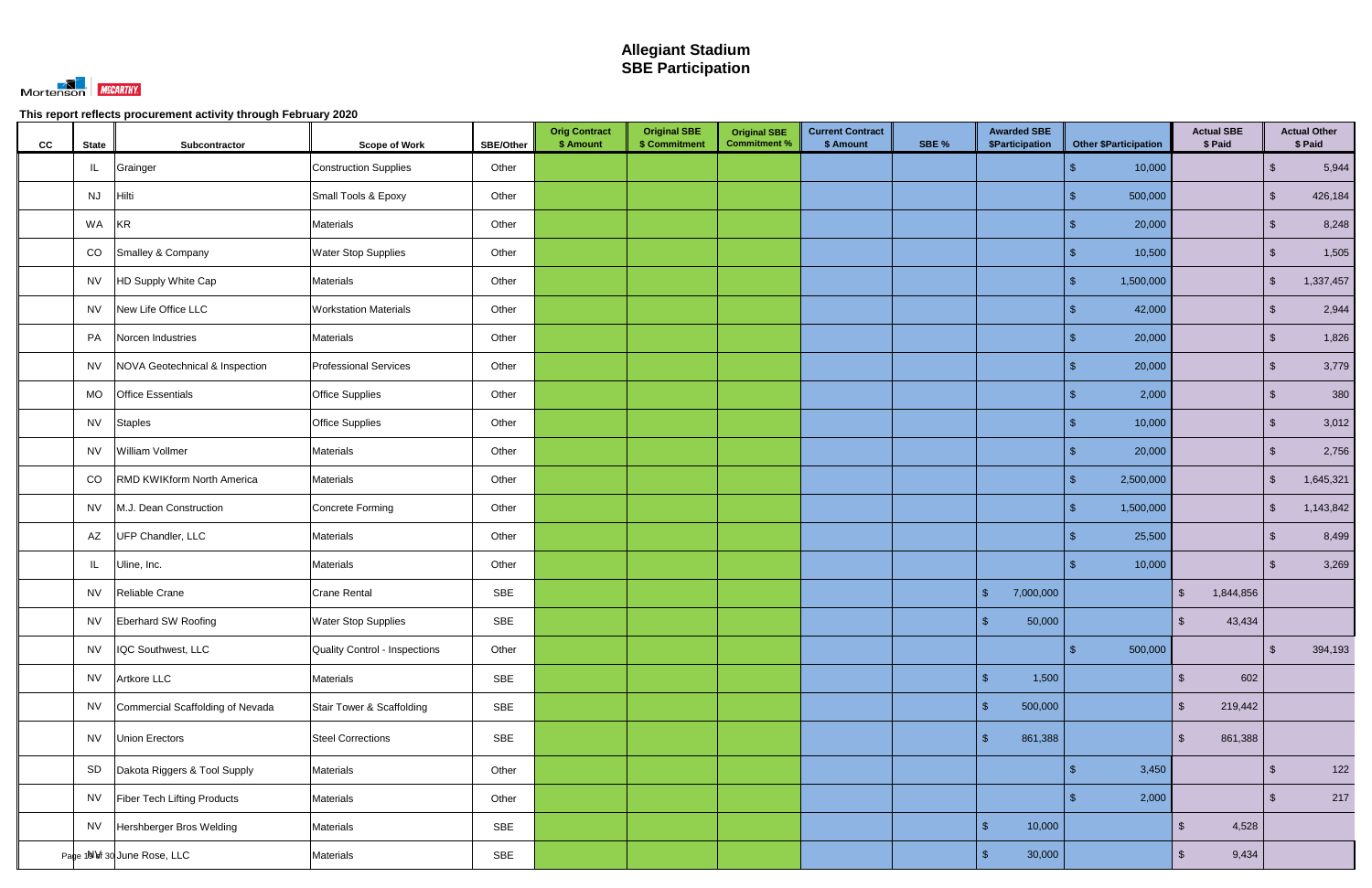

| CC | <b>State</b> | Subcontractor                    | <b>Scope of Work</b>          | SBE/Other  | <b>Orig Contract</b><br>\$ Amount | <b>Original SBE</b><br>\$ Commitment | <b>Original SBE</b><br><b>Commitment %</b> | <b>Current Contract</b><br>\$ Amount | SBE % | <b>Awarded SBE</b><br>\$Participation |           | <b>Other \$Participation</b> |                         | <b>Actual SBE</b><br>\$ Paid |                         | <b>Actual Other</b><br>\$ Paid |
|----|--------------|----------------------------------|-------------------------------|------------|-----------------------------------|--------------------------------------|--------------------------------------------|--------------------------------------|-------|---------------------------------------|-----------|------------------------------|-------------------------|------------------------------|-------------------------|--------------------------------|
|    | IL.          | Grainger                         | <b>Construction Supplies</b>  | Other      |                                   |                                      |                                            |                                      |       |                                       |           | 10,000                       |                         |                              | $\sqrt[6]{\frac{1}{2}}$ | 5,944                          |
|    | <b>NJ</b>    | Hilti                            | Small Tools & Epoxy           | Other      |                                   |                                      |                                            |                                      |       |                                       |           | 500,000                      |                         |                              | $\mathfrak{S}$          | 426,184                        |
|    | WA           | <b>KR</b>                        | Materials                     | Other      |                                   |                                      |                                            |                                      |       |                                       |           | 20,000                       |                         |                              | $\mathbb{S}$            | 8,248                          |
|    | CO           | Smalley & Company                | <b>Water Stop Supplies</b>    | Other      |                                   |                                      |                                            |                                      |       |                                       |           | 10,500                       |                         |                              | $\sqrt{2}$              | 1,505                          |
|    | <b>NV</b>    | HD Supply White Cap              | Materials                     | Other      |                                   |                                      |                                            |                                      |       |                                       |           | 1,500,000<br>S               |                         |                              | $\sqrt{2}$              | 1,337,457                      |
|    | <b>NV</b>    | New Life Office LLC              | <b>Workstation Materials</b>  | Other      |                                   |                                      |                                            |                                      |       |                                       |           | 42,000                       |                         |                              | $\sqrt{2}$              | 2,944                          |
|    | PA           | Norcen Industries                | Materials                     | Other      |                                   |                                      |                                            |                                      |       |                                       |           | 20,000                       |                         |                              | $\sqrt{2}$              | 1,826                          |
|    | <b>NV</b>    | NOVA Geotechnical & Inspection   | <b>Professional Services</b>  | Other      |                                   |                                      |                                            |                                      |       |                                       |           | 20,000                       |                         |                              | $\sqrt{2}$              | 3,779                          |
|    | <b>MO</b>    | <b>Office Essentials</b>         | <b>Office Supplies</b>        | Other      |                                   |                                      |                                            |                                      |       |                                       |           | 2,000                        |                         |                              | $\sqrt{2}$              | 380                            |
|    | <b>NV</b>    | <b>Staples</b>                   | <b>Office Supplies</b>        | Other      |                                   |                                      |                                            |                                      |       |                                       |           | 10,000                       |                         |                              | $\sqrt{2}$              | 3,012                          |
|    | <b>NV</b>    | William Vollmer                  | Materials                     | Other      |                                   |                                      |                                            |                                      |       |                                       |           | 20,000                       |                         |                              | $\mathbb{S}$            | 2,756                          |
|    | CO           | RMD KWIKform North America       | Materials                     | Other      |                                   |                                      |                                            |                                      |       |                                       |           | 2,500,000                    |                         |                              | $\mathbf{s}$            | 1,645,321                      |
|    | <b>NV</b>    | M.J. Dean Construction           | Concrete Forming              | Other      |                                   |                                      |                                            |                                      |       |                                       |           | 1,500,000                    |                         |                              | $\sqrt[6]{\frac{1}{2}}$ | 1,143,842                      |
|    | AZ           | UFP Chandler, LLC                | Materials                     | Other      |                                   |                                      |                                            |                                      |       |                                       |           | 25,500                       |                         |                              | $\sqrt[6]{2}$           | 8,499                          |
|    | IL.          | Uline, Inc.                      | Materials                     | Other      |                                   |                                      |                                            |                                      |       |                                       |           | 10,000                       |                         |                              | $\sqrt{2}$              | 3,269                          |
|    | <b>NV</b>    | Reliable Crane                   | <b>Crane Rental</b>           | SBE        |                                   |                                      |                                            |                                      |       | $\mathcal{S}$                         | 7,000,000 |                              | $\mathbb{S}$            | 1,844,856                    |                         |                                |
|    |              | NV Eberhard SW Roofing           | <b>Water Stop Supplies</b>    | SBE        |                                   |                                      |                                            |                                      |       | $\mathcal{R}$                         | 50,000    |                              | $\frac{1}{2}$           | 43,434                       |                         |                                |
|    | <b>NV</b>    | IQC Southwest, LLC               | Quality Control - Inspections | Other      |                                   |                                      |                                            |                                      |       |                                       |           | 500,000<br>\$                |                         |                              | $\sqrt{2}$              | 394,193                        |
|    | <b>NV</b>    | Artkore LLC                      | Materials                     | SBE        |                                   |                                      |                                            |                                      |       | $\sqrt{2}$                            | 1,500     |                              | $\mathbb{S}$            | 602                          |                         |                                |
|    | <b>NV</b>    | Commercial Scaffolding of Nevada | Stair Tower & Scaffolding     | SBE        |                                   |                                      |                                            |                                      |       | $\mathbb{S}$                          | 500,000   |                              | $\mathfrak{S}$          | 219,442                      |                         |                                |
|    | <b>NV</b>    | Union Erectors                   | <b>Steel Corrections</b>      | SBE        |                                   |                                      |                                            |                                      |       | -\$                                   | 861,388   |                              | $\sqrt[6]{\frac{1}{2}}$ | 861,388                      |                         |                                |
|    | SD           | Dakota Riggers & Tool Supply     | Materials                     | Other      |                                   |                                      |                                            |                                      |       |                                       |           | 3,450                        |                         |                              | $\sqrt{2}$              | 122                            |
|    | <b>NV</b>    | Fiber Tech Lifting Products      | Materials                     | Other      |                                   |                                      |                                            |                                      |       |                                       |           | 2,000                        |                         |                              | $\sqrt{2}$              | 217                            |
|    | <b>NV</b>    | Hershberger Bros Welding         | Materials                     | <b>SBE</b> |                                   |                                      |                                            |                                      |       | $\sqrt{2}$                            | 10,000    |                              | $\mathfrak{S}$          | 4,528                        |                         |                                |
|    |              | Page 10 Vf 30 June Rose, LLC     | Materials                     | SBE        |                                   |                                      |                                            |                                      |       | $\sqrt{2}$                            | 30,000    |                              | $\frac{1}{2}$           | 9,434                        |                         |                                |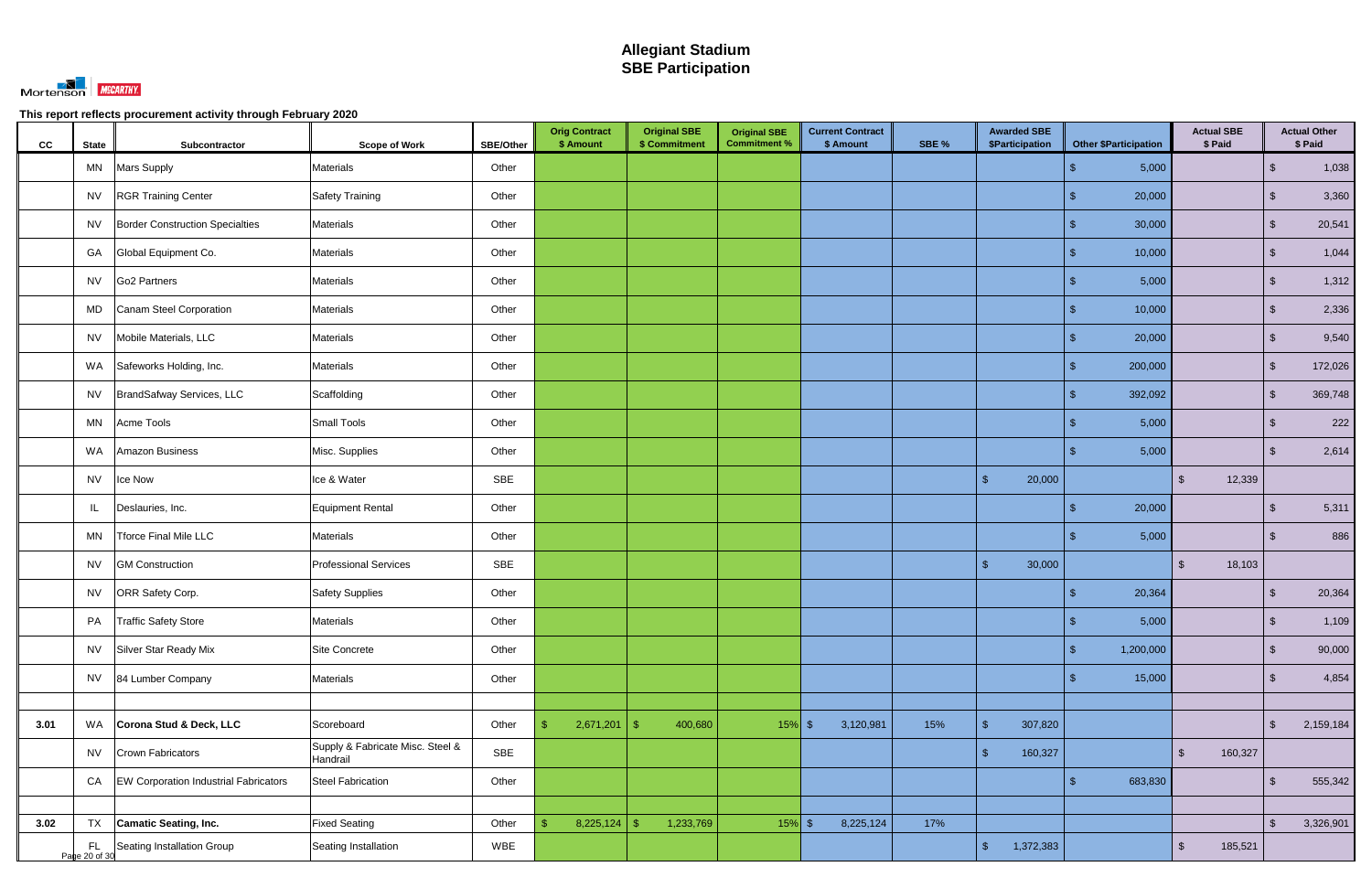

| cc   | <b>State</b> | Subcontractor                                  | <b>Scope of Work</b>                         | <b>SBE/Other</b> | <b>Orig Contract</b><br>\$ Amount | <b>Original SBE</b><br>\$ Commitment | <b>Original SBE</b><br><b>Commitment %</b> | <b>Current Contract</b><br>\$ Amount | SBE % | <b>Awarded SBE</b><br>\$Participation | Other \$Participation     | <b>Actual SBE</b><br>\$ Paid       |                         | <b>Actual Other</b><br>\$ Paid |
|------|--------------|------------------------------------------------|----------------------------------------------|------------------|-----------------------------------|--------------------------------------|--------------------------------------------|--------------------------------------|-------|---------------------------------------|---------------------------|------------------------------------|-------------------------|--------------------------------|
|      | MN           | Mars Supply                                    | <b>Materials</b>                             | Other            |                                   |                                      |                                            |                                      |       |                                       | 5,000                     |                                    | $\sqrt[6]{3}$           | 1,038                          |
|      | <b>NV</b>    | <b>RGR Training Center</b>                     | Safety Training                              | Other            |                                   |                                      |                                            |                                      |       |                                       | 20,000                    |                                    | $\sqrt[6]{3}$           | 3,360                          |
|      | <b>NV</b>    | <b>Border Construction Specialties</b>         | Materials                                    | Other            |                                   |                                      |                                            |                                      |       |                                       | 30,000                    |                                    | $\mathcal{S}$           | 20,541                         |
|      | GA           | Global Equipment Co.                           | <b>Materials</b>                             | Other            |                                   |                                      |                                            |                                      |       |                                       | 10,000                    |                                    | $\sqrt[6]{3}$           | 1,044                          |
|      | <b>NV</b>    | Go <sub>2</sub> Partners                       | <b>Materials</b>                             | Other            |                                   |                                      |                                            |                                      |       |                                       | 5,000                     |                                    | $\sqrt[6]{\frac{1}{2}}$ | 1,312                          |
|      | MD           | Canam Steel Corporation                        | Materials                                    | Other            |                                   |                                      |                                            |                                      |       |                                       | 10,000                    |                                    | $\sqrt[6]{\frac{1}{2}}$ | 2,336                          |
|      | <b>NV</b>    | Mobile Materials, LLC                          | <b>Materials</b>                             | Other            |                                   |                                      |                                            |                                      |       |                                       | 20,000                    |                                    | $\sqrt[6]{3}$           | 9,540                          |
|      | WA           | Safeworks Holding, Inc.                        | <b>Materials</b>                             | Other            |                                   |                                      |                                            |                                      |       |                                       | 200,000<br>£.             |                                    | $\sqrt[6]{3}$           | 172,026                        |
|      | <b>NV</b>    | BrandSafway Services, LLC                      | Scaffolding                                  | Other            |                                   |                                      |                                            |                                      |       |                                       | 392,092<br>£.             |                                    | $\sqrt[6]{\frac{1}{2}}$ | 369,748                        |
|      | MN           | Acme Tools                                     | Small Tools                                  | Other            |                                   |                                      |                                            |                                      |       |                                       | 5,000                     |                                    | $\sqrt[6]{3}$           | 222                            |
|      | WA           | Amazon Business                                | Misc. Supplies                               | Other            |                                   |                                      |                                            |                                      |       |                                       | 5,000                     |                                    | $\mathcal{S}$           | 2,614                          |
|      | <b>NV</b>    | Ice Now                                        | Ice & Water                                  | SBE              |                                   |                                      |                                            |                                      |       | 20,000<br>$\mathbf{\hat{S}}$          |                           | 12,339<br><sup>\$</sup>            |                         |                                |
|      | IL           | Deslauries, Inc.                               | Equipment Rental                             | Other            |                                   |                                      |                                            |                                      |       |                                       | 20,000                    |                                    | -S                      | 5,311                          |
|      | MN           | Tforce Final Mile LLC                          | <b>Materials</b>                             | Other            |                                   |                                      |                                            |                                      |       |                                       | 5,000                     |                                    | $\sqrt[6]{\frac{1}{2}}$ | 886                            |
|      | <b>NV</b>    | <b>GM Construction</b>                         | <b>Professional Services</b>                 | <b>SBE</b>       |                                   |                                      |                                            |                                      |       | $\sqrt{2}$<br>30,000                  |                           | $\sqrt{2}$<br>18,103               |                         |                                |
|      | <b>NV</b>    | ORR Safety Corp.                               | <b>Safety Supplies</b>                       | Other            |                                   |                                      |                                            |                                      |       |                                       | 20,364                    |                                    | $\sqrt[6]{3}$           | 20,364                         |
|      |              | PA   Traffic Safety Store                      | Materials                                    | Other            |                                   |                                      |                                            |                                      |       |                                       | 5,000<br>¢                |                                    | $\sqrt[6]{3}$           | 1,109                          |
|      |              | NV Silver Star Ready Mix                       | Site Concrete                                | Other            |                                   |                                      |                                            |                                      |       |                                       | 1,200,000<br>$\mathbb{S}$ |                                    | $\sqrt[6]{\frac{1}{2}}$ | 90,000                         |
|      | <b>NV</b>    | 84 Lumber Company                              | Materials                                    | Other            |                                   |                                      |                                            |                                      |       |                                       | 15,000                    |                                    | $\sqrt[6]{3}$           | 4,854                          |
|      |              |                                                |                                              |                  |                                   |                                      |                                            |                                      |       |                                       |                           |                                    |                         |                                |
| 3.01 | WA           | Corona Stud & Deck, LLC                        | Scoreboard                                   | Other            | 2,671,201                         | $\sqrt[6]{3}$<br>400,680             | $15%$ \$                                   | 3,120,981                            | 15%   | 307,820<br>$\mathbf{\$}$              |                           |                                    | $\sqrt{2}$              | 2,159,184                      |
|      | <b>NV</b>    | Crown Fabricators                              | Supply & Fabricate Misc. Steel &<br>Handrail | SBE              |                                   |                                      |                                            |                                      |       | 160,327<br>$\mathcal{S}$              |                           | $\mathfrak{S}$<br>160,327          |                         |                                |
|      | CA           | <b>EW Corporation Industrial Fabricators</b>   | Steel Fabrication                            | Other            |                                   |                                      |                                            |                                      |       |                                       | 683,830                   |                                    | $\mathcal{S}$           | 555,342                        |
|      |              |                                                |                                              |                  |                                   |                                      |                                            |                                      |       |                                       |                           |                                    |                         |                                |
| 3.02 | <b>TX</b>    | <b>Camatic Seating, Inc.</b>                   | <b>Fixed Seating</b>                         | Other            | 8,225,124                         | 1,233,769<br>$\sqrt{3}$              | $15%$ \$                                   | 8,225,124                            | 17%   |                                       |                           |                                    | $\mathcal{S}$           | 3,326,901                      |
|      |              | FL Seating Installation Group<br>Page 20 of 30 | Seating Installation                         | WBE              |                                   |                                      |                                            |                                      |       | $\sqrt{2}$<br>1,372,383               |                           | $\sqrt[6]{\frac{1}{2}}$<br>185,521 |                         |                                |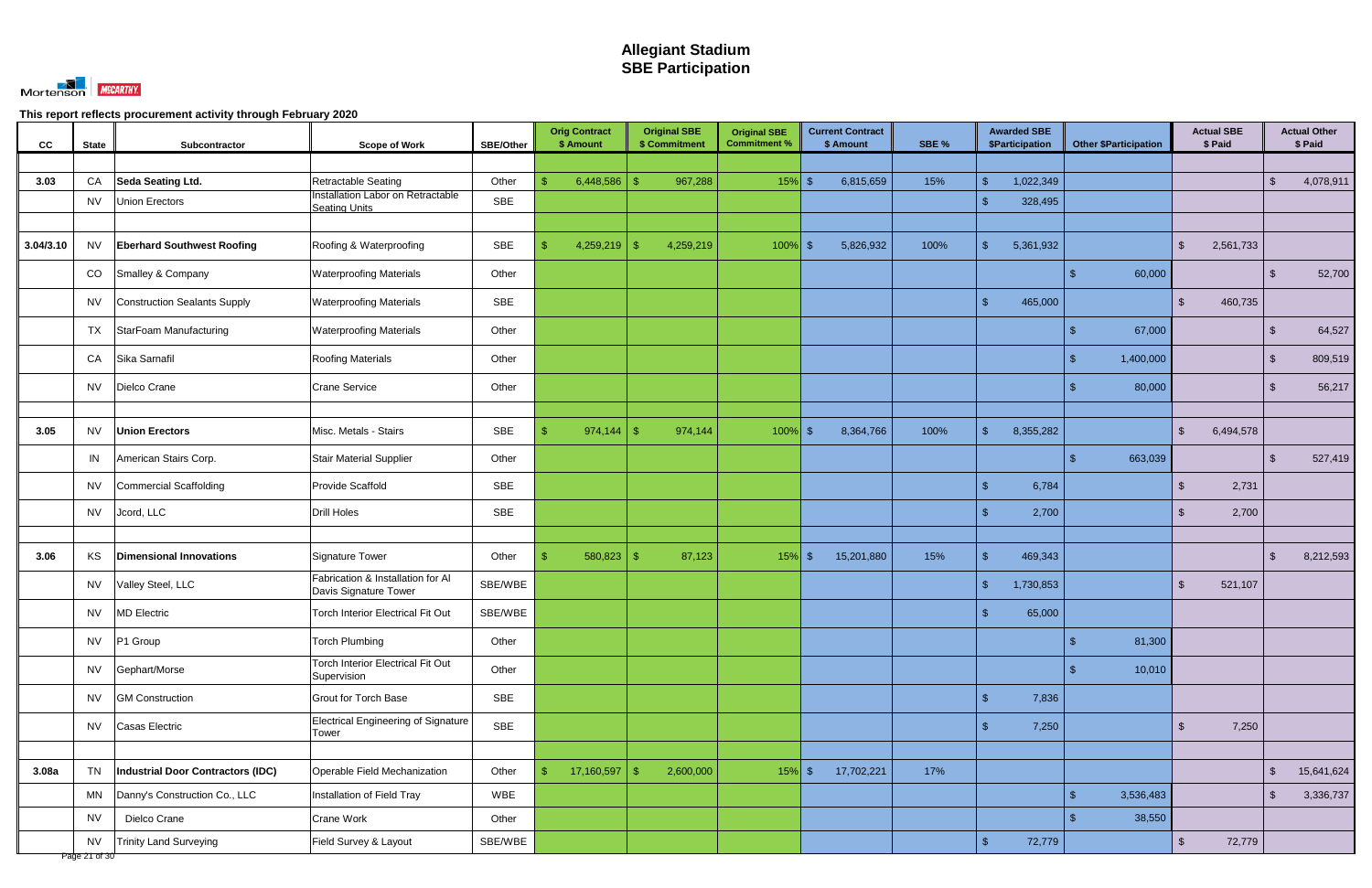

| cc        | <b>State</b>               | Subcontractor                     | <b>Scope of Work</b>                                       | <b>SBE/Other</b> | <b>Orig Contract</b><br>\$ Amount | <b>Original SBE</b><br>\$ Commitment | <b>Original SBE</b><br><b>Commitment %</b> | <b>Current Contract</b><br>\$ Amount | SBE % | <b>Awarded SBE</b><br><b>\$Participation</b> | <b>Other \$Participation</b> | <b>Actual SBE</b><br>\$ Paid     |                    | <b>Actual Other</b><br>\$ Paid |
|-----------|----------------------------|-----------------------------------|------------------------------------------------------------|------------------|-----------------------------------|--------------------------------------|--------------------------------------------|--------------------------------------|-------|----------------------------------------------|------------------------------|----------------------------------|--------------------|--------------------------------|
|           |                            |                                   |                                                            |                  |                                   |                                      |                                            |                                      |       |                                              |                              |                                  |                    |                                |
| 3.03      | CA                         | Seda Seating Ltd.                 | Retractable Seating                                        | Other            | 6,448,586                         | 967,288                              | $15%$ \$                                   | 6,815,659                            | 15%   | 1,022,349<br>$\mathbf{\hat{s}}$              |                              |                                  | $\mathbf{\$}$      | 4,078,911                      |
|           | <b>NV</b>                  | <b>Union Erectors</b>             | Installation Labor on Retractable<br><b>Seating Units</b>  | <b>SBE</b>       |                                   |                                      |                                            |                                      |       | $\mathcal{S}$<br>328,495                     |                              |                                  |                    |                                |
|           |                            |                                   |                                                            |                  |                                   |                                      |                                            |                                      |       |                                              |                              |                                  |                    |                                |
| 3.04/3.10 | <b>NV</b>                  | <b>Eberhard Southwest Roofing</b> | Roofing & Waterproofing                                    | SBE              | 4,259,219                         | 4,259,219<br>-SS                     | 100%                                       | 5,826,932                            | 100%  | $\mathbb{S}$<br>5,361,932                    |                              | 2,561,733<br>\$                  |                    |                                |
|           | CO                         | Smalley & Company                 | <b>Waterproofing Materials</b>                             | Other            |                                   |                                      |                                            |                                      |       |                                              | 60,000                       |                                  |                    | 52,700                         |
|           | <b>NV</b>                  | Construction Sealants Supply      | <b>Waterproofing Materials</b>                             | SBE              |                                   |                                      |                                            |                                      |       | $\mathbb{S}$<br>465,000                      |                              | 460,735<br>$\mathbb{S}$          |                    |                                |
|           | TX                         | StarFoam Manufacturing            | <b>Waterproofing Materials</b>                             | Other            |                                   |                                      |                                            |                                      |       |                                              | 67,000                       |                                  | \$                 | 64,527                         |
|           | CA                         | Sika Sarnafil                     | <b>Roofing Materials</b>                                   | Other            |                                   |                                      |                                            |                                      |       |                                              | 1,400,000                    |                                  | $\mathcal{S}$      | 809,519                        |
|           | <b>NV</b>                  | Dielco Crane                      | <b>Crane Service</b>                                       | Other            |                                   |                                      |                                            |                                      |       |                                              | 80,000                       |                                  | $\mathbf{\hat{A}}$ | 56,217                         |
|           |                            |                                   |                                                            |                  |                                   |                                      |                                            |                                      |       |                                              |                              |                                  |                    |                                |
| 3.05      | <b>NV</b>                  | <b>Union Erectors</b>             | Misc. Metals - Stairs                                      | SBE              | 974,144                           | 974,144<br>-\$                       | $100\%$ \$                                 | 8,364,766                            | 100%  | $\mathbb{S}$<br>8,355,282                    |                              | $\mathbb{S}$<br>6,494,578        |                    |                                |
|           | IN                         | American Stairs Corp.             | <b>Stair Material Supplier</b>                             | Other            |                                   |                                      |                                            |                                      |       |                                              | 663,039                      |                                  | $\mathfrak{L}$     | 527,419                        |
|           | NV.                        | Commercial Scaffolding            | Provide Scaffold                                           | SBE              |                                   |                                      |                                            |                                      |       | $\mathbf{\$}$<br>6,784                       |                              | 2,731<br>$\mathbb{S}$            |                    |                                |
|           | <b>NV</b>                  | Jcord, LLC                        | <b>Drill Holes</b>                                         | SBE              |                                   |                                      |                                            |                                      |       | 2,700<br>$\mathcal{S}$                       |                              | 2,700<br><sup>\$</sup>           |                    |                                |
|           |                            |                                   |                                                            |                  |                                   |                                      |                                            |                                      |       |                                              |                              |                                  |                    |                                |
| 3.06      | KS                         | <b>Dimensional Innovations</b>    | <b>Signature Tower</b>                                     | Other            | 580,823                           | 87,123<br>- \$                       | $15%$ \$                                   | 15,201,880                           | 15%   | $\mathbf{\$}$<br>469,343                     |                              |                                  | $\mathfrak{L}$     | 8,212,593                      |
|           | NV.                        | Valley Steel, LLC                 | Fabrication & Installation for Al<br>Davis Signature Tower | SBE/WBE          |                                   |                                      |                                            |                                      |       | $\mathbb{S}$<br>1,730,853                    |                              | 521,107<br>\$                    |                    |                                |
|           | <b>NV</b>                  | <b>MD</b> Electric                | Torch Interior Electrical Fit Out                          | SBE/WBE          |                                   |                                      |                                            |                                      |       | 65,000<br>\$.                                |                              |                                  |                    |                                |
|           | <b>NV</b>                  | P1 Group                          | <b>Torch Plumbing</b>                                      | Other            |                                   |                                      |                                            |                                      |       |                                              | 81,300<br>\$.                |                                  |                    |                                |
|           | <b>NV</b>                  | Gephart/Morse                     | Torch Interior Electrical Fit Out<br>Supervision           | Other            |                                   |                                      |                                            |                                      |       |                                              | 10,010                       |                                  |                    |                                |
|           | <b>NV</b>                  | <b>GM Construction</b>            | <b>Grout for Torch Base</b>                                | SBE              |                                   |                                      |                                            |                                      |       | $\mathcal{S}$<br>7,836                       |                              |                                  |                    |                                |
|           | <b>NV</b>                  | Casas Electric                    | <b>Electrical Engineering of Signature</b><br>Tower        | SBE              |                                   |                                      |                                            |                                      |       | $\mathcal{S}$<br>7,250                       |                              | $\sqrt[6]{\frac{1}{2}}$<br>7,250 |                    |                                |
|           |                            |                                   |                                                            |                  |                                   |                                      |                                            |                                      |       |                                              |                              |                                  |                    |                                |
| 3.08a     | <b>TN</b>                  | Industrial Door Contractors (IDC) | Operable Field Mechanization                               | Other            | 17,160,597<br>\$                  | 2,600,000<br>$\mathbf{\$}$           | $15\%$ \$                                  | 17,702,221                           | 17%   |                                              |                              |                                  | $\mathfrak{L}$     | 15,641,624                     |
|           | MN                         | Danny's Construction Co., LLC     | Installation of Field Tray                                 | WBE              |                                   |                                      |                                            |                                      |       |                                              | $\mathbb{S}$<br>3,536,483    |                                  | $\mathfrak{S}$     | 3,336,737                      |
|           | <b>NV</b>                  | Dielco Crane                      | Crane Work                                                 | Other            |                                   |                                      |                                            |                                      |       |                                              | 38,550                       |                                  |                    |                                |
|           | <b>NV</b><br>Page 21 of 30 | <b>Trinity Land Surveying</b>     | Field Survey & Layout                                      | SBE/WBE          |                                   |                                      |                                            |                                      |       | $\mathfrak{S}$<br>72,779                     |                              | $\sqrt{2}$<br>72,779             |                    |                                |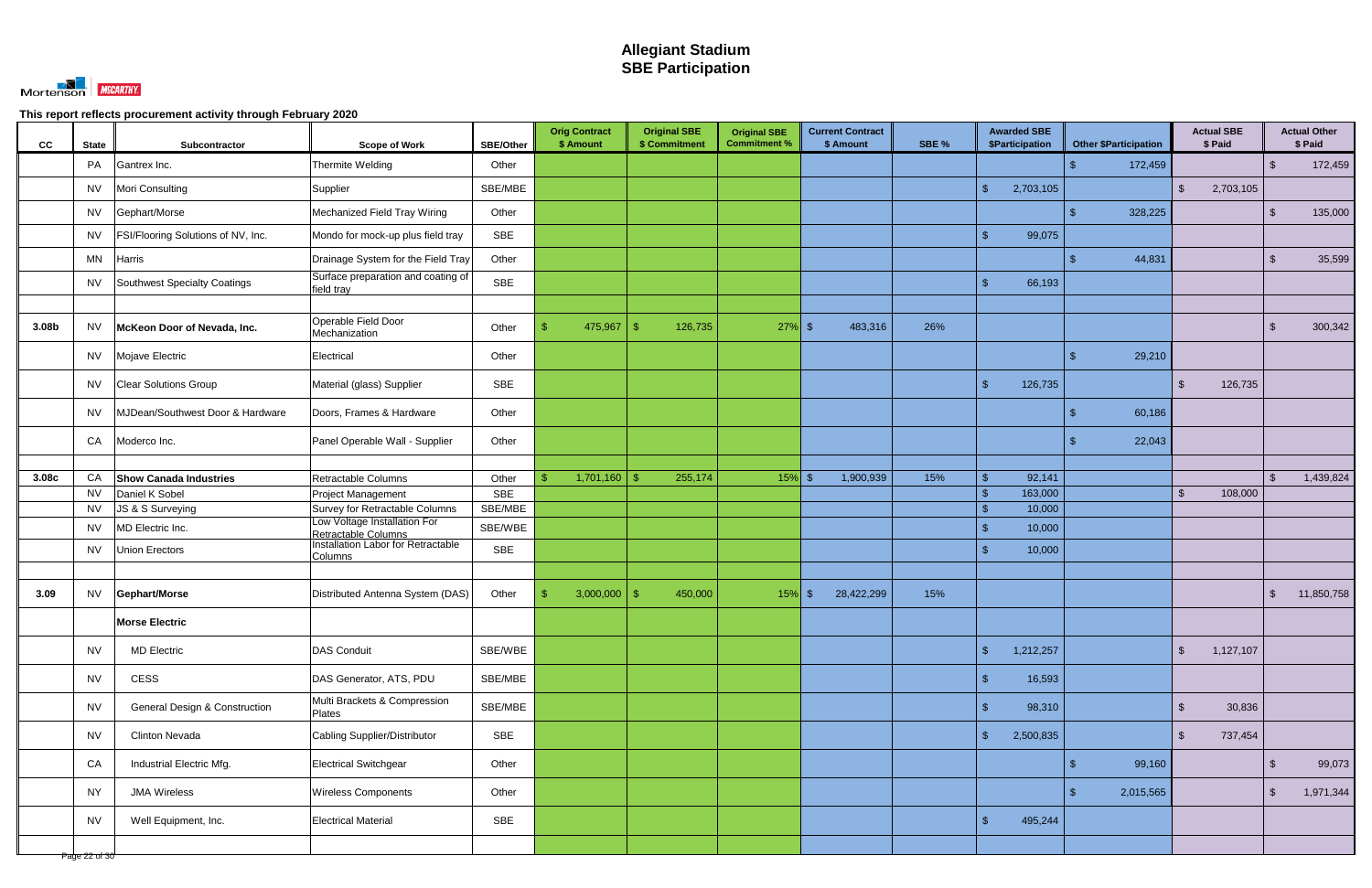

| Thermite Welding<br>PA<br>Gantrex Inc.<br>Other<br>172,459<br>$\mathfrak{L}$<br>SBE/MBE<br>$\mathbb{S}$<br>Mori Consulting<br>2,703,105<br>$\mathfrak{S}$<br>2,703,105<br><b>NV</b><br>Supplier<br>Gephart/Morse<br>Mechanized Field Tray Wiring<br>Other<br>328,225<br>$\mathfrak{L}$<br><b>NV</b><br>SBE<br>FSI/Flooring Solutions of NV, Inc.<br>$\mathbf{\hat{s}}$<br>99,075<br>Mondo for mock-up plus field tray<br>NV.<br>Drainage System for the Field Tray<br>Other<br>44,831<br><b>MN</b><br><b>Harris</b><br>$\mathfrak{L}$<br>Surface preparation and coating of<br><b>SBE</b><br>Southwest Specialty Coatings<br>$\mathcal{L}$<br>66,193<br>NV.<br>field tray<br>Operable Field Door<br>McKeon Door of Nevada, Inc.<br>475,967<br>126,735<br>26%<br><b>NV</b><br>Other<br>$27\%$ \$<br>483,316<br>3.08b<br>-\$<br>S<br>-SS<br>Mechanization<br>Mojave Electric<br>Other<br>29,210<br>Electrical<br>NV.<br>£.<br>SBE<br>$\mathcal{S}$<br>126,735<br>126,735<br><b>Clear Solutions Group</b><br>Material (glass) Supplier<br>$\mathbb{S}$<br>NV<br>60,186<br>MJDean/Southwest Door & Hardware<br>Other<br>NV<br>Doors, Frames & Hardware<br>Panel Operable Wall - Supplier<br>CA<br>Other<br>22,043<br>Moderco Inc.<br>Retractable Columns<br>15%<br>3.08c<br>CA<br><b>Show Canada Industries</b><br>Other<br>1,701,160<br>$15%$ \$<br>1,900,939<br>92,141<br>255,174<br>-\$<br>ድ<br>-\$<br>\$<br><b>SBE</b><br><b>NV</b><br>Daniel K Sobel<br>163,000<br>Project Management<br>$\mathbb{S}$<br>$\mathbb{S}$<br>108,000<br>JS & S Surveying<br>Survey for Retractable Columns<br>SBE/MBE<br>$\mathcal{S}$<br>10,000<br><b>NV</b><br>Low Voltage Installation For<br>MD Electric Inc.<br>SBE/WBE<br>$\mathbf{\hat{s}}$<br>10,000<br><b>NV</b><br>Retractable Columns<br>Installation Labor for Retractable<br><b>SBE</b><br><b>Union Erectors</b><br>$\mathcal{L}$<br>10,000<br><b>NV</b><br><b>Columns</b><br>15%<br><b>NV</b><br>Gephart/Morse<br>Distributed Antenna System (DAS)<br>Other<br>$\mathbf{\$}$<br>3,000,000<br>450,000<br>$15%$ \$<br>28,422,299<br>3.09<br>\$<br>- R<br><b>Morse Electric</b><br><b>DAS Conduit</b><br>$\sqrt{2}$<br>1,212,257<br><b>MD Electric</b><br>SBE/WBE<br>$\frac{1}{2}$<br>1,127,107<br><b>NV</b><br>CESS<br>SBE/MBE<br>$\mathcal{S}$<br>16,593<br><b>NV</b><br>DAS Generator, ATS, PDU<br>Multi Brackets & Compression<br>SBE/MBE<br><b>General Design &amp; Construction</b><br>$\mathcal{S}$<br><b>NV</b><br>98,310<br>$\sqrt{2}$<br>30,836 | CC<br><b>State</b> | Subcontractor | <b>Scope of Work</b> | <b>SBE/Other</b> | <b>Orig Contract</b><br>\$ Amount | <b>Original SBE</b><br>\$ Commitment | <b>Original SBE</b><br><b>Commitment %</b> | <b>Current Contract</b><br>\$ Amount | SBE % | <b>Awarded SBE</b><br>\$Participation | <b>Other \$Participation</b> | <b>Actual SBE</b><br>\$ Paid | <b>Actual Other</b><br>\$ Paid |
|---------------------------------------------------------------------------------------------------------------------------------------------------------------------------------------------------------------------------------------------------------------------------------------------------------------------------------------------------------------------------------------------------------------------------------------------------------------------------------------------------------------------------------------------------------------------------------------------------------------------------------------------------------------------------------------------------------------------------------------------------------------------------------------------------------------------------------------------------------------------------------------------------------------------------------------------------------------------------------------------------------------------------------------------------------------------------------------------------------------------------------------------------------------------------------------------------------------------------------------------------------------------------------------------------------------------------------------------------------------------------------------------------------------------------------------------------------------------------------------------------------------------------------------------------------------------------------------------------------------------------------------------------------------------------------------------------------------------------------------------------------------------------------------------------------------------------------------------------------------------------------------------------------------------------------------------------------------------------------------------------------------------------------------------------------------------------------------------------------------------------------------------------------------------------------------------------------------------------------------------------------------------------------------------------------------------------------------------------------------------------------------------------------------------------------------------------------------------------------------------------|--------------------|---------------|----------------------|------------------|-----------------------------------|--------------------------------------|--------------------------------------------|--------------------------------------|-------|---------------------------------------|------------------------------|------------------------------|--------------------------------|
|                                                                                                                                                                                                                                                                                                                                                                                                                                                                                                                                                                                                                                                                                                                                                                                                                                                                                                                                                                                                                                                                                                                                                                                                                                                                                                                                                                                                                                                                                                                                                                                                                                                                                                                                                                                                                                                                                                                                                                                                                                                                                                                                                                                                                                                                                                                                                                                                                                                                                                   |                    |               |                      |                  |                                   |                                      |                                            |                                      |       |                                       |                              |                              | 172,459                        |
|                                                                                                                                                                                                                                                                                                                                                                                                                                                                                                                                                                                                                                                                                                                                                                                                                                                                                                                                                                                                                                                                                                                                                                                                                                                                                                                                                                                                                                                                                                                                                                                                                                                                                                                                                                                                                                                                                                                                                                                                                                                                                                                                                                                                                                                                                                                                                                                                                                                                                                   |                    |               |                      |                  |                                   |                                      |                                            |                                      |       |                                       |                              |                              |                                |
|                                                                                                                                                                                                                                                                                                                                                                                                                                                                                                                                                                                                                                                                                                                                                                                                                                                                                                                                                                                                                                                                                                                                                                                                                                                                                                                                                                                                                                                                                                                                                                                                                                                                                                                                                                                                                                                                                                                                                                                                                                                                                                                                                                                                                                                                                                                                                                                                                                                                                                   |                    |               |                      |                  |                                   |                                      |                                            |                                      |       |                                       |                              |                              | 135,000                        |
|                                                                                                                                                                                                                                                                                                                                                                                                                                                                                                                                                                                                                                                                                                                                                                                                                                                                                                                                                                                                                                                                                                                                                                                                                                                                                                                                                                                                                                                                                                                                                                                                                                                                                                                                                                                                                                                                                                                                                                                                                                                                                                                                                                                                                                                                                                                                                                                                                                                                                                   |                    |               |                      |                  |                                   |                                      |                                            |                                      |       |                                       |                              |                              |                                |
|                                                                                                                                                                                                                                                                                                                                                                                                                                                                                                                                                                                                                                                                                                                                                                                                                                                                                                                                                                                                                                                                                                                                                                                                                                                                                                                                                                                                                                                                                                                                                                                                                                                                                                                                                                                                                                                                                                                                                                                                                                                                                                                                                                                                                                                                                                                                                                                                                                                                                                   |                    |               |                      |                  |                                   |                                      |                                            |                                      |       |                                       |                              |                              | 35,599                         |
|                                                                                                                                                                                                                                                                                                                                                                                                                                                                                                                                                                                                                                                                                                                                                                                                                                                                                                                                                                                                                                                                                                                                                                                                                                                                                                                                                                                                                                                                                                                                                                                                                                                                                                                                                                                                                                                                                                                                                                                                                                                                                                                                                                                                                                                                                                                                                                                                                                                                                                   |                    |               |                      |                  |                                   |                                      |                                            |                                      |       |                                       |                              |                              |                                |
|                                                                                                                                                                                                                                                                                                                                                                                                                                                                                                                                                                                                                                                                                                                                                                                                                                                                                                                                                                                                                                                                                                                                                                                                                                                                                                                                                                                                                                                                                                                                                                                                                                                                                                                                                                                                                                                                                                                                                                                                                                                                                                                                                                                                                                                                                                                                                                                                                                                                                                   |                    |               |                      |                  |                                   |                                      |                                            |                                      |       |                                       |                              |                              |                                |
|                                                                                                                                                                                                                                                                                                                                                                                                                                                                                                                                                                                                                                                                                                                                                                                                                                                                                                                                                                                                                                                                                                                                                                                                                                                                                                                                                                                                                                                                                                                                                                                                                                                                                                                                                                                                                                                                                                                                                                                                                                                                                                                                                                                                                                                                                                                                                                                                                                                                                                   |                    |               |                      |                  |                                   |                                      |                                            |                                      |       |                                       |                              |                              | 300,342                        |
|                                                                                                                                                                                                                                                                                                                                                                                                                                                                                                                                                                                                                                                                                                                                                                                                                                                                                                                                                                                                                                                                                                                                                                                                                                                                                                                                                                                                                                                                                                                                                                                                                                                                                                                                                                                                                                                                                                                                                                                                                                                                                                                                                                                                                                                                                                                                                                                                                                                                                                   |                    |               |                      |                  |                                   |                                      |                                            |                                      |       |                                       |                              |                              |                                |
|                                                                                                                                                                                                                                                                                                                                                                                                                                                                                                                                                                                                                                                                                                                                                                                                                                                                                                                                                                                                                                                                                                                                                                                                                                                                                                                                                                                                                                                                                                                                                                                                                                                                                                                                                                                                                                                                                                                                                                                                                                                                                                                                                                                                                                                                                                                                                                                                                                                                                                   |                    |               |                      |                  |                                   |                                      |                                            |                                      |       |                                       |                              |                              |                                |
|                                                                                                                                                                                                                                                                                                                                                                                                                                                                                                                                                                                                                                                                                                                                                                                                                                                                                                                                                                                                                                                                                                                                                                                                                                                                                                                                                                                                                                                                                                                                                                                                                                                                                                                                                                                                                                                                                                                                                                                                                                                                                                                                                                                                                                                                                                                                                                                                                                                                                                   |                    |               |                      |                  |                                   |                                      |                                            |                                      |       |                                       |                              |                              |                                |
|                                                                                                                                                                                                                                                                                                                                                                                                                                                                                                                                                                                                                                                                                                                                                                                                                                                                                                                                                                                                                                                                                                                                                                                                                                                                                                                                                                                                                                                                                                                                                                                                                                                                                                                                                                                                                                                                                                                                                                                                                                                                                                                                                                                                                                                                                                                                                                                                                                                                                                   |                    |               |                      |                  |                                   |                                      |                                            |                                      |       |                                       |                              |                              |                                |
|                                                                                                                                                                                                                                                                                                                                                                                                                                                                                                                                                                                                                                                                                                                                                                                                                                                                                                                                                                                                                                                                                                                                                                                                                                                                                                                                                                                                                                                                                                                                                                                                                                                                                                                                                                                                                                                                                                                                                                                                                                                                                                                                                                                                                                                                                                                                                                                                                                                                                                   |                    |               |                      |                  |                                   |                                      |                                            |                                      |       |                                       |                              |                              |                                |
|                                                                                                                                                                                                                                                                                                                                                                                                                                                                                                                                                                                                                                                                                                                                                                                                                                                                                                                                                                                                                                                                                                                                                                                                                                                                                                                                                                                                                                                                                                                                                                                                                                                                                                                                                                                                                                                                                                                                                                                                                                                                                                                                                                                                                                                                                                                                                                                                                                                                                                   |                    |               |                      |                  |                                   |                                      |                                            |                                      |       |                                       |                              |                              | 1,439,824                      |
|                                                                                                                                                                                                                                                                                                                                                                                                                                                                                                                                                                                                                                                                                                                                                                                                                                                                                                                                                                                                                                                                                                                                                                                                                                                                                                                                                                                                                                                                                                                                                                                                                                                                                                                                                                                                                                                                                                                                                                                                                                                                                                                                                                                                                                                                                                                                                                                                                                                                                                   |                    |               |                      |                  |                                   |                                      |                                            |                                      |       |                                       |                              |                              |                                |
|                                                                                                                                                                                                                                                                                                                                                                                                                                                                                                                                                                                                                                                                                                                                                                                                                                                                                                                                                                                                                                                                                                                                                                                                                                                                                                                                                                                                                                                                                                                                                                                                                                                                                                                                                                                                                                                                                                                                                                                                                                                                                                                                                                                                                                                                                                                                                                                                                                                                                                   |                    |               |                      |                  |                                   |                                      |                                            |                                      |       |                                       |                              |                              |                                |
|                                                                                                                                                                                                                                                                                                                                                                                                                                                                                                                                                                                                                                                                                                                                                                                                                                                                                                                                                                                                                                                                                                                                                                                                                                                                                                                                                                                                                                                                                                                                                                                                                                                                                                                                                                                                                                                                                                                                                                                                                                                                                                                                                                                                                                                                                                                                                                                                                                                                                                   |                    |               |                      |                  |                                   |                                      |                                            |                                      |       |                                       |                              |                              |                                |
|                                                                                                                                                                                                                                                                                                                                                                                                                                                                                                                                                                                                                                                                                                                                                                                                                                                                                                                                                                                                                                                                                                                                                                                                                                                                                                                                                                                                                                                                                                                                                                                                                                                                                                                                                                                                                                                                                                                                                                                                                                                                                                                                                                                                                                                                                                                                                                                                                                                                                                   |                    |               |                      |                  |                                   |                                      |                                            |                                      |       |                                       |                              |                              |                                |
|                                                                                                                                                                                                                                                                                                                                                                                                                                                                                                                                                                                                                                                                                                                                                                                                                                                                                                                                                                                                                                                                                                                                                                                                                                                                                                                                                                                                                                                                                                                                                                                                                                                                                                                                                                                                                                                                                                                                                                                                                                                                                                                                                                                                                                                                                                                                                                                                                                                                                                   |                    |               |                      |                  |                                   |                                      |                                            |                                      |       |                                       |                              |                              |                                |
|                                                                                                                                                                                                                                                                                                                                                                                                                                                                                                                                                                                                                                                                                                                                                                                                                                                                                                                                                                                                                                                                                                                                                                                                                                                                                                                                                                                                                                                                                                                                                                                                                                                                                                                                                                                                                                                                                                                                                                                                                                                                                                                                                                                                                                                                                                                                                                                                                                                                                                   |                    |               |                      |                  |                                   |                                      |                                            |                                      |       |                                       |                              |                              | 11,850,758                     |
|                                                                                                                                                                                                                                                                                                                                                                                                                                                                                                                                                                                                                                                                                                                                                                                                                                                                                                                                                                                                                                                                                                                                                                                                                                                                                                                                                                                                                                                                                                                                                                                                                                                                                                                                                                                                                                                                                                                                                                                                                                                                                                                                                                                                                                                                                                                                                                                                                                                                                                   |                    |               |                      |                  |                                   |                                      |                                            |                                      |       |                                       |                              |                              |                                |
|                                                                                                                                                                                                                                                                                                                                                                                                                                                                                                                                                                                                                                                                                                                                                                                                                                                                                                                                                                                                                                                                                                                                                                                                                                                                                                                                                                                                                                                                                                                                                                                                                                                                                                                                                                                                                                                                                                                                                                                                                                                                                                                                                                                                                                                                                                                                                                                                                                                                                                   |                    |               |                      |                  |                                   |                                      |                                            |                                      |       |                                       |                              |                              |                                |
|                                                                                                                                                                                                                                                                                                                                                                                                                                                                                                                                                                                                                                                                                                                                                                                                                                                                                                                                                                                                                                                                                                                                                                                                                                                                                                                                                                                                                                                                                                                                                                                                                                                                                                                                                                                                                                                                                                                                                                                                                                                                                                                                                                                                                                                                                                                                                                                                                                                                                                   |                    |               |                      |                  |                                   |                                      |                                            |                                      |       |                                       |                              |                              |                                |
|                                                                                                                                                                                                                                                                                                                                                                                                                                                                                                                                                                                                                                                                                                                                                                                                                                                                                                                                                                                                                                                                                                                                                                                                                                                                                                                                                                                                                                                                                                                                                                                                                                                                                                                                                                                                                                                                                                                                                                                                                                                                                                                                                                                                                                                                                                                                                                                                                                                                                                   |                    |               | Plates               |                  |                                   |                                      |                                            |                                      |       |                                       |                              |                              |                                |
| SBE<br>$\mathbb{S}$<br><b>NV</b><br><b>Clinton Nevada</b><br>Cabling Supplier/Distributor<br>2,500,835<br>737,454<br>$\mathbb{S}$                                                                                                                                                                                                                                                                                                                                                                                                                                                                                                                                                                                                                                                                                                                                                                                                                                                                                                                                                                                                                                                                                                                                                                                                                                                                                                                                                                                                                                                                                                                                                                                                                                                                                                                                                                                                                                                                                                                                                                                                                                                                                                                                                                                                                                                                                                                                                                 |                    |               |                      |                  |                                   |                                      |                                            |                                      |       |                                       |                              |                              |                                |
| CA<br>99,160<br>Industrial Electric Mfg.<br>Electrical Switchgear<br>Other<br>$\mathfrak{L}$<br>\$                                                                                                                                                                                                                                                                                                                                                                                                                                                                                                                                                                                                                                                                                                                                                                                                                                                                                                                                                                                                                                                                                                                                                                                                                                                                                                                                                                                                                                                                                                                                                                                                                                                                                                                                                                                                                                                                                                                                                                                                                                                                                                                                                                                                                                                                                                                                                                                                |                    |               |                      |                  |                                   |                                      |                                            |                                      |       |                                       |                              |                              | 99,073                         |
| Other<br>2,015,565<br>$\sqrt[6]{\frac{1}{2}}$<br><b>NY</b><br><b>JMA Wireless</b><br><b>Wireless Components</b><br>$\mathfrak{L}$                                                                                                                                                                                                                                                                                                                                                                                                                                                                                                                                                                                                                                                                                                                                                                                                                                                                                                                                                                                                                                                                                                                                                                                                                                                                                                                                                                                                                                                                                                                                                                                                                                                                                                                                                                                                                                                                                                                                                                                                                                                                                                                                                                                                                                                                                                                                                                 |                    |               |                      |                  |                                   |                                      |                                            |                                      |       |                                       |                              |                              | 1,971,344                      |
| <b>SBE</b><br>$\mathbb{S}$<br>495,244<br><b>Electrical Material</b><br><b>NV</b><br>Well Equipment, Inc.                                                                                                                                                                                                                                                                                                                                                                                                                                                                                                                                                                                                                                                                                                                                                                                                                                                                                                                                                                                                                                                                                                                                                                                                                                                                                                                                                                                                                                                                                                                                                                                                                                                                                                                                                                                                                                                                                                                                                                                                                                                                                                                                                                                                                                                                                                                                                                                          |                    |               |                      |                  |                                   |                                      |                                            |                                      |       |                                       |                              |                              |                                |
| Page 22 of 30                                                                                                                                                                                                                                                                                                                                                                                                                                                                                                                                                                                                                                                                                                                                                                                                                                                                                                                                                                                                                                                                                                                                                                                                                                                                                                                                                                                                                                                                                                                                                                                                                                                                                                                                                                                                                                                                                                                                                                                                                                                                                                                                                                                                                                                                                                                                                                                                                                                                                     |                    |               |                      |                  |                                   |                                      |                                            |                                      |       |                                       |                              |                              |                                |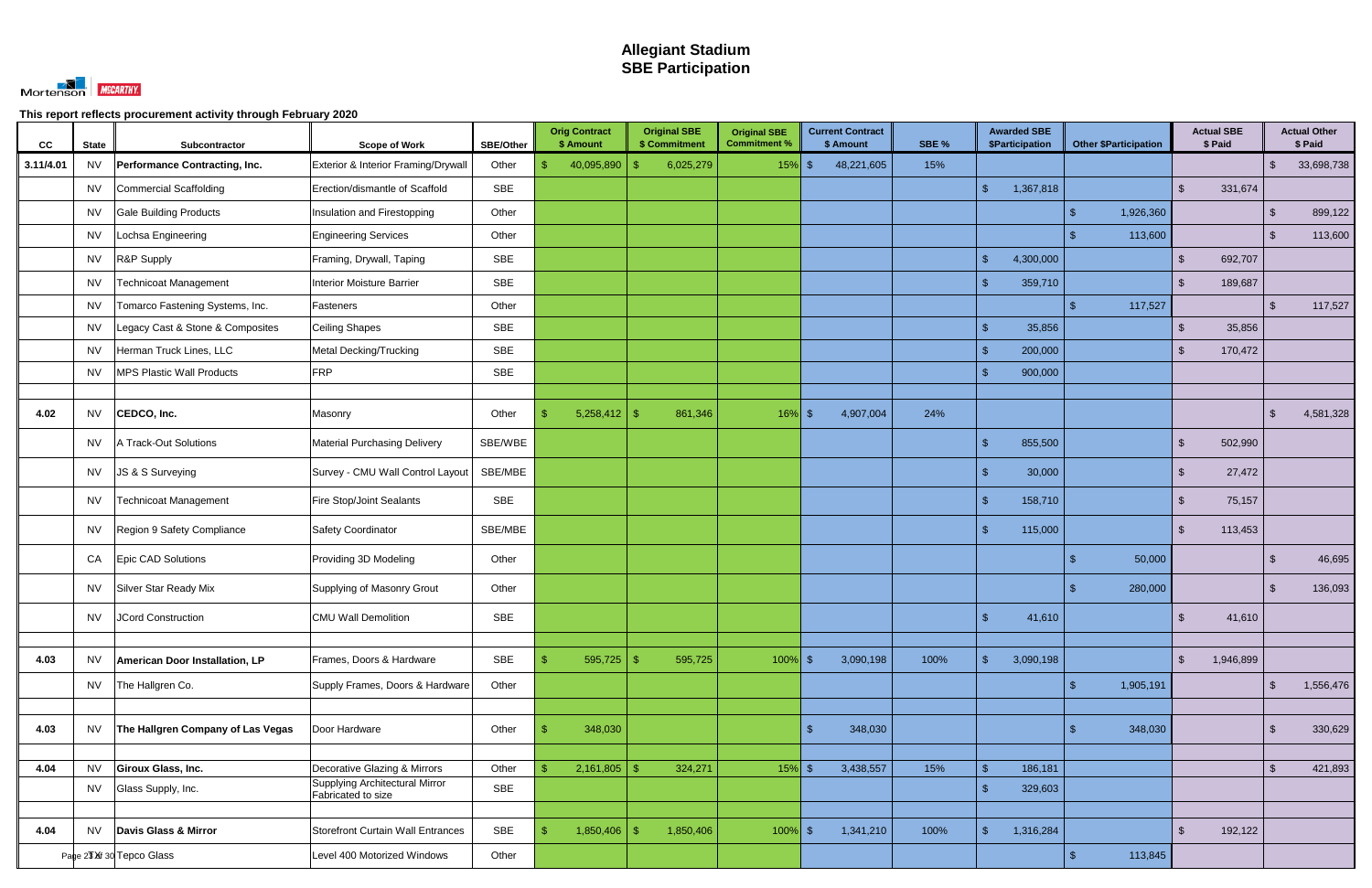

| CC        | <b>State</b> | Subcontractor                     | <b>Scope of Work</b>                | <b>SBE/Other</b> | <b>Orig Contract</b><br>\$ Amount | <b>Original SBE</b><br>\$ Commitment | <b>Original SBE</b><br><b>Commitment %</b> | <b>Current Contract</b><br>\$ Amount | SBE % | <b>Awarded SBE</b><br>\$Participation | <b>Other \$Participation</b> | <b>Actual SBE</b><br>\$ Paid |                | <b>Actual Other</b><br>\$ Paid |
|-----------|--------------|-----------------------------------|-------------------------------------|------------------|-----------------------------------|--------------------------------------|--------------------------------------------|--------------------------------------|-------|---------------------------------------|------------------------------|------------------------------|----------------|--------------------------------|
| 3.11/4.01 | <b>NV</b>    | Performance Contracting, Inc.     | Exterior & Interior Framing/Drywall | Other            | 40,095,890<br>\$.                 | 6,025,279<br>-\$                     | $15\%$ \$                                  | 48,221,605                           | 15%   |                                       |                              |                              | $\mathcal{S}$  | 33,698,738                     |
|           | <b>NV</b>    | Commercial Scaffolding            | Erection/dismantle of Scaffold      | <b>SBE</b>       |                                   |                                      |                                            |                                      |       | 1,367,818<br>$\mathbb{S}$             |                              | 331,674<br><sup>\$</sup>     |                |                                |
|           | <b>NV</b>    | <b>Gale Building Products</b>     | Insulation and Firestopping         | Other            |                                   |                                      |                                            |                                      |       |                                       | 1,926,360                    |                              | $\mathcal{S}$  | 899,122                        |
|           | <b>NV</b>    | Lochsa Engineering                | <b>Engineering Services</b>         | Other            |                                   |                                      |                                            |                                      |       |                                       | 113,600                      |                              | \$             | 113,600                        |
|           | <b>NV</b>    | R&P Supply                        | Framing, Drywall, Taping            | <b>SBE</b>       |                                   |                                      |                                            |                                      |       | $\sqrt{2}$<br>4,300,000               |                              | 692,707<br><sup>\$</sup>     |                |                                |
|           | <b>NV</b>    | <b>Technicoat Management</b>      | <b>Interior Moisture Barrier</b>    | <b>SBE</b>       |                                   |                                      |                                            |                                      |       | 359,710<br>\$                         |                              | 189,687<br>-SS               |                |                                |
|           | <b>NV</b>    | Tomarco Fastening Systems, Inc.   | Fasteners                           | Other            |                                   |                                      |                                            |                                      |       |                                       | 117,527                      |                              | $\mathfrak{L}$ | 117,527                        |
|           | <b>NV</b>    | Legacy Cast & Stone & Composites  | Ceiling Shapes                      | <b>SBE</b>       |                                   |                                      |                                            |                                      |       | $\mathcal{S}$<br>35,856               |                              | 35,856<br><sup>\$</sup>      |                |                                |
|           | <b>NV</b>    | Herman Truck Lines, LLC           | Metal Decking/Trucking              | SBE              |                                   |                                      |                                            |                                      |       | -\$<br>200,000                        |                              | 170,472<br><sup>\$</sup>     |                |                                |
|           | <b>NV</b>    | <b>MPS Plastic Wall Products</b>  | <b>FRP</b>                          | <b>SBE</b>       |                                   |                                      |                                            |                                      |       | 900,000<br>$\mathbf{\hat{f}}$         |                              |                              |                |                                |
|           |              |                                   |                                     |                  |                                   |                                      |                                            |                                      |       |                                       |                              |                              |                |                                |
| 4.02      | <b>NV</b>    | CEDCO, Inc.                       | Masonry                             | Other            | 5,258,412                         | 861,346<br>- \$                      | $16\%$ \$                                  | 4,907,004                            | 24%   |                                       |                              |                              | $\mathcal{S}$  | 4,581,328                      |
|           | <b>NV</b>    | A Track-Out Solutions             | <b>Material Purchasing Delivery</b> | SBE/WBE          |                                   |                                      |                                            |                                      |       | 855,500<br>$\mathbf{\hat{s}}$         |                              | $\mathfrak{S}$<br>502,990    |                |                                |
|           | <b>NV</b>    | JS & S Surveying                  | Survey - CMU Wall Control Layout    | SBE/MBE          |                                   |                                      |                                            |                                      |       | $\mathbf{\hat{s}}$<br>30,000          |                              | 27,472<br><sup>\$</sup>      |                |                                |
|           | <b>NV</b>    | <b>Technicoat Management</b>      | <b>Fire Stop/Joint Sealants</b>     | SBE              |                                   |                                      |                                            |                                      |       | \$<br>158,710                         |                              | 75,157<br>\$                 |                |                                |
|           | <b>NV</b>    | Region 9 Safety Compliance        | Safety Coordinator                  | SBE/MBE          |                                   |                                      |                                            |                                      |       | $\mathcal{S}$<br>115,000              |                              | $\mathfrak{L}$<br>113,453    |                |                                |
|           | CA           | Epic CAD Solutions                | Providing 3D Modeling               | Other            |                                   |                                      |                                            |                                      |       |                                       | 50,000                       |                              | \$             | 46,695                         |
|           | <b>NV</b>    | Silver Star Ready Mix             | Supplying of Masonry Grout          | Other            |                                   |                                      |                                            |                                      |       |                                       | 280,000                      |                              | .S             | 136,093                        |
|           | <b>NV</b>    | JCord Construction                | <b>CMU Wall Demolition</b>          | <b>SBE</b>       |                                   |                                      |                                            |                                      |       | -\$<br>41,610                         |                              | \$<br>41,610                 |                |                                |
|           |              |                                   |                                     |                  |                                   |                                      |                                            |                                      |       |                                       |                              |                              |                |                                |
| 4.03      | <b>NV</b>    | American Door Installation, LP    | Frames, Doors & Hardware            | <b>SBE</b>       | 595,725                           | 595,725<br>- \$                      | $100\%$ \$                                 | 3,090,198                            | 100%  | $\mathbb{S}$<br>3,090,198             |                              | $\sqrt[3]{2}$<br>1,946,899   |                |                                |
|           | <b>NV</b>    | The Hallgren Co.                  | Supply Frames, Doors & Hardware     | Other            |                                   |                                      |                                            |                                      |       |                                       | 1,905,191<br>\$.             |                              | $\mathcal{L}$  | 1,556,476                      |
|           |              |                                   |                                     |                  |                                   |                                      |                                            |                                      |       |                                       |                              |                              |                |                                |
| 4.03      | <b>NV</b>    | The Hallgren Company of Las Vegas | Door Hardware                       | Other            | 348,030                           |                                      |                                            | 348,030<br><b>\$</b>                 |       |                                       | 348,030                      |                              | -\$            | 330,629                        |
| 4.04      | <b>NV</b>    | Giroux Glass, Inc.                | Decorative Glazing & Mirrors        | Other            | 2,161,805                         | -\$<br>324,271                       | $15\%$ \$                                  | 3,438,557                            | 15%   | $\mathbf{\hat{F}}$<br>186,181         |                              |                              | $\mathbf{\$}$  | 421,893                        |
|           | <b>NV</b>    | Glass Supply, Inc.                | Supplying Architectural Mirror      | SBE              |                                   |                                      |                                            |                                      |       | -\$<br>329,603                        |                              |                              |                |                                |
|           |              |                                   | Fabricated to size                  |                  |                                   |                                      |                                            |                                      |       |                                       |                              |                              |                |                                |
| 4.04      | <b>NV</b>    | Davis Glass & Mirror              | Storefront Curtain Wall Entrances   | SBE              | 1,850,406<br>$\sqrt[6]{3}$        | 1,850,406<br>-\$                     | $100\%$ \$                                 | 1,341,210                            | 100%  | $\mathcal{S}$<br>1,316,284            |                              | $\sqrt{2}$<br>192,122        |                |                                |
|           |              | Page 23 Xf 30 Tepco Glass         | Level 400 Motorized Windows         | Other            |                                   |                                      |                                            |                                      |       |                                       | 113,845<br>\$.               |                              |                |                                |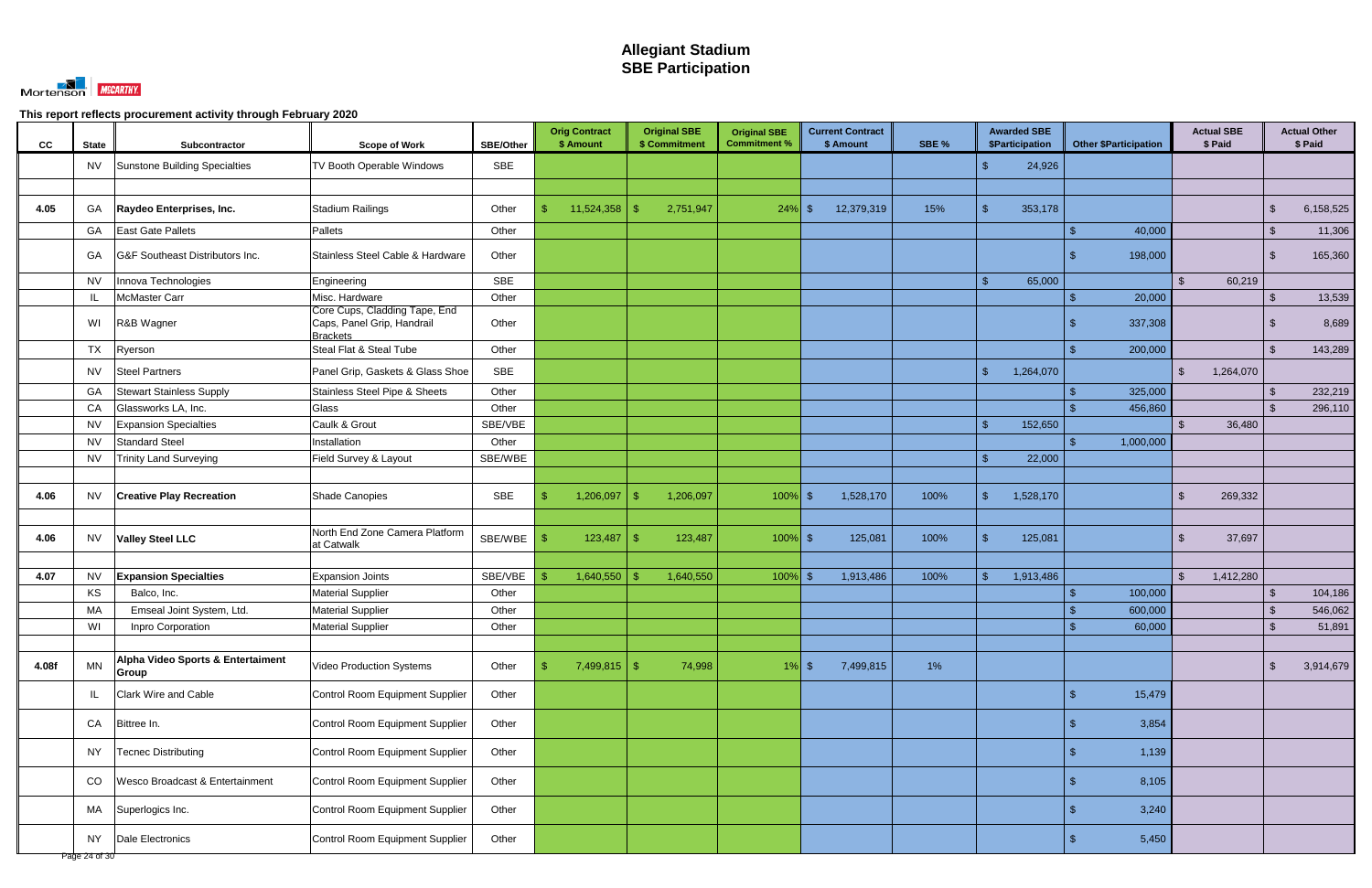

| SBE<br>24,926<br><b>NV</b><br>Sunstone Building Specialties<br><b>TV Booth Operable Windows</b><br>\$.<br>Stadium Railings<br>11,524,358<br>15%<br>353,178<br>$\mathcal{S}$<br>4.05<br>GA<br>Other<br>\$<br>2,751,947<br>12,379,319<br>$\mathcal{S}$<br>Raydeo Enterprises, Inc.<br>$24\%$ \$<br>- \$<br><b>East Gate Pallets</b><br>40,000<br>GA<br>Pallets<br>Other<br>\$<br>G&F Southeast Distributors Inc.<br>Stainless Steel Cable & Hardware<br>Other<br>$\mathcal{S}$<br>GA<br>198,000<br><b>SBE</b><br>Innova Technologies<br>Engineering<br>65,000<br>60,219<br><b>NV</b><br>$\mathbf{\hat{R}}$<br>$\mathbb{S}$<br>Misc. Hardware<br>Other<br>McMaster Carr<br>20,000<br>- IL<br>\$<br>Core Cups, Cladding Tape, End<br>Caps, Panel Grip, Handrail<br>WI<br>R&B Wagner<br>Other<br>337,308<br><b>Brackets</b><br>TX<br>Ryerson<br>Steal Flat & Steal Tube<br>200,000<br>$\mathfrak{F}$<br>Other<br>SBE<br>$\mathbb{S}$<br>1,264,070<br>1,264,070<br><b>NV</b><br><b>Steel Partners</b><br>Panel Grip, Gaskets & Glass Shoe<br>$\mathbb{S}$<br>Other<br>GA<br><b>Stewart Stainless Supply</b><br>Stainless Steel Pipe & Sheets<br>325,000<br>\$<br>CA<br>Glass<br>Other<br>Glassworks LA, Inc.<br>456,860<br>$\mathcal{L}$<br><b>NV</b><br>Caulk & Grout<br>SBE/VBE<br>152,650<br><b>Expansion Specialties</b><br>$\mathbf{\hat{F}}$<br>36,480<br>$\mathfrak{L}$<br><b>Standard Steel</b><br><b>NV</b><br>Installation<br>Other<br>1,000,000<br>SBE/WBE<br><b>NV</b><br><b>Trinity Land Surveying</b><br>Field Survey & Layout<br>22,000<br>ß.<br><b>SBE</b><br>Shade Canopies<br>1,206,097<br>1,528,170<br>100%<br>$\mathbb{S}$<br>1,528,170<br>4.06<br><b>NV</b><br>1,206,097<br>$100\%$ \$<br>$\mathbb{S}$<br>269,332<br><b>Creative Play Recreation</b><br>\$.<br>-\$<br>North End Zone Camera Platform<br>SBE/WBE<br>123,487<br>125,081<br>100%<br>37,697<br>4.06<br><b>NV</b><br>123,487<br>$100\%$ \$<br>$\mathbf{\hat{f}}$<br>125,081<br><b>Valley Steel LLC</b><br>-\$<br>\$<br>at Catwalk<br>SBE/VBE<br>4.07<br><b>NV</b><br><b>Expansion Joints</b><br>1,640,550<br>1,640,550<br>1,913,486<br>100%<br>1,913,486<br>1,412,280<br><b>Expansion Specialties</b><br>$100\%$ \$<br>$\mathbb{S}$<br>KS<br><b>Material Supplier</b><br>Other<br>100,000<br>Balco, Inc.<br>\$<br><b>MA</b><br>Emseal Joint System, Ltd.<br><b>Material Supplier</b><br>600,000<br>Other<br>\$<br>Material Supplier<br>WI<br>60,000<br>Inpro Corporation<br>Other<br>Alpha Video Sports & Entertaiment<br><b>MN</b><br>$1\%$<br>4.08f<br>Video Production Systems<br>Other<br>$7,499,815$ \$<br>74,998<br>$1\%$ \$<br>7,499,815<br>$\sqrt{2}$<br>\$<br>Group<br><b>Clark Wire and Cable</b><br>Control Room Equipment Supplier<br>Other<br>15,479<br>IL<br>Other<br>3,854<br>CA<br>Bittree In.<br>Control Room Equipment Supplier<br>1,139<br><b>Tecnec Distributing</b><br>Control Room Equipment Supplier<br>Other<br><b>NY</b><br>Wesco Broadcast & Entertainment<br>Control Room Equipment Supplier<br>Other<br>8,105<br>CO<br>Superlogics Inc.<br>Control Room Equipment Supplier<br>3,240<br>МA<br>Other<br>Dale Electronics<br>Control Room Equipment Supplier<br>Other<br>5,450<br><b>NY</b><br>Page 24 of 30 | CC | <b>State</b> | Subcontractor | <b>Scope of Work</b> | SBE/Other | <b>Orig Contract</b><br>\$ Amount | <b>Original SBE</b><br>\$ Commitment | <b>Original SBE</b><br><b>Commitment %</b> | <b>Current Contract</b><br>\$ Amount | SBE % | <b>Awarded SBE</b><br><b>\$Participation</b> | <b>Other \$Participation</b> | <b>Actual SBE</b><br>\$ Paid | <b>Actual Other</b><br>\$ Paid |
|-----------------------------------------------------------------------------------------------------------------------------------------------------------------------------------------------------------------------------------------------------------------------------------------------------------------------------------------------------------------------------------------------------------------------------------------------------------------------------------------------------------------------------------------------------------------------------------------------------------------------------------------------------------------------------------------------------------------------------------------------------------------------------------------------------------------------------------------------------------------------------------------------------------------------------------------------------------------------------------------------------------------------------------------------------------------------------------------------------------------------------------------------------------------------------------------------------------------------------------------------------------------------------------------------------------------------------------------------------------------------------------------------------------------------------------------------------------------------------------------------------------------------------------------------------------------------------------------------------------------------------------------------------------------------------------------------------------------------------------------------------------------------------------------------------------------------------------------------------------------------------------------------------------------------------------------------------------------------------------------------------------------------------------------------------------------------------------------------------------------------------------------------------------------------------------------------------------------------------------------------------------------------------------------------------------------------------------------------------------------------------------------------------------------------------------------------------------------------------------------------------------------------------------------------------------------------------------------------------------------------------------------------------------------------------------------------------------------------------------------------------------------------------------------------------------------------------------------------------------------------------------------------------------------------------------------------------------------------------------------------------------------------------------------------------------------------------------------------------------------------------------------------------------------------------------------------------------------|----|--------------|---------------|----------------------|-----------|-----------------------------------|--------------------------------------|--------------------------------------------|--------------------------------------|-------|----------------------------------------------|------------------------------|------------------------------|--------------------------------|
|                                                                                                                                                                                                                                                                                                                                                                                                                                                                                                                                                                                                                                                                                                                                                                                                                                                                                                                                                                                                                                                                                                                                                                                                                                                                                                                                                                                                                                                                                                                                                                                                                                                                                                                                                                                                                                                                                                                                                                                                                                                                                                                                                                                                                                                                                                                                                                                                                                                                                                                                                                                                                                                                                                                                                                                                                                                                                                                                                                                                                                                                                                                                                                                                                 |    |              |               |                      |           |                                   |                                      |                                            |                                      |       |                                              |                              |                              |                                |
|                                                                                                                                                                                                                                                                                                                                                                                                                                                                                                                                                                                                                                                                                                                                                                                                                                                                                                                                                                                                                                                                                                                                                                                                                                                                                                                                                                                                                                                                                                                                                                                                                                                                                                                                                                                                                                                                                                                                                                                                                                                                                                                                                                                                                                                                                                                                                                                                                                                                                                                                                                                                                                                                                                                                                                                                                                                                                                                                                                                                                                                                                                                                                                                                                 |    |              |               |                      |           |                                   |                                      |                                            |                                      |       |                                              |                              |                              |                                |
|                                                                                                                                                                                                                                                                                                                                                                                                                                                                                                                                                                                                                                                                                                                                                                                                                                                                                                                                                                                                                                                                                                                                                                                                                                                                                                                                                                                                                                                                                                                                                                                                                                                                                                                                                                                                                                                                                                                                                                                                                                                                                                                                                                                                                                                                                                                                                                                                                                                                                                                                                                                                                                                                                                                                                                                                                                                                                                                                                                                                                                                                                                                                                                                                                 |    |              |               |                      |           |                                   |                                      |                                            |                                      |       |                                              |                              |                              | 6,158,525                      |
|                                                                                                                                                                                                                                                                                                                                                                                                                                                                                                                                                                                                                                                                                                                                                                                                                                                                                                                                                                                                                                                                                                                                                                                                                                                                                                                                                                                                                                                                                                                                                                                                                                                                                                                                                                                                                                                                                                                                                                                                                                                                                                                                                                                                                                                                                                                                                                                                                                                                                                                                                                                                                                                                                                                                                                                                                                                                                                                                                                                                                                                                                                                                                                                                                 |    |              |               |                      |           |                                   |                                      |                                            |                                      |       |                                              |                              |                              | 11,306                         |
|                                                                                                                                                                                                                                                                                                                                                                                                                                                                                                                                                                                                                                                                                                                                                                                                                                                                                                                                                                                                                                                                                                                                                                                                                                                                                                                                                                                                                                                                                                                                                                                                                                                                                                                                                                                                                                                                                                                                                                                                                                                                                                                                                                                                                                                                                                                                                                                                                                                                                                                                                                                                                                                                                                                                                                                                                                                                                                                                                                                                                                                                                                                                                                                                                 |    |              |               |                      |           |                                   |                                      |                                            |                                      |       |                                              |                              |                              | 165,360                        |
|                                                                                                                                                                                                                                                                                                                                                                                                                                                                                                                                                                                                                                                                                                                                                                                                                                                                                                                                                                                                                                                                                                                                                                                                                                                                                                                                                                                                                                                                                                                                                                                                                                                                                                                                                                                                                                                                                                                                                                                                                                                                                                                                                                                                                                                                                                                                                                                                                                                                                                                                                                                                                                                                                                                                                                                                                                                                                                                                                                                                                                                                                                                                                                                                                 |    |              |               |                      |           |                                   |                                      |                                            |                                      |       |                                              |                              |                              |                                |
|                                                                                                                                                                                                                                                                                                                                                                                                                                                                                                                                                                                                                                                                                                                                                                                                                                                                                                                                                                                                                                                                                                                                                                                                                                                                                                                                                                                                                                                                                                                                                                                                                                                                                                                                                                                                                                                                                                                                                                                                                                                                                                                                                                                                                                                                                                                                                                                                                                                                                                                                                                                                                                                                                                                                                                                                                                                                                                                                                                                                                                                                                                                                                                                                                 |    |              |               |                      |           |                                   |                                      |                                            |                                      |       |                                              |                              |                              | 13,539                         |
|                                                                                                                                                                                                                                                                                                                                                                                                                                                                                                                                                                                                                                                                                                                                                                                                                                                                                                                                                                                                                                                                                                                                                                                                                                                                                                                                                                                                                                                                                                                                                                                                                                                                                                                                                                                                                                                                                                                                                                                                                                                                                                                                                                                                                                                                                                                                                                                                                                                                                                                                                                                                                                                                                                                                                                                                                                                                                                                                                                                                                                                                                                                                                                                                                 |    |              |               |                      |           |                                   |                                      |                                            |                                      |       |                                              |                              |                              | 8,689                          |
|                                                                                                                                                                                                                                                                                                                                                                                                                                                                                                                                                                                                                                                                                                                                                                                                                                                                                                                                                                                                                                                                                                                                                                                                                                                                                                                                                                                                                                                                                                                                                                                                                                                                                                                                                                                                                                                                                                                                                                                                                                                                                                                                                                                                                                                                                                                                                                                                                                                                                                                                                                                                                                                                                                                                                                                                                                                                                                                                                                                                                                                                                                                                                                                                                 |    |              |               |                      |           |                                   |                                      |                                            |                                      |       |                                              |                              |                              | 143,289                        |
|                                                                                                                                                                                                                                                                                                                                                                                                                                                                                                                                                                                                                                                                                                                                                                                                                                                                                                                                                                                                                                                                                                                                                                                                                                                                                                                                                                                                                                                                                                                                                                                                                                                                                                                                                                                                                                                                                                                                                                                                                                                                                                                                                                                                                                                                                                                                                                                                                                                                                                                                                                                                                                                                                                                                                                                                                                                                                                                                                                                                                                                                                                                                                                                                                 |    |              |               |                      |           |                                   |                                      |                                            |                                      |       |                                              |                              |                              |                                |
|                                                                                                                                                                                                                                                                                                                                                                                                                                                                                                                                                                                                                                                                                                                                                                                                                                                                                                                                                                                                                                                                                                                                                                                                                                                                                                                                                                                                                                                                                                                                                                                                                                                                                                                                                                                                                                                                                                                                                                                                                                                                                                                                                                                                                                                                                                                                                                                                                                                                                                                                                                                                                                                                                                                                                                                                                                                                                                                                                                                                                                                                                                                                                                                                                 |    |              |               |                      |           |                                   |                                      |                                            |                                      |       |                                              |                              |                              | 232,219                        |
|                                                                                                                                                                                                                                                                                                                                                                                                                                                                                                                                                                                                                                                                                                                                                                                                                                                                                                                                                                                                                                                                                                                                                                                                                                                                                                                                                                                                                                                                                                                                                                                                                                                                                                                                                                                                                                                                                                                                                                                                                                                                                                                                                                                                                                                                                                                                                                                                                                                                                                                                                                                                                                                                                                                                                                                                                                                                                                                                                                                                                                                                                                                                                                                                                 |    |              |               |                      |           |                                   |                                      |                                            |                                      |       |                                              |                              |                              | 296,110                        |
|                                                                                                                                                                                                                                                                                                                                                                                                                                                                                                                                                                                                                                                                                                                                                                                                                                                                                                                                                                                                                                                                                                                                                                                                                                                                                                                                                                                                                                                                                                                                                                                                                                                                                                                                                                                                                                                                                                                                                                                                                                                                                                                                                                                                                                                                                                                                                                                                                                                                                                                                                                                                                                                                                                                                                                                                                                                                                                                                                                                                                                                                                                                                                                                                                 |    |              |               |                      |           |                                   |                                      |                                            |                                      |       |                                              |                              |                              |                                |
|                                                                                                                                                                                                                                                                                                                                                                                                                                                                                                                                                                                                                                                                                                                                                                                                                                                                                                                                                                                                                                                                                                                                                                                                                                                                                                                                                                                                                                                                                                                                                                                                                                                                                                                                                                                                                                                                                                                                                                                                                                                                                                                                                                                                                                                                                                                                                                                                                                                                                                                                                                                                                                                                                                                                                                                                                                                                                                                                                                                                                                                                                                                                                                                                                 |    |              |               |                      |           |                                   |                                      |                                            |                                      |       |                                              |                              |                              |                                |
|                                                                                                                                                                                                                                                                                                                                                                                                                                                                                                                                                                                                                                                                                                                                                                                                                                                                                                                                                                                                                                                                                                                                                                                                                                                                                                                                                                                                                                                                                                                                                                                                                                                                                                                                                                                                                                                                                                                                                                                                                                                                                                                                                                                                                                                                                                                                                                                                                                                                                                                                                                                                                                                                                                                                                                                                                                                                                                                                                                                                                                                                                                                                                                                                                 |    |              |               |                      |           |                                   |                                      |                                            |                                      |       |                                              |                              |                              |                                |
|                                                                                                                                                                                                                                                                                                                                                                                                                                                                                                                                                                                                                                                                                                                                                                                                                                                                                                                                                                                                                                                                                                                                                                                                                                                                                                                                                                                                                                                                                                                                                                                                                                                                                                                                                                                                                                                                                                                                                                                                                                                                                                                                                                                                                                                                                                                                                                                                                                                                                                                                                                                                                                                                                                                                                                                                                                                                                                                                                                                                                                                                                                                                                                                                                 |    |              |               |                      |           |                                   |                                      |                                            |                                      |       |                                              |                              |                              |                                |
|                                                                                                                                                                                                                                                                                                                                                                                                                                                                                                                                                                                                                                                                                                                                                                                                                                                                                                                                                                                                                                                                                                                                                                                                                                                                                                                                                                                                                                                                                                                                                                                                                                                                                                                                                                                                                                                                                                                                                                                                                                                                                                                                                                                                                                                                                                                                                                                                                                                                                                                                                                                                                                                                                                                                                                                                                                                                                                                                                                                                                                                                                                                                                                                                                 |    |              |               |                      |           |                                   |                                      |                                            |                                      |       |                                              |                              |                              |                                |
|                                                                                                                                                                                                                                                                                                                                                                                                                                                                                                                                                                                                                                                                                                                                                                                                                                                                                                                                                                                                                                                                                                                                                                                                                                                                                                                                                                                                                                                                                                                                                                                                                                                                                                                                                                                                                                                                                                                                                                                                                                                                                                                                                                                                                                                                                                                                                                                                                                                                                                                                                                                                                                                                                                                                                                                                                                                                                                                                                                                                                                                                                                                                                                                                                 |    |              |               |                      |           |                                   |                                      |                                            |                                      |       |                                              |                              |                              |                                |
|                                                                                                                                                                                                                                                                                                                                                                                                                                                                                                                                                                                                                                                                                                                                                                                                                                                                                                                                                                                                                                                                                                                                                                                                                                                                                                                                                                                                                                                                                                                                                                                                                                                                                                                                                                                                                                                                                                                                                                                                                                                                                                                                                                                                                                                                                                                                                                                                                                                                                                                                                                                                                                                                                                                                                                                                                                                                                                                                                                                                                                                                                                                                                                                                                 |    |              |               |                      |           |                                   |                                      |                                            |                                      |       |                                              |                              |                              |                                |
|                                                                                                                                                                                                                                                                                                                                                                                                                                                                                                                                                                                                                                                                                                                                                                                                                                                                                                                                                                                                                                                                                                                                                                                                                                                                                                                                                                                                                                                                                                                                                                                                                                                                                                                                                                                                                                                                                                                                                                                                                                                                                                                                                                                                                                                                                                                                                                                                                                                                                                                                                                                                                                                                                                                                                                                                                                                                                                                                                                                                                                                                                                                                                                                                                 |    |              |               |                      |           |                                   |                                      |                                            |                                      |       |                                              |                              |                              |                                |
|                                                                                                                                                                                                                                                                                                                                                                                                                                                                                                                                                                                                                                                                                                                                                                                                                                                                                                                                                                                                                                                                                                                                                                                                                                                                                                                                                                                                                                                                                                                                                                                                                                                                                                                                                                                                                                                                                                                                                                                                                                                                                                                                                                                                                                                                                                                                                                                                                                                                                                                                                                                                                                                                                                                                                                                                                                                                                                                                                                                                                                                                                                                                                                                                                 |    |              |               |                      |           |                                   |                                      |                                            |                                      |       |                                              |                              |                              | 104,186                        |
|                                                                                                                                                                                                                                                                                                                                                                                                                                                                                                                                                                                                                                                                                                                                                                                                                                                                                                                                                                                                                                                                                                                                                                                                                                                                                                                                                                                                                                                                                                                                                                                                                                                                                                                                                                                                                                                                                                                                                                                                                                                                                                                                                                                                                                                                                                                                                                                                                                                                                                                                                                                                                                                                                                                                                                                                                                                                                                                                                                                                                                                                                                                                                                                                                 |    |              |               |                      |           |                                   |                                      |                                            |                                      |       |                                              |                              |                              | 546,062                        |
|                                                                                                                                                                                                                                                                                                                                                                                                                                                                                                                                                                                                                                                                                                                                                                                                                                                                                                                                                                                                                                                                                                                                                                                                                                                                                                                                                                                                                                                                                                                                                                                                                                                                                                                                                                                                                                                                                                                                                                                                                                                                                                                                                                                                                                                                                                                                                                                                                                                                                                                                                                                                                                                                                                                                                                                                                                                                                                                                                                                                                                                                                                                                                                                                                 |    |              |               |                      |           |                                   |                                      |                                            |                                      |       |                                              |                              |                              | 51,891                         |
|                                                                                                                                                                                                                                                                                                                                                                                                                                                                                                                                                                                                                                                                                                                                                                                                                                                                                                                                                                                                                                                                                                                                                                                                                                                                                                                                                                                                                                                                                                                                                                                                                                                                                                                                                                                                                                                                                                                                                                                                                                                                                                                                                                                                                                                                                                                                                                                                                                                                                                                                                                                                                                                                                                                                                                                                                                                                                                                                                                                                                                                                                                                                                                                                                 |    |              |               |                      |           |                                   |                                      |                                            |                                      |       |                                              |                              |                              |                                |
|                                                                                                                                                                                                                                                                                                                                                                                                                                                                                                                                                                                                                                                                                                                                                                                                                                                                                                                                                                                                                                                                                                                                                                                                                                                                                                                                                                                                                                                                                                                                                                                                                                                                                                                                                                                                                                                                                                                                                                                                                                                                                                                                                                                                                                                                                                                                                                                                                                                                                                                                                                                                                                                                                                                                                                                                                                                                                                                                                                                                                                                                                                                                                                                                                 |    |              |               |                      |           |                                   |                                      |                                            |                                      |       |                                              |                              |                              | 3,914,679                      |
|                                                                                                                                                                                                                                                                                                                                                                                                                                                                                                                                                                                                                                                                                                                                                                                                                                                                                                                                                                                                                                                                                                                                                                                                                                                                                                                                                                                                                                                                                                                                                                                                                                                                                                                                                                                                                                                                                                                                                                                                                                                                                                                                                                                                                                                                                                                                                                                                                                                                                                                                                                                                                                                                                                                                                                                                                                                                                                                                                                                                                                                                                                                                                                                                                 |    |              |               |                      |           |                                   |                                      |                                            |                                      |       |                                              |                              |                              |                                |
|                                                                                                                                                                                                                                                                                                                                                                                                                                                                                                                                                                                                                                                                                                                                                                                                                                                                                                                                                                                                                                                                                                                                                                                                                                                                                                                                                                                                                                                                                                                                                                                                                                                                                                                                                                                                                                                                                                                                                                                                                                                                                                                                                                                                                                                                                                                                                                                                                                                                                                                                                                                                                                                                                                                                                                                                                                                                                                                                                                                                                                                                                                                                                                                                                 |    |              |               |                      |           |                                   |                                      |                                            |                                      |       |                                              |                              |                              |                                |
|                                                                                                                                                                                                                                                                                                                                                                                                                                                                                                                                                                                                                                                                                                                                                                                                                                                                                                                                                                                                                                                                                                                                                                                                                                                                                                                                                                                                                                                                                                                                                                                                                                                                                                                                                                                                                                                                                                                                                                                                                                                                                                                                                                                                                                                                                                                                                                                                                                                                                                                                                                                                                                                                                                                                                                                                                                                                                                                                                                                                                                                                                                                                                                                                                 |    |              |               |                      |           |                                   |                                      |                                            |                                      |       |                                              |                              |                              |                                |
|                                                                                                                                                                                                                                                                                                                                                                                                                                                                                                                                                                                                                                                                                                                                                                                                                                                                                                                                                                                                                                                                                                                                                                                                                                                                                                                                                                                                                                                                                                                                                                                                                                                                                                                                                                                                                                                                                                                                                                                                                                                                                                                                                                                                                                                                                                                                                                                                                                                                                                                                                                                                                                                                                                                                                                                                                                                                                                                                                                                                                                                                                                                                                                                                                 |    |              |               |                      |           |                                   |                                      |                                            |                                      |       |                                              |                              |                              |                                |
|                                                                                                                                                                                                                                                                                                                                                                                                                                                                                                                                                                                                                                                                                                                                                                                                                                                                                                                                                                                                                                                                                                                                                                                                                                                                                                                                                                                                                                                                                                                                                                                                                                                                                                                                                                                                                                                                                                                                                                                                                                                                                                                                                                                                                                                                                                                                                                                                                                                                                                                                                                                                                                                                                                                                                                                                                                                                                                                                                                                                                                                                                                                                                                                                                 |    |              |               |                      |           |                                   |                                      |                                            |                                      |       |                                              |                              |                              |                                |
|                                                                                                                                                                                                                                                                                                                                                                                                                                                                                                                                                                                                                                                                                                                                                                                                                                                                                                                                                                                                                                                                                                                                                                                                                                                                                                                                                                                                                                                                                                                                                                                                                                                                                                                                                                                                                                                                                                                                                                                                                                                                                                                                                                                                                                                                                                                                                                                                                                                                                                                                                                                                                                                                                                                                                                                                                                                                                                                                                                                                                                                                                                                                                                                                                 |    |              |               |                      |           |                                   |                                      |                                            |                                      |       |                                              |                              |                              |                                |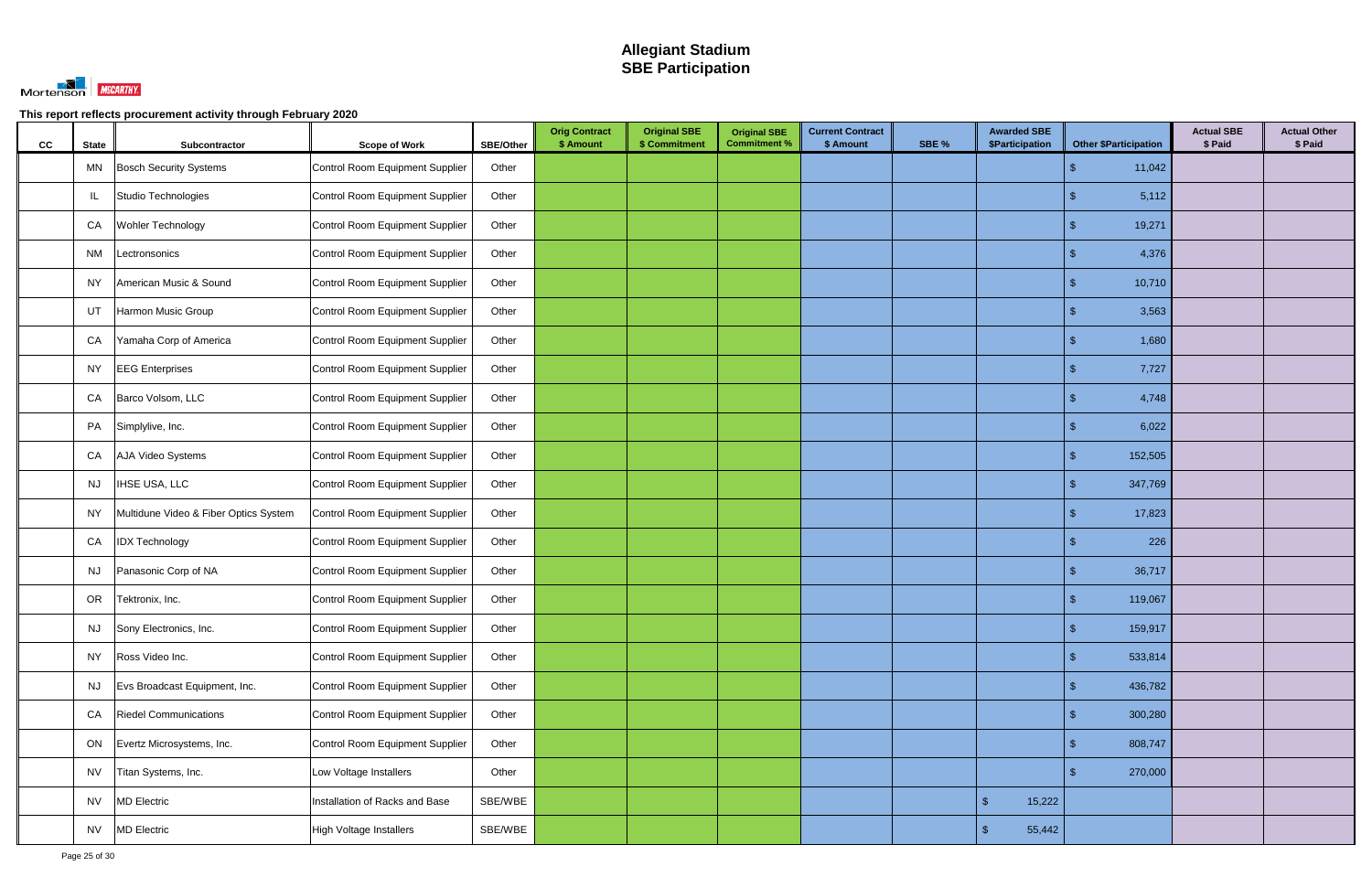

| cc | <b>State</b> | Subcontractor                         | <b>Scope of Work</b>            | SBE/Other | <b>Orig Contract</b><br>\$ Amount | <b>Original SBE</b><br>\$ Commitment | <b>Original SBE</b><br><b>Commitment %</b> | <b>Current Contract</b><br>\$ Amount | SBE % | <b>Awarded SBE</b><br>\$Participation | <b>Other \$Participation</b> | <b>Actual SBE</b><br>\$ Paid | <b>Actual Other</b><br>\$ Paid |
|----|--------------|---------------------------------------|---------------------------------|-----------|-----------------------------------|--------------------------------------|--------------------------------------------|--------------------------------------|-------|---------------------------------------|------------------------------|------------------------------|--------------------------------|
|    | MN           | <b>Bosch Security Systems</b>         | Control Room Equipment Supplier | Other     |                                   |                                      |                                            |                                      |       |                                       | 11,042<br>£.                 |                              |                                |
|    | IL           | Studio Technologies                   | Control Room Equipment Supplier | Other     |                                   |                                      |                                            |                                      |       |                                       | 5,112                        |                              |                                |
|    | CA           | Wohler Technology                     | Control Room Equipment Supplier | Other     |                                   |                                      |                                            |                                      |       |                                       | 19,271                       |                              |                                |
|    | <b>NM</b>    | Lectronsonics                         | Control Room Equipment Supplier | Other     |                                   |                                      |                                            |                                      |       |                                       | 4,376                        |                              |                                |
|    | NY.          | American Music & Sound                | Control Room Equipment Supplier | Other     |                                   |                                      |                                            |                                      |       |                                       | 10,710                       |                              |                                |
|    | UT           | Harmon Music Group                    | Control Room Equipment Supplier | Other     |                                   |                                      |                                            |                                      |       |                                       | 3,563                        |                              |                                |
|    | CA           | Yamaha Corp of America                | Control Room Equipment Supplier | Other     |                                   |                                      |                                            |                                      |       |                                       | 1,680                        |                              |                                |
|    | <b>NY</b>    | <b>EEG</b> Enterprises                | Control Room Equipment Supplier | Other     |                                   |                                      |                                            |                                      |       |                                       | 7,727                        |                              |                                |
|    | CA           | Barco Volsom, LLC                     | Control Room Equipment Supplier | Other     |                                   |                                      |                                            |                                      |       |                                       | 4,748                        |                              |                                |
|    | PA           | Simplylive, Inc.                      | Control Room Equipment Supplier | Other     |                                   |                                      |                                            |                                      |       |                                       | 6,022                        |                              |                                |
|    | CA           | AJA Video Systems                     | Control Room Equipment Supplier | Other     |                                   |                                      |                                            |                                      |       |                                       | 152,505                      |                              |                                |
|    | <b>NJ</b>    | <b>IHSE USA, LLC</b>                  | Control Room Equipment Supplier | Other     |                                   |                                      |                                            |                                      |       |                                       | 347,769                      |                              |                                |
|    | <b>NY</b>    | Multidune Video & Fiber Optics System | Control Room Equipment Supplier | Other     |                                   |                                      |                                            |                                      |       |                                       | 17,823                       |                              |                                |
|    | CA           | <b>IDX Technology</b>                 | Control Room Equipment Supplier | Other     |                                   |                                      |                                            |                                      |       |                                       | 226                          |                              |                                |
|    | <b>NJ</b>    | Panasonic Corp of NA                  | Control Room Equipment Supplier | Other     |                                   |                                      |                                            |                                      |       |                                       | 36,717                       |                              |                                |
|    | OR           | Tektronix, Inc.                       | Control Room Equipment Supplier | Other     |                                   |                                      |                                            |                                      |       |                                       | 119,067                      |                              |                                |
|    | NJ.          | Sony Electronics, Inc.                | Control Room Equipment Supplier | Other     |                                   |                                      |                                            |                                      |       |                                       | - \$<br>159,917              |                              |                                |
|    | <b>NY</b>    | Ross Video Inc.                       | Control Room Equipment Supplier | Other     |                                   |                                      |                                            |                                      |       |                                       | 533,814<br>\$                |                              |                                |
|    | <b>NJ</b>    | Evs Broadcast Equipment, Inc.         | Control Room Equipment Supplier | Other     |                                   |                                      |                                            |                                      |       |                                       | 436,782<br>\$                |                              |                                |
|    | CA           | <b>Riedel Communications</b>          | Control Room Equipment Supplier | Other     |                                   |                                      |                                            |                                      |       |                                       | 300,280                      |                              |                                |
|    | ON           | Evertz Microsystems, Inc.             | Control Room Equipment Supplier | Other     |                                   |                                      |                                            |                                      |       |                                       | 808,747                      |                              |                                |
|    | <b>NV</b>    | Titan Systems, Inc.                   | Low Voltage Installers          | Other     |                                   |                                      |                                            |                                      |       |                                       | 270,000<br>\$.               |                              |                                |
|    | <b>NV</b>    | <b>MD Electric</b>                    | Installation of Racks and Base  | SBE/WBE   |                                   |                                      |                                            |                                      |       | $\sqrt{2}$<br>15,222                  |                              |                              |                                |
|    | <b>NV</b>    | <b>MD Electric</b>                    | High Voltage Installers         | SBE/WBE   |                                   |                                      |                                            |                                      |       | $\mathfrak{s}$<br>55,442              |                              |                              |                                |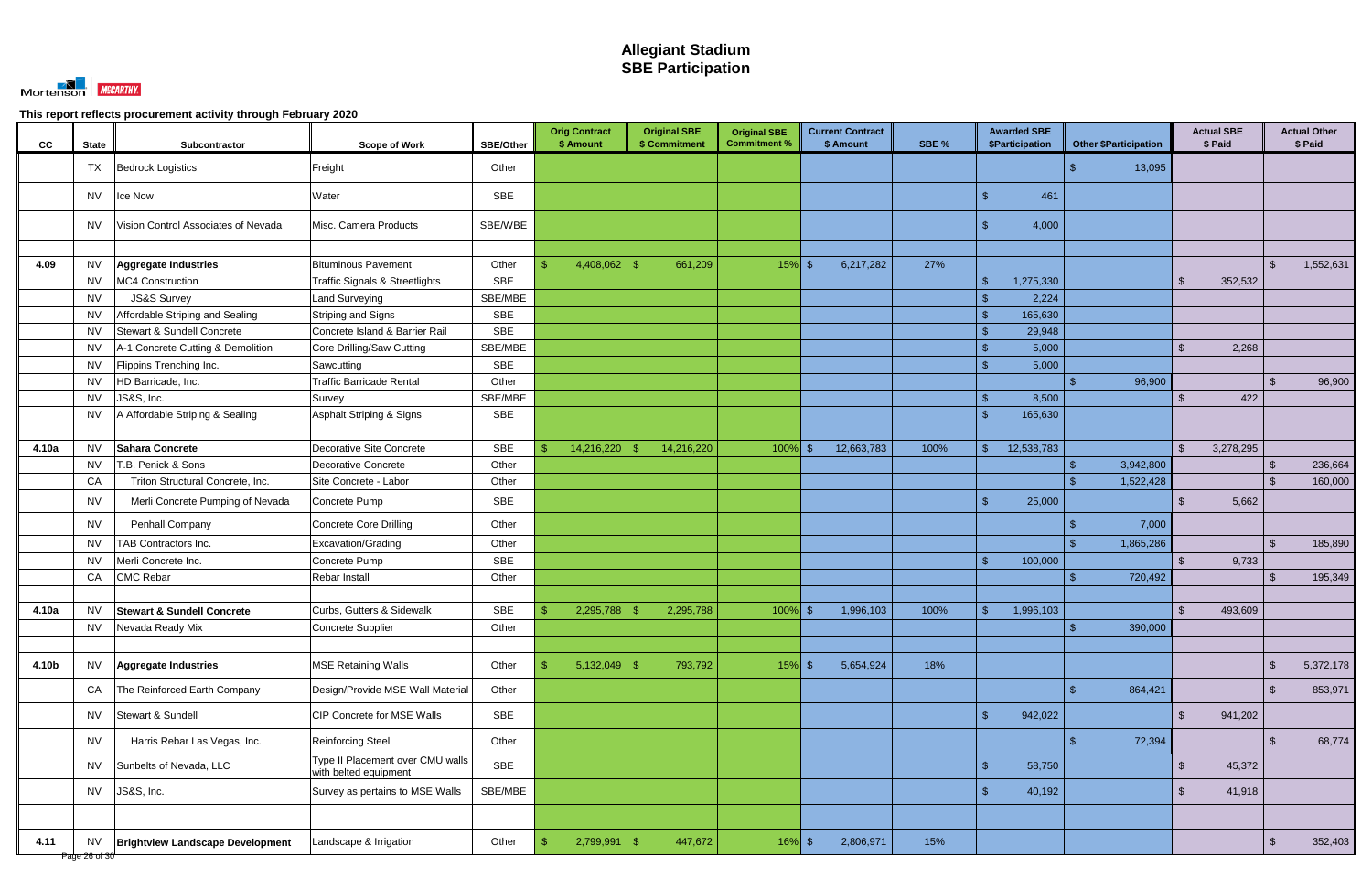

| <b>CC</b> | <b>State</b>               | Subcontractor                           | <b>Scope of Work</b>                                      | <b>SBE/Other</b> |               | <b>Orig Contract</b><br>\$ Amount |      | <b>Original SBE</b><br>\$ Commitment | <b>Original SBE</b><br><b>Commitment %</b> | <b>Current Contract</b><br>\$ Amount | SBE % |                | <b>Awarded SBE</b><br>\$Participation |      | <b>Other \$Participation</b> |                | <b>Actual SBE</b><br>\$ Paid |                | <b>Actual Other</b><br>\$ Paid |
|-----------|----------------------------|-----------------------------------------|-----------------------------------------------------------|------------------|---------------|-----------------------------------|------|--------------------------------------|--------------------------------------------|--------------------------------------|-------|----------------|---------------------------------------|------|------------------------------|----------------|------------------------------|----------------|--------------------------------|
|           | <b>TX</b>                  | Bedrock Logistics                       | Freight                                                   | Other            |               |                                   |      |                                      |                                            |                                      |       |                |                                       |      | 13,095                       |                |                              |                |                                |
|           | <b>NV</b>                  | Ice Now                                 | Water                                                     | <b>SBE</b>       |               |                                   |      |                                      |                                            |                                      |       | \$             | 461                                   |      |                              |                |                              |                |                                |
|           | <b>NV</b>                  | Vision Control Associates of Nevada     | Misc. Camera Products                                     | SBE/WBE          |               |                                   |      |                                      |                                            |                                      |       |                | 4,000                                 |      |                              |                |                              |                |                                |
|           |                            |                                         |                                                           |                  |               |                                   |      |                                      |                                            |                                      |       |                |                                       |      |                              |                |                              |                |                                |
| 4.09      | <b>NV</b>                  | Aggregate Industries                    | <b>Bituminous Pavement</b>                                | Other            |               | 4,408,062                         | - \$ | 661,209                              | $15%$ \$                                   | 6,217,282                            | 27%   |                |                                       |      |                              |                |                              | -\$            | 1,552,631                      |
|           | <b>NV</b>                  | MC4 Construction                        | <b>Traffic Signals &amp; Streetlights</b>                 | <b>SBE</b>       |               |                                   |      |                                      |                                            |                                      |       |                | 1,275,330                             |      |                              | - S            | 352,532                      |                |                                |
|           | <b>NV</b>                  | <b>JS&amp;S Survey</b>                  | <b>Land Surveying</b>                                     | SBE/MBE          |               |                                   |      |                                      |                                            |                                      |       | -\$            | 2,224                                 |      |                              |                |                              |                |                                |
|           | <b>NV</b>                  | Affordable Striping and Sealing         | Striping and Signs                                        | <b>SBE</b>       |               |                                   |      |                                      |                                            |                                      |       | -\$            | 165,630                               |      |                              |                |                              |                |                                |
|           | <b>NV</b>                  | Stewart & Sundell Concrete              | Concrete Island & Barrier Rail                            | <b>SBE</b>       |               |                                   |      |                                      |                                            |                                      |       | -\$            | 29,948                                |      |                              |                |                              |                |                                |
|           | <b>NV</b>                  | A-1 Concrete Cutting & Demolition       | Core Drilling/Saw Cutting                                 | SBE/MBE          |               |                                   |      |                                      |                                            |                                      |       | \$             | 5,000                                 |      |                              | $\mathfrak{L}$ | 2,268                        |                |                                |
|           | <b>NV</b>                  | Flippins Trenching Inc.                 | Sawcutting                                                | <b>SBE</b>       |               |                                   |      |                                      |                                            |                                      |       | -\$            | 5,000                                 |      |                              |                |                              |                |                                |
|           | <b>NV</b>                  | HD Barricade, Inc.                      | <b>Traffic Barricade Rental</b>                           | Other            |               |                                   |      |                                      |                                            |                                      |       |                |                                       |      | 96,900                       |                |                              | -\$            | 96,900                         |
|           | <b>NV</b>                  | JS&S, Inc.                              | Survey                                                    | SBE/MBE          |               |                                   |      |                                      |                                            |                                      |       | \$             | 8,500                                 |      |                              |                | 422                          |                |                                |
|           | <b>NV</b>                  | A Affordable Striping & Sealing         | Asphalt Striping & Signs                                  | <b>SBE</b>       |               |                                   |      |                                      |                                            |                                      |       |                | 165,630                               |      |                              |                |                              |                |                                |
|           |                            |                                         |                                                           |                  |               |                                   |      |                                      |                                            |                                      |       |                |                                       |      |                              |                |                              |                |                                |
| 4.10a     | <b>NV</b>                  | Sahara Concrete                         | Decorative Site Concrete                                  | <b>SBE</b>       |               | 14,216,220                        |      | 14,216,220                           | $100\%$ \$                                 | 12,663,783                           | 100%  |                | 12,538,783                            |      |                              | $\mathfrak{L}$ | 3,278,295                    |                |                                |
|           | NV                         | T.B. Penick & Sons                      | <b>Decorative Concrete</b>                                | Other            |               |                                   |      |                                      |                                            |                                      |       |                |                                       |      | 3,942,800                    |                |                              | -\$            | 236,664                        |
|           | CA                         | Triton Structural Concrete, Inc.        | Site Concrete - Labor                                     | Other            |               |                                   |      |                                      |                                            |                                      |       |                |                                       |      | 1,522,428                    |                |                              | -\$            | 160,000                        |
|           | <b>NV</b>                  | Merli Concrete Pumping of Nevada        | Concrete Pump                                             | <b>SBE</b>       |               |                                   |      |                                      |                                            |                                      |       | $\mathfrak{L}$ | 25,000                                |      |                              |                | 5,662                        |                |                                |
|           | <b>NV</b>                  | Penhall Company                         | Concrete Core Drilling                                    | Other            |               |                                   |      |                                      |                                            |                                      |       |                |                                       |      | 7,000                        |                |                              |                |                                |
|           | <b>NV</b>                  | <b>TAB Contractors Inc.</b>             | Excavation/Grading                                        | Other            |               |                                   |      |                                      |                                            |                                      |       |                |                                       |      | 1,865,286                    |                |                              | $\mathfrak{F}$ | 185,890                        |
|           | <b>NV</b>                  | Merli Concrete Inc.                     | Concrete Pump                                             | <b>SBE</b>       |               |                                   |      |                                      |                                            |                                      |       | ୍ମ ବ           | 100,000                               |      |                              | $\mathcal{F}$  | 9,733                        |                |                                |
|           | CA                         | <b>CMC Rebar</b>                        | Rebar Install                                             | Other            |               |                                   |      |                                      |                                            |                                      |       |                |                                       |      | 720,492                      |                |                              |                | 195,349                        |
|           |                            |                                         |                                                           |                  |               |                                   |      |                                      |                                            |                                      |       |                |                                       |      |                              |                |                              |                |                                |
| 4.10a     | <b>NV</b>                  | <b>Stewart &amp; Sundell Concrete</b>   | Curbs, Gutters & Sidewalk                                 | <b>SBE</b>       |               | 2,295,788                         |      | 2,295,788                            | $100\%$ \$                                 | 1,996,103                            | 100%  |                | 1,996,103                             |      |                              |                | 493,609                      |                |                                |
|           | NV.                        | Nevada Ready Mix                        | Concrete Supplier                                         | Other            |               |                                   |      |                                      |                                            |                                      |       |                |                                       | - 35 | 390,000                      |                |                              |                |                                |
|           |                            |                                         |                                                           |                  |               |                                   |      |                                      |                                            |                                      |       |                |                                       |      |                              |                |                              |                |                                |
| 4.10b     | <b>NV</b>                  | Aggregate Industries                    | <b>MSE Retaining Walls</b>                                | Other            | -S            | $5,132,049$ \$                    |      | 793,792                              | $15%$ \$                                   | 5,654,924                            | 18%   |                |                                       |      |                              |                |                              | $\sqrt{2}$     | 5,372,178                      |
|           | CA                         | The Reinforced Earth Company            | Design/Provide MSE Wall Material                          | Other            |               |                                   |      |                                      |                                            |                                      |       |                |                                       |      | 864,421                      |                |                              | $\sqrt[3]{2}$  | 853,971                        |
|           | <b>NV</b>                  | Stewart & Sundell                       | CIP Concrete for MSE Walls                                | <b>SBE</b>       |               |                                   |      |                                      |                                            |                                      |       | $\mathcal{S}$  | 942,022                               |      |                              | $\mathcal{S}$  | 941,202                      |                |                                |
|           | <b>NV</b>                  | Harris Rebar Las Vegas, Inc.            | <b>Reinforcing Steel</b>                                  | Other            |               |                                   |      |                                      |                                            |                                      |       |                |                                       |      | 72,394                       |                |                              | $\sqrt[6]{3}$  | 68,774                         |
|           | <b>NV</b>                  | Sunbelts of Nevada, LLC                 | Type II Placement over CMU walls<br>with belted equipment | <b>SBE</b>       |               |                                   |      |                                      |                                            |                                      |       | $\sqrt{3}$     | 58,750                                |      |                              | $\mathfrak{S}$ | 45,372                       |                |                                |
|           | <b>NV</b>                  | JS&S, Inc.                              | Survey as pertains to MSE Walls                           | SBE/MBE          |               |                                   |      |                                      |                                            |                                      |       | $\sqrt{3}$     | 40,192                                |      |                              | \$             | 41,918                       |                |                                |
|           |                            |                                         |                                                           |                  |               |                                   |      |                                      |                                            |                                      |       |                |                                       |      |                              |                |                              |                |                                |
| 4.11      | <b>NV</b><br>Page 26 of 30 | <b>Brightview Landscape Development</b> | Landscape & Irrigation                                    | Other            | $\mathcal{S}$ | 2,799,991                         | \$   | 447,672                              | $16\%$ \$                                  | 2,806,971                            | 15%   |                |                                       |      |                              |                |                              | $\sqrt[3]{2}$  | 352,403                        |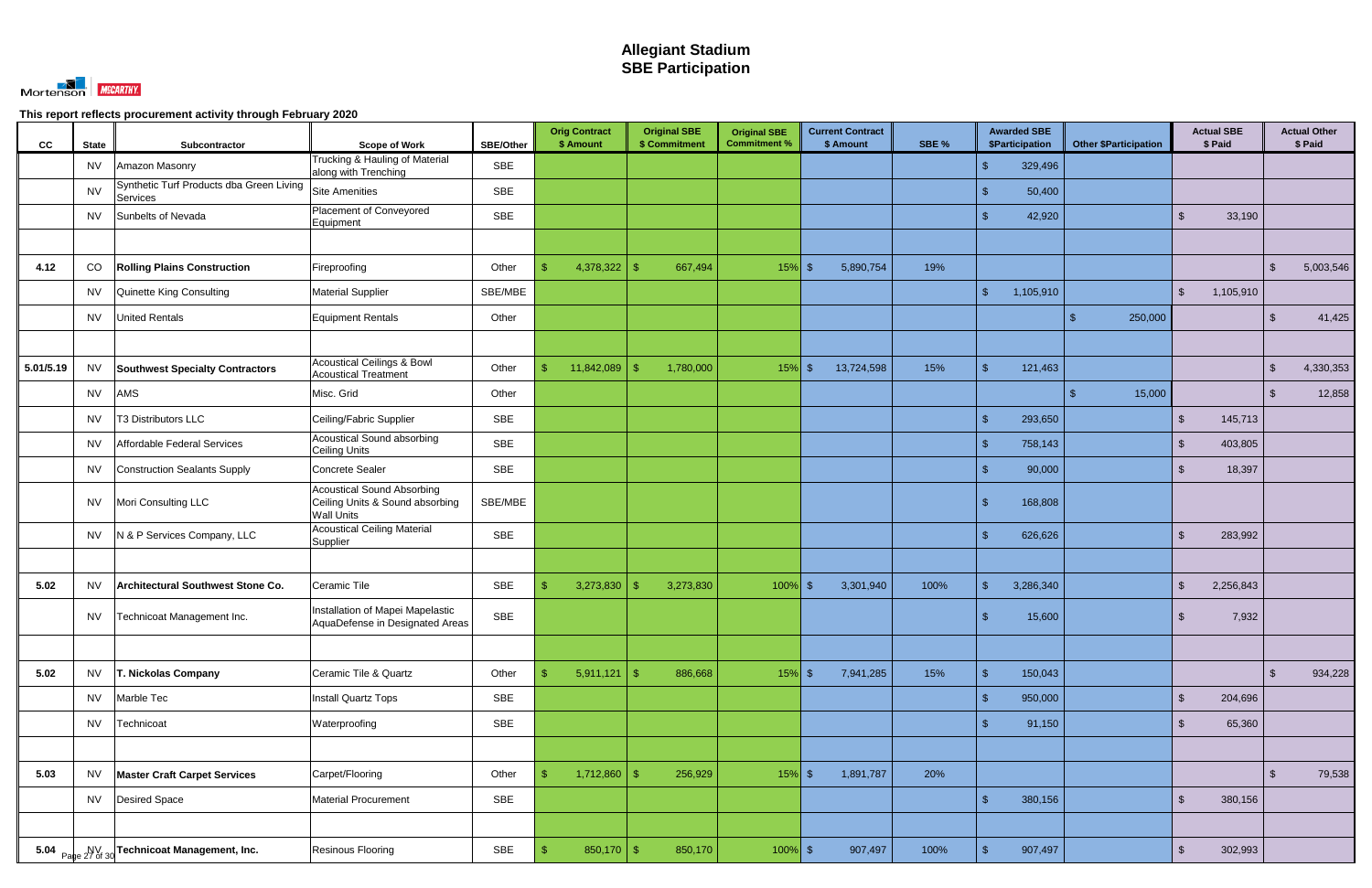

| cc        | <b>State</b> | Subcontractor                                        | <b>Scope of Work</b>                                                                      | <b>SBE/Other</b> | <b>Orig Contract</b><br>\$ Amount | <b>Original SBE</b><br>\$ Commitment | <b>Original SBE</b><br><b>Commitment %</b> | <b>Current Contract</b><br>\$ Amount | SBE % | <b>Awarded SBE</b><br>\$Participation | <b>Other \$Participation</b> | <b>Actual SBE</b><br>\$ Paid       |               | <b>Actual Other</b><br>\$ Paid |
|-----------|--------------|------------------------------------------------------|-------------------------------------------------------------------------------------------|------------------|-----------------------------------|--------------------------------------|--------------------------------------------|--------------------------------------|-------|---------------------------------------|------------------------------|------------------------------------|---------------|--------------------------------|
|           | <b>NV</b>    | Amazon Masonry                                       | Trucking & Hauling of Material<br>along with Trenching                                    | SBE              |                                   |                                      |                                            |                                      |       | \$<br>329,496                         |                              |                                    |               |                                |
|           | <b>NV</b>    | Synthetic Turf Products dba Green Living<br>Services | <b>Site Amenities</b>                                                                     | <b>SBE</b>       |                                   |                                      |                                            |                                      |       | 50,400<br>-\$                         |                              |                                    |               |                                |
|           | <b>NV</b>    | Sunbelts of Nevada                                   | Placement of Conveyored<br>Equipment                                                      | SBE              |                                   |                                      |                                            |                                      |       | 42,920<br>\$                          |                              | 33,190<br>\$                       |               |                                |
|           |              |                                                      |                                                                                           |                  |                                   |                                      |                                            |                                      |       |                                       |                              |                                    |               |                                |
| 4.12      | CO           | <b>Rolling Plains Construction</b>                   | Fireproofing                                                                              | Other            | 4,378,322<br>\$.                  | 667,494<br>-\$                       | $15%$ \$                                   | 5,890,754                            | 19%   |                                       |                              |                                    | $\mathbb{S}$  | 5,003,546                      |
|           | <b>NV</b>    | Quinette King Consulting                             | <b>Material Supplier</b>                                                                  | SBE/MBE          |                                   |                                      |                                            |                                      |       | $\mathcal{S}$<br>1,105,910            |                              | $\mathfrak{L}$<br>1,105,910        |               |                                |
|           | <b>NV</b>    | <b>United Rentals</b>                                | Equipment Rentals                                                                         | Other            |                                   |                                      |                                            |                                      |       |                                       | 250,000                      |                                    | \$            | 41,425                         |
|           |              |                                                      |                                                                                           |                  |                                   |                                      |                                            |                                      |       |                                       |                              |                                    |               |                                |
| 5.01/5.19 | <b>NV</b>    | <b>Southwest Specialty Contractors</b>               | <b>Acoustical Ceilings &amp; Bowl</b><br><b>Acoustical Treatment</b>                      | Other            | 11,842,089<br>S                   | 1,780,000<br>-\$                     | $15%$ \$                                   | 13,724,598                           | 15%   | $\sqrt{2}$<br>121,463                 |                              |                                    | $\mathcal{S}$ | 4,330,353                      |
|           | <b>NV</b>    | AMS                                                  | Misc. Grid                                                                                | Other            |                                   |                                      |                                            |                                      |       |                                       | 15,000                       |                                    | $\mathcal{S}$ | 12,858                         |
|           | <b>NV</b>    | T3 Distributors LLC                                  | Ceiling/Fabric Supplier                                                                   | SBE              |                                   |                                      |                                            |                                      |       | $\mathbf{\hat{s}}$<br>293,650         |                              | 145,713<br>-SS                     |               |                                |
|           | <b>NV</b>    | <b>Affordable Federal Services</b>                   | Acoustical Sound absorbing<br><b>Ceiling Units</b>                                        | <b>SBE</b>       |                                   |                                      |                                            |                                      |       | 758,143<br>\$                         |                              | 403,805<br>$\mathfrak{S}$          |               |                                |
|           | <b>NV</b>    | <b>Construction Sealants Supply</b>                  | <b>Concrete Sealer</b>                                                                    | <b>SBE</b>       |                                   |                                      |                                            |                                      |       | $\mathbf{\hat{s}}$<br>90,000          |                              | 18,397<br>-S                       |               |                                |
|           | <b>NV</b>    | Mori Consulting LLC                                  | <b>Acoustical Sound Absorbing</b><br>Ceiling Units & Sound absorbing<br><b>Wall Units</b> | SBE/MBE          |                                   |                                      |                                            |                                      |       | 168,808<br>\$                         |                              |                                    |               |                                |
|           | <b>NV</b>    | N & P Services Company, LLC                          | <b>Acoustical Ceiling Material</b><br>Supplier                                            | <b>SBE</b>       |                                   |                                      |                                            |                                      |       | 626,626                               |                              | $\mathfrak{L}$<br>283,992          |               |                                |
|           |              |                                                      |                                                                                           |                  |                                   |                                      |                                            |                                      |       |                                       |                              |                                    |               |                                |
| 5.02      | <b>NV</b>    | Architectural Southwest Stone Co.                    | Ceramic Tile                                                                              | <b>SBE</b>       | 3,273,830<br>\$                   | 3,273,830<br>- \$                    | $100\%$ \$                                 | 3,301,940                            | 100%  | $\mathcal{S}$<br>3,286,340            |                              | $\mathfrak{S}$<br>2,256,843        |               |                                |
|           | <b>NV</b>    | Technicoat Management Inc.                           | Installation of Mapei Mapelastic<br>AquaDefense in Designated Areas                       | SBE              |                                   |                                      |                                            |                                      |       | 15,600<br>\$                          |                              | 7,932<br>-S                        |               |                                |
|           |              |                                                      |                                                                                           |                  |                                   |                                      |                                            |                                      |       |                                       |                              |                                    |               |                                |
| 5.02      | <b>NV</b>    | T. Nickolas Company                                  | Ceramic Tile & Quartz                                                                     | Other            | 5,911,121<br>\$                   | 886,668<br>$\sqrt{3}$                | $15\%$ \$                                  | 7,941,285                            | 15%   | $\mathbb{S}$<br>150,043               |                              |                                    | $\mathcal{L}$ | 934,228                        |
|           | <b>NV</b>    | Marble Tec                                           | Install Quartz Tops                                                                       | SBE              |                                   |                                      |                                            |                                      |       | $\sqrt{2}$<br>950,000                 |                              | $\mathfrak{S}$<br>204,696          |               |                                |
|           | <b>NV</b>    | Technicoat                                           | Waterproofing                                                                             | SBE              |                                   |                                      |                                            |                                      |       | 91,150<br>\$                          |                              | $\mathfrak{S}$<br>65,360           |               |                                |
|           |              |                                                      |                                                                                           |                  |                                   |                                      |                                            |                                      |       |                                       |                              |                                    |               |                                |
| 5.03      | <b>NV</b>    | <b>Master Craft Carpet Services</b>                  | Carpet/Flooring                                                                           | Other            | 1,712,860<br>-\$                  | 256,929<br>- \$                      | $15\%$ \$                                  | 1,891,787                            | 20%   |                                       |                              |                                    | $\sqrt{2}$    | 79,538                         |
|           | <b>NV</b>    | <b>Desired Space</b>                                 | <b>Material Procurement</b>                                                               | SBE              |                                   |                                      |                                            |                                      |       | $\sqrt{2}$<br>380,156                 |                              | $\sqrt[6]{\frac{1}{2}}$<br>380,156 |               |                                |
|           |              |                                                      |                                                                                           |                  |                                   |                                      |                                            |                                      |       |                                       |                              |                                    |               |                                |
|           |              | 5.04 Page 27 of 30 Technicoat Management, Inc.       | Resinous Flooring                                                                         | SBE              | $850,170$ \$<br>$\mathcal{S}$     | 850,170                              | $100\%$ \$                                 | 907,497                              | 100%  | 907,497<br>$\mathbf{\hat{F}}$         |                              | 302,993<br>$\mathfrak{S}$          |               |                                |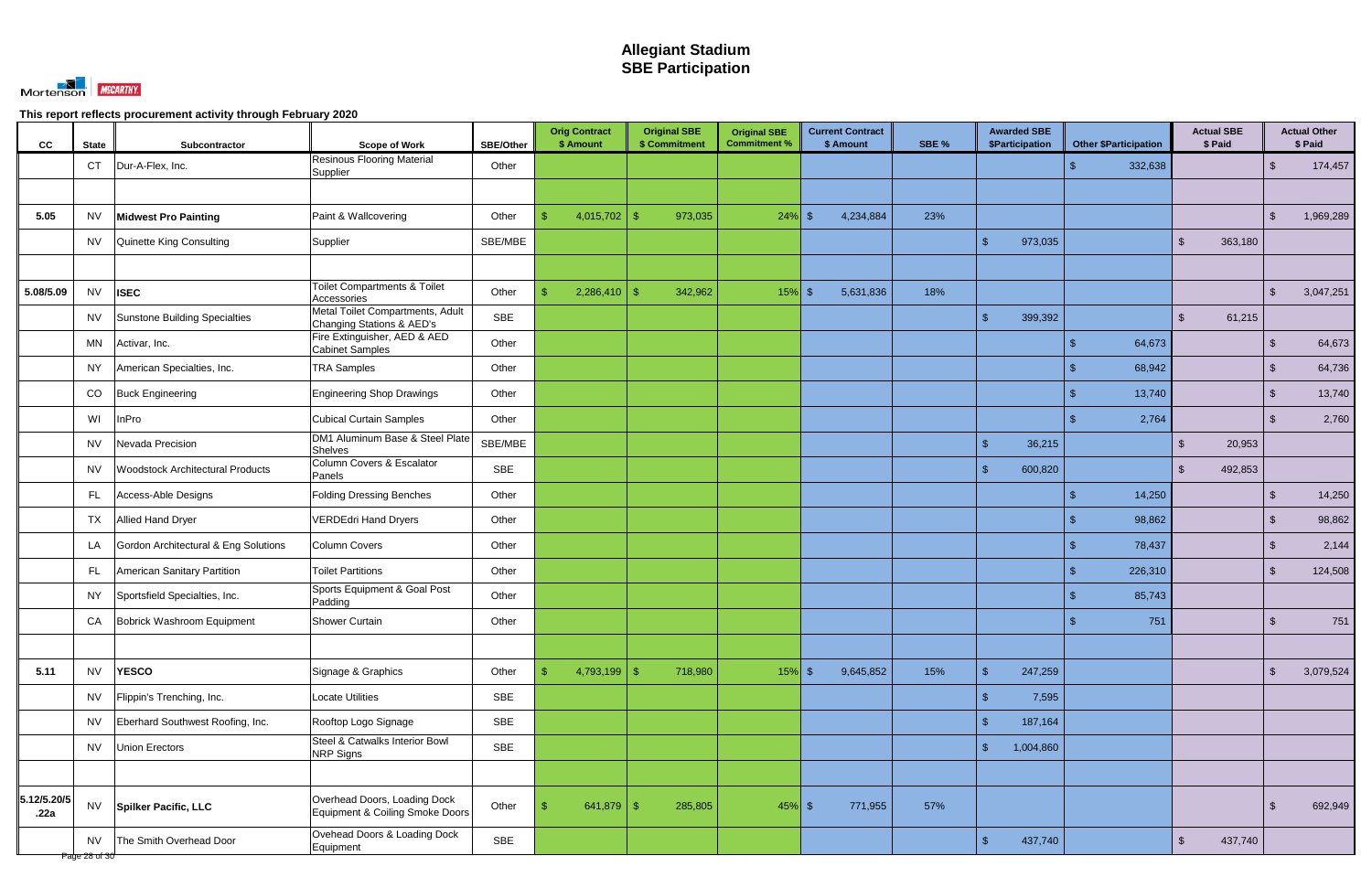

| CC                  | <b>State</b>               | Subcontractor                           | <b>Scope of Work</b>                                            | <b>SBE/Other</b> | <b>Orig Contract</b><br>\$ Amount |                |               | <b>Original SBE</b><br>\$ Commitment | <b>Original SBE</b><br><b>Commitment %</b> | <b>Current Contract</b><br>\$ Amount | SBE % |                         | <b>Awarded SBE</b><br>\$Participation | <b>Other \$Participation</b> |         |                         | <b>Actual SBE</b><br>\$ Paid |                     | <b>Actual Other</b><br>\$ Paid |
|---------------------|----------------------------|-----------------------------------------|-----------------------------------------------------------------|------------------|-----------------------------------|----------------|---------------|--------------------------------------|--------------------------------------------|--------------------------------------|-------|-------------------------|---------------------------------------|------------------------------|---------|-------------------------|------------------------------|---------------------|--------------------------------|
|                     | <b>CT</b>                  | Dur-A-Flex, Inc.                        | <b>Resinous Flooring Material</b><br>Supplier                   | Other            |                                   |                |               |                                      |                                            |                                      |       |                         |                                       |                              | 332,638 |                         |                              | $\sqrt{2}$          | 174,457                        |
|                     |                            |                                         |                                                                 |                  |                                   |                |               |                                      |                                            |                                      |       |                         |                                       |                              |         |                         |                              |                     |                                |
| 5.05                | <b>NV</b>                  | <b>Midwest Pro Painting</b>             | Paint & Wallcovering                                            | Other            | \$                                | 4,015,702      | -SS           | 973,035                              | $24\%$ \$                                  | 4,234,884                            | 23%   |                         |                                       |                              |         |                         |                              | -\$                 | 1,969,289                      |
|                     | NV.                        | Quinette King Consulting                | Supplier                                                        | SBE/MBE          |                                   |                |               |                                      |                                            |                                      |       | $\mathbf{\$}$           | 973,035                               |                              |         | $\mathfrak{L}$          | 363,180                      |                     |                                |
|                     |                            |                                         |                                                                 |                  |                                   |                |               |                                      |                                            |                                      |       |                         |                                       |                              |         |                         |                              |                     |                                |
| 5.08/5.09           | <b>NV</b>                  | <b>ISEC</b>                             | <b>Toilet Compartments &amp; Toilet</b><br>Accessories          | Other            |                                   | 2,286,410      | $\mathbf{\$}$ | 342,962                              | $15%$ \$                                   | 5,631,836                            | 18%   |                         |                                       |                              |         |                         |                              | $\mathcal{L}$       | 3,047,251                      |
|                     | <b>NV</b>                  | Sunstone Building Specialties           | Metal Toilet Compartments, Adult<br>Changing Stations & AED's   | SBE              |                                   |                |               |                                      |                                            |                                      |       | $\mathbf{\$}$           | 399,392                               |                              |         | $\mathbb{S}$            | 61,215                       |                     |                                |
|                     | MN                         | Activar, Inc.                           | Fire Extinguisher, AED & AED<br><b>Cabinet Samples</b>          | Other            |                                   |                |               |                                      |                                            |                                      |       |                         |                                       |                              | 64,673  |                         |                              | $\mathbb{S}$        | 64,673                         |
|                     | NY.                        | American Specialties, Inc.              | <b>TRA Samples</b>                                              | Other            |                                   |                |               |                                      |                                            |                                      |       |                         |                                       |                              | 68,942  |                         |                              | $\sqrt{2}$          | 64,736                         |
|                     | CO                         | <b>Buck Engineering</b>                 | <b>Engineering Shop Drawings</b>                                | Other            |                                   |                |               |                                      |                                            |                                      |       |                         |                                       |                              | 13,740  |                         |                              | $\mathfrak{S}$      | 13,740                         |
|                     | WI                         | InPro                                   | <b>Cubical Curtain Samples</b>                                  | Other            |                                   |                |               |                                      |                                            |                                      |       |                         |                                       |                              | 2,764   |                         |                              | -\$                 | 2,760                          |
|                     | <b>NV</b>                  | Nevada Precision                        | DM1 Aluminum Base & Steel Plate<br><b>Shelves</b>               | SBE/MBE          |                                   |                |               |                                      |                                            |                                      |       | $\mathcal{L}$           | 36,215                                |                              |         | $\mathfrak{L}$          | 20,953                       |                     |                                |
|                     | <b>NV</b>                  | <b>Woodstock Architectural Products</b> | Column Covers & Escalator<br>Panels                             | SBE              |                                   |                |               |                                      |                                            |                                      |       | $\mathbf{\$}$           | 600,820                               |                              |         | $\mathfrak{L}$          | 492,853                      |                     |                                |
|                     | FL.                        | Access-Able Designs                     | <b>Folding Dressing Benches</b>                                 | Other            |                                   |                |               |                                      |                                            |                                      |       |                         |                                       |                              | 14,250  |                         |                              | $\mathfrak{L}$      | 14,250                         |
|                     | TX                         | <b>Allied Hand Dryer</b>                | <b>VERDEdri Hand Dryers</b>                                     | Other            |                                   |                |               |                                      |                                            |                                      |       |                         |                                       |                              | 98,862  |                         |                              | -\$                 | 98,862                         |
|                     | LA                         | Gordon Architectural & Eng Solutions    | <b>Column Covers</b>                                            | Other            |                                   |                |               |                                      |                                            |                                      |       |                         |                                       |                              | 78,437  |                         |                              | $\mathcal{S}$       | 2,144                          |
|                     | FL.                        | American Sanitary Partition             | <b>Toilet Partitions</b>                                        | Other            |                                   |                |               |                                      |                                            |                                      |       |                         |                                       |                              | 226,310 |                         |                              | $\mathbb{S}$        | 124,508                        |
|                     | NY.                        | Sportsfield Specialties, Inc.           | Sports Equipment & Goal Post<br>Padding                         | Other            |                                   |                |               |                                      |                                            |                                      |       |                         |                                       |                              | 85,743  |                         |                              |                     |                                |
|                     | CA                         | Bobrick Washroom Equipment              | <b>Shower Curtain</b>                                           | Other            |                                   |                |               |                                      |                                            |                                      |       |                         |                                       |                              | 751     |                         |                              | $\boldsymbol{\phi}$ | 751                            |
|                     |                            |                                         |                                                                 |                  |                                   |                |               |                                      |                                            |                                      |       |                         |                                       |                              |         |                         |                              |                     |                                |
| 5.11                | <b>NV</b>                  | <b>YESCO</b>                            | Signage & Graphics                                              | Other            | \$                                | $4,793,199$ \$ |               | 718,980                              | $15%$ \$                                   | 9,645,852                            | 15%   | $\mathbf{\$}$           | 247,259                               |                              |         |                         |                              | $\sqrt{2}$          | 3,079,524                      |
|                     | <b>NV</b>                  | Flippin's Trenching, Inc.               | <b>Locate Utilities</b>                                         | SBE              |                                   |                |               |                                      |                                            |                                      |       | $\sqrt[6]{\frac{1}{2}}$ | 7,595                                 |                              |         |                         |                              |                     |                                |
|                     | <b>NV</b>                  | Eberhard Southwest Roofing, Inc.        | Rooftop Logo Signage                                            | SBE              |                                   |                |               |                                      |                                            |                                      |       | $\mathbf{\$}$           | 187,164                               |                              |         |                         |                              |                     |                                |
|                     | <b>NV</b>                  | Union Erectors                          | Steel & Catwalks Interior Bowl<br><b>NRP Signs</b>              | SBE              |                                   |                |               |                                      |                                            |                                      |       | $\mathcal{S}$           | 1,004,860                             |                              |         |                         |                              |                     |                                |
|                     |                            |                                         |                                                                 |                  |                                   |                |               |                                      |                                            |                                      |       |                         |                                       |                              |         |                         |                              |                     |                                |
| 5.12/5.20/5<br>.22a | <b>NV</b>                  | Spilker Pacific, LLC                    | Overhead Doors, Loading Dock<br>Equipment & Coiling Smoke Doors | Other            |                                   | 641,879        | -\$           | 285,805                              | $45\%$ \$                                  | 771,955                              | 57%   |                         |                                       |                              |         |                         |                              | $\mathfrak{L}$      | 692,949                        |
|                     | <b>NV</b><br>Page 28 of 30 | The Smith Overhead Door                 | Ovehead Doors & Loading Dock<br>Equipment                       | SBE              |                                   |                |               |                                      |                                            |                                      |       | $\mathfrak{L}$          | 437,740                               |                              |         | $\sqrt[6]{\frac{1}{2}}$ | 437,740                      |                     |                                |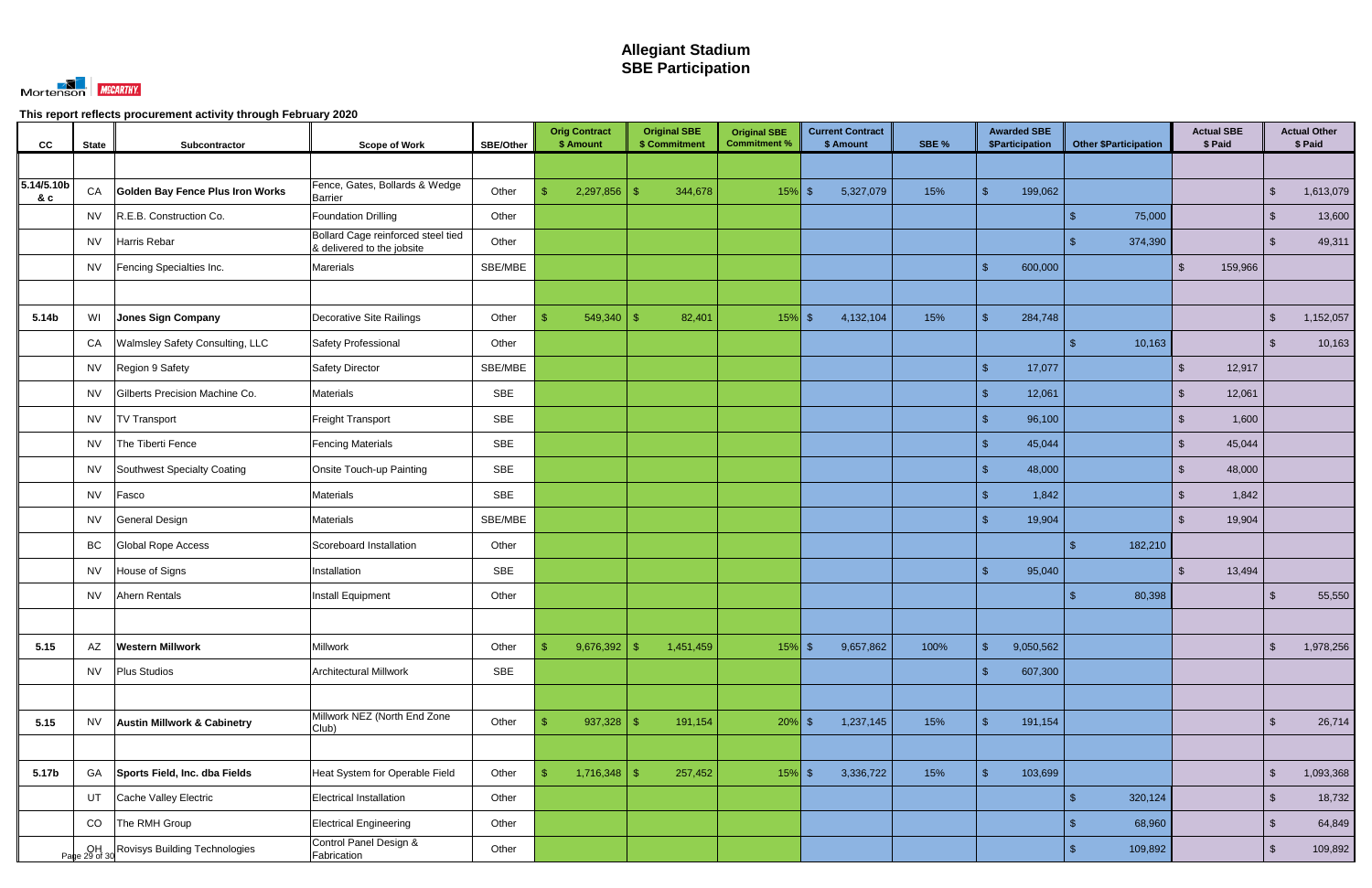

| CC               | <b>State</b> | Subcontractor                           | <b>Scope of Work</b>                                             | <b>SBE/Other</b> | <b>Orig Contract</b><br>\$ Amount | <b>Original SBE</b><br>\$ Commitment | <b>Original SBE</b><br><b>Commitment %</b> | <b>Current Contract</b><br>\$ Amount | SBE % | <b>Awarded SBE</b><br>\$Participation | <b>Other \$Participation</b> | <b>Actual SBE</b><br>\$ Paid |                         | <b>Actual Other</b><br>\$ Paid |
|------------------|--------------|-----------------------------------------|------------------------------------------------------------------|------------------|-----------------------------------|--------------------------------------|--------------------------------------------|--------------------------------------|-------|---------------------------------------|------------------------------|------------------------------|-------------------------|--------------------------------|
|                  |              |                                         |                                                                  |                  |                                   |                                      |                                            |                                      |       |                                       |                              |                              |                         |                                |
| 5.14/5.10b<br>8c | CA           | <b>Golden Bay Fence Plus Iron Works</b> | Fence, Gates, Bollards & Wedge<br><b>Barrier</b>                 | Other            | 2,297,856<br>\$                   | 344,678                              | $15%$ \$                                   | 5,327,079                            | 15%   | $\mathbf{\hat{R}}$<br>199,062         |                              |                              | $\mathfrak{L}$          | 1,613,079                      |
|                  | <b>NV</b>    | R.E.B. Construction Co.                 | Foundation Drilling                                              | Other            |                                   |                                      |                                            |                                      |       |                                       | 75,000                       |                              | $\sqrt[6]{3}$           | 13,600                         |
|                  | <b>NV</b>    | Harris Rebar                            | Bollard Cage reinforced steel tied<br>& delivered to the jobsite | Other            |                                   |                                      |                                            |                                      |       |                                       | 374,390                      |                              | $\mathcal{S}$           | 49,311                         |
|                  | NV           | Fencing Specialties Inc.                | <b>Marerials</b>                                                 | SBE/MBE          |                                   |                                      |                                            |                                      |       | $\mathbf{\hat{s}}$<br>600,000         |                              | 159,966<br>$\mathbb{S}$      |                         |                                |
|                  |              |                                         |                                                                  |                  |                                   |                                      |                                            |                                      |       |                                       |                              |                              |                         |                                |
| 5.14b            | WI           | Jones Sign Company                      | Decorative Site Railings                                         | Other            | 549,340<br>\$                     | 82,401<br>-\$                        | $15%$ \$                                   | 4,132,104                            | 15%   | $\mathbf{\$}$<br>284,748              |                              |                              | $\sqrt[6]{3}$           | 1,152,057                      |
|                  | CA           | <b>Walmsley Safety Consulting, LLC</b>  | Safety Professional                                              | Other            |                                   |                                      |                                            |                                      |       |                                       | 10,163                       |                              | $\mathcal{S}$           | 10,163                         |
|                  | <b>NV</b>    | Region 9 Safety                         | <b>Safety Director</b>                                           | SBE/MBE          |                                   |                                      |                                            |                                      |       | $\mathcal{S}$<br>17,077               |                              | 12,917<br>$\mathbb{S}$       |                         |                                |
|                  | <b>NV</b>    | Gilberts Precision Machine Co.          | <b>Materials</b>                                                 | SBE              |                                   |                                      |                                            |                                      |       | $\mathbb{S}$<br>12,061                |                              | $\mathbb{S}$<br>12,061       |                         |                                |
|                  | <b>NV</b>    | <b>TV Transport</b>                     | <b>Freight Transport</b>                                         | <b>SBE</b>       |                                   |                                      |                                            |                                      |       | $\mathbf{\hat{s}}$<br>96,100          |                              | 1,600<br><sup>\$</sup>       |                         |                                |
|                  | NV           | The Tiberti Fence                       | <b>Fencing Materials</b>                                         | SBE              |                                   |                                      |                                            |                                      |       | $\mathbb{S}$<br>45,044                |                              | 45,044<br>$\mathbb{S}$       |                         |                                |
|                  | NV           | Southwest Specialty Coating             | Onsite Touch-up Painting                                         | SBE              |                                   |                                      |                                            |                                      |       | $\mathcal{S}$<br>48,000               |                              | 48,000<br>$\mathbb{S}$       |                         |                                |
|                  | <b>NV</b>    | Fasco                                   | <b>Materials</b>                                                 | SBE              |                                   |                                      |                                            |                                      |       | $\mathbf{\hat{R}}$<br>1,842           |                              | 1,842<br>$\mathfrak{L}$      |                         |                                |
|                  | NV           | <b>General Design</b>                   | <b>Materials</b>                                                 | SBE/MBE          |                                   |                                      |                                            |                                      |       | $\mathbf{R}$<br>19,904                |                              | 19,904<br>$\mathfrak{L}$     |                         |                                |
|                  | <b>BC</b>    | Global Rope Access                      | Scoreboard Installation                                          | Other            |                                   |                                      |                                            |                                      |       |                                       | 182,210                      |                              |                         |                                |
|                  | NV           | House of Signs                          | Installation                                                     | <b>SBE</b>       |                                   |                                      |                                            |                                      |       | 95,040<br>$\mathbf{\hat{s}}$          |                              | 13,494<br>$\mathbb{S}$       |                         |                                |
|                  | <b>NV</b>    | Ahern Rentals                           | Install Equipment                                                | Other            |                                   |                                      |                                            |                                      |       |                                       | 80,398                       |                              | -\$                     | 55,550                         |
|                  |              |                                         |                                                                  |                  |                                   |                                      |                                            |                                      |       |                                       |                              |                              |                         |                                |
| 5.15             | AZ           | <b>Western Millwork</b>                 | Millwork                                                         | Other            | 9,676,392<br>$\mathfrak{L}$       | 1,451,459<br>-\$                     | $15%$ \$                                   | 9,657,862                            | 100%  | $\mathbb{S}$<br>9,050,562             |                              |                              | $\sqrt[6]{\frac{1}{2}}$ | 1,978,256                      |
|                  | <b>NV</b>    | <b>Plus Studios</b>                     | <b>Architectural Millwork</b>                                    | <b>SBE</b>       |                                   |                                      |                                            |                                      |       | 607,300<br>$\sqrt{2}$                 |                              |                              |                         |                                |
|                  |              |                                         |                                                                  |                  |                                   |                                      |                                            |                                      |       |                                       |                              |                              |                         |                                |
| 5.15             | <b>NV</b>    | <b>Austin Millwork &amp; Cabinetry</b>  | Millwork NEZ (North End Zone<br>Club)                            | Other            | 937,328<br>$\mathfrak{L}$         | 191,154<br>-\$                       | $20\%$ \$                                  | 1,237,145                            | 15%   | $\mathbf{\hat{S}}$<br>191,154         |                              |                              | $\sqrt[6]{3}$           | 26,714                         |
|                  |              |                                         |                                                                  |                  |                                   |                                      |                                            |                                      |       |                                       |                              |                              |                         |                                |
| 5.17b            | GA           | Sports Field, Inc. dba Fields           | Heat System for Operable Field                                   | Other            | $1,716,348$ \$<br>$\mathbf{\$}$   | 257,452                              | $15%$ \$                                   | 3,336,722                            | 15%   | $\mathcal{S}$<br>103,699              |                              |                              | $\sqrt[6]{\frac{1}{2}}$ | 1,093,368                      |
|                  | UT           | Cache Valley Electric                   | Electrical Installation                                          | Other            |                                   |                                      |                                            |                                      |       |                                       | 320,124<br>$\mathfrak{L}$    |                              | $\sqrt{2}$              | 18,732                         |
|                  | CO           | The RMH Group                           | <b>Electrical Engineering</b>                                    | Other            |                                   |                                      |                                            |                                      |       |                                       | 68,960                       |                              | $\mathcal{S}$           | 64,849                         |
|                  |              | DH Rovisys Building Technologies        | Control Panel Design &<br>Fabrication                            | Other            |                                   |                                      |                                            |                                      |       |                                       | 109,892<br>\$.               |                              | $\sqrt{2}$              | 109,892                        |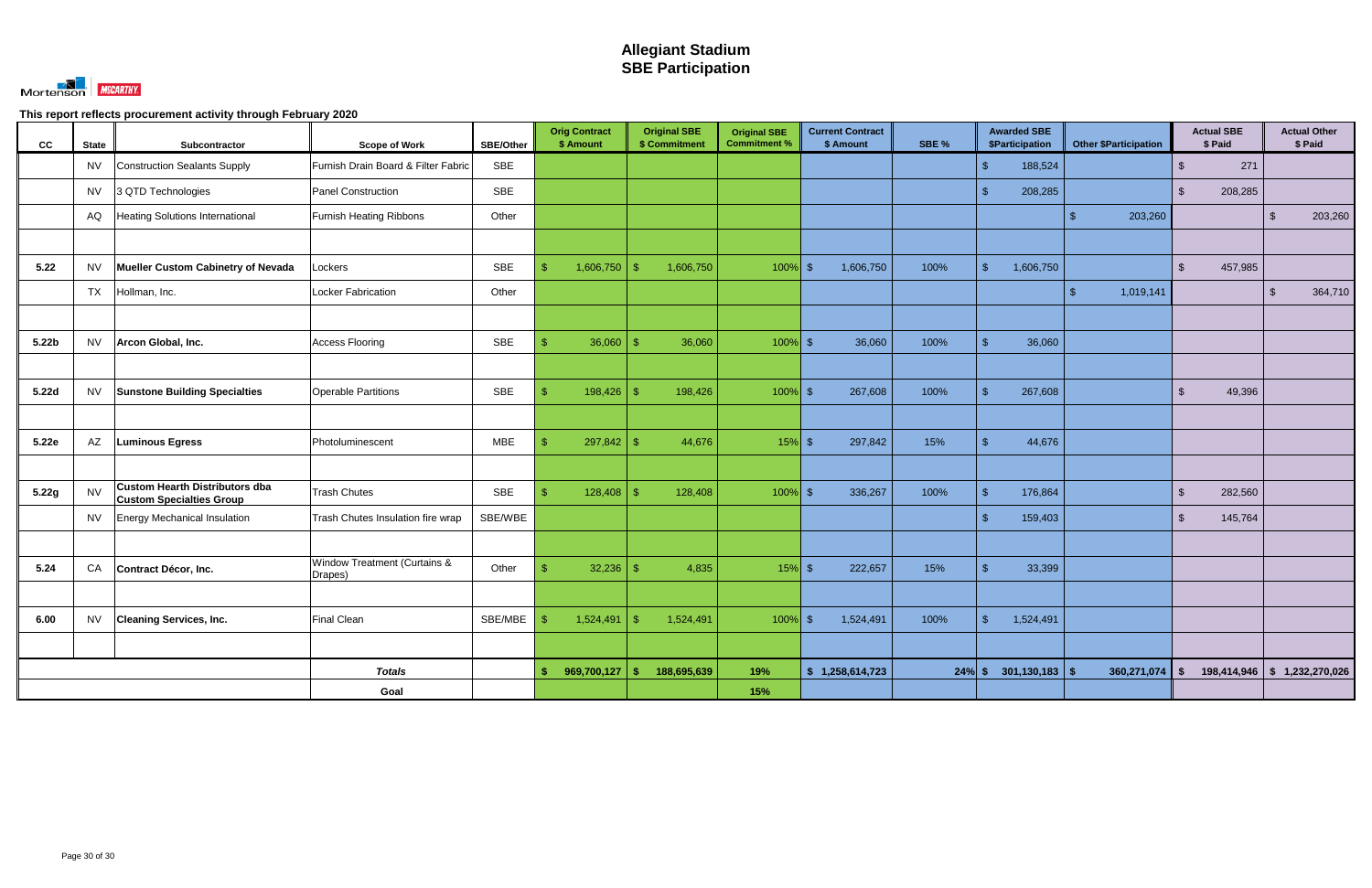

| cc                | <b>State</b> | Subcontractor                                                            | <b>Scope of Work</b>                    | <b>SBE/Other</b> | <b>Orig Contract</b><br>\$ Amount | <b>Original SBE</b><br>\$ Commitment | <b>Original SBE</b><br><b>Commitment %</b> | <b>Current Contract</b><br>\$ Amount | SBE %    | <b>Awarded SBE</b><br><b>\$Participation</b> | <b>Other \$Participation</b> | <b>Actual SBE</b><br>\$ Paid       | <b>Actual Other</b><br>\$ Paid |
|-------------------|--------------|--------------------------------------------------------------------------|-----------------------------------------|------------------|-----------------------------------|--------------------------------------|--------------------------------------------|--------------------------------------|----------|----------------------------------------------|------------------------------|------------------------------------|--------------------------------|
|                   | <b>NV</b>    | Construction Sealants Supply                                             | Furnish Drain Board & Filter Fabric     | <b>SBE</b>       |                                   |                                      |                                            |                                      |          | 188,524<br>$\mathcal{S}$                     |                              | 271<br>$\mathfrak{L}$              |                                |
|                   | <b>NV</b>    | 3 QTD Technologies                                                       | Panel Construction                      | <b>SBE</b>       |                                   |                                      |                                            |                                      |          | $\mathfrak{S}$<br>208,285                    |                              | $\sqrt{2}$<br>208,285              |                                |
|                   | AQ           | <b>Heating Solutions International</b>                                   | <b>Furnish Heating Ribbons</b>          | Other            |                                   |                                      |                                            |                                      |          |                                              | 203,260<br>\$.               |                                    | 203,260<br>$\sqrt{3}$          |
|                   |              |                                                                          |                                         |                  |                                   |                                      |                                            |                                      |          |                                              |                              |                                    |                                |
| 5.22              | <b>NV</b>    | Mueller Custom Cabinetry of Nevada                                       | Lockers                                 | <b>SBE</b>       | 1,606,750<br>$\mathbf{\$}$        | 1,606,750<br>-\$                     | $100\%$ \$                                 | 1,606,750                            | 100%     | $\sqrt{2}$<br>1,606,750                      |                              | 457,985<br>$\mathcal{S}$           |                                |
|                   | <b>TX</b>    | Hollman, Inc.                                                            | Locker Fabrication                      | Other            |                                   |                                      |                                            |                                      |          |                                              | $\mathcal{S}$<br>1,019,141   |                                    | $\mathfrak{F}$<br>364,710      |
|                   |              |                                                                          |                                         |                  |                                   |                                      |                                            |                                      |          |                                              |                              |                                    |                                |
| 5.22 <sub>b</sub> | <b>NV</b>    | Arcon Global, Inc.                                                       | <b>Access Flooring</b>                  | <b>SBE</b>       | 36,060<br>\$.                     | 36,060<br>-\$                        | $100\%$ \$                                 | 36,060                               | 100%     | $\mathbb{S}$<br>36,060                       |                              |                                    |                                |
|                   |              |                                                                          |                                         |                  |                                   |                                      |                                            |                                      |          |                                              |                              |                                    |                                |
| 5.22d             | <b>NV</b>    | <b>Sunstone Building Specialties</b>                                     | <b>Operable Partitions</b>              | SBE              | 198,426<br>$\mathbf{\$}$          | 198,426<br>-\$                       | $100\%$ \$                                 | 267,608                              | 100%     | $\mathcal{S}$<br>267,608                     |                              | $\mathcal{S}$<br>49,396            |                                |
|                   |              |                                                                          |                                         |                  |                                   |                                      |                                            |                                      |          |                                              |                              |                                    |                                |
| 5.22e             | AZ           | <b>Luminous Egress</b>                                                   | Photoluminescent                        | <b>MBE</b>       | \$<br>297,842                     | -\$<br>44,676                        | $15%$ \$                                   | 297,842                              | 15%      | $\mathcal{S}$<br>44,676                      |                              |                                    |                                |
|                   |              |                                                                          |                                         |                  |                                   |                                      |                                            |                                      |          |                                              |                              |                                    |                                |
| 5.22g             | <b>NV</b>    | <b>Custom Hearth Distributors dba</b><br><b>Custom Specialties Group</b> | <b>Trash Chutes</b>                     | <b>SBE</b>       | 128,408<br>$\mathbf{\$}$          | 128,408<br>-\$                       | $100\%$ \$                                 | 336,267                              | 100%     | $\mathcal{S}$<br>176,864                     |                              | 282,560<br>$\sqrt[6]{\frac{1}{2}}$ |                                |
|                   | <b>NV</b>    | Energy Mechanical Insulation                                             | Trash Chutes Insulation fire wrap       | SBE/WBE          |                                   |                                      |                                            |                                      |          | $\mathbb{S}$<br>159,403                      |                              | $\mathbb{S}$<br>145,764            |                                |
|                   |              |                                                                          |                                         |                  |                                   |                                      |                                            |                                      |          |                                              |                              |                                    |                                |
| 5.24              | CA           | Contract Décor, Inc.                                                     | Window Treatment (Curtains &<br>Drapes) | Other            | 32,236<br>\$                      | -\$<br>4,835                         | $15%$ \$                                   | 222,657                              | 15%      | $\mathcal{S}$<br>33,399                      |                              |                                    |                                |
|                   |              |                                                                          |                                         |                  |                                   |                                      |                                            |                                      |          |                                              |                              |                                    |                                |
| 6.00              | <b>NV</b>    | <b>Cleaning Services, Inc.</b>                                           | <b>Final Clean</b>                      | SBE/MBE          | 1,524,491<br>ß.                   | 1,524,491<br>-\$                     | $100\%$ \$                                 | 1,524,491                            | 100%     | $\mathfrak{S}$<br>1,524,491                  |                              |                                    |                                |
|                   |              |                                                                          |                                         |                  |                                   |                                      |                                            |                                      |          |                                              |                              |                                    |                                |
|                   |              |                                                                          | <b>Totals</b>                           |                  | \$<br>969,700,127                 | 188,695,639<br>-\$                   | 19%                                        | \$1,258,614,723                      | $24%$ \$ | 301,130,183                                  | 360,271,074<br>$\mathbf$     | <b>S</b>                           | $198,414,946$ \$ 1,232,270,026 |
|                   |              |                                                                          | Goal                                    |                  |                                   |                                      | 15%                                        |                                      |          |                                              |                              |                                    |                                |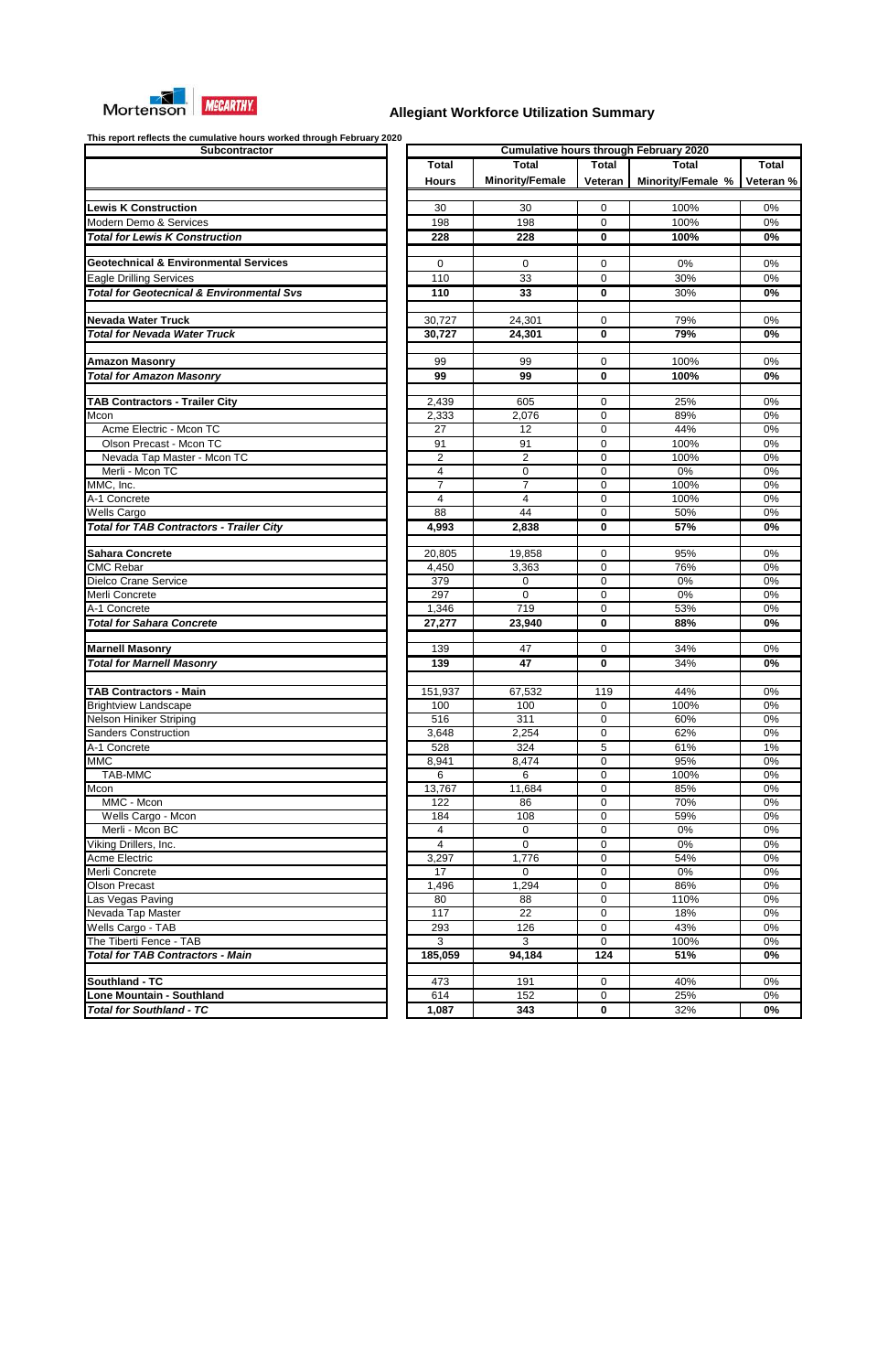

|                         |                        |                  | <b>Cumulative hours through February 2020</b> |           |
|-------------------------|------------------------|------------------|-----------------------------------------------|-----------|
| Total                   | <b>Total</b>           | <b>Total</b>     | <b>Total</b>                                  | Total     |
| <b>Hours</b>            | <b>Minority/Female</b> | Veteran          | Minority/Female %                             | Veteran % |
|                         |                        |                  |                                               |           |
| 30                      | 30                     | $\boldsymbol{0}$ | 100%                                          | $0\%$     |
| 198                     | 198                    | $\boldsymbol{0}$ | 100%                                          | 0%        |
| $\overline{228}$        | 228                    | 0                | 100%                                          | $0\%$     |
|                         |                        |                  |                                               |           |
| 0<br>110                | $\mathbf 0$<br>33      | 0<br>0           | 0%<br>30%                                     | 0%<br>0%  |
| 110                     | $\overline{33}$        | $\pmb{0}$        | 30%                                           | 0%        |
|                         |                        |                  |                                               |           |
| 30,727                  | 24,301                 | 0                | 79%                                           | 0%        |
| 30,727                  | 24,301                 | 0                | 79%                                           | 0%        |
|                         |                        |                  |                                               |           |
| 99                      | 99                     | 0                | 100%                                          | 0%        |
| 99                      | 99                     | 0                | 100%                                          | 0%        |
|                         |                        |                  |                                               |           |
| 2,439                   | 605                    | 0                | 25%                                           | 0%        |
| 2,333<br>27             | 2,076<br>12            | 0<br>0           | 89%<br>44%                                    | 0%<br>0%  |
| 91                      | 91                     | 0                | 100%                                          | 0%        |
| $\overline{2}$          | $\overline{2}$         | $\mathbf 0$      | 100%                                          | 0%        |
| 4                       | $\boldsymbol{0}$       | $\mathbf 0$      | $0\%$                                         | 0%        |
| $\overline{7}$          | $\overline{7}$         | 0                | 100%                                          | $0\%$     |
| $\overline{\mathbf{4}}$ | $\overline{4}$         | $\mathbf 0$      | 100%                                          | $0\%$     |
| 88                      | $\overline{44}$        | $\mathbf 0$      | 50%                                           | 0%        |
| 4,993                   | 2,838                  | 0                | 57%                                           | 0%        |
|                         |                        |                  |                                               |           |
| 20,805                  | 19,858                 | 0                | 95%                                           | 0%        |
| 4,450                   | 3,363                  | 0                | 76%                                           | 0%        |
| 379                     | 0                      | 0                | 0%                                            | 0%        |
| 297                     | $\mathbf 0$            | 0                | $0\%$                                         | 0%        |
| 1,346                   | 719                    | $\mathbf 0$      | 53%                                           | 0%        |
| 27,277                  | 23,940                 | 0                | 88%                                           | $0\%$     |
| 139                     | 47                     | 0                | 34%                                           | $0\%$     |
| 139                     | 47                     | 0                | 34%                                           | 0%        |
|                         |                        |                  |                                               |           |
| 151,937                 | 67,532                 | 119              | 44%                                           | 0%        |
| 100                     | 100                    | $\mathbf 0$      | 100%                                          | 0%        |
| 516                     | 311                    | 0                | 60%                                           | 0%        |
| 3,648                   | 2,254                  | $\boldsymbol{0}$ | 62%                                           | 0%        |
| 528                     | 324                    | 5                | 61%                                           | 1%        |
| 8,941                   | 8,474                  | $\boldsymbol{0}$ | 95%                                           | 0%        |
| 6                       | 6                      | 0                | 100%                                          | 0%        |
| 13,767                  | 11,684                 | 0                | 85%                                           | 0%        |
| 122                     | 86                     | 0                | 70%<br>59%                                    | 0%<br>0%  |
| 184<br>4                | 108<br>0               | 0<br>0           | 0%                                            | 0%        |
| $\overline{4}$          | 0                      | 0                | 0%                                            | 0%        |
| 3,297                   | 1,776                  | 0                | 54%                                           | 0%        |
| 17                      | 0                      | $\boldsymbol{0}$ | 0%                                            | 0%        |
| 1,496                   | 1,294                  | 0                | 86%                                           | 0%        |
| 80                      | 88                     | 0                | 110%                                          | 0%        |
| 117                     | 22                     | 0                | 18%                                           | 0%        |
| 293                     | 126                    | 0                | 43%                                           | 0%        |
| 3                       | $\overline{3}$         | 0                | 100%                                          | 0%        |
| 185,059                 | 94,184                 | 124              | 51%                                           | $0\%$     |
|                         |                        |                  |                                               |           |
| 473                     | 191                    | 0                | 40%                                           | 0%        |
| 614                     | 152                    | 0                | 25%                                           | 0%        |

| <b>Subcontractor</b>                                 |                 |                        |                  | <b>Cumulative hours through February 2020</b> |              |
|------------------------------------------------------|-----------------|------------------------|------------------|-----------------------------------------------|--------------|
|                                                      | <b>Total</b>    | <b>Total</b>           | <b>Total</b>     | <b>Total</b>                                  | <b>Total</b> |
|                                                      | <b>Hours</b>    | <b>Minority/Female</b> | Veteran          | Minority/Female %                             | Veteran %    |
|                                                      |                 |                        |                  |                                               |              |
| <b>Lewis K Construction</b>                          | 30              | 30                     | 0                | 100%                                          | 0%           |
| Modern Demo & Services                               | 198             | 198                    | 0                | 100%                                          | 0%           |
| <b>Total for Lewis K Construction</b>                | 228             | 228                    | 0                | 100%                                          | 0%           |
|                                                      |                 |                        |                  |                                               |              |
| Geotechnical & Environmental Services                | $\Omega$        | $\Omega$               | 0                | 0%                                            | 0%           |
| <b>Eagle Drilling Services</b>                       | 110             | 33                     | 0                | 30%                                           | 0%           |
| <b>Total for Geotecnical &amp; Environmental Svs</b> | 110             | 33                     | 0                | 30%                                           | 0%           |
|                                                      |                 |                        |                  |                                               |              |
| <b>Nevada Water Truck</b>                            | 30,727          | 24,301                 | 0                | 79%                                           | 0%           |
| <b>Total for Nevada Water Truck</b>                  | 30,727          | 24,301                 | 0                | 79%                                           | $0\%$        |
|                                                      |                 |                        |                  |                                               |              |
| <b>Amazon Masonry</b>                                | 99              | 99                     | 0                | 100%                                          | 0%           |
| <b>Total for Amazon Masonry</b>                      | 99              | 99                     | 0                | 100%                                          | 0%           |
|                                                      |                 |                        |                  |                                               |              |
| <b>TAB Contractors - Trailer City</b>                | 2,439           | 605                    | 0                | 25%                                           | 0%           |
| Mcon                                                 | 2,333           | 2,076                  | 0                | 89%                                           | 0%           |
| Acme Electric - Mcon TC                              | 27              | 12                     | 0                | 44%                                           | 0%           |
| Olson Precast - Mcon TC                              | 91              | 91                     | 0                | 100%                                          | 0%           |
| Nevada Tap Master - Mcon TC                          | $\overline{2}$  | $\overline{2}$         | 0                | 100%                                          | 0%           |
| Merli - Mcon TC                                      | 4               | 0                      | 0                | 0%                                            | 0%           |
| MMC, Inc.                                            | $\overline{7}$  | $\overline{7}$         | 0                | 100%                                          | 0%           |
| A-1 Concrete                                         | 4               | $\overline{4}$         | 0                | 100%                                          | 0%           |
| <b>Wells Cargo</b>                                   | 88              | 44                     | $\Omega$         | 50%                                           | 0%           |
| <b>Total for TAB Contractors - Trailer City</b>      | 4,993           | 2,838                  | 0                | 57%                                           | 0%           |
|                                                      |                 |                        |                  |                                               |              |
| <b>Sahara Concrete</b>                               | 20,805          | 19,858                 | 0                | 95%                                           | 0%           |
| <b>CMC Rebar</b>                                     | 4,450           | 3,363                  | 0                | 76%                                           | 0%           |
| Dielco Crane Service                                 | 379             | 0                      | 0                | 0%                                            | 0%           |
| Merli Concrete                                       | 297             | $\mathbf 0$            | 0                | $0\%$                                         | 0%           |
| A-1 Concrete                                         | 1,346           | 719                    | 0                | 53%                                           | 0%           |
| <b>Total for Sahara Concrete</b>                     |                 | 23,940                 | 0                | 88%                                           | 0%           |
|                                                      | 27,277          |                        |                  |                                               |              |
| <b>Marnell Masonry</b>                               | 139             | 47                     | 0                | 34%                                           | $0\%$        |
| <b>Total for Marnell Masonry</b>                     | 139             | 47                     | $\bf{0}$         | 34%                                           | 0%           |
|                                                      |                 |                        |                  |                                               |              |
| <b>TAB Contractors - Main</b>                        | 151,937         | 67,532                 | 119              | 44%                                           | 0%           |
| <b>Brightview Landscape</b>                          | 100             | 100                    | 0                | 100%                                          | 0%           |
| Nelson Hiniker Striping                              | 516             | 311                    | 0                | 60%                                           | 0%           |
| <b>Sanders Construction</b>                          | 3,648           | 2,254                  | 0                | 62%                                           | 0%           |
| A-1 Concrete                                         | 528             | 324                    | 5                | 61%                                           | 1%           |
| <b>MMC</b>                                           | 8,941           | 8,474                  | 0                | 95%                                           | 0%           |
| <b>TAB-MMC</b>                                       | 6               | 6                      | 0                | 100%                                          | 0%           |
| Mcon                                                 | 13,767          | 11,684                 | 0                | 85%                                           | 0%           |
| MMC - Mcon                                           | 122             | 86                     | 0                | 70%                                           | 0%           |
|                                                      | 184             | 108                    |                  | 59%                                           | 0%           |
| Wells Cargo - Mcon<br>Merli - Mcon BC                | 4               | $\mathbf 0$            | 0<br>$\mathbf 0$ | 0%                                            | 0%           |
| Viking Drillers, Inc.                                | 4               | $\Omega$               | $\mathbf 0$      | $0\%$                                         | $0\%$        |
| <b>Acme Electric</b>                                 | 3,297           | 1,776                  | 0                | 54%                                           | $0\%$        |
|                                                      |                 |                        |                  |                                               |              |
| Merli Concrete                                       | $\overline{17}$ | $\Omega$               | $\mathbf 0$      | $0\%$                                         | $0\%$        |
| <b>Olson Precast</b>                                 | 1,496           | 1,294                  | 0                | 86%                                           | $0\%$        |
| Las Vegas Paving                                     | 80              | 88                     | 0                | 110%                                          | 0%           |
| Nevada Tap Master                                    | 117             | 22                     | 0                | 18%                                           | 0%           |
| Wells Cargo - TAB                                    | 293             | 126                    | 0                | 43%                                           | 0%           |
| The Tiberti Fence - TAB                              | 3               | 3                      | 0                | 100%                                          | 0%           |
| <b>Total for TAB Contractors - Main</b>              | 185,059         | 94,184                 | 124              | 51%                                           | 0%           |
|                                                      |                 |                        |                  |                                               |              |
| Southland - TC                                       | 473             | 191                    | 0                | 40%                                           | 0%           |
| <b>Lone Mountain - Southland</b>                     | 614             | 152                    | 0                | 25%                                           | 0%           |
| <b>Total for Southland - TC</b>                      | 1,087           | 343                    | 0                | 32%                                           | 0%           |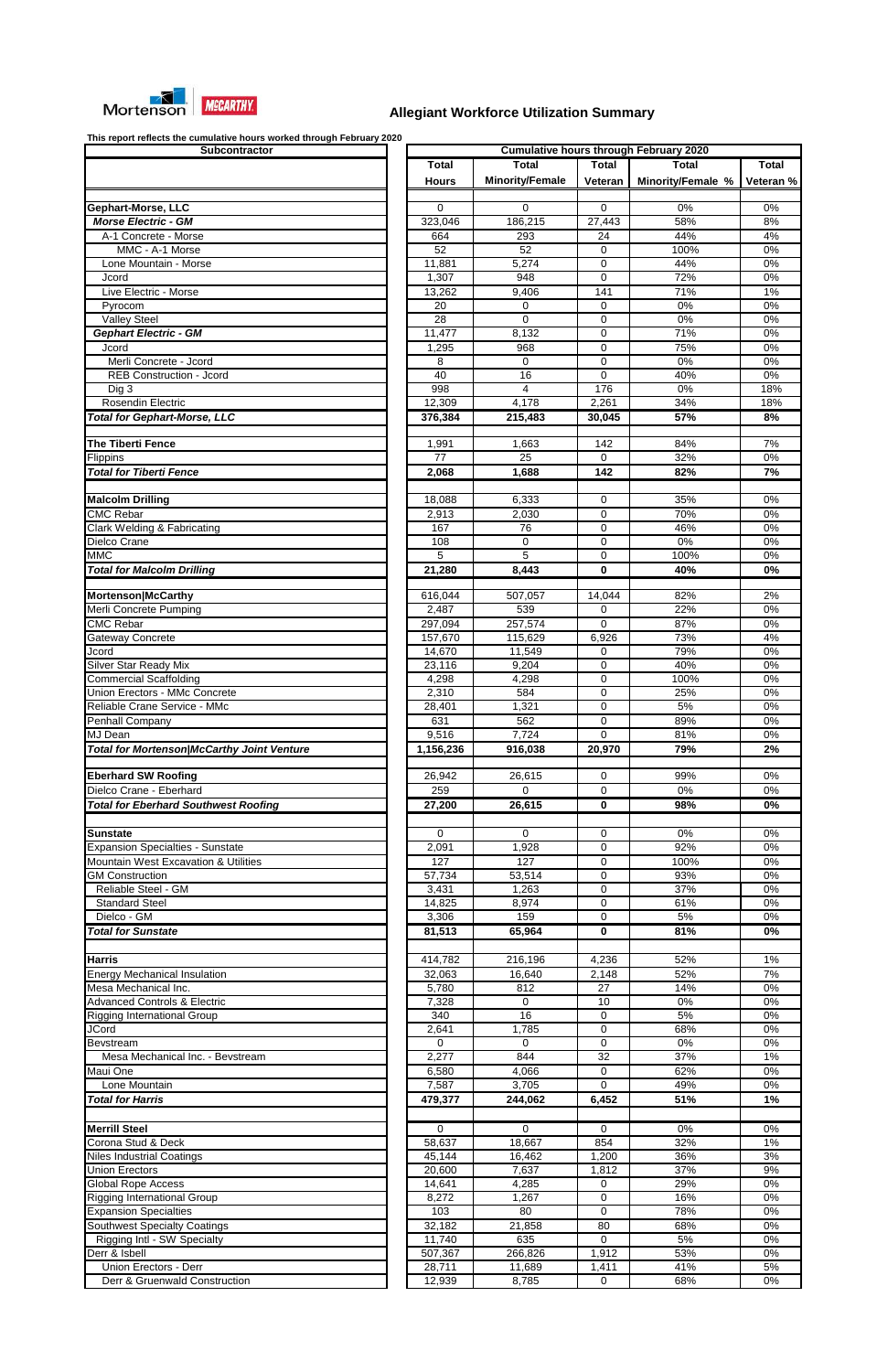

| <b>Subcontractor</b>                                                  |
|-----------------------------------------------------------------------|
|                                                                       |
|                                                                       |
|                                                                       |
| <b>Gephart-Morse, LLC</b>                                             |
| <b>Morse Electric - GM</b>                                            |
| A-1 Concrete - Morse<br>MMC - A-1 Morse                               |
| Lone Mountain - Morse                                                 |
| Jcord                                                                 |
| Live Electric - Morse                                                 |
| Pyrocom                                                               |
| <b>Valley Steel</b>                                                   |
| <b>Gephart Electric - GM</b>                                          |
| Jcord                                                                 |
| Merli Concrete - Jcord                                                |
| <b>REB Construction - Jcord</b>                                       |
| Dig 3                                                                 |
| <b>Rosendin Electric</b>                                              |
| <b>Total for Gephart-Morse, LLC</b>                                   |
| <b>The Tiberti Fence</b>                                              |
| Flippins                                                              |
| <b>Total for Tiberti Fence</b>                                        |
|                                                                       |
| <b>Malcolm Drilling</b>                                               |
| <b>CMC Rebar</b>                                                      |
| <b>Clark Welding &amp; Fabricating</b>                                |
| Dielco Crane                                                          |
| <b>MMC</b>                                                            |
| <b>Total for Malcolm Drilling</b>                                     |
|                                                                       |
| Mortenson McCarthy                                                    |
| Merli Concrete Pumping                                                |
| <b>CMC Rebar</b>                                                      |
| Gateway Concrete                                                      |
| Jcord                                                                 |
| Silver Star Ready Mix                                                 |
| <b>Commercial Scaffolding</b><br><b>Union Erectors - MMc Concrete</b> |
| Reliable Crane Service - MMc                                          |
| Penhall Company                                                       |
| MJ Dean                                                               |
| <b>Total for Mortenson/McCarthy Joint Venture</b>                     |
|                                                                       |
| <b>Eberhard SW Roofing</b>                                            |
| Dielco Crane - Eberhard                                               |
| <b>Total for Eberhard Southwest Roofing</b>                           |
|                                                                       |
| Sunstate                                                              |
| <b>Expansion Specialties - Sunstate</b>                               |
| Mountain West Excavation & Utilities                                  |
| <b>GM Construction</b>                                                |
| Reliable Steel - GM                                                   |
| <b>Standard Steel</b>                                                 |
| Dielco - GM                                                           |
| <b>Total for Sunstate</b>                                             |
|                                                                       |
| <b>Harris</b><br><b>Energy Mechanical Insulation</b>                  |
| Mesa Mechanical Inc.                                                  |
| <b>Advanced Controls &amp; Electric</b>                               |
| <b>Rigging International Group</b>                                    |
| <b>JCord</b>                                                          |
| Bevstream                                                             |
| Mesa Mechanical Inc. - Bevstream                                      |
| Maui One                                                              |
| Lone Mountain                                                         |
| <b>Total for Harris</b>                                               |
|                                                                       |
| <b>Merrill Steel</b>                                                  |
| Corona Stud & Deck                                                    |
| <b>Niles Industrial Coatings</b>                                      |
|                                                                       |
| <b>Union Erectors</b>                                                 |
| Global Rope Access                                                    |
| <b>Rigging International Group</b>                                    |
| <b>Expansion Specialties</b>                                          |
| Southwest Specialty Coatings                                          |
| Rigging Intl - SW Specialty                                           |
| Derr & Isbell                                                         |
| Union Erectors - Derr<br>Derr & Gruenwald Construction                |

| This report reflects the cumulative hours worked through February 2020<br>Subcontractor |                              |                        |              | <b>Cumulative hours through February 2020</b> |              |
|-----------------------------------------------------------------------------------------|------------------------------|------------------------|--------------|-----------------------------------------------|--------------|
|                                                                                         |                              | <b>Total</b>           | <b>Total</b> | <b>Total</b>                                  | <b>Total</b> |
|                                                                                         | <b>Total</b><br><b>Hours</b> | <b>Minority/Female</b> | Veteran      | Minority/Female %                             | Veteran %    |
| Gephart-Morse, LLC                                                                      | $\Omega$                     | 0                      | $\Omega$     | 0%                                            | 0%           |
| <b>Morse Electric - GM</b>                                                              | 323,046                      | 186,215                | 27,443       | 58%                                           | 8%           |
| A-1 Concrete - Morse                                                                    | 664                          | 293                    | 24           | 44%                                           | 4%           |
| MMC - A-1 Morse                                                                         | 52                           | 52                     | 0            | 100%                                          | 0%           |
| Lone Mountain - Morse                                                                   | 11,881                       | 5,274                  | 0            | 44%                                           | 0%           |
| Jcord                                                                                   | 1,307                        | 948                    | 0            | 72%                                           | 0%           |
| Live Electric - Morse                                                                   | 13,262                       | 9,406                  | 141          | 71%                                           | 1%           |
| Pyrocom                                                                                 | 20                           | 0                      | 0            | 0%                                            | 0%           |
| <b>Valley Steel</b>                                                                     | 28                           | $\Omega$               | 0            | 0%                                            | 0%           |
| <b>Gephart Electric - GM</b>                                                            | 11,477                       | 8,132                  | 0            | 71%                                           | 0%           |
| Jcord                                                                                   | 1,295                        | 968                    | 0            | 75%                                           | 0%           |
| Merli Concrete - Jcord                                                                  | 8                            | $\Omega$               | 0            | 0%                                            | 0%           |
| <b>REB Construction - Jcord</b>                                                         | 40                           | 16                     | 0            | 40%                                           | 0%           |
| Dig 3                                                                                   | 998                          | 4                      | 176          | 0%                                            | 18%          |
| <b>Rosendin Electric</b>                                                                | 12,309                       | 4,178                  | 2,261        | 34%                                           | 18%          |
| <b>Total for Gephart-Morse, LLC</b>                                                     | 376,384                      | 215,483                | 30,045       | 57%                                           | 8%           |
| <b>The Tiberti Fence</b>                                                                | 1,991                        | 1,663                  | 142          | 84%                                           | 7%           |
| Flippins                                                                                | 77                           | 25                     | 0            | 32%                                           | 0%           |
| <b>Total for Tiberti Fence</b>                                                          | 2,068                        | 1,688                  | 142          | 82%                                           | 7%           |
| <b>Malcolm Drilling</b>                                                                 | 18,088                       | 6,333                  | 0            | 35%                                           | 0%           |
| <b>CMC Rebar</b>                                                                        | 2,913                        | 2,030                  | 0            | 70%                                           | 0%           |
| Clark Welding & Fabricating                                                             | 167                          | 76                     | 0            | 46%                                           | 0%           |
| Dielco Crane                                                                            | 108                          | 0                      | 0            | 0%                                            | 0%           |
| <b>MMC</b>                                                                              | 5                            | 5                      | 0            | 100%                                          | 0%           |
| <b>Total for Malcolm Drilling</b>                                                       | 21,280                       | 8,443                  | 0            | 40%                                           | 0%           |
|                                                                                         |                              |                        |              |                                               |              |
| Mortenson McCarthy                                                                      | 616,044                      | 507,057                | 14,044       | 82%                                           | 2%           |
| Merli Concrete Pumping                                                                  | 2,487                        | 539                    | 0            | 22%                                           | 0%           |
| <b>CMC Rebar</b>                                                                        | 297,094                      | 257,574                | 0            | 87%                                           | 0%           |
| Gateway Concrete                                                                        | 157,670                      | 115,629                | 6,926        | 73%                                           | 4%           |
| Jcord                                                                                   | 14,670                       | 11,549                 | $\Omega$     | 79%                                           | 0%           |
| Silver Star Ready Mix                                                                   | 23,116                       | 9,204                  | 0            | 40%                                           | 0%           |
| <b>Commercial Scaffolding</b>                                                           | 4,298                        | 4,298                  | 0            | 100%                                          | 0%           |
| <b>Union Erectors - MMc Concrete</b>                                                    | 2,310                        | 584                    | 0            | 25%                                           | 0%           |
| Reliable Crane Service - MMc                                                            | 28,401                       | 1,321                  | $\Omega$     | 5%                                            | 0%           |
| Penhall Company                                                                         | 631                          | 562                    | 0            | 89%                                           | 0%           |
| MJ Dean                                                                                 | 9,516                        | 7,724                  | $\Omega$     | 81%                                           | 0%           |
| <b>Total for Mortenson/McCarthy Joint Venture</b>                                       | 1,156,236                    | 916,038                | 20,970       | 79%                                           | 2%           |
| <b>Eberhard SW Roofing</b>                                                              | 26,942                       | 26,615                 | 0            | 99%                                           | 0%           |
| Dielco Crane - Eberhard                                                                 | 259                          | $\mathbf 0$            | 0            | 0%                                            | 0%           |
| <b>Total for Eberhard Southwest Roofing</b>                                             | 27,200                       | 26,615                 | 0            | 98%                                           | 0%           |
|                                                                                         |                              |                        |              |                                               |              |
| <b>Sunstate</b>                                                                         | $\Omega$                     | $\Omega$               | 0            | 0%                                            | 0%           |
| <b>Expansion Specialties - Sunstate</b>                                                 | 2,091                        | 1,928                  | 0            | 92%                                           | 0%           |
| Mountain West Excavation & Utilities                                                    | 127                          | 127                    | $\Omega$     | 100%                                          | 0%           |
| <b>GM Construction</b><br><b>Reliable Steel - GM</b>                                    | 57,734                       | 53,514<br>1,263        | 0<br>0       | 93%<br>37%                                    | 0%<br>0%     |
|                                                                                         | 3,431                        |                        |              | 61%                                           |              |
| <b>Standard Steel</b><br>Dielco - GM                                                    | 14,825<br>3,306              | 8,974<br>159           | 0<br>0       | 5%                                            | 0%<br>0%     |
| <b>Total for Sunstate</b>                                                               | 81,513                       | 65,964                 | 0            | 81%                                           | 0%           |
|                                                                                         |                              |                        |              |                                               |              |
| <b>Harris</b>                                                                           | 414,782                      | 216,196                | 4,236        | 52%                                           | $1\%$        |
| <b>Energy Mechanical Insulation</b>                                                     | 32,063                       | 16,640                 | 2,148        | 52%                                           | 7%           |
| Mesa Mechanical Inc.                                                                    | 5,780                        | 812                    | 27           | 14%                                           | 0%           |
| <b>Advanced Controls &amp; Electric</b>                                                 | 7,328                        | $\mathbf 0$            | 10           | 0%                                            | 0%           |
| <b>Rigging International Group</b>                                                      | 340                          | 16                     | 0            | 5%                                            | 0%           |
| <b>JCord</b>                                                                            | 2,641                        | 1,785                  | 0            | 68%                                           | 0%           |
| Bevstream                                                                               | $\Omega$                     | $\Omega$               | 0            | 0%                                            | $0\%$        |
| Mesa Mechanical Inc. - Bevstream                                                        | 2,277                        | 844                    | 32           | 37%                                           | 1%           |
| Maui One                                                                                | 6,580                        | 4,066                  | 0            | 62%                                           | 0%           |
| Lone Mountain                                                                           | 7,587                        | 3,705                  | 0            | 49%                                           | 0%           |
| <b>Total for Harris</b>                                                                 | 479,377                      | 244,062                | 6,452        | 51%                                           | 1%           |
|                                                                                         |                              |                        |              |                                               |              |
| <b>Merrill Steel</b>                                                                    | $\Omega$                     | 0                      | 0            | $0\%$                                         | 0%           |
| Corona Stud & Deck                                                                      | 58,637                       | 18,667                 | 854          | 32%                                           | $1\%$        |
| <b>Niles Industrial Coatings</b>                                                        | 45,144                       | 16,462                 | 1,200        | 36%                                           | 3%           |
| <b>Union Erectors</b><br><b>Global Rope Access</b>                                      | 20,600<br>14,641             | 7,637                  | 1,812        | 37%                                           | 9%           |
| <b>Rigging International Group</b>                                                      |                              | 4,285<br>1,267         | 0<br>0       | 29%<br>16%                                    | 0%<br>$0\%$  |
| <b>Expansion Specialties</b>                                                            | 8,272<br>103                 | 80                     | 0            | 78%                                           | $0\%$        |
| <b>Southwest Specialty Coatings</b>                                                     | 32,182                       | 21,858                 | 80           | 68%                                           | $0\%$        |
| Rigging Intl - SW Specialty                                                             | 11,740                       | 635                    | 0            | 5%                                            | 0%           |
| Derr & Isbell                                                                           | 507,367                      | 266,826                | 1,912        | 53%                                           | 0%           |
| Union Erectors - Derr                                                                   | 28,711                       | 11,689                 | 1,411        | 41%                                           | 5%           |
| Derr & Gruenwald Construction                                                           | 12,939                       | 8,785                  | 0            | 68%                                           | 0%           |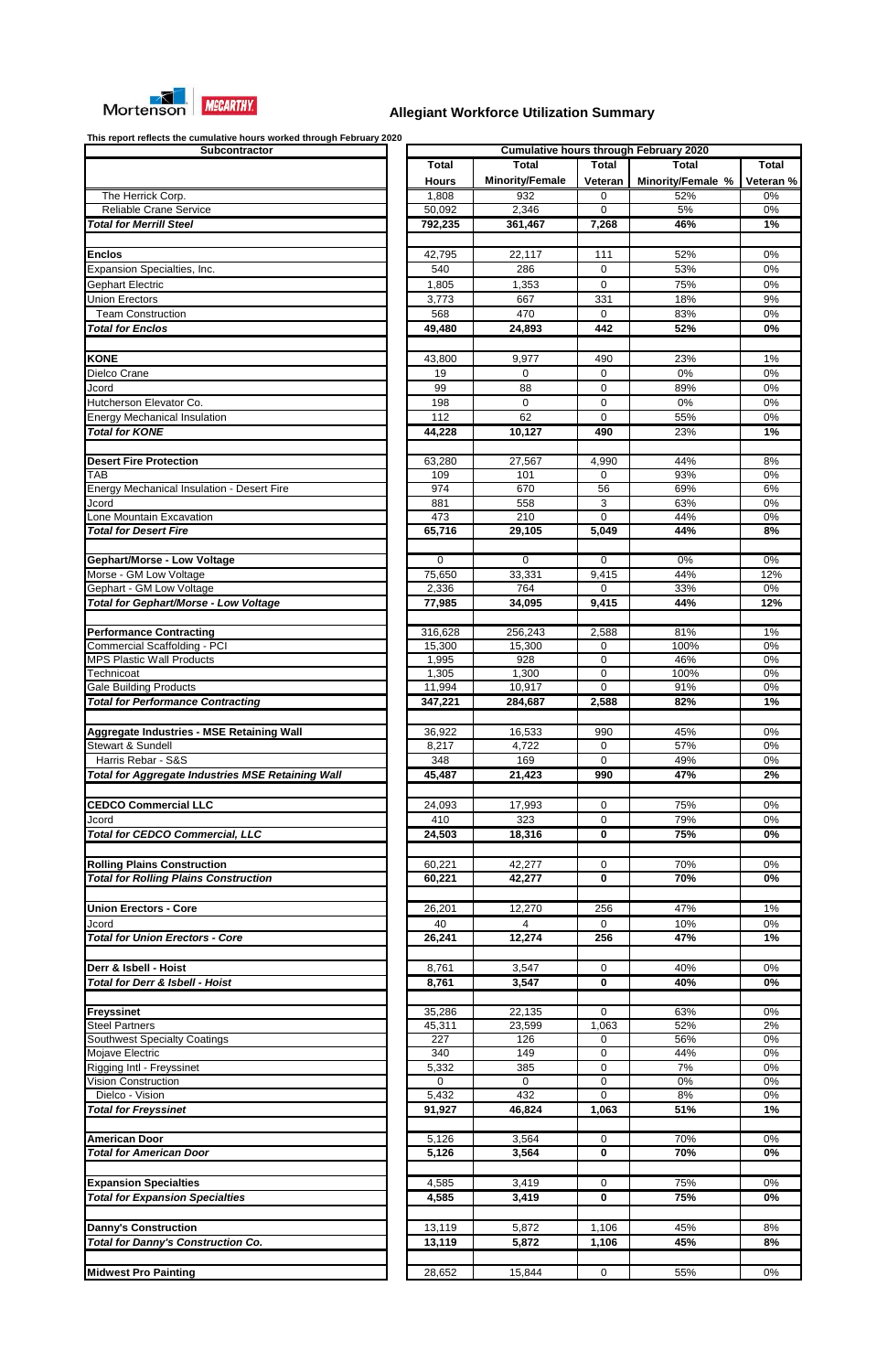

| <b>Subcontractor</b>                                                  |
|-----------------------------------------------------------------------|
|                                                                       |
|                                                                       |
| The Herrick Corp.<br><b>Reliable Crane Service</b>                    |
| <b>Total for Merrill Steel</b>                                        |
|                                                                       |
| <b>Enclos</b>                                                         |
| Expansion Specialties, Inc.                                           |
| Gephart Electric                                                      |
| <b>Union Erectors</b>                                                 |
| <b>Team Construction</b><br><b>Total for Enclos</b>                   |
|                                                                       |
| <b>KONE</b>                                                           |
| Dielco Crane                                                          |
| Jcord                                                                 |
| Hutcherson Elevator Co.                                               |
| <b>Energy Mechanical Insulation</b>                                   |
| <b>Total for KONE</b>                                                 |
| <b>Desert Fire Protection</b>                                         |
| TAB                                                                   |
| <b>Energy Mechanical Insulation - Desert Fire</b>                     |
| Jcord                                                                 |
| Lone Mountain Excavation                                              |
| <b>Total for Desert Fire</b>                                          |
| Gephart/Morse - Low Voltage                                           |
| Morse - GM Low Voltage                                                |
| Gephart - GM Low Voltage                                              |
| Total for Gephart/Morse - Low Voltage                                 |
|                                                                       |
| <b>Performance Contracting</b><br><b>Commercial Scaffolding - PCI</b> |
| <b>MPS Plastic Wall Products</b>                                      |
| Technicoat                                                            |
| Gale Building Products                                                |
| <b>Total for Performance Contracting</b>                              |
|                                                                       |
|                                                                       |
| <b>Aggregate Industries - MSE Retaining Wall</b>                      |
| <b>Stewart &amp; Sundell</b>                                          |
| Harris Rebar - S&S                                                    |
| <b>Total for Aggregate Industries MSE Retaining Wall</b>              |
| <b>CEDCO Commercial LLC</b>                                           |
| Jcord                                                                 |
| <b>Total for CEDCO Commercial, LLC</b>                                |
|                                                                       |
| <b>Rolling Plains Construction</b>                                    |
| <b>Total for Rolling Plains Construction</b>                          |
| <b>Union Erectors - Core</b>                                          |
| Jcord                                                                 |
| <b>Total for Union Erectors - Core</b>                                |
|                                                                       |
| Derr & Isbell - Hoist                                                 |
| <b>Total for Derr &amp; Isbell - Hoist</b>                            |
|                                                                       |
| <b>Freyssinet</b><br><b>Steel Partners</b>                            |
| <b>Southwest Specialty Coatings</b>                                   |
| Mojave Electric                                                       |
| Rigging Intl - Freyssinet                                             |
| Vision Construction                                                   |
| Dielco - Vision                                                       |
| <b>Total for Freyssinet</b>                                           |
| <b>American Door</b>                                                  |
| Total for American Door                                               |
|                                                                       |
| <b>Expansion Specialties</b>                                          |
| <b>Total for Expansion Specialties</b>                                |
|                                                                       |
| <b>Danny's Construction</b>                                           |
| <b>Total for Danny's Construction Co.</b>                             |

| This report reflects the cumulative hours worked through February 2020 |              |                                               |                    |                   |              |
|------------------------------------------------------------------------|--------------|-----------------------------------------------|--------------------|-------------------|--------------|
| <b>Subcontractor</b>                                                   |              | <b>Cumulative hours through February 2020</b> |                    |                   |              |
|                                                                        | Total        | <b>Total</b>                                  | <b>Total</b>       | <b>Total</b>      | <b>Total</b> |
|                                                                        | <b>Hours</b> | <b>Minority/Female</b>                        | Veteran            | Minority/Female % | Veteran %    |
|                                                                        |              |                                               |                    |                   |              |
| The Herrick Corp.                                                      | 1,808        | 932                                           | $\Omega$           | 52%               | 0%           |
| <b>Reliable Crane Service</b>                                          | 50,092       | 2,346                                         | $\Omega$           | 5%                | $0\%$        |
| <b>Total for Merrill Steel</b>                                         | 792,235      | 361,467                                       | 7,268              | 46%               | 1%           |
|                                                                        |              |                                               |                    |                   |              |
|                                                                        |              |                                               |                    |                   |              |
| <b>Enclos</b>                                                          | 42,795       | 22,117                                        | 111                | 52%               | 0%           |
| Expansion Specialties, Inc.                                            | 540          | 286                                           | 0                  | 53%               | 0%           |
|                                                                        |              |                                               |                    |                   |              |
| <b>Gephart Electric</b>                                                | 1,805        | 1,353                                         | $\Omega$           | 75%               | 0%           |
| <b>Union Erectors</b>                                                  | 3,773        | 667                                           | 331                | 18%               | 9%           |
| <b>Team Construction</b>                                               | 568          | 470                                           | 0                  | 83%               | 0%           |
| <b>Total for Enclos</b>                                                | 49,480       | 24,893                                        | 442                | 52%               | 0%           |
|                                                                        |              |                                               |                    |                   |              |
|                                                                        |              |                                               |                    |                   |              |
| <b>KONE</b>                                                            | 43,800       | 9,977                                         | 490                | 23%               | 1%           |
|                                                                        | 19           |                                               | 0                  | 0%                | 0%           |
| Dielco Crane                                                           |              | 0                                             |                    |                   |              |
| Jcord                                                                  | 99           | 88                                            | 0                  | 89%               | 0%           |
| Hutcherson Elevator Co.                                                | 198          | $\Omega$                                      | 0                  | 0%                | 0%           |
|                                                                        | 112          | 62                                            |                    | 55%               |              |
| <b>Energy Mechanical Insulation</b>                                    |              |                                               | $\mathbf 0$        |                   | 0%           |
| <b>Total for KONE</b>                                                  | 44,228       | 10,127                                        | 490                | 23%               | 1%           |
|                                                                        |              |                                               |                    |                   |              |
| <b>Desert Fire Protection</b>                                          | 63,280       | 27,567                                        | 4,990              | 44%               | 8%           |
|                                                                        |              |                                               |                    |                   |              |
| $\overline{\mathsf{TAB}}$                                              | 109          | 101                                           | 0                  | 93%               | 0%           |
| Energy Mechanical Insulation - Desert Fire                             | 974          | 670                                           | 56                 | 69%               | 6%           |
| Jcord                                                                  | 881          | 558                                           | 3                  | 63%               | 0%           |
| Lone Mountain Excavation                                               | 473          | 210                                           | $\mathbf 0$        | 44%               | 0%           |
|                                                                        |              |                                               |                    |                   |              |
| <b>Total for Desert Fire</b>                                           | 65,716       | 29,105                                        | 5,049              | 44%               | 8%           |
|                                                                        |              |                                               |                    |                   |              |
| <b>Gephart/Morse - Low Voltage</b>                                     | $\Omega$     | $\Omega$                                      | $\Omega$           | $0\%$             | 0%           |
| Morse - GM Low Voltage                                                 |              | 33,331                                        |                    | 44%               | 12%          |
|                                                                        | 75,650       |                                               | $\overline{9,}415$ |                   |              |
| Gephart - GM Low Voltage                                               | 2,336        | 764                                           | 0                  | 33%               | 0%           |
| <b>Total for Gephart/Morse - Low Voltage</b>                           | 77,985       | 34,095                                        | 9,415              | 44%               | 12%          |
|                                                                        |              |                                               |                    |                   |              |
|                                                                        |              |                                               |                    |                   |              |
| <b>Performance Contracting</b>                                         | 316,628      | 256,243                                       | 2,588              | 81%               | $1\%$        |
| <b>Commercial Scaffolding - PCI</b>                                    | 15,300       | 15,300                                        | $\boldsymbol{0}$   | 100%              | $0\%$        |
| <b>MPS Plastic Wall Products</b>                                       | 1,995        | 928                                           | $\Omega$           | 46%               | 0%           |
| Technicoat                                                             | 1,305        | 1,300                                         | 0                  | 100%              | 0%           |
|                                                                        |              |                                               |                    |                   |              |
| <b>Gale Building Products</b>                                          | 11,994       | 10,917                                        | $\Omega$           | 91%               | 0%           |
| <b>Total for Performance Contracting</b>                               | 347,221      | 284,687                                       | 2,588              | 82%               | 1%           |
|                                                                        |              |                                               |                    |                   |              |
|                                                                        |              |                                               |                    |                   |              |
| Aggregate Industries - MSE Retaining Wall                              | 36,922       | 16,533                                        | 990                | 45%               | 0%           |
| <b>Stewart &amp; Sundell</b>                                           | 8,217        | 4,722                                         | $\Omega$           | 57%               | 0%           |
| Harris Rebar - S&S                                                     | 348          | 169                                           | 0                  | 49%               | 0%           |
|                                                                        |              |                                               | 990                | 47%               | 2%           |
| <b>Total for Aggregate Industries MSE Retaining Wall</b>               | 45,487       | 21,423                                        |                    |                   |              |
|                                                                        |              |                                               |                    |                   |              |
| <b>CEDCO Commercial LLC</b>                                            | 24,093       | 17,993                                        | 0                  | 75%               | 0%           |
| Jcord                                                                  | 410          | 323                                           | 0                  | 79%               | 0%           |
|                                                                        |              |                                               |                    |                   |              |
| <b>Total for CEDCO Commercial, LLC</b>                                 | 24,503       | 18,316                                        | 0                  | 75%               | 0%           |
|                                                                        |              |                                               |                    |                   |              |
| <b>Rolling Plains Construction</b>                                     | 60,221       | 42,277                                        | 0                  | 70%               | $0\%$        |
|                                                                        |              |                                               |                    |                   |              |
| <b>Total for Rolling Plains Construction</b>                           | 60,221       | 42,277                                        | 0                  | 70%               | 0%           |
|                                                                        |              |                                               |                    |                   |              |
| <b>Union Erectors - Core</b>                                           | 26,201       | 12,270                                        | 256                | 47%               | 1%           |
|                                                                        |              |                                               |                    |                   |              |
| Jcord                                                                  | 40           | 4                                             | 0                  | 10%               | $0\%$        |
| <b>Total for Union Erectors - Core</b>                                 | 26,241       | 12,274                                        | 256                | 47%               | 1%           |
|                                                                        |              |                                               |                    |                   |              |
| Derr & Isbell - Hoist                                                  |              |                                               |                    |                   |              |
|                                                                        | 8,761        | 3,547                                         | 0                  | 40%               | 0%           |
| <b>Total for Derr &amp; Isbell - Hoist</b>                             | 8,761        | 3,547                                         | 0                  | 40%               | 0%           |
|                                                                        |              |                                               |                    |                   |              |
| <b>Freyssinet</b>                                                      | 35,286       | 22,135                                        | $\Omega$           | 63%               | 0%           |
|                                                                        |              |                                               |                    |                   |              |
| Steel Partners                                                         | 45,311       | 23,599                                        | 1,063              | 52%               | 2%           |
| <b>Southwest Specialty Coatings</b>                                    | 227          | 126                                           | 0                  | 56%               | 0%           |
| Mojave Electric                                                        | 340          | 149                                           | 0                  | 44%               | $0\%$        |
| Rigging Intl - Freyssinet                                              | 5,332        | 385                                           | 0                  | 7%                | 0%           |
|                                                                        |              |                                               |                    |                   |              |
| Vision Construction                                                    | $\Omega$     | $\Omega$                                      | 0                  | 0%                | 0%           |
| Dielco - Vision                                                        | 5,432        | 432                                           | $\mathbf 0$        | 8%                | 0%           |
| <b>Total for Freyssinet</b>                                            | 91,927       | 46,824                                        | 1,063              | 51%               | 1%           |
|                                                                        |              |                                               |                    |                   |              |
|                                                                        |              |                                               |                    |                   |              |
| American Door                                                          | 5,126        | 3,564                                         | $\mathbf 0$        | 70%               | 0%           |
| <b>Total for American Door</b>                                         | 5,126        | 3,564                                         | 0                  | 70%               | 0%           |
|                                                                        |              |                                               |                    |                   |              |
|                                                                        |              |                                               |                    |                   |              |
| <b>Expansion Specialties</b>                                           | 4,585        | 3,419                                         | 0                  | 75%               | 0%           |
| <b>Total for Expansion Specialties</b>                                 | 4,585        | 3,419                                         | 0                  | 75%               | $0\%$        |
|                                                                        |              |                                               |                    |                   |              |
|                                                                        |              |                                               |                    |                   |              |
| <b>Danny's Construction</b>                                            | 13,119       | 5,872                                         | 1,106              | 45%               | 8%           |
| <b>Total for Danny's Construction Co.</b>                              | 13,119       | 5,872                                         | 1,106              | 45%               | 8%           |
|                                                                        |              |                                               |                    |                   |              |
|                                                                        |              |                                               |                    |                   |              |
| <b>Midwest Pro Painting</b>                                            | 28,652       | 15,844                                        | 0                  | 55%               | $0\%$        |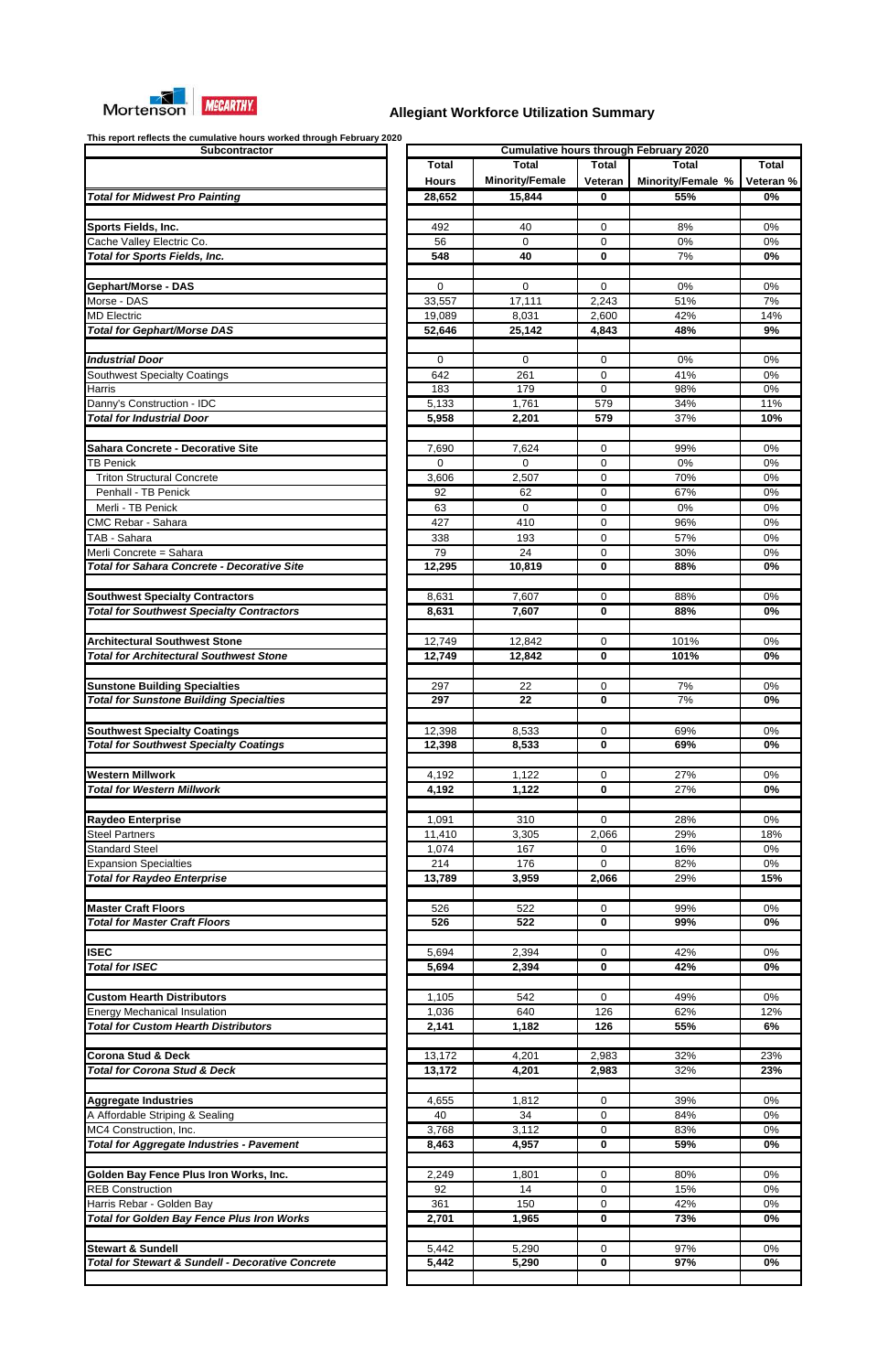

| <b>Subcontractor</b>                                                               |  |  |  |  |
|------------------------------------------------------------------------------------|--|--|--|--|
|                                                                                    |  |  |  |  |
|                                                                                    |  |  |  |  |
| <b>Total for Midwest Pro Painting</b>                                              |  |  |  |  |
|                                                                                    |  |  |  |  |
| Sports Fields, Inc.<br>Cache Valley Electric Co.                                   |  |  |  |  |
| <b>Total for Sports Fields, Inc.</b>                                               |  |  |  |  |
|                                                                                    |  |  |  |  |
| <b>Gephart/Morse - DAS</b>                                                         |  |  |  |  |
| Morse - DAS                                                                        |  |  |  |  |
| <b>MD Electric</b>                                                                 |  |  |  |  |
| <b>Total for Gephart/Morse DAS</b>                                                 |  |  |  |  |
|                                                                                    |  |  |  |  |
| Industrial Door<br>Southwest Specialty Coatings                                    |  |  |  |  |
| Harris                                                                             |  |  |  |  |
| Danny's Construction - IDC                                                         |  |  |  |  |
| <b>Total for Industrial Door</b>                                                   |  |  |  |  |
|                                                                                    |  |  |  |  |
| <b>Sahara Concrete - Decorative Site</b>                                           |  |  |  |  |
| TB Penick                                                                          |  |  |  |  |
| <b>Triton Structural Concrete</b><br>Penhall - TB Penick                           |  |  |  |  |
| Merli - TB Penick                                                                  |  |  |  |  |
| CMC Rebar - Sahara                                                                 |  |  |  |  |
| TAB - Sahara                                                                       |  |  |  |  |
| Merli Concrete = Sahara                                                            |  |  |  |  |
| <b>Total for Sahara Concrete - Decorative Site</b>                                 |  |  |  |  |
|                                                                                    |  |  |  |  |
| <b>Southwest Specialty Contractors</b>                                             |  |  |  |  |
| <b>Total for Southwest Specialty Contractors</b>                                   |  |  |  |  |
| <b>Architectural Southwest Stone</b>                                               |  |  |  |  |
| <b>Total for Architectural Southwest Stone</b>                                     |  |  |  |  |
|                                                                                    |  |  |  |  |
| <b>Sunstone Building Specialties</b>                                               |  |  |  |  |
| <b>Total for Sunstone Building Specialties</b>                                     |  |  |  |  |
|                                                                                    |  |  |  |  |
| <b>Southwest Specialty Coatings</b>                                                |  |  |  |  |
| <b>Total for Southwest Specialty Coatings</b>                                      |  |  |  |  |
| <b>Western Millwork</b>                                                            |  |  |  |  |
| <b>Total for Western Millwork</b>                                                  |  |  |  |  |
|                                                                                    |  |  |  |  |
| <b>Raydeo Enterprise</b>                                                           |  |  |  |  |
| <b>Steel Partners</b>                                                              |  |  |  |  |
| <b>Standard Steel</b>                                                              |  |  |  |  |
| <b>Expansion Specialties</b>                                                       |  |  |  |  |
| <b>Total for Raydeo Enterprise</b>                                                 |  |  |  |  |
| <b>Master Craft Floors</b>                                                         |  |  |  |  |
| <b>Total for Master Craft Floors</b>                                               |  |  |  |  |
|                                                                                    |  |  |  |  |
| <b>ISEC</b>                                                                        |  |  |  |  |
| <b>Total for ISEC</b>                                                              |  |  |  |  |
|                                                                                    |  |  |  |  |
| <b>Custom Hearth Distributors</b>                                                  |  |  |  |  |
| <b>Energy Mechanical Insulation</b><br><b>Total for Custom Hearth Distributors</b> |  |  |  |  |
|                                                                                    |  |  |  |  |
| <b>Corona Stud &amp; Deck</b>                                                      |  |  |  |  |
| <b>Total for Corona Stud &amp; Deck</b>                                            |  |  |  |  |
|                                                                                    |  |  |  |  |
|                                                                                    |  |  |  |  |
| <b>Aggregate Industries</b>                                                        |  |  |  |  |
| A Affordable Striping & Sealing                                                    |  |  |  |  |
| MC4 Construction, Inc.                                                             |  |  |  |  |
| <b>Total for Aggregate Industries - Pavement</b>                                   |  |  |  |  |
|                                                                                    |  |  |  |  |
| Golden Bay Fence Plus Iron Works, Inc.                                             |  |  |  |  |
| <b>REB Construction</b>                                                            |  |  |  |  |
| Harris Rebar - Golden Bay<br><b>Total for Golden Bay Fence Plus Iron Works</b>     |  |  |  |  |
|                                                                                    |  |  |  |  |
| <b>Stewart &amp; Sundell</b>                                                       |  |  |  |  |
| <b>Total for Stewart &amp; Sundell - Decorative Concrete</b>                       |  |  |  |  |

| This report reflects the cumulative hours worked through February 2020<br>Subcontractor | <b>Cumulative hours through February 2020</b> |                        |              |                   |              |  |  |  |
|-----------------------------------------------------------------------------------------|-----------------------------------------------|------------------------|--------------|-------------------|--------------|--|--|--|
|                                                                                         | Total                                         | <b>Total</b>           | <b>Total</b> | <b>Total</b>      | <b>Total</b> |  |  |  |
|                                                                                         | <b>Hours</b>                                  | <b>Minority/Female</b> | Veteran      | Minority/Female % | Veteran %    |  |  |  |
| <b>Total for Midwest Pro Painting</b>                                                   | 28,652                                        | 15,844                 | $\mathbf{0}$ | 55%               | 0%           |  |  |  |
|                                                                                         |                                               |                        |              |                   |              |  |  |  |
| <b>Sports Fields, Inc.</b>                                                              | 492                                           | 40                     | 0            | 8%                | 0%           |  |  |  |
| Cache Valley Electric Co.                                                               | 56                                            | $\Omega$               | 0            | 0%                | 0%           |  |  |  |
| <b>Total for Sports Fields, Inc.</b>                                                    | 548                                           | 40                     | 0            | 7%                | 0%           |  |  |  |
|                                                                                         |                                               |                        |              |                   |              |  |  |  |
| <b>Gephart/Morse - DAS</b>                                                              |                                               |                        |              | 0%                | 0%           |  |  |  |
| Morse - DAS                                                                             | 0                                             | 0                      | 0            |                   |              |  |  |  |
| <b>MD Electric</b>                                                                      | 33,557                                        | 17,111                 | 2,243        | 51%               | 7%           |  |  |  |
|                                                                                         | 19,089                                        | 8,031                  | 2,600        | 42%               | 14%          |  |  |  |
| <b>Total for Gephart/Morse DAS</b>                                                      | 52,646                                        | 25,142                 | 4,843        | 48%               | 9%           |  |  |  |
|                                                                                         |                                               |                        |              |                   |              |  |  |  |
| <b>Industrial Door</b>                                                                  | 0                                             | 0                      | 0            | 0%                | 0%           |  |  |  |
| <b>Southwest Specialty Coatings</b>                                                     | 642                                           | 261                    | 0            | 41%               | 0%           |  |  |  |
| Harris                                                                                  | 183                                           | 179                    | $\mathbf 0$  | 98%               | 0%           |  |  |  |
| Danny's Construction - IDC                                                              | 5,133                                         | 1,761                  | 579          | 34%               | 11%          |  |  |  |
| <b>Total for Industrial Door</b>                                                        | 5,958                                         | 2,201                  | 579          | 37%               | 10%          |  |  |  |
|                                                                                         |                                               |                        |              |                   |              |  |  |  |
| <b>Sahara Concrete - Decorative Site</b>                                                | 7,690                                         | 7,624                  | 0            | 99%               | 0%           |  |  |  |
| <b>TB Penick</b>                                                                        | 0                                             | $\Omega$               | 0            | 0%                | 0%           |  |  |  |
| <b>Triton Structural Concrete</b>                                                       | 3,606                                         | 2,507                  | 0            | 70%               | 0%           |  |  |  |
| Penhall - TB Penick                                                                     | 92                                            | 62                     | 0            | 67%               | 0%           |  |  |  |
| Merli - TB Penick                                                                       | 63                                            | $\Omega$               | 0            | 0%                | 0%           |  |  |  |
| CMC Rebar - Sahara                                                                      | 427                                           | 410                    | 0            | 96%               | 0%           |  |  |  |
| TAB - Sahara                                                                            | 338                                           | 193                    | 0            | 57%               | 0%           |  |  |  |
| Merli Concrete = Sahara                                                                 | 79                                            | 24                     | 0            | 30%               | 0%           |  |  |  |
| <b>Total for Sahara Concrete - Decorative Site</b>                                      | 12,295                                        | 10,819                 | 0            | 88%               | 0%           |  |  |  |
|                                                                                         |                                               |                        |              |                   |              |  |  |  |
| <b>Southwest Specialty Contractors</b>                                                  | 8,631                                         | 7,607                  | 0            | 88%               | $0\%$        |  |  |  |
| <b>Total for Southwest Specialty Contractors</b>                                        | 8,631                                         | 7,607                  | 0            | 88%               | 0%           |  |  |  |
|                                                                                         |                                               |                        |              |                   |              |  |  |  |
| <b>Architectural Southwest Stone</b>                                                    | 12,749                                        | 12,842                 | $\mathbf 0$  | 101%              | 0%           |  |  |  |
| <b>Total for Architectural Southwest Stone</b>                                          | 12,749                                        | 12,842                 | $\bf{0}$     | 101%              | 0%           |  |  |  |
|                                                                                         |                                               |                        |              |                   |              |  |  |  |
| <b>Sunstone Building Specialties</b>                                                    | 297                                           | 22                     | 0            | 7%                | 0%           |  |  |  |
| <b>Total for Sunstone Building Specialties</b>                                          | 297                                           | 22                     | 0            | 7%                | 0%           |  |  |  |
|                                                                                         |                                               |                        |              |                   |              |  |  |  |
| <b>Southwest Specialty Coatings</b>                                                     | 12,398                                        | 8,533                  | 0            | 69%               | 0%           |  |  |  |
| <b>Total for Southwest Specialty Coatings</b>                                           | 12,398                                        | 8,533                  | 0            | 69%               | 0%           |  |  |  |
|                                                                                         |                                               |                        |              |                   |              |  |  |  |
| Western Millwork                                                                        | 4,192                                         | 1,122                  | 0            | 27%               | 0%           |  |  |  |
| <b>Total for Western Millwork</b>                                                       | 4,192                                         | 1,122                  | 0            | 27%               | 0%           |  |  |  |
|                                                                                         |                                               |                        |              |                   |              |  |  |  |
| <b>Raydeo Enterprise</b>                                                                | 1,091                                         | 310                    | $\mathbf 0$  | 28%               | 0%           |  |  |  |
| <b>Steel Partners</b>                                                                   | 11,410                                        | 3,305                  | 2,066        | 29%               | 18%          |  |  |  |
| <b>Standard Steel</b>                                                                   | 1,074                                         | 167                    | 0            | 16%               | 0%           |  |  |  |
| <b>Expansion Specialties</b>                                                            | 214                                           | 176                    | $\Omega$     | 82%               | 0%           |  |  |  |
| <b>Total for Raydeo Enterprise</b>                                                      | 13,789                                        | 3,959                  | 2,066        | 29%               | 15%          |  |  |  |
|                                                                                         |                                               |                        |              |                   |              |  |  |  |
| <b>Master Craft Floors</b>                                                              | 526                                           | 522                    | 0            | 99%               | 0%           |  |  |  |
| <b>Total for Master Craft Floors</b>                                                    | 526                                           | 522                    | 0            | 99%               | 0%           |  |  |  |
|                                                                                         |                                               |                        |              |                   |              |  |  |  |
| <b>ISEC</b>                                                                             | 5,694                                         | 2,394                  | 0            | 42%               | 0%           |  |  |  |
| <b>Total for ISEC</b>                                                                   | 5,694                                         | 2,394                  | 0            | 42%               | 0%           |  |  |  |
|                                                                                         |                                               |                        |              |                   |              |  |  |  |
| <b>Custom Hearth Distributors</b>                                                       | 1,105                                         | 542                    | 0            | 49%               | $0\%$        |  |  |  |
| <b>Energy Mechanical Insulation</b>                                                     | 1,036                                         | 640                    | 126          | 62%               | 12%          |  |  |  |
| <b>Total for Custom Hearth Distributors</b>                                             | 2,141                                         | 1,182                  | 126          | 55%               | 6%           |  |  |  |
|                                                                                         |                                               |                        |              |                   |              |  |  |  |
| <b>Corona Stud &amp; Deck</b>                                                           | 13,172                                        | 4,201                  | 2,983        | 32%               | 23%          |  |  |  |
| <b>Total for Corona Stud &amp; Deck</b>                                                 | 13,172                                        | 4,201                  | 2,983        | 32%               | 23%          |  |  |  |
|                                                                                         |                                               |                        |              |                   |              |  |  |  |
| Aggregate Industries                                                                    | 4,655                                         | 1,812                  | 0            | 39%               | 0%           |  |  |  |
| A Affordable Striping & Sealing                                                         | 40                                            | 34                     | 0            | 84%               | 0%           |  |  |  |
| MC4 Construction, Inc.                                                                  | 3,768                                         | 3,112                  | 0            | 83%               | 0%           |  |  |  |
| <b>Total for Aggregate Industries - Pavement</b>                                        | 8,463                                         | 4,957                  | 0            | 59%               | $0\%$        |  |  |  |
|                                                                                         |                                               |                        |              |                   |              |  |  |  |
| Golden Bay Fence Plus Iron Works, Inc.                                                  | 2,249                                         | 1,801                  | 0            | 80%               | 0%           |  |  |  |
| <b>REB Construction</b>                                                                 | 92                                            | 14                     | 0            | 15%               | 0%           |  |  |  |
| Harris Rebar - Golden Bay                                                               | 361                                           | 150                    | 0            | 42%               | $0\%$        |  |  |  |
| <b>Total for Golden Bay Fence Plus Iron Works</b>                                       | 2,701                                         | 1,965                  | 0            | 73%               | $0\%$        |  |  |  |
|                                                                                         |                                               |                        |              |                   |              |  |  |  |
| <b>Stewart &amp; Sundell</b>                                                            | 5,442                                         | 5,290                  | 0            | 97%               | 0%           |  |  |  |
| <b>Total for Stewart &amp; Sundell - Decorative Concrete</b>                            | 5,442                                         | 5,290                  | 0            | 97%               | $0\%$        |  |  |  |
|                                                                                         |                                               |                        |              |                   |              |  |  |  |